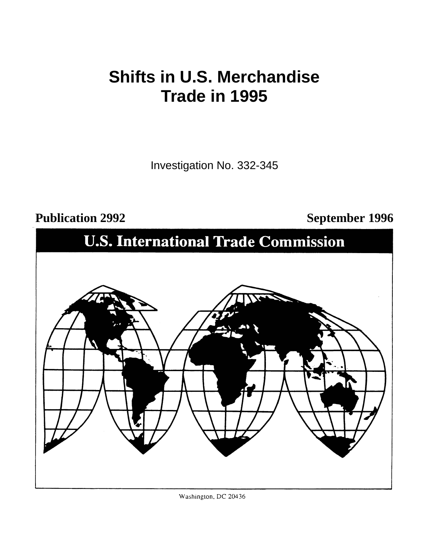## **Shifts in U.S. Merchandise Trade in 1995**

Investigation No. 332-345

## Publication 2992 September 1996



Washington, DC 20436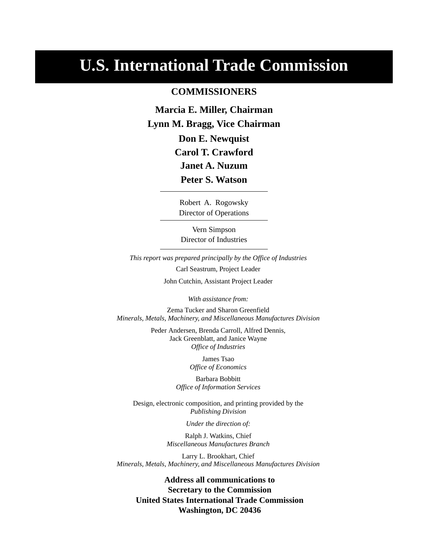## **U.S. International Trade Commission**

### **COMMISSIONERS**

**Don E. Newquist Marcia E. Miller, Chairman Lynn M. Bragg, Vice Chairman Janet A. Nuzum Carol T. Crawford Peter S. Watson**

> Director of Operations Robert A. Rogowsky

Director of Industries Vern Simpson

*This report was prepared principally by the Office of Industries* Carl Seastrum, Project Leader John Cutchin, Assistant Project Leader

*With assistance from:*

Zema Tucker and Sharon Greenfield *Minerals, Metals, Machinery, and Miscellaneous Manufactures Division*

> Peder Andersen, Brenda Carroll, Alfred Dennis, Jack Greenblatt, and Janice Wayne *Office of Industries*

> > James Tsao *Office of Economics*

Barbara Bobbitt *Office of Information Services*

Design, electronic composition, and printing provided by the *Publishing Division*

*Under the direction of:*

Ralph J. Watkins, Chief *Miscellaneous Manufactures Branch*

Larry L. Brookhart, Chief *Minerals, Metals, Machinery, and Miscellaneous Manufactures Division*

**Address all communications to Secretary to the Commission United States International Trade Commission Washington, DC 20436**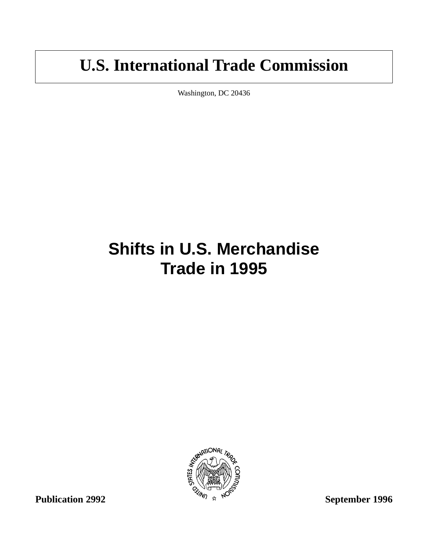## **U.S. International Trade Commission**

Washington, DC 20436

# **Shifts in U.S. Merchandise Trade in 1995**

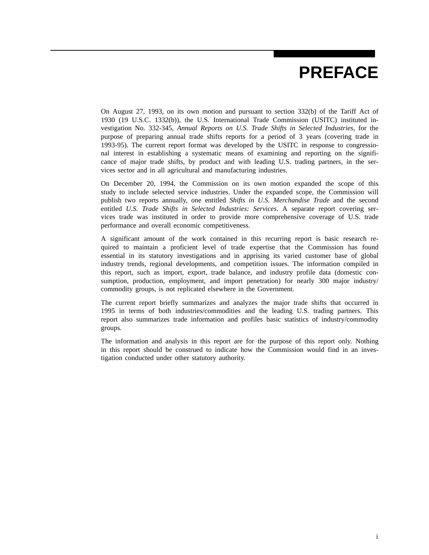## **PREFACE**

On August 27, 1993, on its own motion and pursuant to section 332(b) of the Tariff Act of 1930 (19 U.S.C. 1332(b)), the U.S. International Trade Commission (USITC) instituted investigation No. 332-345, *Annual Reports on U.S. Trade Shifts in Selected Industries*, for the purpose of preparing annual trade shifts reports for a period of 3 years (covering trade in 1993-95). The current report format was developed by the USITC in response to congressional interest in establishing a systematic means of examining and reporting on the significance of major trade shifts, by product and with leading U.S. trading partners, in the services sector and in all agricultural and manufacturing industries.

On December 20, 1994, the Commission on its own motion expanded the scope of this study to include selected service industries. Under the expanded scope, the Commission will publish two reports annually, one entitled *Shifts in U.S. Merchandise Trade* and the second entitled *U.S. Trade Shifts in Selected Industries: Services*. A separate report covering services trade was instituted in order to provide more comprehensive coverage of U.S. trade performance and overall economic competitiveness.

A significant amount of the work contained in this recurring report is basic research required to maintain a proficient level of trade expertise that the Commission has found essential in its statutory investigations and in apprising its varied customer base of global industry trends, regional developments, and competition issues. The information compiled in this report, such as import, export, trade balance, and industry profile data (domestic consumption, production, employment, and import penetration) for nearly 300 major industry/ commodity groups, is not replicated elsewhere in the Government.

The current report briefly summarizes and analyzes the major trade shifts that occurred in 1995 in terms of both industries/commodities and the leading U.S. trading partners. This report also summarizes trade information and profiles basic statistics of industry/commodity groups.

The information and analysis in this report are for the purpose of this report only. Nothing in this report should be construed to indicate how the Commission would find in an investigation conducted under other statutory authority.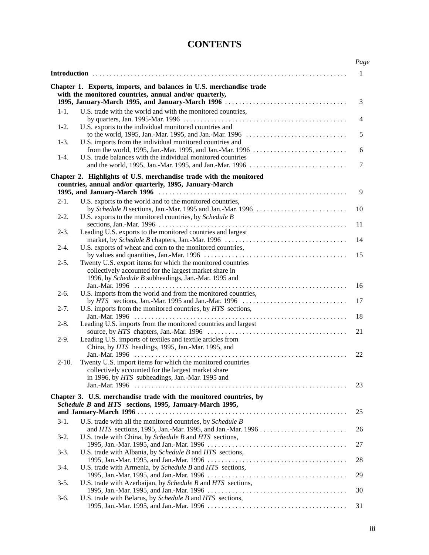### **CONTENTS**

|           |                                                                      | Page |
|-----------|----------------------------------------------------------------------|------|
|           |                                                                      | 1    |
|           | Chapter 1. Exports, imports, and balances in U.S. merchandise trade  |      |
|           | with the monitored countries, annual and/or quarterly,               |      |
|           |                                                                      | 3    |
| $1-1.$    | U.S. trade with the world and with the monitored countries,          |      |
|           |                                                                      | 4    |
| $1-2.$    | U.S. exports to the individual monitored countries and               |      |
| $1-3.$    | U.S. imports from the individual monitored countries and             | 5    |
|           |                                                                      | 6    |
| $1-4.$    | U.S. trade balances with the individual monitored countries          |      |
|           |                                                                      | 7    |
|           | Chapter 2. Highlights of U.S. merchandise trade with the monitored   |      |
|           | countries, annual and/or quarterly, 1995, January-March              |      |
|           |                                                                      | 9    |
| $2-1.$    | U.S. exports to the world and to the monitored countries,            |      |
|           |                                                                      | 10   |
| $2-2.$    | U.S. exports to the monitored countries, by Schedule B               |      |
|           |                                                                      | 11   |
| $2-3.$    | Leading U.S. exports to the monitored countries and largest          |      |
| $2 - 4.$  | U.S. exports of wheat and corn to the monitored countries,           | 14   |
|           |                                                                      | 15   |
| $2-5.$    | Twenty U.S. export items for which the monitored countries           |      |
|           | collectively accounted for the largest market share in               |      |
|           | 1996, by Schedule B subheadings, Jan.-Mar. 1995 and                  |      |
|           |                                                                      | 16   |
| $2-6.$    | U.S. imports from the world and from the monitored countries,        |      |
|           |                                                                      | 17   |
| $2 - 7.$  | U.S. imports from the monitored countries, by HTS sections,          |      |
|           |                                                                      | 18   |
| $2 - 8$ . | Leading U.S. imports from the monitored countries and largest        | 21   |
| $2-9.$    | Leading U.S. imports of textiles and textile articles from           |      |
|           | China, by HTS headings, 1995, Jan.-Mar. 1995, and                    |      |
|           |                                                                      | 22   |
| $2-10.$   | Twenty U.S. import items for which the monitored countries           |      |
|           | collectively accounted for the largest market share                  |      |
|           | in 1996, by HTS subheadings, Jan.-Mar. 1995 and                      |      |
|           |                                                                      | 23   |
|           | Chapter 3. U.S. merchandise trade with the monitored countries, by   |      |
|           | Schedule B and HTS sections, 1995, January-March 1995,               |      |
|           |                                                                      | 25   |
| $3-1.$    | U.S. trade with all the monitored countries, by Schedule B           |      |
|           |                                                                      | 26   |
| $3-2.$    | U.S. trade with China, by <i>Schedule B</i> and <i>HTS</i> sections, |      |
|           |                                                                      | 27   |
| $3-3.$    | U.S. trade with Albania, by Schedule B and HTS sections,             |      |
|           |                                                                      | 28   |
| $3-4.$    | U.S. trade with Armenia, by Schedule B and HTS sections,             |      |
| $3-5.$    | U.S. trade with Azerbaijan, by Schedule B and HTS sections,          | 29   |
|           |                                                                      | 30   |
| $3-6.$    | U.S. trade with Belarus, by Schedule B and HTS sections,             |      |
|           |                                                                      | 31   |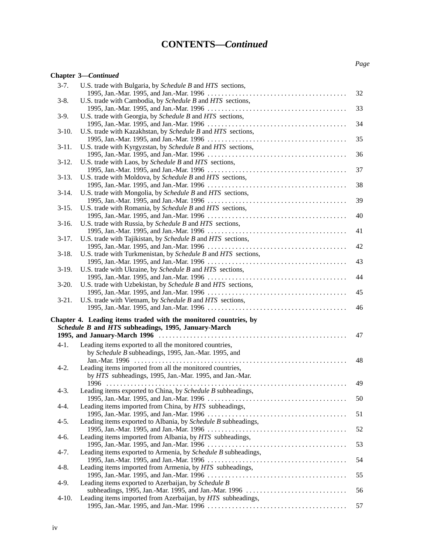### **CONTENTS—***Continued*

### **Chapter 3—***Continued*

| $3-7.$   | U.S. trade with Bulgaria, by Schedule B and HTS sections,                                                               | 32       |
|----------|-------------------------------------------------------------------------------------------------------------------------|----------|
| $3-8.$   | U.S. trade with Cambodia, by Schedule B and HTS sections,                                                               | 33       |
| $3-9.$   | U.S. trade with Georgia, by Schedule B and HTS sections,                                                                | 34       |
| $3-10.$  | U.S. trade with Kazakhstan, by Schedule B and HTS sections,                                                             |          |
| $3-11.$  | U.S. trade with Kyrgyzstan, by Schedule B and HTS sections,                                                             | 35       |
| $3-12.$  | U.S. trade with Laos, by Schedule B and HTS sections,                                                                   | 36       |
| $3-13.$  | U.S. trade with Moldova, by Schedule B and HTS sections,                                                                | 37       |
| $3-14.$  | U.S. trade with Mongolia, by Schedule B and HTS sections,                                                               | 38       |
|          |                                                                                                                         | 39       |
| $3-15.$  | U.S. trade with Romania, by Schedule B and HTS sections,                                                                | 40       |
| $3-16.$  | U.S. trade with Russia, by Schedule B and HTS sections,                                                                 | 41       |
| $3-17.$  | U.S. trade with Tajikistan, by <i>Schedule B</i> and <i>HTS</i> sections,                                               | 42       |
| $3-18.$  | U.S. trade with Turkmenistan, by Schedule B and HTS sections,                                                           | 43       |
| $3-19.$  | U.S. trade with Ukraine, by Schedule B and HTS sections,                                                                |          |
| $3-20.$  | U.S. trade with Uzbekistan, by Schedule B and HTS sections,                                                             | 44       |
| $3-21.$  | U.S. trade with Vietnam, by Schedule B and HTS sections,                                                                | 45       |
|          |                                                                                                                         | 46       |
|          | Chapter 4. Leading items traded with the monitored countries, by<br>Schedule B and HTS subheadings, 1995, January-March |          |
|          |                                                                                                                         | 47       |
| $4-1.$   | Leading items exported to all the monitored countries,<br>by Schedule B subheadings, 1995, Jan.-Mar. 1995, and          |          |
|          |                                                                                                                         | 48       |
| $4-2.$   | Leading items imported from all the monitored countries,                                                                |          |
| $4-3.$   | by HTS subheadings, 1995, Jan.-Mar. 1995, and Jan.-Mar.                                                                 |          |
|          | Leading items exported to China, by Schedule B subheadings,                                                             | 49       |
| $4-4.$   | Leading items imported from China, by HTS subheadings,                                                                  | 50       |
|          |                                                                                                                         | 51       |
| $4-5.$   | Leading items exported to Albania, by Schedule B subheadings,                                                           | 52       |
| $4-6.$   | Leading items imported from Albania, by HTS subheadings,                                                                | 53       |
| $4 - 7.$ | Leading items exported to Armenia, by Schedule B subheadings,                                                           | 54       |
| $4 - 8.$ | Leading items imported from Armenia, by HTS subheadings,                                                                | 55       |
| $4-9.$   | Leading items exported to Azerbaijan, by Schedule B                                                                     |          |
| $4-10.$  | Leading items imported from Azerbaijan, by HTS subheadings,                                                             | 56<br>57 |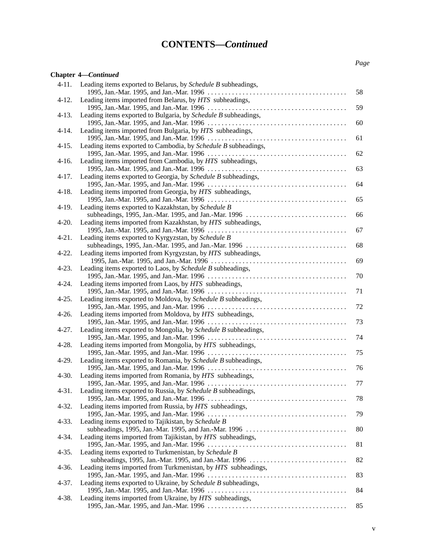### **CONTENTS—***Continued*

### **Chapter 4—***Continued*

| $4-11.$   | Leading items exported to Belarus, by Schedule B subheadings,                                                  | 58 |
|-----------|----------------------------------------------------------------------------------------------------------------|----|
| $4-12.$   | Leading items imported from Belarus, by HTS subheadings,                                                       | 59 |
| $4-13.$   | Leading items exported to Bulgaria, by Schedule B subheadings,                                                 | 60 |
| $4-14.$   | Leading items imported from Bulgaria, by HTS subheadings,                                                      | 61 |
| $4 - 15.$ | Leading items exported to Cambodia, by Schedule B subheadings,                                                 |    |
| $4-16.$   | Leading items imported from Cambodia, by HTS subheadings,                                                      | 62 |
| $4-17.$   | Leading items exported to Georgia, by Schedule B subheadings,                                                  | 63 |
| $4-18.$   | Leading items imported from Georgia, by HTS subheadings,                                                       | 64 |
| $4-19.$   | Leading items exported to Kazakhstan, by Schedule B                                                            | 65 |
| $4 - 20.$ | Leading items imported from Kazakhstan, by HTS subheadings,                                                    | 66 |
|           |                                                                                                                | 67 |
| $4 - 21.$ | Leading items exported to Kyrgyzstan, by Schedule B<br>subheadings, 1995, Jan.-Mar. 1995, and Jan.-Mar. 1996   | 68 |
| $4 - 22.$ | Leading items imported from Kyrgyzstan, by HTS subheadings,                                                    | 69 |
| $4 - 23.$ | Leading items exported to Laos, by Schedule B subheadings,                                                     | 70 |
| $4 - 24.$ | Leading items imported from Laos, by HTS subheadings,                                                          | 71 |
| $4 - 25.$ | Leading items exported to Moldova, by Schedule B subheadings,                                                  | 72 |
| $4-26.$   | Leading items imported from Moldova, by HTS subheadings,                                                       | 73 |
| $4 - 27.$ | Leading items exported to Mongolia, by Schedule B subheadings,                                                 |    |
| $4 - 28.$ | Leading items imported from Mongolia, by HTS subheadings,                                                      | 74 |
| $4-29.$   | Leading items exported to Romania, by Schedule B subheadings,                                                  | 75 |
| $4-30.$   | Leading items imported from Romania, by HTS subheadings,                                                       | 76 |
| $4 - 31.$ | Leading items exported to Russia, by Schedule B subheadings,                                                   | 77 |
|           |                                                                                                                | 78 |
| $4 - 32.$ | Leading items imported from Russia, by HTS subheadings,                                                        | 79 |
| $4 - 33.$ | Leading items exported to Tajikistan, by Schedule B<br>subheadings, 1995, Jan.-Mar. 1995, and Jan.-Mar. 1996   | 80 |
| 4-34.     | Leading items imported from Tajikistan, by HTS subheadings,                                                    | 81 |
| $4 - 35.$ | Leading items exported to Turkmenistan, by Schedule B<br>subheadings, 1995, Jan.-Mar. 1995, and Jan.-Mar. 1996 | 82 |
| $4-36.$   | Leading items imported from Turkmenistan, by HTS subheadings,                                                  | 83 |
| $4 - 37.$ | Leading items exported to Ukraine, by Schedule B subheadings,                                                  |    |
| $4 - 38.$ | Leading items imported from Ukraine, by HTS subheadings,                                                       | 84 |
|           |                                                                                                                | 85 |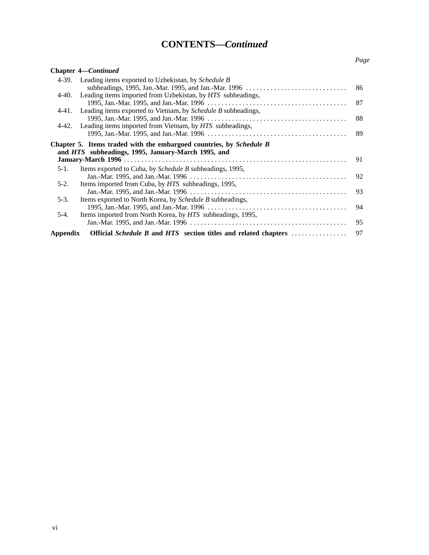### **CONTENTS—***Continued*

#### *Page*

|          | <b>Chapter 4—Continued</b>                                                                                           |    |
|----------|----------------------------------------------------------------------------------------------------------------------|----|
| 4-39.    | Leading items exported to Uzbekistan, by Schedule B                                                                  |    |
|          | subheadings, 1995, Jan.-Mar. 1995, and Jan.-Mar. 1996 $\dots\dots\dots\dots\dots\dots\dots\dots\dots\dots\dots\dots$ | 86 |
|          | 4-40. Leading items imported from Uzbekistan, by HTS subheadings,                                                    |    |
|          |                                                                                                                      | 87 |
|          | 4-41. Leading items exported to Vietnam, by <i>Schedule B</i> subheadings,                                           |    |
|          |                                                                                                                      | 88 |
| 4-42.    | Leading items imported from Vietnam, by HTS subheadings,                                                             |    |
|          |                                                                                                                      | 89 |
|          | Chapter 5. Items traded with the embargoed countries, by Schedule B                                                  |    |
|          | and <i>HTS</i> subheadings, 1995, January-March 1995, and                                                            |    |
|          |                                                                                                                      | 91 |
| $5-1.$   | Items exported to Cuba, by <i>Schedule B</i> subheadings, 1995,                                                      |    |
|          |                                                                                                                      | 92 |
| $5-2.$   | Items imported from Cuba, by HTS subheadings, 1995,                                                                  |    |
|          |                                                                                                                      | 93 |
| $5-3.$   | Items exported to North Korea, by <i>Schedule B</i> subheadings,                                                     |    |
|          |                                                                                                                      | 94 |
| $5-4.$   | Items imported from North Korea, by HTS subheadings, 1995,                                                           |    |
|          |                                                                                                                      | 95 |
| Appendix | <b>Official Schedule B and HTS section titles and related chapters </b>                                              | 97 |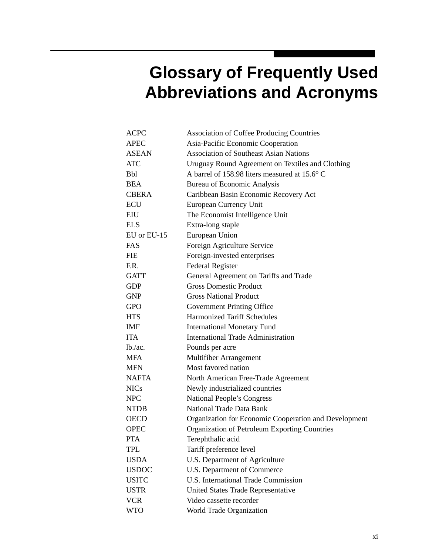## **Glossary of Frequently Used Abbreviations and Acronyms**

| <b>ACPC</b>  | <b>Association of Coffee Producing Countries</b>      |
|--------------|-------------------------------------------------------|
| <b>APEC</b>  | Asia-Pacific Economic Cooperation                     |
| <b>ASEAN</b> | <b>Association of Southeast Asian Nations</b>         |
| <b>ATC</b>   | Uruguay Round Agreement on Textiles and Clothing      |
| <b>Bbl</b>   | A barrel of 158.98 liters measured at 15.6° C         |
| <b>BEA</b>   | <b>Bureau of Economic Analysis</b>                    |
| <b>CBERA</b> | Caribbean Basin Economic Recovery Act                 |
| <b>ECU</b>   | European Currency Unit                                |
| EIU          | The Economist Intelligence Unit                       |
| <b>ELS</b>   | Extra-long staple                                     |
| EU or EU-15  | European Union                                        |
| FAS          | Foreign Agriculture Service                           |
| <b>FIE</b>   | Foreign-invested enterprises                          |
| F.R.         | <b>Federal Register</b>                               |
| <b>GATT</b>  | General Agreement on Tariffs and Trade                |
| <b>GDP</b>   | <b>Gross Domestic Product</b>                         |
| <b>GNP</b>   | <b>Gross National Product</b>                         |
| <b>GPO</b>   | <b>Government Printing Office</b>                     |
| <b>HTS</b>   | <b>Harmonized Tariff Schedules</b>                    |
| <b>IMF</b>   | <b>International Monetary Fund</b>                    |
| <b>ITA</b>   | International Trade Administration                    |
| $lb$ /ac.    | Pounds per acre                                       |
| <b>MFA</b>   | <b>Multifiber Arrangement</b>                         |
| <b>MFN</b>   | Most favored nation                                   |
| <b>NAFTA</b> | North American Free-Trade Agreement                   |
| <b>NICs</b>  | Newly industrialized countries                        |
| <b>NPC</b>   | <b>National People's Congress</b>                     |
| <b>NTDB</b>  | <b>National Trade Data Bank</b>                       |
| <b>OECD</b>  | Organization for Economic Cooperation and Development |
| <b>OPEC</b>  | Organization of Petroleum Exporting Countries         |
| <b>PTA</b>   | Terephthalic acid                                     |
| <b>TPL</b>   | Tariff preference level                               |
| <b>USDA</b>  | U.S. Department of Agriculture                        |
| <b>USDOC</b> | U.S. Department of Commerce                           |
| <b>USITC</b> | U.S. International Trade Commission                   |
| <b>USTR</b>  | United States Trade Representative                    |
| <b>VCR</b>   | Video cassette recorder                               |
| <b>WTO</b>   | World Trade Organization                              |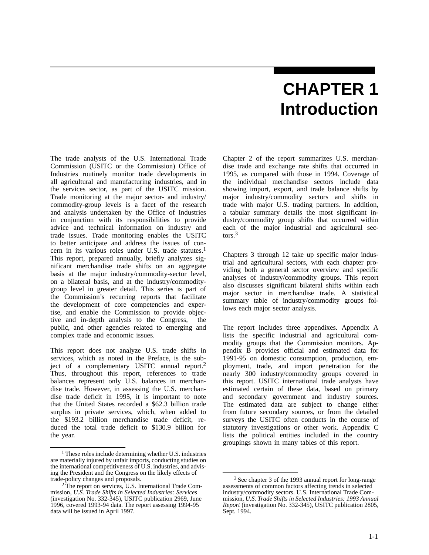## **CHAPTER 1 Introduction**

The trade analysts of the U.S. International Trade Commission (USITC or the Commission) Office of Industries routinely monitor trade developments in all agricultural and manufacturing industries, and in the services sector, as part of the USITC mission. Trade monitoring at the major sector- and industry/ commodity-group levels is a facet of the research and analysis undertaken by the Office of Industries in conjunction with its responsibilities to provide advice and technical information on industry and trade issues. Trade monitoring enables the USITC to better anticipate and address the issues of concern in its various roles under U.S. trade statutes.1 This report, prepared annually, briefly analyzes significant merchandise trade shifts on an aggregate basis at the major industry/commodity-sector level, on a bilateral basis, and at the industry/commoditygroup level in greater detail. This series is part of the Commission's recurring reports that facilitate the development of core competencies and expertise, and enable the Commission to provide objective and in-depth analysis to the Congress, the public, and other agencies related to emerging and complex trade and economic issues.

This report does not analyze U.S. trade shifts in services, which as noted in the Preface, is the subject of a complementary USITC annual report.2 Thus, throughout this report, references to trade balances represent only U.S. balances in merchandise trade. However, in assessing the U.S. merchandise trade deficit in 1995, it is important to note that the United States recorded a \$62.3 billion trade surplus in private services, which, when added to the \$193.2 billion merchandise trade deficit, reduced the total trade deficit to \$130.9 billion for the year.

Chapter 2 of the report summarizes U.S. merchandise trade and exchange rate shifts that occurred in 1995, as compared with those in 1994. Coverage of the individual merchandise sectors include data showing import, export, and trade balance shifts by major industry/commodity sectors and shifts in trade with major U.S. trading partners. In addition, a tabular summary details the most significant industry/commodity group shifts that occurred within each of the major industrial and agricultural sectors.3

Chapters 3 through 12 take up specific major industrial and agricultural sectors, with each chapter providing both a general sector overview and specific analyses of industry/commodity groups. This report also discusses significant bilateral shifts within each major sector in merchandise trade. A statistical summary table of industry/commodity groups follows each major sector analysis.

The report includes three appendixes. Appendix A lists the specific industrial and agricultural commodity groups that the Commission monitors. Appendix B provides official and estimated data for 1991-95 on domestic consumption, production, employment, trade, and import penetration for the nearly 300 industry/commodity groups covered in this report. USITC international trade analysts have estimated certain of these data, based on primary and secondary government and industry sources. The estimated data are subject to change either from future secondary sources, or from the detailed surveys the USITC often conducts in the course of statutory investigations or other work. Appendix C lists the political entities included in the country groupings shown in many tables of this report.

<sup>1</sup> These roles include determining whether U.S. industries are materially injured by unfair imports, conducting studies on the international competitiveness of U.S. industries, and advising the President and the Congress on the likely effects of trade-policy changes and proposals.

<sup>&</sup>lt;sup>2</sup> The report on services, U.S. International Trade Commission, *U.S. Trade Shifts in Selected Industries: Services* (investigation No. 332-345), USITC publication 2969, June 1996, covered 1993-94 data. The report assessing 1994-95 data will be issued in April 1997.

<sup>3</sup> See chapter 3 of the 1993 annual report for long-range assessments of common factors affecting trends in selected industry/commodity sectors. U.S. International Trade Commission, *U.S. Trade Shifts in Selected Industries: 1993 Annual Report* (investigation No. 332-345), USITC publication 2805, Sept. 1994.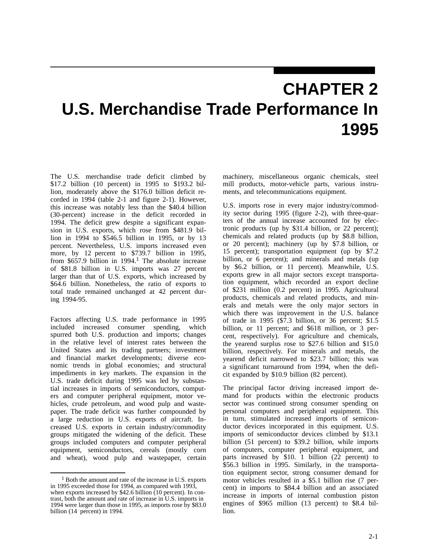## **CHAPTER 2 U.S. Merchandise Trade Performance In 1995**

The U.S. merchandise trade deficit climbed by \$17.2 billion (10 percent) in 1995 to \$193.2 billion, moderately above the \$176.0 billion deficit recorded in 1994 (table 2-1 and figure 2-1). However, this increase was notably less than the \$40.4 billion (30-percent) increase in the deficit recorded in 1994. The deficit grew despite a significant expansion in U.S. exports, which rose from \$481.9 billion in 1994 to \$546.5 billion in 1995, or by 13 percent. Nevertheless, U.S. imports increased even more, by 12 percent to \$739.7 billion in 1995, from  $$657.9$  billion in 1994.<sup>1</sup> The absolute increase of \$81.8 billion in U.S. imports was 27 percent larger than that of U.S. exports, which increased by \$64.6 billion. Nonetheless, the ratio of exports to total trade remained unchanged at 42 percent during 1994-95.

Factors affecting U.S. trade performance in 1995 included increased consumer spending, which spurred both U.S. production and imports; changes in the relative level of interest rates between the United States and its trading partners; investment and financial market developments; diverse economic trends in global economies; and structural impediments in key markets. The expansion in the U.S. trade deficit during 1995 was led by substantial increases in imports of semiconductors, computers and computer peripheral equipment, motor vehicles, crude petroleum, and wood pulp and wastepaper. The trade deficit was further compounded by a large reduction in U.S. exports of aircraft. Increased U.S. exports in certain industry/commodity groups mitigated the widening of the deficit. These groups included computers and computer peripheral equipment, semiconductors, cereals (mostly corn and wheat), wood pulp and wastepaper, certain

1 Both the amount and rate of the increase in U.S. exports in 1995 exceeded those for 1994, as compared with 1993, when exports increased by \$42.6 billion (10 percent). In contrast, both the amount and rate of increase in U.S. imports in 1994 were larger than those in 1995, as imports rose by \$83.0 billion (14 percent) in 1994.

machinery, miscellaneous organic chemicals, steel mill products, motor-vehicle parts, various instruments, and telecommunications equipment.

U.S. imports rose in every major industry/commodity sector during 1995 (figure 2-2), with three-quarters of the annual increase accounted for by electronic products (up by \$31.4 billion, or 22 percent); chemicals and related products (up by \$8.8 billion, or 20 percent); machinery (up by \$7.8 billion, or 15 percent); transportation equipment (up by \$7.2 billion, or 6 percent); and minerals and metals (up by \$6.2 billion, or 11 percent). Meanwhile, U.S. exports grew in all major sectors except transportation equipment, which recorded an export decline of \$231 million (0.2 percent) in 1995. Agricultural products, chemicals and related products, and minerals and metals were the only major sectors in which there was improvement in the U.S. balance of trade in 1995 (\$7.3 billion, or 36 percent; \$1.5 billion, or 11 percent; and \$618 million, or 3 percent, respectively). For agriculture and chemicals, the yearend surplus rose to \$27.6 billion and \$15.0 billion, respectively. For minerals and metals, the yearend deficit narrowed to \$23.7 billion; this was a significant turnaround from 1994, when the deficit expanded by \$10.9 billion (82 percent).

The principal factor driving increased import demand for products within the electronic products sector was continued strong consumer spending on personal computers and peripheral equipment. This in turn, stimulated increased imports of semiconductor devices incorporated in this equipment. U.S. imports of semiconductor devices climbed by \$13.1 billion (51 percent) to \$39.2 billion, while imports of computers, computer peripheral equipment, and parts increased by \$10. 1 billion (22 percent) to \$56.3 billion in 1995. Similarly, in the transportation equipment sector, strong consumer demand for motor vehicles resulted in a \$5.1 billion rise (7 percent) in imports to \$84.4 billion and an associated increase in imports of internal combustion piston engines of \$965 million (13 percent) to \$8.4 billion.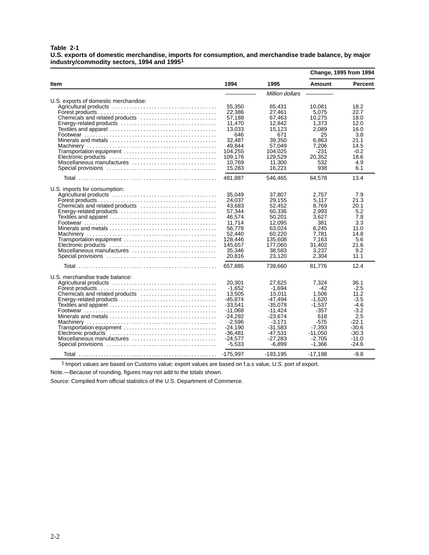#### **Table 2-1**

**U.S. exports of domestic merchandise, imports for consumption, and merchandise trade balance, by major industry/commodity sectors, 1994 and 19951**

|                                       |            |                 | Change, 1995 from 1994 |         |
|---------------------------------------|------------|-----------------|------------------------|---------|
| Item                                  | 1994       | 1995            | Amount                 | Percent |
|                                       |            | Million dollars |                        |         |
| U.S. exports of domestic merchandise: |            |                 |                        |         |
|                                       | 55,350     | 65.431          | 10.081                 | 18.2    |
|                                       | 22,386     | 27.461          | 5.075                  | 22.7    |
| Chemicals and related products        | 57,188     | 67,463          | 10,275                 | 18.0    |
|                                       | 11,470     | 12,842          | 1,373                  | 12.0    |
|                                       | 13,033     | 15,123          | 2,089                  | 16.0    |
|                                       | 646        | 671             | 25                     | 3.8     |
|                                       | 32.487     | 39.350          | 6.863                  | 21.1    |
|                                       | 49,844     | 57,049          | 7,206                  | 14.5    |
| Transportation equipment              | 104,255    | 104,025         | $-231$                 | $-0.2$  |
|                                       | 109,176    | 129.529         | 20,352                 | 18.6    |
|                                       | 10.769     | 11.300          | 532                    | 4.9     |
| Miscellaneous manufactures            |            |                 |                        |         |
|                                       | 15,283     | 16,221          | 938                    | 6.1     |
|                                       | 481,887    | 546.465         | 64,578                 | 13.4    |
| U.S. imports for consumption:         |            |                 |                        |         |
|                                       | 35.049     | 37.807          | 2.757                  | 7.9     |
|                                       | 24.037     | 29.155          | 5.117                  | 21.3    |
| Chemicals and related products        | 43.683     | 52.452          | 8.769                  | 20.1    |
|                                       | 57,344     | 60,336          | 2.993                  | 5.2     |
|                                       | 46,574     | 50,201          | 3,627                  | 7.8     |
|                                       | 11.714     | 12.095          | 381                    | 3.3     |
|                                       | 56.778     | 63.024          | 6.245                  | 11.0    |
|                                       | 52,440     | 60,220          | 7,781                  | 14.8    |
|                                       | 128,446    | 135,608         | 7,163                  | 5.6     |
| Transportation equipment              |            |                 |                        | 21.6    |
|                                       | 145,657    | 177,060         | 31,402                 |         |
| Miscellaneous manufactures            | 35,346     | 38,583          | 3.237<br>2.304         | 9.2     |
|                                       | 20,816     | 23,120          |                        | 11.1    |
|                                       | 657,885    | 739,660         | 81.776                 | 12.4    |
| U.S. merchandise trade balance:       |            |                 |                        |         |
|                                       | 20,301     | 27,625          | 7,324                  | 36.1    |
|                                       | $-1.652$   | $-1.694$        | $-42$                  | $-2.5$  |
|                                       | 13.505     | 15.011          | 1.506                  | 11.2    |
|                                       | -45,874    | -47,494         | $-1.620$               | $-3.5$  |
|                                       | $-33,541$  | $-35,078$       | $-1,537$               | $-4.6$  |
|                                       | $-11,068$  | $-11,424$       | -357                   | $-3.2$  |
|                                       | $-24.292$  | $-23.674$       | 618                    | 2.5     |
|                                       | $-2.596$   | $-3.171$        | -575                   | $-22.1$ |
| Transportation equipment              | -24,190    | $-31,583$       | $-7,393$               | $-30.6$ |
|                                       | $-36,481$  | $-47,531$       | $-11,050$              | $-30.3$ |
| Miscellaneous manufactures            | $-24,577$  | $-27,283$       | $-2,705$               | $-11.0$ |
|                                       |            |                 |                        | $-24.6$ |
|                                       | $-5,533$   | $-6,899$        | $-1.366$               |         |
|                                       | $-175,997$ | $-193,195$      | $-17,198$              | $-9.8$  |

1 Import values are based on Customs value; export values are based on f.a.s value, U.S. port of export.

Note.—Because of rounding, figures may not add to the totals shown.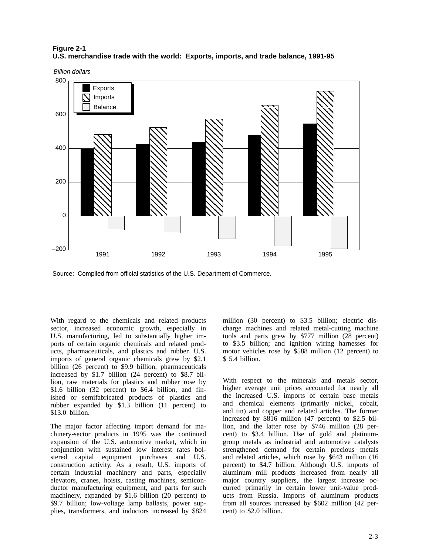### **Figure 2-1 U.S. merchandise trade with the world: Exports, imports, and trade balance, 1991-95**



Source: Compiled from official statistics of the U.S. Department of Commerce.

With regard to the chemicals and related products sector, increased economic growth, especially in U.S. manufacturing, led to substantially higher imports of certain organic chemicals and related products, pharmaceuticals, and plastics and rubber. U.S. imports of general organic chemicals grew by \$2.1 billion (26 percent) to \$9.9 billion, pharmaceuticals increased by \$1.7 billion (24 percent) to \$8.7 billion, raw materials for plastics and rubber rose by \$1.6 billion (32 percent) to \$6.4 billion, and finished or semifabricated products of plastics and rubber expanded by \$1.3 billion (11 percent) to \$13.0 billion.

The major factor affecting import demand for machinery-sector products in 1995 was the continued expansion of the U.S. automotive market, which in conjunction with sustained low interest rates bolstered capital equipment purchases and U.S. construction activity. As a result, U.S. imports of certain industrial machinery and parts, especially elevators, cranes, hoists, casting machines, semiconductor manufacturing equipment, and parts for such machinery, expanded by \$1.6 billion (20 percent) to \$9.7 billion; low-voltage lamp ballasts, power supplies, transformers, and inductors increased by \$824

million (30 percent) to \$3.5 billion; electric discharge machines and related metal-cutting machine tools and parts grew by \$777 million (28 percent) to \$3.5 billion; and ignition wiring harnesses for motor vehicles rose by \$588 million (12 percent) to \$ 5.4 billion.

With respect to the minerals and metals sector, higher average unit prices accounted for nearly all the increased U.S. imports of certain base metals and chemical elements (primarily nickel, cobalt, and tin) and copper and related articles. The former increased by \$816 million (47 percent) to \$2.5 billion, and the latter rose by \$746 million (28 percent) to \$3.4 billion. Use of gold and platinumgroup metals as industrial and automotive catalysts strengthened demand for certain precious metals and related articles, which rose by \$643 million (16 percent) to \$4.7 billion. Although U.S. imports of aluminum mill products increased from nearly all major country suppliers, the largest increase occurred primarily in certain lower unit-value products from Russia. Imports of aluminum products from all sources increased by \$602 million (42 percent) to \$2.0 billion.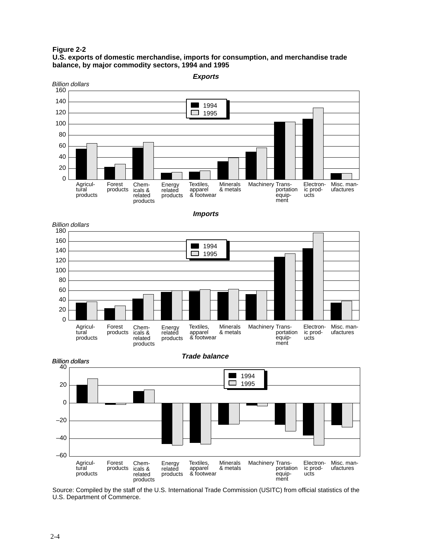**Figure 2-2**

**U.S. exports of domestic merchandise, imports for consumption, and merchandise trade balance, by major commodity sectors, 1994 and 1995**



Source: Compiled by the staff of the U.S. International Trade Commission (USITC) from official statistics of the U.S. Department of Commerce.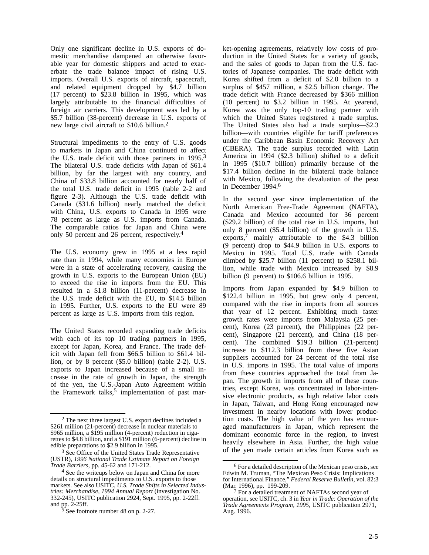Only one significant decline in U.S. exports of domestic merchandise dampened an otherwise favorable year for domestic shippers and acted to exacerbate the trade balance impact of rising U.S. imports. Overall U.S. exports of aircraft, spacecraft, and related equipment dropped by \$4.7 billion (17 percent) to \$23.8 billion in 1995, which was largely attributable to the financial difficulties of foreign air carriers. This development was led by a \$5.7 billion (38-percent) decrease in U.S. exports of new large civil aircraft to \$10.6 billion.2

Structural impediments to the entry of U.S. goods to markets in Japan and China continued to affect the U.S. trade deficit with those partners in 1995.<sup>3</sup> The bilateral U.S. trade deficits with Japan of \$61.4 billion, by far the largest with any country, and China of \$33.8 billion accounted for nearly half of the total U.S. trade deficit in 1995 (table 2-2 and figure 2-3). Although the U.S. trade deficit with Canada (\$31.6 billion) nearly matched the deficit with China, U.S. exports to Canada in 1995 were 78 percent as large as U.S. imports from Canada. The comparable ratios for Japan and China were only 50 percent and 26 percent, respectively.4

The U.S. economy grew in 1995 at a less rapid rate than in 1994, while many economies in Europe were in a state of accelerating recovery, causing the growth in U.S. exports to the European Union (EU) to exceed the rise in imports from the EU. This resulted in a \$1.8 billion (11-percent) decrease in the U.S. trade deficit with the EU, to \$14.5 billion in 1995. Further, U.S. exports to the EU were 89 percent as large as U.S. imports from this region.

The United States recorded expanding trade deficits with each of its top 10 trading partners in 1995, except for Japan, Korea, and France. The trade deficit with Japan fell from \$66.5 billion to \$61.4 billion, or by 8 percent (\$5.0 billion) (table 2-2). U.S. exports to Japan increased because of a small increase in the rate of growth in Japan, the strength of the yen, the U.S.-Japan Auto Agreement within the Framework talks, $5$  implementation of past market-opening agreements, relatively low costs of production in the United States for a variety of goods, and the sales of goods to Japan from the U.S. factories of Japanese companies. The trade deficit with Korea shifted from a deficit of \$2.0 billion to a surplus of \$457 million, a \$2.5 billion change. The trade deficit with France decreased by \$366 million (10 percent) to \$3.2 billion in 1995. At yearend, Korea was the only top-10 trading partner with which the United States registered a trade surplus. The United States also had a trade surplus—\$2.3 billion—with countries eligible for tariff preferences under the Caribbean Basin Economic Recovery Act (CBERA). The trade surplus recorded with Latin America in 1994 (\$2.3 billion) shifted to a deficit in 1995 (\$10.7 billion) primarily because of the \$17.4 billion decline in the bilateral trade balance with Mexico, following the devaluation of the peso in December 1994.6

In the second year since implementation of the North American Free-Trade Agreement (NAFTA), Canada and Mexico accounted for 36 percent (\$29.2 billion) of the total rise in U.S. imports, but only 8 percent (\$5.4 billion) of the growth in U.S. exports, $\frac{7}{7}$  mainly attributable to the \$4.3 billion (9 percent) drop to \$44.9 billion in U.S. exports to Mexico in 1995. Total U.S. trade with Canada climbed by \$25.7 billion (11 percent) to \$258.1 billion, while trade with Mexico increased by \$8.9 billion (9 percent) to \$106.6 billion in 1995.

Imports from Japan expanded by \$4.9 billion to \$122.4 billion in 1995, but grew only 4 percent, compared with the rise in imports from all sources that year of 12 percent. Exhibiting much faster growth rates were imports from Malaysia (25 percent), Korea (23 percent), the Philippines (22 percent), Singapore (21 percent), and China (18 percent). The combined \$19.3 billion (21-percent) increase to \$112.3 billion from these five Asian suppliers accounted for 24 percent of the total rise in U.S. imports in 1995. The total value of imports from these countries approached the total from Japan. The growth in imports from all of these countries, except Korea, was concentrated in labor-intensive electronic products, as high relative labor costs in Japan, Taiwan, and Hong Kong encouraged new investment in nearby locations with lower production costs. The high value of the yen has encouraged manufacturers in Japan, which represent the dominant economic force in the region, to invest heavily elsewhere in Asia. Further, the high value of the yen made certain articles from Korea such as

<sup>2</sup> The next three largest U.S. export declines included a \$261 million (21-percent) decrease in nuclear materials to \$965 million, a \$195 million (4-percent) reduction in cigarettes to \$4.8 billion, and a \$191 million (6-percent) decline in edible preparations to \$2.9 billion in 1995.

<sup>&</sup>lt;sup>3</sup> See Office of the United States Trade Representative (USTR), *1996 National Trade Estimate Report on Foreign Trade Barriers*, pp. 45-62 and 171-212.

<sup>4</sup> See the writeups below on Japan and China for more details on structural impediments to U.S. exports to those markets. See also USITC, *U.S. Trade Shifts in Selected Industries: Merchandise, 1994 Annual Report* (investigation No. 332-245), USITC publication 2924, Sept. 1995, pp. 2-22ff. and pp. 2-25ff.

<sup>5</sup> See footnote number 48 on p. 2-27.

<sup>6</sup> For a detailed description of the Mexican peso crisis, see Edwin M. Truman, "The Mexican Peso Crisis: Implications for International Finance," *Federal Reserve Bulletin*, vol. 82:3 (Mar. 1996), pp. 199-209.

<sup>&</sup>lt;sup>7</sup> For a detailed treatment of NAFTAs second year of operation, see USITC, ch. 3 in *Year in Trade: Operation of the Trade Agreements Program, 1995*, USITC publication 2971, Aug. 1996.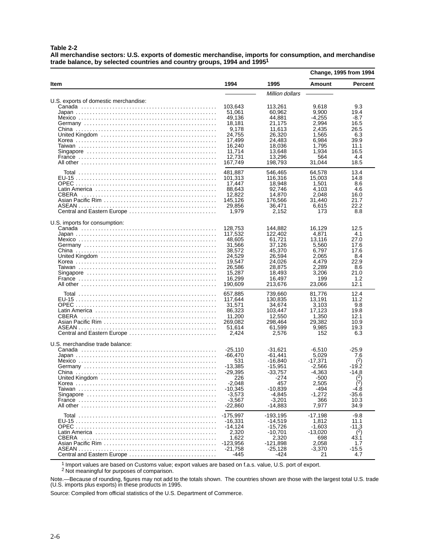**Table 2-2**

**All merchandise sectors: U.S. exports of domestic merchandise, imports for consumption, and merchandise trade balance, by selected countries and country groups, 1994 and 19951**

|                                                               |                                                                                                                                                                                                             |                                                                                                                                                                                                                             | Change, 1995 from 1994                                                                                                                                                                 |                                                                                                                                                                                 |
|---------------------------------------------------------------|-------------------------------------------------------------------------------------------------------------------------------------------------------------------------------------------------------------|-----------------------------------------------------------------------------------------------------------------------------------------------------------------------------------------------------------------------------|----------------------------------------------------------------------------------------------------------------------------------------------------------------------------------------|---------------------------------------------------------------------------------------------------------------------------------------------------------------------------------|
| Item                                                          | 1994                                                                                                                                                                                                        | 1995                                                                                                                                                                                                                        | Amount                                                                                                                                                                                 | Percent                                                                                                                                                                         |
|                                                               |                                                                                                                                                                                                             | Million dollars                                                                                                                                                                                                             |                                                                                                                                                                                        |                                                                                                                                                                                 |
| U.S. exports of domestic merchandise:                         | 103,643<br>51,061<br>49,136<br>18,181<br>9,178<br>24,755<br>17.499<br>16,240<br>11,714<br>12,731<br>167,749                                                                                                 | 113,261<br>60,962<br>44,881<br>21,175<br>11,613<br>26,320<br>24,483<br>18,036<br>13.648<br>13,296<br>198.793                                                                                                                | 9,618<br>9,900<br>-4,255<br>2,994<br>2.435<br>1,565<br>6,984<br>1,795<br>1,934<br>564<br>31,044                                                                                        | 9.3<br>19.4<br>-8.7<br>16.5<br>26.5<br>6.3<br>39.9<br>11.1<br>16.5<br>4.4<br>18.5                                                                                               |
| Central and Eastern Europe                                    | 481,887<br>101,313<br>17,447<br>88,643<br>12,822<br>145,126<br>29,856<br>1,979                                                                                                                              | 546,465<br>116,316<br>18,948<br>92,746<br>14,870<br>176,566<br>36,471<br>2,152                                                                                                                                              | 64,578<br>15,003<br>1,501<br>4,103<br>2,048<br>31,440<br>6,615<br>173                                                                                                                  | 13.4<br>14.8<br>8.6<br>4.6<br>16.0<br>21.7<br>22.2<br>8.8                                                                                                                       |
| U.S. imports for consumption:                                 | 128,753<br>117,532<br>48.605<br>31.566<br>38,572<br>24,529<br>19,547<br>26,586<br>15,287<br>16,299<br>190,609                                                                                               | 144,882<br>122,402<br>61,721<br>37.126<br>45.370<br>26,594<br>24,026<br>28,875<br>18,493<br>16,497<br>213,676                                                                                                               | 16,129<br>4,871<br>13,116<br>5,560<br>6,797<br>2.065<br>4.479<br>2,289<br>3.206<br>199<br>23,066                                                                                       | 12.5<br>4.1<br>27.0<br>17.6<br>17.6<br>8.4<br>22.9<br>8.6<br>21.0<br>1.2<br>12.1                                                                                                |
| CBERA<br>Central and Eastern Europe                           | 657,885<br>117,644<br>31,571<br>86,323<br>11,200<br>269,082<br>51,614<br>2,424                                                                                                                              | 739,660<br>130,835<br>34,674<br>103,447<br>12,550<br>298,464<br>61,599<br>2,576                                                                                                                                             | 81,776<br>13,191<br>3,103<br>17,123<br>1,350<br>29,382<br>9,985<br>152                                                                                                                 | 12.4<br>11.2<br>9.8<br>19.8<br>12.1<br>10.9<br>19.3<br>6.3                                                                                                                      |
| U.S. merchandise trade balance:<br>Central and Eastern Europe | $-25,110$<br>-66.470<br>531<br>-13,385<br>-29.395<br>226<br>-2,048<br>-10,345<br>$-3,573$<br>$-3,567$<br>-22,860<br>$-175,997$<br>$-16,331$<br>$-14,124$<br>2,320<br>1,622<br>$-123,956$<br>-21,758<br>-445 | $-31,621$<br>$-61.441$<br>$-16,840$<br>$-15,951$<br>$-33.757$<br>-274<br>457<br>-10,839<br>$-4,845$<br>$-3,201$<br>$-14,883$<br>$-193,195$<br>$-14,519$<br>$-15,726$<br>-10,701<br>2,320<br>$-121,898$<br>$-25,128$<br>-424 | $-6,510$<br>5,029<br>$-17,371$<br>$-2.566$<br>-4.363<br>-500<br>2,505<br>-494<br>$-1.272$<br>366<br>7,977<br>-17,198<br>1,812<br>$-1,603$<br>$-13,020$<br>698<br>2,058<br>-3,370<br>21 | $-25.9$<br>7.6<br>(2)<br>-19.2<br>$-14.8$<br>$\binom{2}{2}$<br>$^{(2)}_{-4.8}$<br>$-35.6$<br>10.3<br>34.9<br>-9.8<br>11.1<br>-11.3<br>$^{(2)}$<br>43.1<br>1.7<br>$-15.5$<br>4.7 |

1 Import values are based on Customs value; export values are based on f.a.s. value, U.S. port of export.

<sup>2</sup> Not meaningful for purposes of comparison.

Note.—Because of rounding, figures may not add to the totals shown. The countries shown are those with the largest total U.S. trade (U.S. imports plus exports) in these products in 1995.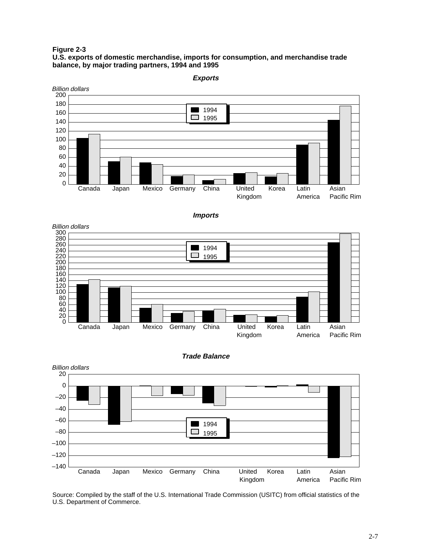**Figure 2-3**

#### **U.S. exports of domestic merchandise, imports for consumption, and merchandise trade balance, by major trading partners, 1994 and 1995**



**Imports**







Source: Compiled by the staff of the U.S. International Trade Commission (USITC) from official statistics of the U.S. Department of Commerce.

**Exports**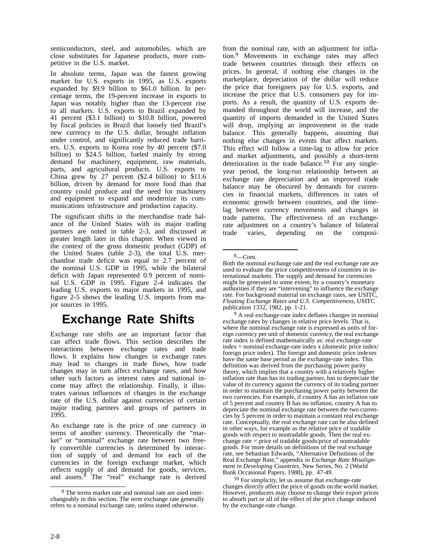semiconductors, steel, and automobiles, which are close substitutes for Japanese products, more competitive in the U.S. market.

In absolute terms, Japan was the fastest growing market for U.S. exports in 1995, as U.S. exports expanded by \$9.9 billion to \$61.0 billion. In percentage terms, the 19-percent increase in exports to Japan was notably higher than the 13-percent rise to all markets. U.S. exports to Brazil expanded by 41 percent (\$3.1 billion) to \$10.8 billion, powered by fiscal policies in Brazil that loosely tied Brazil's new currency to the U.S. dollar, brought inflation under control, and significantly reduced trade barriers. U.S. exports to Korea rose by 40 percent (\$7.0 billion) to  $$24.5$  billion, fueled mainly by strong demand for machinery, equipment, raw materials, parts, and agricultural products. U.S. exports to China grew by 27 percent (\$2.4 billion) to \$11.6 billion, driven by demand for more food than that country could produce and the need for machinery and equipment to expand and modernize its communications infrastructure and production capacity.

The significant shifts in the merchandise trade balance of the United States with its major trading partners are noted in table 2-3, and discussed at greater length later in this chapter. When viewed in the context of the gross domestic product (GDP) of the United States (table 2-3), the total U.S. merchandise trade deficit was equal to 2.7 percent of the nominal U.S. GDP in 1995, while the bilateral deficit with Japan represented 0.9 percent of nominal U.S. GDP in 1995. Figure 2-4 indicates the leading U.S. exports to major markets in 1995, and figure 2-5 shows the leading U.S. imports from major sources in 1995.

### **Exchange Rate Shifts**

Exchange rate shifts are an important factor that can affect trade flows. This section describes the interactions between exchange rates and trade flows. It explains how changes in exchange rates may lead to changes in trade flows, how trade changes may in turn affect exchange rates, and how other such factors as interest rates and national income may affect the relationship. Finally, it illustrates various influences of changes in the exchange rate of the U.S. dollar against currencies of certain major trading partners and groups of partners in 1995.

An exchange rate is the price of one currency in terms of another currency. Theoretically the "market" or "nominal" exchange rate between two freely convertible currencies is determined by interaction of supply of and demand for each of the currencies in the foreign exchange market, which reflects supply of and demand for goods, services, and assets.<sup>8</sup> The "real" exchange rate is derived

from the nominal rate, with an adjustment for inflation.9 Movements in exchange rates may affect trade between countries through their effects on prices. In general, if nothing else changes in the marketplace, depreciation of the dollar will reduce the price that foreigners pay for U.S. exports, and increase the price that U.S. consumers pay for imports. As a result, the quantity of U.S. exports demanded throughout the world will increase, and the quantity of imports demanded in the United States will drop, implying an improvement in the trade balance. This generally happens, assuming that nothing else changes in events that affect markets. This effect will follow a time-lag to allow for price and market adjustments, and possibly a short-term deterioration in the trade balance.<sup>10</sup> For any singleyear period, the long-run relationship between an exchange rate depreciation and an improved trade balance may be obscured by demands for currencies in financial markets, differences in rates of economic growth between countries, and the timelag between currency movements and changes in trade patterns. The effectiveness of an exchangerate adjustment on a country's balance of bilateral trade varies, depending on the composi-

<sup>8</sup> The terms market rate and nominal rate are used interchangeably in this section. The term exchange rate generally refers to a nominal exchange rate, unless stated otherwise.

<sup>8—</sup>*Cont.*

Both the nominal exchange rate and the real exchange rate are used to evaluate the price competitiveness of countries in international markets. The supply and demand for currencies might be generated to some extent, by a country's monetary authorities if they are "intervening" to influence the exchange rate. For background material on exchange rates, see USITC, *Floating Exchange Rates and U.S. Competitiveness*, USITC publication 1332, 1982, pp. 1-21.

<sup>&</sup>lt;sup>9</sup> A real exchange-rate index deflates changes in nominal exchange rates by changes in relative price levels. That is, where the nominal exchange rate is expressed as units of foreign currency per unit of domestic currency, the real exchange rate index is defined mathematically as: real exchange-rate index = nominal exchange-rate index x (domestic price index/ foreign price index). The foreign and domestic price indexes have the same base period as the exchange-rate index. This definition was derived from the purchasing power parity theory, which implies that a country with a relatively higher inflation rate than has its trading partner, has to depreciate the value of its currency against the currency of its trading partner in order to maintain the purchasing power parity between the two currencies. For example, if country A has an inflation rate of 5 percent and country B has no inflation, country A has to depreciate the nominal exchange rate between the two currencies by 5 percent in order to maintain a constant real exchange rate. Conceptually, the real exchange rate can be also defined in other ways, for example as the relative price of tradable goods with respect to nontradable goods. Then the real exchange rate  $=$  price of tradable goods/price of nontradable goods. For more details on definitions of the real exchange rate, see Sebastian Edwards, "Alternative Definitions of the Real Exchange Rate," appendix in *Exchange Rate Misalignment in Developing Countries*, New Series, No. 2 (World Bank Occasional Papers, 1988), pp. 47-49.

<sup>10</sup> For simplicity, let us assume that exchange-rate changes directly affect the price of goods on the world market. However, producers may choose to change their export prices to absorb part or all of the effect of the price change induced by the exchange-rate change.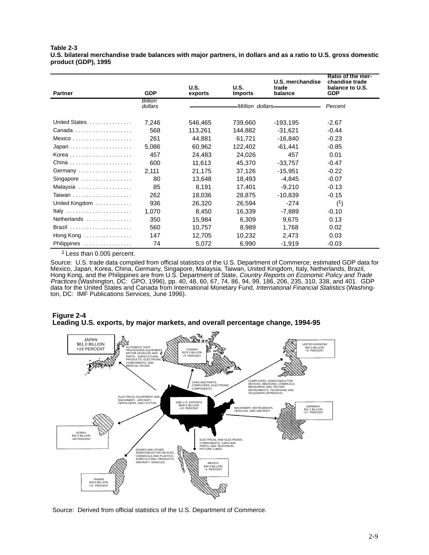**Table 2-3 U.S. bilateral merchandise trade balances with major partners, in dollars and as a ratio to U.S. gross domestic product (GDP), 1995**

| <b>Partner</b>                             | <b>GDP</b>                | <b>U.S.</b><br>exports | U.S.<br><b>Imports</b> | U.S. merchandise<br>trade<br>balance | Ratio of the mer-<br>chandise trade<br>balance to U.S.<br><b>GDP</b> |
|--------------------------------------------|---------------------------|------------------------|------------------------|--------------------------------------|----------------------------------------------------------------------|
|                                            | <b>Billion</b><br>dollars |                        | Million dollars-       |                                      | Percent                                                              |
| United States                              | 7,246                     | 546,465                | 739,660                | $-193,195$                           | $-2.67$                                                              |
| Canada                                     | 568                       | 113,261                | 144,882                | $-31,621$                            | $-0.44$                                                              |
|                                            | 261                       | 44,881                 | 61,721                 | $-16,840$                            | $-0.23$                                                              |
|                                            | 5,086                     | 60,962                 | 122,402                | -61,441                              | $-0.85$                                                              |
|                                            | 457                       | 24.483                 | 24.026                 | 457                                  | 0.01                                                                 |
|                                            | 600                       | 11,613                 | 45,370                 | $-33,757$                            | $-0.47$                                                              |
| Germany                                    | 2,111                     | 21,175                 | 37,126                 | $-15,951$                            | $-0.22$                                                              |
| Singapore                                  | 80                        | 13,648                 | 18,493                 | $-4.845$                             | $-0.07$                                                              |
| Malaysia                                   | 85                        | 8.191                  | 17.401                 | $-9.210$                             | $-0.13$                                                              |
|                                            | 262                       | 18,036                 | 28.875                 | $-10,839$                            | $-0.15$                                                              |
| United Kingdom                             | 936                       | 26,320                 | 26,594                 | $-274$                               | (1)                                                                  |
| Italy                                      | 1,070                     | 8.450                  | 16.339                 | -7.889                               | $-0.10$                                                              |
| Netherlands                                | 350                       | 15.984                 | 6,309                  | 9.675                                | 0.13                                                                 |
| Brazil                                     | 560                       | 10,757                 | 8,989                  | 1,768                                | 0.02                                                                 |
| Hong Kong $\dots\dots\dots\dots\dots\dots$ | 147                       | 12,705                 | 10,232                 | 2,473                                | 0.03                                                                 |
| Philippines                                | 74                        | 5,072                  | 6,990                  | $-1,919$                             | $-0.03$                                                              |

<sup>1</sup> Less than 0.005 percent.

Source: U.S. trade data compiled from official statistics of the U.S. Department of Commerce; estimated GDP data for Mexico, Japan, Korea, China, Germany, Singapore, Malaysia, Taiwan, United Kingdom, Italy, Netherlands, Brazil, Hong Kong, and the Philippines are from U.S. Department of State, *Country Reports on Economic Policy and Trade* Practices (Washington, DC: GPO, 1996), pp. 40, 48, 60, 67, 74, 86, 94, 99, 186, 206, 235, 310, 338, and 401. GDP data for the United States and Canada from International Monetary Fund, International Financial Statistics (Washington, DC: IMF Publications Services, June 1996).

### **Figure 2-4 Leading U.S. exports, by major markets, and overall percentage change, 1994-95**



Source: Derived from official statistics of the U.S. Department of Commerce.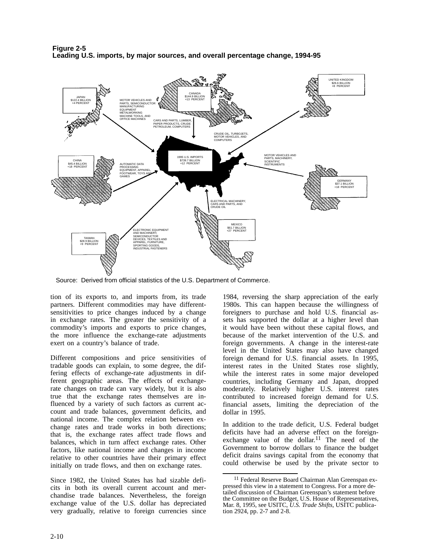

**Figure 2-5 Leading U.S. imports, by major sources, and overall percentage change, 1994-95**

Source: Derived from official statistics of the U.S. Department of Commerce.

tion of its exports to, and imports from, its trade partners. Different commodities may have differentsensitivities to price changes induced by a change in exchange rates. The greater the sensitivity of a commodity's imports and exports to price changes, the more influence the exchange-rate adjustments exert on a country's balance of trade.

Different compositions and price sensitivities of tradable goods can explain, to some degree, the differing effects of exchange-rate adjustments in different geographic areas. The effects of exchangerate changes on trade can vary widely, but it is also true that the exchange rates themselves are influenced by a variety of such factors as current account and trade balances, government deficits, and national income. The complex relation between exchange rates and trade works in both directions; that is, the exchange rates affect trade flows and balances, which in turn affect exchange rates. Other factors, like national income and changes in income relative to other countries have their primary effect initially on trade flows, and then on exchange rates.

Since 1982, the United States has had sizable deficits in both its overall current account and merchandise trade balances. Nevertheless, the foreign exchange value of the U.S. dollar has depreciated very gradually, relative to foreign currencies since 1984, reversing the sharp appreciation of the early 1980s. This can happen because the willingness of foreigners to purchase and hold U.S. financial assets has supported the dollar at a higher level than it would have been without these capital flows, and because of the market intervention of the U.S. and foreign governments. A change in the interest-rate level in the United States may also have changed foreign demand for U.S. financial assets. In 1995, interest rates in the United States rose slightly, while the interest rates in some major developed countries, including Germany and Japan, dropped moderately. Relatively higher U.S. interest rates contributed to increased foreign demand for U.S. financial assets, limiting the depreciation of the dollar in 1995.

In addition to the trade deficit, U.S. Federal budget deficits have had an adverse effect on the foreignexchange value of the dollar.<sup>11</sup> The need of the Government to borrow dollars to finance the budget deficit drains savings capital from the economy that could otherwise be used by the private sector to

<sup>11</sup> Federal Reserve Board Chairman Alan Greenspan expressed this view in a statement to Congress. For a more detailed discussion of Chairman Greenspan's statement before the Committee on the Budget, U.S. House of Representatives, Mar. 8, 1995, see USITC, *U.S. Trade Shifts*, USITC publication 2924, pp. 2-7 and 2-8.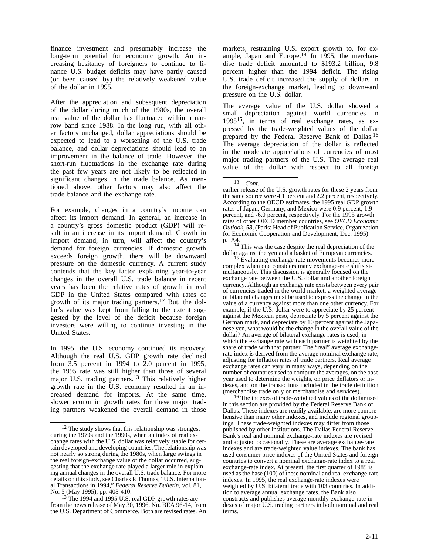finance investment and presumably increase the long-term potential for economic growth. An increasing hesitancy of foreigners to continue to finance U.S. budget deficits may have partly caused (or been caused by) the relatively weakened value of the dollar in 1995.

After the appreciation and subsequent depreciation of the dollar during much of the 1980s, the overall real value of the dollar has fluctuated within a narrow band since 1988. In the long run, with all other factors unchanged, dollar appreciations should be expected to lead to a worsening of the U.S. trade balance, and dollar depreciations should lead to an improvement in the balance of trade. However, the short-run fluctuations in the exchange rate during the past few years are not likely to be reflected in significant changes in the trade balance. As mentioned above, other factors may also affect the trade balance and the exchange rate.

For example, changes in a country's income can affect its import demand. In general, an increase in a country's gross domestic product (GDP) will result in an increase in its import demand. Growth in import demand, in turn, will affect the country's demand for foreign currencies. If domestic growth exceeds foreign growth, there will be downward pressure on the domestic currency. A current study contends that the key factor explaining year-to-year changes in the overall U.S. trade balance in recent years has been the relative rates of growth in real GDP in the United States compared with rates of growth of its major trading partners.<sup>12</sup> But, the dollar's value was kept from falling to the extent suggested by the level of the deficit because foreign investors were willing to continue investing in the United States.

In 1995, the U.S. economy continued its recovery. Although the real U.S. GDP growth rate declined from 3.5 percent in 1994 to 2.0 percent in 1995, the 1995 rate was still higher than those of several major U.S. trading partners.13 This relatively higher growth rate in the U.S. economy resulted in an increased demand for imports. At the same time, slower economic growth rates for these major trading partners weakened the overall demand in those markets, restraining U.S. export growth to, for example, Japan and Europe. $14$  In 1995, the merchandise trade deficit amounted to \$193.2 billion, 9.8 percent higher than the 1994 deficit. The rising U.S. trade deficit increased the supply of dollars in the foreign-exchange market, leading to downward pressure on the U.S. dollar.

The average value of the U.S. dollar showed a small depreciation against world currencies in 199515, in terms of real exchange rates, as expressed by the trade-weighted values of the dollar prepared by the Federal Reserve Bank of Dallas.16 The average depreciation of the dollar is reflected in the moderate appreciations of currencies of most major trading partners of the U.S. The average real value of the dollar with respect to all foreign

p. A4.<br><sup>14</sup> This was the case despite the real depreciation of the<br>dollar against the yen and a basket of European currencies.

<sup>15</sup> Evaluating exchange-rate movements becomes more complex when one considers many exchange-rate shifts simultaneously. This discussion is generally focused on the exchange rate between the U.S. dollar and another foreign currency. Although an exchange rate exists between every pair of currencies traded in the world market, a weighted average of bilateral changes must be used to express the change in the value of a currency against more than one other currency. For example, if the U.S. dollar were to appreciate by 25 percent against the Mexican peso, depreciate by 5 percent against the German mark, and depreciate by 10 percent against the Japanese yen, what would be the change in the overall value of the dollar? An average of bilateral exchange rates is used, in which the exchange rate with each partner is weighted by the share of trade with that partner. The "real" average exchangerate index is derived from the average nominal exchange rate, adjusting for inflation rates of trade partners. Real average exchange rates can vary in many ways, depending on the number of countries used to compute the averages, on the base year used to determine the weights, on price deflators or indexes, and on the transactions included in the trade definition (merchandise trade only or merchandise and services).

<sup>16</sup> The indexes of trade-weighted values of the dollar used in this section are provided by the Federal Reserve Bank of Dallas. These indexes are readily available, are more comprehensive than many other indexes, and include regional groupings. These trade-weighted indexes may differ from those published by other institutions. The Dallas Federal Reserve Bank's real and nominal exchange-rate indexes are revised and adjusted occasionally. These are average exchange-rate indexes and are trade-weighted value indexes. The bank has used consumer price indexes of the United States and foreign countries to convert a nominal exchange-rate index to a real exchange-rate index. At present, the first quarter of 1985 is used as the base (100) of these nominal and real exchange-rate indexes. In 1995, the real exchange-rate indexes were weighted by U.S. bilateral trade with 103 countries. In addition to average annual exchange rates, the Bank also constructs and publishes average monthly exchange-rate indexes of major U.S. trading partners in both nominal and real terms.

<sup>&</sup>lt;sup>12</sup> The study shows that this relationship was strongest during the 1970s and the 1990s, when an index of real exchange rates with the U.S. dollar was relatively stable for certain developed and developing countries. The relationship was not nearly so strong during the 1980s, when large swings in the real foreign-exchange value of the dollar occurred, suggesting that the exchange rate played a larger role in explaining annual changes in the overall U.S. trade balance. For more details on this study, see Charles P. Thomas, "U.S. International Transactions in 1994," *Federal Reserve Bulletin*, vol. 81, No. 5 (May 1995), pp. 408-410.

<sup>13</sup> The 1994 and 1995 U.S. real GDP growth rates are from the news release of May 30, 1996, No. BEA 96-14, from the U.S. Department of Commerce. Both are revised rates. An

<sup>13—</sup>*Cont.*

earlier release of the U.S. growth rates for these 2 years from the same source were 4.1 percent and 2.2 percent, respectively. According to the OECD estimates, the 1995 real GDP growth rates of Japan, Germany, and Mexico were 0.9 percent, 1.9 percent, and -6.0 percent, respectively. For the 1995 growth rates of other OECD member countries, see *OECD Economic Outlook, 58*, (Paris: Head of Publication Service, Organization for Economic Cooperation and Development, Dec. 1995)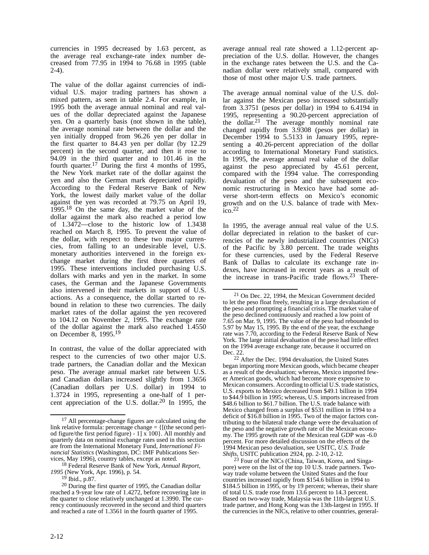currencies in 1995 decreased by 1.63 percent, as the average real exchange-rate index number decreased from 77.95 in 1994 to 76.68 in 1995 (table 2-4).

The value of the dollar against currencies of individual U.S. major trading partners has shown a mixed pattern, as seen in table 2.4. For example, in 1995 both the average annual nominal and real values of the dollar depreciated against the Japanese yen. On a quarterly basis (not shown in the table), the average nominal rate between the dollar and the yen initially dropped from 96.26 yen per dollar in the first quarter to 84.43 yen per dollar (by 12.29 percent) in the second quarter, and then it rose to 94.09 in the third quarter and to 101.46 in the fourth quarter.<sup>17</sup> During the first 4 months of 1995, the New York market rate of the dollar against the yen and also the German mark depreciated rapidly. According to the Federal Reserve Bank of New York, the lowest daily market value of the dollar against the yen was recorded at 79.75 on April 19, 1995.18 On the same day, the market value of the dollar against the mark also reached a period low of 1.3472—close to the historic low of 1.3438 reached on March 8, 1995. To prevent the value of the dollar, with respect to these two major currencies, from falling to an undesirable level, U.S. monetary authorities intervened in the foreign exchange market during the first three quarters of 1995. These interventions included purchasing U.S. dollars with marks and yen in the market. In some cases, the German and the Japanese Governments also intervened in their markets in support of U.S. actions. As a consequence, the dollar started to rebound in relation to these two currencies. The daily market rates of the dollar against the yen recovered to 104.12 on November 2, 1995. The exchange rate of the dollar against the mark also reached 1.4550 on December 8, 1995.<sup>19</sup>

In contrast, the value of the dollar appreciated with respect to the currencies of two other major U.S. trade partners, the Canadian dollar and the Mexican peso. The average annual market rate between U.S. and Canadian dollars increased slightly from 1.3656 (Canadian dollars per U.S. dollar) in 1994 to 1.3724 in 1995, representing a one-half of 1 percent appreciation of the U.S. dollar.<sup>20</sup> In 1995, the

average annual real rate showed a 1.12-percent appreciation of the U.S. dollar. However, the changes in the exchange rates between the U.S. and the Canadian dollar were relatively small, compared with those of most other major U.S. trade partners.

The average annual nominal value of the U.S. dollar against the Mexican peso increased substantially from 3.3751 (pesos per dollar) in 1994 to 6.4194 in 1995, representing a 90.20-percent appreciation of the dollar.<sup>21</sup> The average monthly nominal rate changed rapidly from 3.9308 (pesos per dollar) in December 1994 to 5.5133 in January 1995, representing a 40.26-percent appreciation of the dollar according to International Monetary Fund statistics. In 1995, the average annual real value of the dollar against the peso appreciated by 45.61 percent, compared with the 1994 value. The corresponding devaluation of the peso and the subsequent economic restructuring in Mexico have had some adverse short-term effects on Mexico's economic growth and on the U.S. balance of trade with Mexico.22

In 1995, the average annual real value of the U.S. dollar depreciated in relation to the basket of currencies of the newly industrialized countries (NICs) of the Pacific by 3.80 percent. The trade weights for these currencies, used by the Federal Reserve Bank of Dallas to calculate its exchange rate indexes, have increased in recent years as a result of the increase in trans-Pacific trade flows.23 There-

22 After the Dec. 1994 devaluation, the United States began importing more Mexican goods, which became cheaper as a result of the devaluation; whereas, Mexico imported fewer American goods, which had become more expensive to Mexican consumers. According to official U.S. trade statistics, U.S. exports to Mexico decreased from \$49.1 billion in 1994 to \$44.9 billion in 1995; whereas, U.S. imports increased from \$48.6 billion to \$61.7 billion. The U.S. trade balance with Mexico changed from a surplus of \$531 million in 1994 to a deficit of \$16.8 billion in 1995. Two of the major factors contributing to the bilateral trade change were the devaluation of the peso and the negative growth rate of the Mexican economy. The 1995 growth rate of the Mexican real GDP was -6.0 percent. For more detailed discussion on the effects of the 1994 Mexican peso devaluation, see USITC, *U.S. Trade Shifts,* USITC publication 2924, pp. 2-10, 2-12.

<sup>23</sup> Four of the NICs (China, Taiwan, Korea, and Singapore) were on the list of the top 10 U.S. trade partners. Twoway trade volume between the United States and the four countries increased rapidly from \$154.6 billion in 1994 to \$184.5 billion in 1995, or by 19 percent; whereas, their share of total U.S. trade rose from 13.6 percent to 14.3 percent. Based on two-way trade, Malaysia was the 11th-largest U.S. trade partner, and Hong Kong was the 13th-largest in 1995. If the currencies in the NICs, relative to other countries, general-

<sup>&</sup>lt;sup>17</sup> All percentage-change figures are calculated using the link relative formula: percentage change  $= \{[(the second peri$ od figure/the first period figure) -  $1 \times 100$ . All monthly and quarterly data on nominal exchange rates used in this section are from the International Monetary Fund, *International Financial Statistics* (Washington, DC: IMF Publications Services, May 1996), country tables, except as noted.

<sup>18</sup> Federal Reserve Bank of New York, *Annual Report, 1995* (New York, Apr. 1996), p. 54.

<sup>19</sup> Ibid., p.87.

<sup>20</sup> During the first quarter of 1995, the Canadian dollar reached a 9-year low rate of 1.4272, before recovering late in the quarter to close relatively unchanged at 1.3990. The currency continuously recovered in the second and third quarters and reached a rate of 1.3561 in the fourth quarter of 1995.

<sup>21</sup> On Dec. 22, 1994, the Mexican Government decided to let the peso float freely, resulting in a large devaluation of the peso and prompting a financial crisis. The market value of the peso declined continuously and reached a low point of 7.65 on Mar. 9, 1995. The value of the peso had rebounded to 5.97 by May 15, 1995. By the end of the year, the exchange rate was 7.70, according to the Federal Reserve Bank of New York. The large initial devaluation of the peso had little effect on the 1994 average exchange rate, because it occurred on Dec. 22.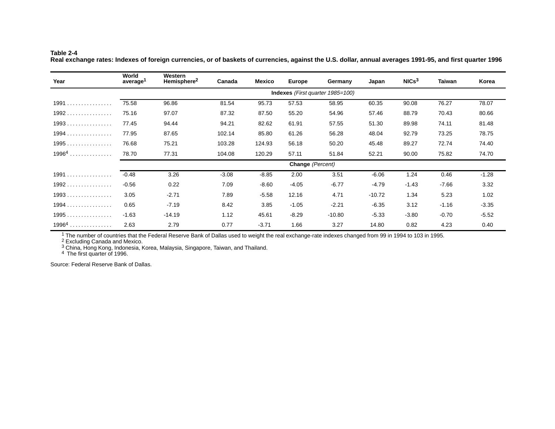#### **Table 2-4**

**Real exchange rates: Indexes of foreign currencies, or of baskets of currencies, against the U.S. dollar, annual averages 1991-95, and first quarter 1996**

| Year     | World<br>average <sup>1</sup>           | Western<br>Hemisphere <sup>2</sup> | Canada  | Mexico  | <b>Europe</b> | Germany  | Japan    | NICs <sup>3</sup> | <b>Taiwan</b> | Korea   |
|----------|-----------------------------------------|------------------------------------|---------|---------|---------------|----------|----------|-------------------|---------------|---------|
|          | <b>Indexes</b> (First quarter 1985=100) |                                    |         |         |               |          |          |                   |               |         |
| 1991     | 75.58                                   | 96.86                              | 81.54   | 95.73   | 57.53         | 58.95    | 60.35    | 90.08             | 76.27         | 78.07   |
| $1992$   | 75.16                                   | 97.07                              | 87.32   | 87.50   | 55.20         | 54.96    | 57.46    | 88.79             | 70.43         | 80.66   |
| $1993$   | 77.45                                   | 94.44                              | 94.21   | 82.62   | 61.91         | 57.55    | 51.30    | 89.98             | 74.11         | 81.48   |
| $1994$   | 77.95                                   | 87.65                              | 102.14  | 85.80   | 61.26         | 56.28    | 48.04    | 92.79             | 73.25         | 78.75   |
| $1995$   | 76.68                                   | 75.21                              | 103.28  | 124.93  | 56.18         | 50.20    | 45.48    | 89.27             | 72.74         | 74.40   |
| $1996^4$ | 78.70                                   | 77.31                              | 104.08  | 120.29  | 57.11         | 51.84    | 52.21    | 90.00             | 75.82         | 74.70   |
|          | Change (Percent)                        |                                    |         |         |               |          |          |                   |               |         |
| 1991     | $-0.48$                                 | 3.26                               | $-3.08$ | $-8.85$ | 2.00          | 3.51     | $-6.06$  | 1.24              | 0.46          | $-1.28$ |
| $1992$   | $-0.56$                                 | 0.22                               | 7.09    | $-8.60$ | $-4.05$       | $-6.77$  | $-4.79$  | $-1.43$           | $-7.66$       | 3.32    |
| $1993$   | 3.05                                    | $-2.71$                            | 7.89    | $-5.58$ | 12.16         | 4.71     | $-10.72$ | 1.34              | 5.23          | 1.02    |
| $1994$   | 0.65                                    | $-7.19$                            | 8.42    | 3.85    | $-1.05$       | $-2.21$  | $-6.35$  | 3.12              | $-1.16$       | $-3.35$ |
| $1995$   | $-1.63$                                 | $-14.19$                           | 1.12    | 45.61   | $-8.29$       | $-10.80$ | $-5.33$  | $-3.80$           | $-0.70$       | $-5.52$ |
| $19964$  | 2.63                                    | 2.79                               | 0.77    | $-3.71$ | 1.66          | 3.27     | 14.80    | 0.82              | 4.23          | 0.40    |

 $^1$  The number of countries that the Federal Reserve Bank of Dallas used to weight the real exchange-rate indexes changed from 99 in 1994 to 103 in 1995.

<sup>2</sup> Excluding Canada and Mexico.

 $^3$  China, Hong Kong, Indonesia, Korea, Malaysia, Singapore, Taiwan, and Thailand.

4 The first quarter of 1996.

Source: Federal Reserve Bank of Dallas.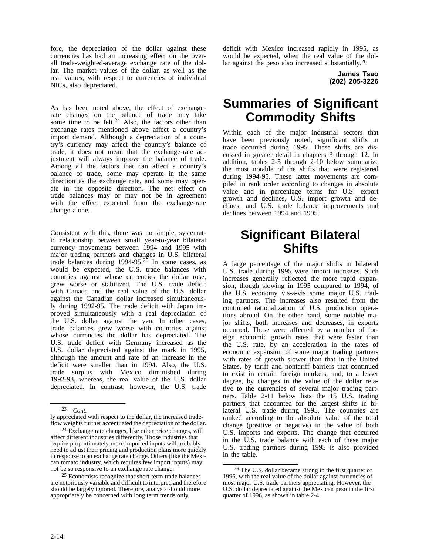fore, the depreciation of the dollar against these currencies has had an increasing effect on the overall trade-weighted-average exchange rate of the dollar. The market values of the dollar, as well as the real values, with respect to currencies of individual NICs, also depreciated.

As has been noted above, the effect of exchangerate changes on the balance of trade may take some time to be felt. $24$  Also, the factors other than exchange rates mentioned above affect a country's import demand. Although a depreciation of a country's currency may affect the country's balance of trade, it does not mean that the exchange-rate adjustment will always improve the balance of trade. Among all the factors that can affect a country's balance of trade, some may operate in the same direction as the exchange rate, and some may operate in the opposite direction. The net effect on trade balances may or may not be in agreement with the effect expected from the exchange-rate change alone.

Consistent with this, there was no simple, systematic relationship between small year-to-year bilateral currency movements between 1994 and 1995 with major trading partners and changes in U.S. bilateral trade balances during  $1994-95.25$  In some cases, as would be expected, the U.S. trade balances with countries against whose currencies the dollar rose, grew worse or stabilized. The U.S. trade deficit with Canada and the real value of the U.S. dollar against the Canadian dollar increased simultaneously during 1992-95. The trade deficit with Japan improved simultaneously with a real depreciation of the U.S. dollar against the yen. In other cases, trade balances grew worse with countries against whose currencies the dollar has depreciated. The U.S. trade deficit with Germany increased as the U.S. dollar depreciated against the mark in 1995, although the amount and rate of an increase in the deficit were smaller than in 1994. Also, the U.S. trade surplus with Mexico diminished during 1992-93, whereas, the real value of the U.S. dollar depreciated. In contrast, however, the U.S. trade

deficit with Mexico increased rapidly in 1995, as would be expected, when the real value of the dollar against the peso also increased substantially.<sup>26</sup>

> **James Tsao (202) 205-3226**

## **Summaries of Significant Commodity Shifts**

Within each of the major industrial sectors that have been previously noted, significant shifts in trade occurred during 1995. These shifts are discussed in greater detail in chapters 3 through 12. In addition, tables 2-5 through 2-10 below summarize the most notable of the shifts that were registered during 1994-95. These latter movements are compiled in rank order according to changes in absolute value and in percentage terms for U.S. export growth and declines, U.S. import growth and declines, and U.S. trade balance improvements and declines between 1994 and 1995.

### **Significant Bilateral Shifts**

A large percentage of the major shifts in bilateral U.S. trade during 1995 were import increases. Such increases generally reflected the more rapid expansion, though slowing in 1995 compared to 1994, of the U.S. economy vis-a-vis some major U.S. trading partners. The increases also resulted from the continued rationalization of U.S. production operations abroad. On the other hand, some notable major shifts, both increases and decreases, in exports occurred. These were affected by a number of foreign economic growth rates that were faster than the U.S. rate, by an acceleration in the rates of economic expansion of some major trading partners with rates of growth slower than that in the United States, by tariff and nontariff barriers that continued to exist in certain foreign markets, and, to a lesser degree, by changes in the value of the dollar relative to the currencies of several major trading partners. Table 2-11 below lists the 15 U.S. trading partners that accounted for the largest shifts in bilateral U.S. trade during 1995. The countries are ranked according to the absolute value of the total change (positive or negative) in the value of both U.S. imports and exports. The change that occurred in the U.S. trade balance with each of these major U.S. trading partners during 1995 is also provided in the table.

<sup>23—</sup>*Cont.*

ly appreciated with respect to the dollar, the increased tradeflow weights further accentuated the depreciation of the dollar.

 $24$  Exchange rate changes, like other price changes, will affect different industries differently. Those industries that require proportionately more imported inputs will probably need to adjust their pricing and production plans more quickly in response to an exchange rate change. Others (like the Mexican tomato industry, which requires few import inputs) may not be so responsive to an exchange rate change.

<sup>25</sup> Economists recognize that short-term trade balances are notoriously variable and difficult to interpret, and therefore should be largely ignored. Therefore, analysts should more appropriately be concerned with long term trends only.

 $26$  The U.S. dollar became strong in the first quarter of 1996, with the real value of the dollar against currencies of most major U.S. trade partners appreciating. However, the U.S. dollar depreciated against the Mexican peso in the first quarter of 1996, as shown in table 2-4.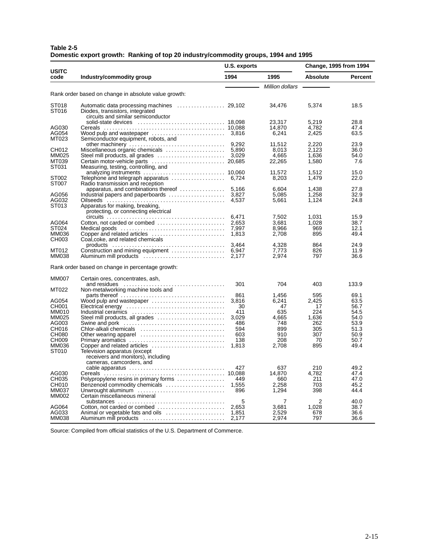| Table 2-5 |                                                                                    |  |
|-----------|------------------------------------------------------------------------------------|--|
|           | Domestic export growth: Ranking of top 20 industry/commodity groups, 1994 and 1995 |  |

|                       |                                                                                                                                                                               | U.S. exports   |                  | Change, 1995 from 1994 |              |  |
|-----------------------|-------------------------------------------------------------------------------------------------------------------------------------------------------------------------------|----------------|------------------|------------------------|--------------|--|
| <b>USITC</b><br>code  | Industry/commodity group                                                                                                                                                      | 1994           | 1995             | <b>Absolute</b>        | Percent      |  |
|                       |                                                                                                                                                                               |                | Million dollars  |                        |              |  |
|                       | Rank order based on change in absolute value growth:                                                                                                                          |                |                  |                        |              |  |
| ST018                 |                                                                                                                                                                               |                | 34,476           | 5,374                  | 18.5         |  |
| ST016                 | Diodes, transistors, integrated                                                                                                                                               |                |                  |                        |              |  |
|                       | circuits and similar semiconductor                                                                                                                                            |                |                  |                        |              |  |
| AG030                 |                                                                                                                                                                               |                | 23,317<br>14.870 | 5,219<br>4.782         | 28.8<br>47.4 |  |
| AG054                 |                                                                                                                                                                               |                | 6,241            | 2,425                  | 63.5         |  |
| MT023                 | Semiconductor equipment, robots, and                                                                                                                                          |                |                  |                        |              |  |
|                       |                                                                                                                                                                               |                | 11,512           | 2,220                  | 23.9         |  |
| CH012                 |                                                                                                                                                                               |                | 8,013            | 2,123                  | 36.0         |  |
| MM025                 |                                                                                                                                                                               |                | 4.665            | 1.636                  | 54.0         |  |
| MT039                 | Certain motor-vehicle parts  20,685                                                                                                                                           |                | 22,265           | 1,580                  | 7.6          |  |
| ST031                 | Measuring, testing, controlling, and                                                                                                                                          |                |                  |                        |              |  |
| ST002                 | analyzing instruments $\ldots \ldots \ldots \ldots \ldots \ldots \ldots \ldots \ldots$ 10,060<br>Telephone and telegraph apparatus $\ldots \ldots \ldots \ldots \ldots$ 6,724 |                | 11,572<br>8,203  | 1,512<br>1,479         | 15.0<br>22.0 |  |
| ST007                 | Radio transmission and reception                                                                                                                                              |                |                  |                        |              |  |
|                       |                                                                                                                                                                               |                | 6,604            | 1,438                  | 27.8         |  |
| AG056                 | Industrial papers and paperboards                                                                                                                                             | 3,827          | 5,085            | 1,258                  | 32.9         |  |
| AG032                 |                                                                                                                                                                               | 4.537          | 5,661            | 1,124                  | 24.8         |  |
| ST013                 | Apparatus for making, breaking,                                                                                                                                               |                |                  |                        |              |  |
|                       | protecting, or connecting electrical                                                                                                                                          |                |                  |                        |              |  |
|                       |                                                                                                                                                                               |                | 7.502            | 1,031                  | 15.9         |  |
| AG064                 |                                                                                                                                                                               | 2.653          | 3.681            | 1.028                  | 38.7         |  |
| ST024<br>MM036        |                                                                                                                                                                               | 7,997<br>1,813 | 8,966<br>2,708   | 969<br>895             | 12.1<br>49.4 |  |
| CH003                 | Coal, coke, and related chemicals                                                                                                                                             |                |                  |                        |              |  |
|                       |                                                                                                                                                                               | 3,464          | 4,328            | 864                    | 24.9         |  |
| MT012                 |                                                                                                                                                                               |                | 7,773            | 826                    | 11.9         |  |
| <b>MM038</b>          |                                                                                                                                                                               | 2,177          | 2,974            | 797                    | 36.6         |  |
|                       | Rank order based on change in percentage growth:                                                                                                                              |                |                  |                        |              |  |
| <b>MM007</b>          | Certain ores, concentrates, ash,                                                                                                                                              |                |                  |                        |              |  |
|                       |                                                                                                                                                                               | 301            | 704              | 403                    | 133.9        |  |
| MT022                 | Non-metalworking machine tools and                                                                                                                                            |                |                  |                        |              |  |
|                       |                                                                                                                                                                               | 861            | 1,456            | 595                    | 69.1         |  |
| AG054                 | Wood pulp and wastepaper                                                                                                                                                      | 3,816          | 6,241            | 2,425                  | 63.5         |  |
| CH001                 |                                                                                                                                                                               | 30             | 47               | 17                     | 56.7         |  |
| <b>MM010</b><br>MM025 | Steel mill products, all grades                                                                                                                                               | 411<br>3,029   | 635<br>4,665     | 224<br>1,636           | 54.5<br>54.0 |  |
| AG003                 |                                                                                                                                                                               | 486            | 748              | 262                    | 53.9         |  |
| CH016                 | Chlor-alkali chemicals                                                                                                                                                        | 594            | 899              | 305                    | 51.3         |  |
| <b>CH080</b>          |                                                                                                                                                                               | 603            | 910              | 307                    | 50.9         |  |
| CH009                 | Other wearing apparel<br>Primary aromatics<br>Conservation Conservation Primary aromatics                                                                                     | 138            | 208              | 70                     | 50.7         |  |
| MM036                 | Copper and related articles                                                                                                                                                   | 1.813          | 2.708            | 895                    | 49.4         |  |
| ST010                 | Television apparatus (except                                                                                                                                                  |                |                  |                        |              |  |
|                       | receivers and monitors), including                                                                                                                                            |                |                  |                        |              |  |
|                       | cameras, camcorders, and                                                                                                                                                      |                |                  |                        |              |  |
|                       | cable apparatus                                                                                                                                                               | 427            | 637              | 210                    | 49.2         |  |
| AG030                 |                                                                                                                                                                               |                | 14,870           | 4,782                  | 47.4         |  |
| CH035<br>CH010        | Polypropylene resins in primary forms<br>Benzenoid commodity chemicals                                                                                                        | 449<br>1,555   | 660<br>2,258     | 211<br>703             | 47.0         |  |
| MM037                 | Unwrought aluminum                                                                                                                                                            | 896            | 1,294            | 398                    | 45.2<br>44.4 |  |
| MM002                 | Certain miscellaneous mineral                                                                                                                                                 |                |                  |                        |              |  |
|                       |                                                                                                                                                                               | 5              | 7                | 2                      | 40.0         |  |
| AG064                 |                                                                                                                                                                               | 2.653          | 3,681            | 1,028                  | 38.7         |  |
| AG033                 | Animal or vegetable fats and oils                                                                                                                                             | 1.851          | 2.529            | 678                    | 36.6         |  |
| <b>MM038</b>          | Aluminum mill products                                                                                                                                                        | 2,177          | 2,974            | 797                    | 36.6         |  |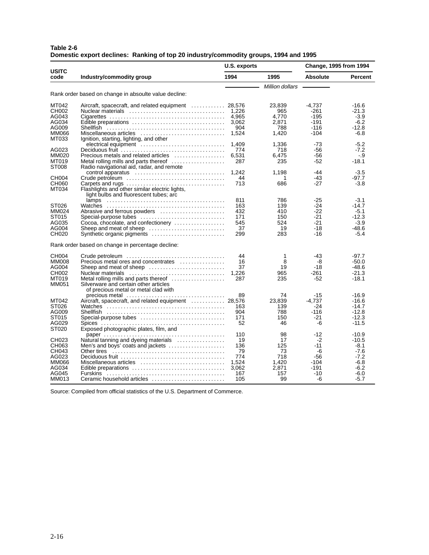| Table 2-6 |                                                                                      |  |
|-----------|--------------------------------------------------------------------------------------|--|
|           | Domestic export declines: Ranking of top 20 industry/commodity groups, 1994 and 1995 |  |

|                      |                                                                                                                | U.S. exports |                 | Change, 1995 from 1994 |                    |
|----------------------|----------------------------------------------------------------------------------------------------------------|--------------|-----------------|------------------------|--------------------|
| <b>USITC</b><br>code | Industry/commodity group                                                                                       | 1994         | 1995            | Absolute               | Percent            |
|                      |                                                                                                                |              | Million dollars |                        |                    |
|                      | Rank order based on change in absoulte value decline:                                                          |              |                 |                        |                    |
|                      |                                                                                                                |              |                 |                        |                    |
| MT042                | Aircraft, spacecraft, and related equipment  28,576                                                            |              | 23.839          | $-4.737$               | $-16.6$            |
| CH002                |                                                                                                                | 1.226        | 965             | -261                   | $-21.3$            |
| AG043                |                                                                                                                | 4,965        | 4,770           | $-195$                 | $-3.9$             |
| AG034                |                                                                                                                | 3,062        | 2,871           | $-191$                 | $-6.2$             |
| AG009                |                                                                                                                | 904          | 788             | -116                   | $-12.8$            |
| <b>MM066</b>         | Miscellaneous articles                                                                                         | 1,524        | 1,420           | -104                   | $-6.8$             |
| MT033                | Ignition, starting, lighting, and other                                                                        |              |                 |                        |                    |
|                      | electrical equipment                                                                                           | 1,409        | 1,336           | $-73$                  | $-5.2$             |
| AG023<br>MM020       |                                                                                                                | 774          | 718             | -56<br>$-56$           | $-7.2$<br>$-9$     |
| MT019                | Precious metals and related articles $\ldots, \ldots, \ldots, \ldots$<br>Metal rolling mills and parts thereof | 6.531<br>287 | 6.475<br>235    | -52                    | $-18.1$            |
| ST008                | Radio navigational aid, radar, and remote                                                                      |              |                 |                        |                    |
|                      | control apparatus                                                                                              | 1,242        | 1,198           | -44                    | $-3.5$             |
| CH004                |                                                                                                                | 44           | 1               | $-43$                  | $-97.7$            |
| CH060                |                                                                                                                | 713          | 686             | $-27$                  | $-3.8$             |
| MT034                | Flashlights and other similar electric lights,                                                                 |              |                 |                        |                    |
|                      | light bulbs and fluorescent tubes; arc                                                                         |              |                 |                        |                    |
|                      |                                                                                                                | 811          | 786             | $-25$                  | $-3.1$             |
| ST026                |                                                                                                                | 163          | 139             | -24                    | $-14.7$            |
| MM024                | Abrasive and ferrous powders                                                                                   | 432          | 410             | $-22$                  | $-5.1$             |
| ST015                | Special-purpose tubes                                                                                          | 171          | 150             | $-21$                  | $-12.3$            |
| AG035                | Cocoa, chocolate, and confectionery                                                                            | 545          | 524             | $-21$                  | $-3.9$             |
| AG004                |                                                                                                                | 37           | 19              | $-18$                  | $-48.6$            |
| CH020                | Synthetic organic pigments                                                                                     | 299          | 283             | -16                    | $-5.4$             |
|                      | Rank order based on change in percentage decline:                                                              |              |                 |                        |                    |
| CH004                |                                                                                                                | 44           | 1               | -43                    | $-97.7$            |
| <b>MM008</b>         | Precious metal ores and concentrates                                                                           | 16           | 8               | -8                     | $-50.0$            |
| AG004                |                                                                                                                | 37           | 19              | -18                    | $-48.6$            |
| CH002                |                                                                                                                | 1,226        | 965             | -261                   | $-21.3$            |
| MT019                | Metal rolling mills and parts thereof $\ldots$                                                                 | 287          | 235             | -52                    | $-18.1$            |
| MM051                | Silverware and certain other articles                                                                          |              |                 |                        |                    |
|                      | of precious metal or metal clad with                                                                           |              |                 |                        |                    |
|                      |                                                                                                                | 89           | 74              | $-15$                  | $-16.9$            |
| MT042                | Aircraft, spacecraft, and related equipment  28,576                                                            |              | 23,839          | $-4.737$               | $-16.6$            |
| ST026                |                                                                                                                | 163          | 139             | $-24$                  | $-14.7$            |
| AG009                |                                                                                                                | 904          | 788             | $-116$                 | $-12.8$            |
| ST015                | Special-purpose tubes                                                                                          | 171          | 150             | -21                    | $-12.3$            |
| AG029                |                                                                                                                | 52           | 46              | -6                     | $-11.5$            |
| ST020                | Exposed photographic plates, film, and                                                                         |              |                 |                        |                    |
| CH023                |                                                                                                                | 110<br>19    | 98<br>17        | $-12$<br>$-2$          | $-10.9$<br>$-10.5$ |
| CH063                | Natural tanning and dyeing materials<br>Men's and boys' coats and jackets                                      | 136          | 125             | $-11$                  | -8.1               |
| CH043                | Other tires                                                                                                    | 79           | 73              | -6                     | -7.6               |
| AG023                |                                                                                                                | 774          | 718             | -56                    | $-7.2$             |
| <b>MM066</b>         | Miscellaneous articles                                                                                         | 1,524        | 1,420           | $-104$                 | $-6.8$             |
| AG034                | Edible preparations                                                                                            | 3,062        | 2,871           | $-191$                 | $-6.2$             |
| AG045                |                                                                                                                | 167          | 157             | -10                    | $-6.0$             |
| MM013                | Ceramic household articles                                                                                     | 105          | 99              | -6                     | $-5.7$             |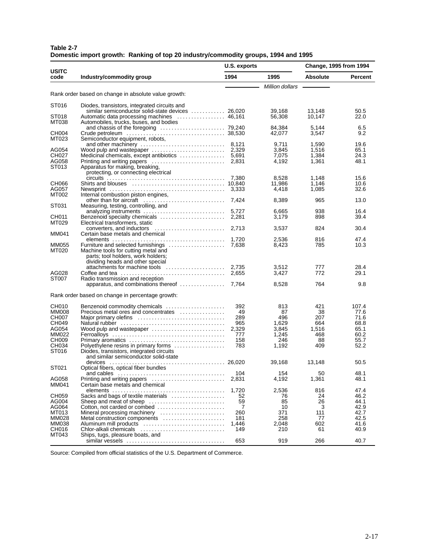| Table 2-7 |                                                                                    |  |
|-----------|------------------------------------------------------------------------------------|--|
|           | Domestic import growth: Ranking of top 20 industry/commodity groups, 1994 and 1995 |  |

|                      |                                                                                                               | U.S. exports |                 | <b>Change, 1995 from 1994</b> |         |
|----------------------|---------------------------------------------------------------------------------------------------------------|--------------|-----------------|-------------------------------|---------|
| <b>USITC</b><br>code | Industry/commodity group                                                                                      | 1994         | 1995            | <b>Absolute</b>               | Percent |
|                      |                                                                                                               |              | Million dollars |                               |         |
|                      | Rank order based on change in absolute value growth:                                                          |              |                 |                               |         |
| ST016                | Diodes, transistors, integrated circuits and<br>similar semiconductor solid-state devices  26,020             |              | 39,168          | 13,148                        | 50.5    |
| ST018                |                                                                                                               |              | 56,308          | 10,147                        | 22.0    |
| MT038                | Automobiles, trucks, buses, and bodies                                                                        |              | 84,384          | 5,144                         | 6.5     |
| CH004                |                                                                                                               |              | 42,077          | 3,547                         | 9.2     |
| MT023                | Semiconductor equipment, robots,                                                                              |              | 9,711           | 1,590                         | 19.6    |
| AG054                | Wood pulp and wastepaper $\ldots \ldots \ldots \ldots \ldots \ldots$ 2,329                                    |              | 3.845           | 1,516                         | 65.1    |
| CH027                | Medicinal chemicals, except antibiotics                                                                       | 5.691        | 7,075           | 1,384                         | 24.3    |
| AG058                |                                                                                                               | 2,831        | 4,192           | 1,361                         | 48.1    |
| ST013                | Apparatus for making, breaking,<br>protecting, or connecting electrical                                       |              |                 |                               |         |
|                      |                                                                                                               |              | 8,528           | 1,148                         | 15.6    |
| CH066                |                                                                                                               |              | 11,986          | 1,146                         | 10.6    |
| AG057                |                                                                                                               |              | 4,418           | 1,085                         | 32.6    |
| MT002                | Internal combustion piston engines,                                                                           |              |                 |                               |         |
|                      |                                                                                                               |              | 8,389           | 965                           | 13.0    |
| ST031                | Measuring, testing, controlling, and                                                                          | 5,727        | 6,665           | 938                           | 16.4    |
|                      |                                                                                                               |              |                 |                               |         |
| CH011<br>MT029       | Electrical transformers, static                                                                               |              | 3,179           | 898                           | 39.4    |
|                      |                                                                                                               |              | 3,537           | 824                           | 30.4    |
| MM041                | Certain base metals and chemical                                                                              |              |                 |                               |         |
|                      | $elements \dots \dots \dots \dots \dots \dots \dots \dots \dots \dots \dots \dots \dots \dots$                | 1,720        | 2,536           | 816                           | 47.4    |
| <b>MM055</b>         |                                                                                                               |              | 8,423           | 785                           | 10.3    |
| MT020                | Machine tools for cutting metal and<br>parts; tool holders, work holders;<br>dividing heads and other special |              |                 |                               |         |
|                      | attachments for machine tools                                                                                 | 2,735        | 3,512           | 777                           | 28.4    |
| AG028                |                                                                                                               | 2,655        | 3,427           | 772                           | 29.1    |
| ST007                | Radio transmission and reception                                                                              | 7,764        |                 | 764                           | 9.8     |
|                      | apparatus, and combinations thereof                                                                           |              | 8,528           |                               |         |
|                      | Rank order based on change in percentage growth:                                                              |              |                 |                               |         |
| CH010                | Benzenoid commodity chemicals                                                                                 | 392          | 813             | 421                           | 107.4   |
| <b>MM008</b>         | Precious metal ores and concentrates                                                                          | 49           | 87              | 38                            | 77.6    |
| CH007                | Major primary olefins                                                                                         | 289          | 496             | 207                           | 71.6    |
| CH049                |                                                                                                               | 965          | 1,629           | 664                           | 68.8    |
| AG054                | Wood pulp and wastepaper                                                                                      | 2.329        | 3,845           | 1,516                         | 65.1    |
| MM022                |                                                                                                               | 777          | 1,245           | 468                           | 60.2    |
| CH009                |                                                                                                               | 158          | 246             | 88                            | 55.7    |
| CH034                | Polyethylene resins in primary forms                                                                          | 783          | 1,192           | 409                           | 52.2    |
| ST016                | Diodes, transistors, integrated circuits<br>and similar semiconductor solid-state                             |              | 39,168          | 13,148                        | 50.5    |
| ST021                | Optical fibers, optical fiber bundles                                                                         |              |                 |                               |         |
|                      |                                                                                                               | 104          | 154             | 50                            | 48.1    |
| AG058                | Printing and writing papers                                                                                   | 2,831        | 4,192           | 1,361                         | 48.1    |
| MM041                | Certain base metals and chemical                                                                              |              |                 |                               |         |
|                      |                                                                                                               | 1,720        | 2,536           | 816                           | 47.4    |
| CH059                | Sacks and bags of textile materials                                                                           | 52           | 76              | 24                            | 46.2    |
| AG004                | Sheep and meat of sheep                                                                                       | 59           | 85              | 26                            | 44.1    |
| AG064                | Cotton, not carded or combed                                                                                  | 7            | 10              | 3                             | 42.9    |
| MT013                | Mineral processing machinery                                                                                  | 260          | 371             | 111                           | 42.7    |
| MM028                | Metal construction components                                                                                 | 181          | 258             | 77                            | 42.5    |
| MM038                | Aluminum mill products                                                                                        | 1,446        | 2,048           | 602                           | 41.6    |
| CH016                | Chlor-alkali chemicals                                                                                        | 149          | 210             | 61                            | 40.9    |
| MT043                | Ships, tugs, pleasure boats, and                                                                              |              |                 |                               |         |
|                      |                                                                                                               | 653          | 919             | 266                           | 40.7    |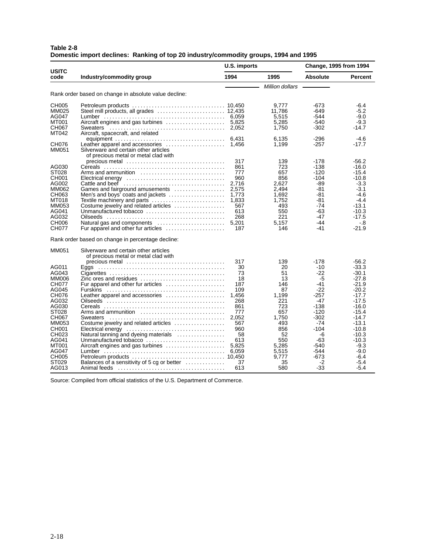| Table 2-8 |                                                                                      |  |
|-----------|--------------------------------------------------------------------------------------|--|
|           | Domestic import declines: Ranking of top 20 industry/commodity groups, 1994 and 1995 |  |

|                      |                                                                                         | U.S. imports |                 | <b>Change, 1995 from 1994</b> |                |
|----------------------|-----------------------------------------------------------------------------------------|--------------|-----------------|-------------------------------|----------------|
| <b>USITC</b><br>code | Industry/commodity group                                                                | 1994         | 1995            | <b>Absolute</b>               | <b>Percent</b> |
|                      |                                                                                         |              | Million dollars |                               |                |
|                      | Rank order based on change in absolute value decline:                                   |              |                 |                               |                |
| <b>CH005</b>         |                                                                                         |              | 9.777           | -673                          | $-6.4$         |
| MM025                |                                                                                         |              | 11.786          | $-649$                        | $-5.2$         |
| AG047                |                                                                                         |              | 5.515           | $-544$                        | $-9.0$         |
| MT001                |                                                                                         |              | 5,285           | $-540$                        | $-9.3$         |
| CH067                |                                                                                         |              | 1,750           | $-302$                        | -14.7          |
| MT042                | Aircraft, spacecraft, and related                                                       |              |                 |                               |                |
|                      |                                                                                         | 6.431        | 6,135           | -296                          | $-4.6$         |
| CH076                |                                                                                         |              | 1,199           | -257                          | $-17.7$        |
| MM051                | Silverware and certain other articles                                                   |              |                 |                               |                |
|                      | of precious metal or metal clad with                                                    |              |                 |                               |                |
|                      |                                                                                         | 317          | 139             | $-178$                        | $-56.2$        |
| AG030                |                                                                                         | 861          | 723             | $-138$                        | $-16.0$        |
| ST028                | Arms and ammunition                                                                     | 777          | 657             | $-120$                        | $-15.4$        |
| CH001                |                                                                                         | 960          | 856             | $-104$                        | $-10.8$        |
| AG002                |                                                                                         | 2,716        | 2,627           | $-89$                         | $-3.3$         |
| MM062                | Games and fairground amusements                                                         | 2,575        | 2,494           | -81                           | $-3.1$         |
| CH063                | Men's and boys' coats and jackets                                                       | 1,773        | 1,692           | -81                           | $-4.6$         |
| MT018                | Textile machinery and parts                                                             | 1,833        | 1,752           | -81                           | $-4.4$         |
| MM053                | Costume jewelry and related articles                                                    | 567          | 493             | $-74$                         | $-13.1$        |
| AG041                | Unmanufactured tobacco                                                                  | 613          | 550             | -63                           | $-10.3$        |
| AG032                |                                                                                         | 268          | 221             | $-47$                         | $-17.5$        |
| CH006                | Natural gas and components                                                              | 5,201        | 5,157           | -44                           | -.8            |
| <b>CH077</b>         | Fur apparel and other fur articles                                                      | 187          | 146             | -41                           | $-21.9$        |
|                      | Rank order based on change in percentage decline:                                       |              |                 |                               |                |
| MM051                | Silverware and certain other articles                                                   |              |                 |                               |                |
|                      | of precious metal or metal clad with                                                    |              |                 |                               |                |
|                      |                                                                                         | 317          | 139             | -178                          | $-56.2$        |
| AG011                |                                                                                         | 30           | 20              | -10                           | $-33.3$        |
| AG043                |                                                                                         | 73           | 51              | -22                           | $-30.1$        |
| <b>MM006</b>         | Zinc ores and residues $\ldots \ldots \ldots \ldots \ldots \ldots \ldots \ldots \ldots$ | 18           | 13              | -5                            | $-27.8$        |
| CH077                | Fur apparel and other fur articles                                                      | 187          | 146             | -41                           | $-21.9$        |
| AG045                |                                                                                         | 109          | 87              | $-22$                         | $-20.2$        |
| CH076                | Leather apparel and accessories                                                         | 1.456        | 1,199           | $-257$                        | $-17.7$        |
| AG032                |                                                                                         | 268          | 221             | $-47$                         | $-17.5$        |
| AG030                |                                                                                         | 861          | 723             | $-138$                        | $-16.0$        |
| ST028                | Arms and ammunition                                                                     | 777          | 657             | $-120$                        | $-15.4$        |
| CH067                |                                                                                         | 2,052        | 1,750           | $-302$                        | -14.7          |
| MM053                | Costume jewelry and related articles                                                    | 567          | 493             | $-74$                         | $-13.1$        |
| CH001                |                                                                                         | 960          | 856             | $-104$                        | $-10.8$        |
| CH023                | Natural tanning and dyeing materials                                                    | 58           | 52              | -6                            | $-10.3$        |
| AG041                | Unmanufactured tobacco                                                                  | 613          | 550             | -63                           | $-10.3$        |
| <b>MT001</b>         | Aircraft engines and gas turbines                                                       | 5.825        | 5.285           | $-540$                        | $-9.3$         |
| AG047                |                                                                                         |              | 5,515           | -544                          | $-9.0$         |
| CH005                |                                                                                         |              | 9.777           | -673                          | $-6.4$         |
| ST029                | Balances of a sensitivity of 5 cg or better $\dots\dots\dots\dots$                      | 37           | 35              | -2                            | $-5.4$         |
| AG013                |                                                                                         | 613          | 580             | $-33$                         | $-5.4$         |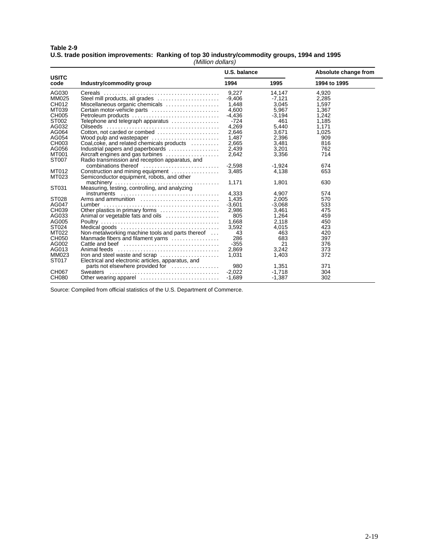#### **Table 2-9 U.S. trade position improvements: Ranking of top 30 industry/commodity groups, 1994 and 1995** (Million dollars)

|                      |                                                           | U.S. balance |          | Absolute change from |  |
|----------------------|-----------------------------------------------------------|--------------|----------|----------------------|--|
| <b>USITC</b><br>code | Industry/commodity group                                  | 1994         | 1995     | 1994 to 1995         |  |
| AG030                |                                                           | 9,227        | 14,147   | 4,920                |  |
| <b>MM025</b>         | Steel mill products, all grades                           | $-9,406$     | $-7,121$ | 2,285                |  |
| CH012                | Miscellaneous organic chemicals                           | 1,448        | 3,045    | 1,597                |  |
| MT039                | Certain motor-vehicle parts                               | 4.600        | 5,967    | 1,367                |  |
| CH005                | Petroleum products                                        | $-4.436$     | $-3.194$ | 1.242                |  |
| ST002                |                                                           | -724         | 461      | 1,185                |  |
| AG032                | Telephone and telegraph apparatus<br>Oilseeds<br>Cilseeds | 4,269        | 5,440    | 1,171                |  |
| AG064                | Cotton, not carded or combed                              | 2,646        | 3,671    | 1,025                |  |
| AG054                | Wood pulp and wastepaper                                  | 1,487        | 2,396    | 909                  |  |
| CH003                | Coal, coke, and related chemicals products                | 2,665        | 3,481    | 816                  |  |
| AG056                | Industrial papers and paperboards                         | 2,439        | 3.201    | 762                  |  |
| MT001                | Aircraft engines and gas turbines                         | 2,642        | 3,356    | 714                  |  |
| ST007                | Radio transmission and reception apparatus, and           |              |          |                      |  |
|                      |                                                           | $-2,598$     | $-1,924$ | 674                  |  |
| MT012                | Construction and mining equipment                         | 3,485        | 4,138    | 653                  |  |
| MT023                | Semiconductor equipment, robots, and other                |              |          |                      |  |
|                      |                                                           |              |          | 630                  |  |
| ST031                |                                                           | 1,171        | 1,801    |                      |  |
|                      |                                                           | 4,333        |          |                      |  |
|                      |                                                           |              | 4,907    | 574                  |  |
| ST028                | Arms and ammunition                                       | 1.435        | 2.005    | 570                  |  |
| AG047                |                                                           | $-3,601$     | $-3,068$ | 533                  |  |
| CH039                | Other plastics in primary forms                           | 2,986        | 3,461    | 475                  |  |
| AG033                | Animal or vegetable fats and oils                         | 805          | 1,264    | 459                  |  |
| AG005                |                                                           | 1,668        | 2,118    | 450                  |  |
| ST024                |                                                           | 3,592        | 4,015    | 423                  |  |
| MT022                | Non-metalworking machine tools and parts thereof          | 43           | 463      | 420                  |  |
| CH050                | Manmade fibers and filament yarns                         | 286          | 683      | 397                  |  |
| AG002                |                                                           | $-355$       | 21       | 376                  |  |
| AG013                |                                                           | 2,869        | 3,242    | 373                  |  |
| MM023                | Iron and steel waste and scrap                            | 1.031        | 1,403    | 372                  |  |
| ST017                | Electrical and electronic articles, apparatus, and        |              |          |                      |  |
|                      | parts not elsewhere provided for                          | 980          | 1,351    | 371                  |  |
| <b>CH067</b>         | <b>Sweaters</b>                                           | $-2.022$     | $-1,718$ | 304                  |  |
| <b>CH080</b>         | Other wearing apparel                                     | $-1,689$     | $-1,387$ | 302                  |  |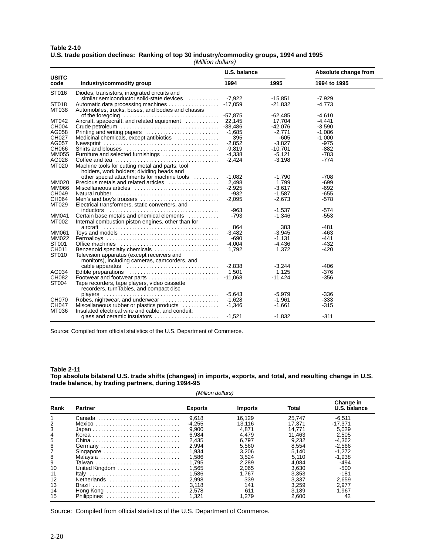#### **Table 2-10 U.S. trade position declines: Ranking of top 30 industry/commodity groups, 1994 and 1995** (Million dollars)

|                      |                                                                                                 | U.S. balance |           | Absolute change from |  |
|----------------------|-------------------------------------------------------------------------------------------------|--------------|-----------|----------------------|--|
| <b>USITC</b><br>code | Industry/commodity group                                                                        | 1994         | 1995      | 1994 to 1995         |  |
| ST016                | Diodes, transistors, integrated circuits and<br>similar semiconductor solid-state devices       | $-7,922$     | $-15.851$ | $-7.929$             |  |
| ST018                |                                                                                                 |              | $-21,832$ | $-4,773$             |  |
| MT038                | Automobiles, trucks, buses, and bodies and chassis                                              |              | $-62.485$ | $-4.610$             |  |
| MT042                | Aircraft, spacecraft, and related equipment  22,145                                             |              | 17,704    | $-4,441$             |  |
| CH004                |                                                                                                 |              | $-42,076$ | $-3,590$             |  |
| AG058                |                                                                                                 | $-1,685$     | -2,771    | $-1,086$             |  |
| CH027                | Medicinal chemicals, except antibiotics                                                         | 395          | $-605$    | $-1.000$             |  |
| AG057                | Newsprint $\dots\dots\dots\dots\dots\dots\dots\dots\dots\dots\dots\dots\dots\dots$              | $-2.852$     | $-3.827$  | $-975$               |  |
| CH066                |                                                                                                 | $-9,819$     | $-10,701$ | $-882$               |  |
| MM055                | Furniture and selected furnishings                                                              | $-4,338$     | $-5,121$  | $-783$               |  |
| AG028                |                                                                                                 | $-2.424$     | $-3,198$  | $-774$               |  |
| MT020                | Machine tools for cutting metal and parts; tool<br>holders, work holders; dividing heads and    |              |           |                      |  |
|                      | other special attachments for machine tools                                                     | $-1,082$     | $-1.790$  | $-708$               |  |
| MM020                | Precious metals and related articles                                                            | 2.498        | 1.799     | $-699$               |  |
| <b>MM066</b>         |                                                                                                 | $-2,925$     | $-3.617$  | $-692$               |  |
| CH049                |                                                                                                 | $-932$       | $-1,587$  | $-655$               |  |
| CH064                |                                                                                                 | $-2,095$     | $-2,673$  | $-578$               |  |
| MT029                | Electrical transformers, static converters, and                                                 |              |           |                      |  |
|                      |                                                                                                 | $-963$       | $-1.537$  | $-574$               |  |
| MM041<br>MT002       | Certain base metals and chemical elements<br>Internal combustion piston engines, other than for | $-793$       | $-1,346$  | $-553$               |  |
|                      |                                                                                                 | 864          | 383       | $-481$               |  |
| MM061                |                                                                                                 | $-3,482$     | $-3,945$  | -463                 |  |
| <b>MM022</b>         |                                                                                                 | $-690$       | $-1.131$  | $-441$               |  |
| ST001                |                                                                                                 | $-4.004$     | $-4.436$  | $-432$               |  |
| CH011                | Benzenoid specialty chemicals                                                                   | 1,792        | 1,372     | $-420$               |  |
| ST010                | Television apparatus (except receivers and<br>monitors), including cameras, camcorders, and     |              |           |                      |  |
|                      |                                                                                                 | $-2,838$     | $-3,244$  | $-406$               |  |
| AG034                |                                                                                                 |              | 1,125     | $-376$               |  |
| CH082                |                                                                                                 |              | $-11.424$ | $-356$               |  |
| ST004                | Tape recorders, tape players, video cassette<br>recorders, turnTables, and compact disc         |              |           |                      |  |
|                      | players                                                                                         | $-5.643$     | $-5,979$  | $-336$               |  |
| <b>CH070</b>         | Robes, nightwear, and underwear                                                                 | $-1,628$     | $-1.961$  | $-333$               |  |
| CH047                | Miscellaneous rubber or plastics products                                                       | $-1.346$     | $-1,661$  | $-315$               |  |
| MT036                | Insulated electrical wire and cable, and conduit;                                               |              |           |                      |  |
|                      | glass and ceramic insulators                                                                    | $-1,521$     | $-1,832$  | $-311$               |  |

Source: Compiled from official statistics of the U.S. Department of Commerce.

#### **Table 2-11**

**Top absolute bilateral U.S. trade shifts (changes) in imports, exports, and total, and resulting change in U.S. trade balance, by trading partners, during 1994-95**

|      | (Million dollars) |                |                |        |                           |  |  |
|------|-------------------|----------------|----------------|--------|---------------------------|--|--|
| Rank | Partner           | <b>Exports</b> | <b>Imports</b> | Total  | Change in<br>U.S. balance |  |  |
|      | Canada            | 9.618          | 16,129         | 25,747 | $-6,511$                  |  |  |
| 2    |                   | $-4,255$       | 13,116         | 17.371 | $-17,371$                 |  |  |
| 3    |                   | 9.900          | 4,871          | 14.771 | 5.029                     |  |  |
| 4    |                   | 6,984          | 4,479          | 11.463 | 2,505                     |  |  |
| 5    |                   | 2.435          | 6.797          | 9.232  | $-4,362$                  |  |  |
| 6    | Germany           | 2.994          | 5,560          | 8.554  | $-2,566$                  |  |  |
|      | Singapore         | 1.934          | 3,206          | 5.140  | $-1,272$                  |  |  |
| 8    | Malaysia          | 1,586          | 3,524          | 5,110  | $-1,938$                  |  |  |
| 9    | Taiwan            | 1.795          | 2.289          | 4.084  | -494                      |  |  |
| 10   | United Kingdom    | 1.565          | 2.065          | 3.630  | $-500$                    |  |  |
| 11   | Italy             | 1.586          | 1.767          | 3.353  | $-181$                    |  |  |
| 12   | Netherlands       | 2.998          | 339            | 3.337  | 2.659                     |  |  |
| 13   | Brazil            | 3.118          | 141            | 3.259  | 2.977                     |  |  |
| 14   | Hong Kong         | 2.578          | 611            | 3.189  | 1.967                     |  |  |
| 15   | Philippines       | 1,321          | 1,279          | 2,600  | 42                        |  |  |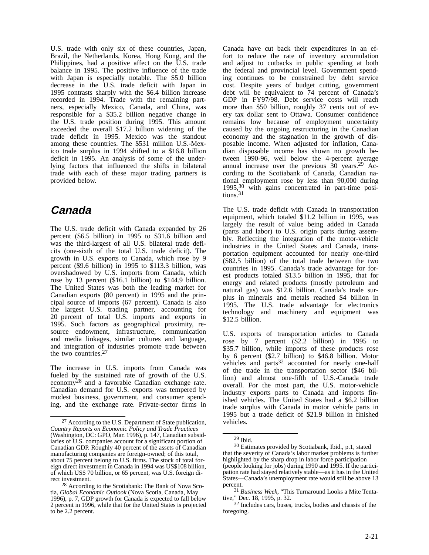U.S. trade with only six of these countries, Japan, Brazil, the Netherlands, Korea, Hong Kong, and the Philippines, had a positive affect on the U.S. trade balance in 1995. The positive influence of the trade with Japan is especially notable. The \$5.0 billion decrease in the U.S. trade deficit with Japan in 1995 contrasts sharply with the \$6.4 billion increase recorded in 1994. Trade with the remaining partners, especially Mexico, Canada, and China, was responsible for a \$35.2 billion negative change in the U.S. trade position during 1995. This amount exceeded the overall \$17.2 billion widening of the trade deficit in 1995. Mexico was the standout among these countries. The \$531 million U.S.-Mexico trade surplus in 1994 shifted to a \$16.8 billion deficit in 1995. An analysis of some of the underlying factors that influenced the shifts in bilateral trade with each of these major trading partners is provided below.

### **Canada**

The U.S. trade deficit with Canada expanded by 26 percent (\$6.5 billion) in 1995 to \$31.6 billion and was the third-largest of all U.S. bilateral trade deficits (one-sixth of the total U.S. trade deficit). The growth in U.S. exports to Canada, which rose by 9 percent (\$9.6 billion) in 1995 to \$113.3 billion, was overshadowed by U.S. imports from Canada, which rose by 13 percent (\$16.1 billion) to \$144.9 billion. The United States was both the leading market for Canadian exports (80 percent) in 1995 and the principal source of imports (67 percent). Canada is also the largest U.S. trading partner, accounting for 20 percent of total U.S. imports and exports in 1995. Such factors as geographical proximity, resource endowment, infrastructure, communication and media linkages, similar cultures and language, and integration of industries promote trade between the two countries.27

The increase in U.S. imports from Canada was fueled by the sustained rate of growth of the U.S. economy28 and a favorable Canadian exchange rate. Canadian demand for U.S. exports was tempered by modest business, government, and consumer spending, and the exchange rate. Private-sector firms in

Canada have cut back their expenditures in an effort to reduce the rate of inventory accumulation and adjust to cutbacks in public spending at both the federal and provincial level. Government spending continues to be constrained by debt service cost. Despite years of budget cutting, government debt will be equivalent to 74 percent of Canada's GDP in FY97/98. Debt service costs will reach more than \$50 billion, roughly 37 cents out of every tax dollar sent to Ottawa. Consumer confidence remains low because of employment uncertainty caused by the ongoing restructuring in the Canadian economy and the stagnation in the growth of disposable income. When adjusted for inflation, Canadian disposable income has shown no growth between 1990-96, well below the 4-percent average annual increase over the previous  $30$  years.<sup>29</sup> According to the Scotiabank of Canada, Canadian national employment rose by less than 90,000 during 1995,30 with gains concentrated in part-time posi $tions.<sup>31</sup>$ 

The U.S. trade deficit with Canada in transportation equipment, which totaled \$11.2 billion in 1995, was largely the result of value being added in Canada (parts and labor) to U.S. origin parts during assembly. Reflecting the integration of the motor-vehicle industries in the United States and Canada, transportation equipment accounted for nearly one-third (\$82.5 billion) of the total trade between the two countries in 1995. Canada's trade advantage for forest products totaled \$13.5 billion in 1995, that for energy and related products (mostly petroleum and natural gas) was \$12.6 billion. Canada's trade surplus in minerals and metals reached \$4 billion in 1995. The U.S. trade advantage for electronics technology and machinery and equipment was \$12.5 billion.

U.S. exports of transportation articles to Canada rose by 7 percent (\$2.2 billion) in 1995 to \$35.7 billion, while imports of these products rose by 6 percent (\$2.7 billion) to \$46.8 billion. Motor vehicles and parts<sup>32</sup> accounted for nearly one-half of the trade in the transportation sector (\$46 billion) and almost one-fifth of U.S.-Canada trade overall. For the most part, the U.S. motor-vehicle industry exports parts to Canada and imports finished vehicles. The United States had a \$6.2 billion trade surplus with Canada in motor vehicle parts in 1995 but a trade deficit of \$21.9 billion in finished vehicles.

<sup>27</sup> According to the U.S. Department of State publication, *Country Reports on Economic Policy and Trade Practices* (Washington, DC: GPO, Mar. 1996), p. 147, Canadian subsidiaries of U.S. companies account for a significant portion of Canadian GDP. Roughly 40 percent of the assets of Canadian manufacturing companies are foreign-owned; of this total, about 75 percent belong to U.S. firms. The stock of total foreign direct investment in Canada in 1994 was US\$108 billion, of which US\$ 70 billion, or 65 percent, was U.S. foreign direct investment.

<sup>28</sup> According to the Scotiabank: The Bank of Nova Scotia, *Global Economic Outlook* (Nova Scotia, Canada, May 1996), p. 7, GDP growth for Canada is expected to fall below 2 percent in 1996, while that for the United States is projected to be 2.2 percent.

<sup>29</sup> Ibid.

<sup>30</sup> Estimates provided by Scotiabank, Ibid., p.1, stated that the severity of Canada's labor market problems is further highlighted by the sharp drop in labor force participation (people looking for jobs) during 1990 and 1995. If the participation rate had stayed relatively stable—as it has in the United States—Canada's unemployment rate would still be above 13 percent.

<sup>31</sup> *Business Week*, "This Turnaround Looks a Mite Tentative," Dec. 18, 1995, p. 32.

<sup>32</sup> Includes cars, buses, trucks, bodies and chassis of the foregoing.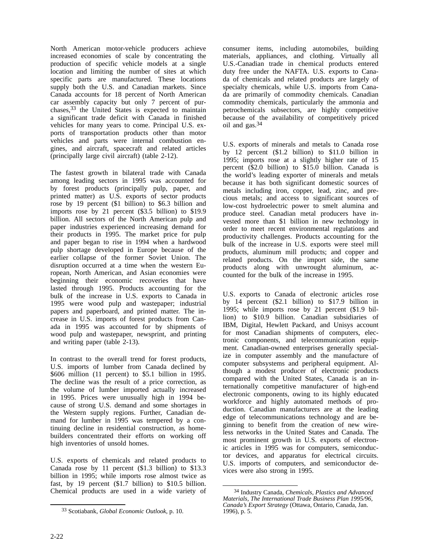North American motor-vehicle producers achieve increased economies of scale by concentrating the production of specific vehicle models at a single location and limiting the number of sites at which specific parts are manufactured. These locations supply both the U.S. and Canadian markets. Since Canada accounts for 18 percent of North American car assembly capacity but only 7 percent of purchases,33 the United States is expected to maintain a significant trade deficit with Canada in finished vehicles for many years to come. Principal U.S. exports of transportation products other than motor vehicles and parts were internal combustion engines, and aircraft, spacecraft and related articles (principally large civil aircraft) (table 2-12).

The fastest growth in bilateral trade with Canada among leading sectors in 1995 was accounted for by forest products (principally pulp, paper, and printed matter) as U.S. exports of sector products rose by 19 percent (\$1 billion) to \$6.3 billion and imports rose by 21 percent (\$3.5 billion) to \$19.9 billion. All sectors of the North American pulp and paper industries experienced increasing demand for their products in 1995. The market price for pulp and paper began to rise in 1994 when a hardwood pulp shortage developed in Europe because of the earlier collapse of the former Soviet Union. The disruption occurred at a time when the western European, North American, and Asian economies were beginning their economic recoveries that have lasted through 1995. Products accounting for the bulk of the increase in U.S. exports to Canada in 1995 were wood pulp and wastepaper; industrial papers and paperboard, and printed matter. The increase in U.S. imports of forest products from Canada in 1995 was accounted for by shipments of wood pulp and wastepaper, newsprint, and printing and writing paper (table 2-13).

In contrast to the overall trend for forest products, U.S. imports of lumber from Canada declined by \$606 million (11 percent) to \$5.1 billion in 1995. The decline was the result of a price correction, as the volume of lumber imported actually increased in 1995. Prices were unusually high in 1994 because of strong U.S. demand and some shortages in the Western supply regions. Further, Canadian demand for lumber in 1995 was tempered by a continuing decline in residential construction, as homebuilders concentrated their efforts on working off high inventories of unsold homes.

U.S. exports of chemicals and related products to Canada rose by 11 percent (\$1.3 billion) to \$13.3 billion in 1995; while imports rose almost twice as fast, by 19 percent (\$1.7 billion) to \$10.5 billion. Chemical products are used in a wide variety of

consumer items, including automobiles, building materials, appliances, and clothing. Virtually all U.S.-Canadian trade in chemical products entered duty free under the NAFTA. U.S. exports to Canada of chemicals and related products are largely of specialty chemicals, while U.S. imports from Canada are primarily of commodity chemicals. Canadian commodity chemicals, particularly the ammonia and petrochemicals subsectors, are highly competitive because of the availability of competitively priced oil and gas.34

U.S. exports of minerals and metals to Canada rose by 12 percent (\$1.2 billion) to \$11.0 billion in 1995; imports rose at a slightly higher rate of 15 percent (\$2.0 billion) to \$15.0 billion. Canada is the world's leading exporter of minerals and metals because it has both significant domestic sources of metals including iron, copper, lead, zinc, and precious metals; and access to significant sources of low-cost hydroelectric power to smelt alumina and produce steel. Canadian metal producers have invested more than \$1 billion in new technology in order to meet recent environmental regulations and productivity challenges. Products accounting for the bulk of the increase in U.S. exports were steel mill products, aluminum mill products; and copper and related products. On the import side, the same products along with unwrought aluminum, accounted for the bulk of the increase in 1995.

U.S. exports to Canada of electronic articles rose by 14 percent (\$2.1 billion) to \$17.9 billion in 1995; while imports rose by 21 percent (\$1.9 billion) to \$10.9 billion. Canadian subsidiaries of IBM, Digital, Hewlett Packard, and Unisys account for most Canadian shipments of computers, electronic components, and telecommunication equipment. Canadian-owned enterprises generally specialize in computer assembly and the manufacture of computer subsystems and peripheral equipment. Although a modest producer of electronic products compared with the United States, Canada is an internationally competitive manufacturer of high-end electronic components, owing to its highly educated workforce and highly automated methods of production. Canadian manufacturers are at the leading edge of telecommunications technology and are beginning to benefit from the creation of new wireless networks in the United States and Canada. The most prominent growth in U.S. exports of electronic articles in 1995 was for computers, semiconductor devices, and apparatus for electrical circuits. U.S. imports of computers, and semiconductor devices were also strong in 1995.

<sup>33</sup> Scotiabank, *Global Economic Outlook*, p. 10.

<sup>34</sup> Industry Canada, *Chemicals, Plastics and Advanced Materials, The International Trade Business Plan 1995/96, Canada's Export Strategy* (Ottawa, Ontario, Canada, Jan. 1996), p. 5.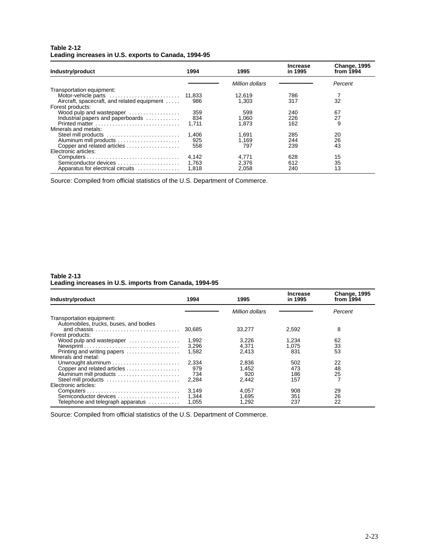### **Table 2-12 Leading increases in U.S. exports to Canada, 1994-95**

| Industry/product                            | 1994  | 1995            | <b>Increase</b><br>in 1995 | <b>Change, 1995</b><br>from $1994$ |
|---------------------------------------------|-------|-----------------|----------------------------|------------------------------------|
|                                             |       | Million dollars |                            | Percent                            |
| Transportation equipment:                   |       |                 |                            |                                    |
|                                             |       | 12.619          | 786                        |                                    |
| Aircraft, spacecraft, and related equipment | 986   | 1.303           | 317                        | 32                                 |
| Forest products:                            |       |                 |                            |                                    |
| Wood pulp and wastepaper                    | 359   | 599             | 240                        | 67                                 |
| Industrial papers and paperboards           | 834   | 1,060           | 226                        | 27                                 |
| Printed matter                              | 1.711 | 1.873           | 162                        | 9                                  |
| Minerals and metals:                        |       |                 |                            |                                    |
| Steel mill products                         | 1,406 | 1.691           | 285                        | 20                                 |
| Aluminum mill products                      | 925   | 1.169           | 244                        | 26                                 |
| Copper and related articles                 | 558   | 797             | 239                        | 43                                 |
| Electronic articles:                        |       |                 |                            |                                    |
|                                             | 4,142 | 4.771           | 628                        | 15                                 |
| Semiconductor devices                       | 1.763 | 2.376           | 612                        | 35                                 |
| Apparatus for electrical circuits           | 1.818 | 2,058           | 240                        | 13                                 |

Source: Compiled from official statistics of the U.S. Department of Commerce.

### **Table 2-13 Leading increases in U.S. imports from Canada, 1994-95**

| Industry/product                       | 1994   | 1995            | <b>Increase</b><br>in 1995 | <b>Change, 1995</b><br>from $1994$ |
|----------------------------------------|--------|-----------------|----------------------------|------------------------------------|
|                                        |        | Million dollars |                            | Percent                            |
| Transportation equipment:              |        |                 |                            |                                    |
| Automobiles, trucks, buses, and bodies |        |                 |                            |                                    |
|                                        | 30.685 | 33.277          | 2,592                      | 8                                  |
| Forest products:                       |        |                 |                            |                                    |
| Wood pulp and wastepaper               | 1.992  | 3.226           | 1.234                      | 62                                 |
|                                        | 3,296  | 4.371           | 1.075                      | 33                                 |
| Printing and writing papers            | 1.582  | 2.413           | 831                        | 53                                 |
| Minerals and metal:                    |        |                 |                            |                                    |
|                                        | 2,334  | 2.836           | 502                        | 22                                 |
| Copper and related articles            | 979    | 1.452           | 473                        | 48                                 |
| Aluminum mill products                 | 734    | 920             | 186                        | 25                                 |
| Steel mill products                    | 2.284  | 2.442           | 157                        |                                    |
| Electronic articles:                   |        |                 |                            |                                    |
|                                        | 3,149  | 4.057           | 908                        | 29                                 |
| Semiconductor devices                  | 1.344  | 1.695           | 351                        | 26                                 |
| Telephone and telegraph apparatus      | 1.055  | 1.292           | 237                        | 22                                 |

Source: Compiled from official statistics of the U.S. Department of Commerce.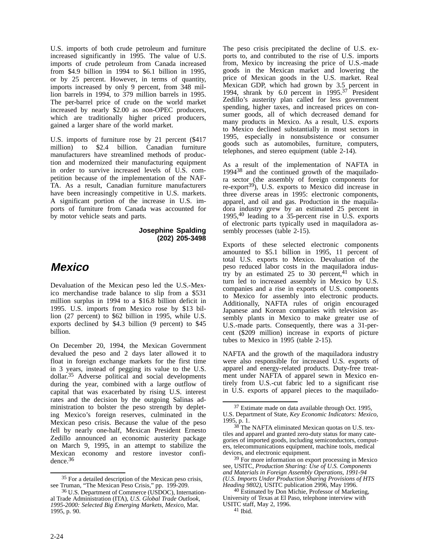U.S. imports of both crude petroleum and furniture increased significantly in 1995. The value of U.S. imports of crude petroleum from Canada increased from \$4.9 billion in 1994 to \$6.1 billion in 1995, or by 25 percent. However, in terms of quantity, imports increased by only 9 percent, from 348 million barrels in 1994, to 379 million barrels in 1995. The per-barrel price of crude on the world market increased by nearly \$2.00 as non-OPEC producers, which are traditionally higher priced producers, gained a larger share of the world market.

U.S. imports of furniture rose by 21 percent (\$417 million) to \$2.4 billion. Canadian furniture manufacturers have streamlined methods of production and modernized their manufacturing equipment in order to survive increased levels of U.S. competition because of the implementation of the NAF-TA. As a result, Canadian furniture manufacturers have been increasingly competitive in U.S. markets. A significant portion of the increase in U.S. imports of furniture from Canada was accounted for by motor vehicle seats and parts.

> **Josephine Spalding (202) 205-3498**

## **Mexico**

Devaluation of the Mexican peso led the U.S.-Mexico merchandise trade balance to slip from a \$531 million surplus in 1994 to a \$16.8 billion deficit in 1995. U.S. imports from Mexico rose by \$13 billion (27 percent) to \$62 billion in 1995, while U.S. exports declined by \$4.3 billion (9 percent) to \$45 billion.

On December 20, 1994, the Mexican Government devalued the peso and 2 days later allowed it to float in foreign exchange markets for the first time in 3 years, instead of pegging its value to the U.S. dollar.35 Adverse political and social developments during the year, combined with a large outflow of capital that was exacerbated by rising U.S. interest rates and the decision by the outgoing Salinas administration to bolster the peso strength by depleting Mexico's foreign reserves, culminated in the Mexican peso crisis. Because the value of the peso fell by nearly one-half, Mexican President Ernesto Zedillo announced an economic austerity package on March 9, 1995, in an attempt to stabilize the Mexican economy and restore investor confidence.36

The peso crisis precipitated the decline of U.S. exports to, and contributed to the rise of U.S. imports from, Mexico by increasing the price of U.S.-made goods in the Mexican market and lowering the price of Mexican goods in the U.S. market. Real Mexican GDP, which had grown by 3.5 percent in 1994, shrank by 6.0 percent in 1995.37 President Zedillo's austerity plan called for less government spending, higher taxes, and increased prices on consumer goods, all of which decreased demand for many products in Mexico. As a result, U.S. exports to Mexico declined substantially in most sectors in 1995, especially in nonsubsistence or consumer goods such as automobiles, furniture, computers, telephones, and stereo equipment (table 2-14).

As a result of the implementation of NAFTA in  $1994^{38}$  and the continued growth of the maquiladora sector (the assembly of foreign components for re-export<sup>39</sup>), U.S. exports to Mexico did increase in three diverse areas in 1995: electronic components, apparel, and oil and gas. Production in the maquiladora industry grew by an estimated 25 percent in 1995,40 leading to a 35-percent rise in U.S. exports of electronic parts typically used in maquiladora assembly processes (table 2-15).

Exports of these selected electronic components amounted to \$5.1 billion in 1995, 11 percent of total U.S. exports to Mexico. Devaluation of the peso reduced labor costs in the maquiladora industry by an estimated  $25$  to  $30$  percent,<sup>41</sup> which in turn led to increased assembly in Mexico by U.S. companies and a rise in exports of U.S. components to Mexico for assembly into electronic products. Additionally, NAFTA rules of origin encouraged Japanese and Korean companies with television assembly plants in Mexico to make greater use of U.S.-made parts. Consequently, there was a 31-percent (\$209 million) increase in exports of picture tubes to Mexico in 1995 (table 2-15).

NAFTA and the growth of the maquiladora industry were also responsible for increased U.S. exports of apparel and energy-related products. Duty-free treatment under NAFTA of apparel sewn in Mexico entirely from U.S.-cut fabric led to a significant rise in U.S. exports of apparel pieces to the maquilado-

<sup>&</sup>lt;sup>35</sup> For a detailed description of the Mexican peso crisis, see Truman, "The Mexican Peso Crisis," pp. 199-209.

<sup>36</sup> U.S. Department of Commerce (USDOC), International Trade Administration (ITA), *U.S. Global Trade Outlook, 1995-2000: Selected Big Emerging Markets, Mexico*, Mar. 1995, p. 90.

 $37$  Estimate made on data available through Oct. 1995, U.S. Department of State, *Key Economic Indicators: Mexico*, U.S. Department of State, *Key Economic Indicators: Mexico*, 1995, p. 1.

 $38$ <sup>The</sup> NAFTA eliminated Mexican quotas on U.S. textiles and apparel and granted zero-duty status for many categories of imported goods, including semiconductors, computers, telecommunications equipment, machine tools, medical devices, and electronic equipment.

<sup>39</sup> For more information on export processing in Mexico see, USITC, *Production Sharing: Use of U.S. Components and Materials in Foreign Assembly Operations, 1991-94 (U.S. Imports Under Production Sharing Provisions of HTS Heading 9802)*, USITC publication 2996, May 1996.

<sup>&</sup>lt;sup>40</sup> Estimated by Don Michie, Professor of Marketing, University of Texas at El Paso, telephone interview with USITC staff, May 2, 1996.

<sup>41</sup> Ibid.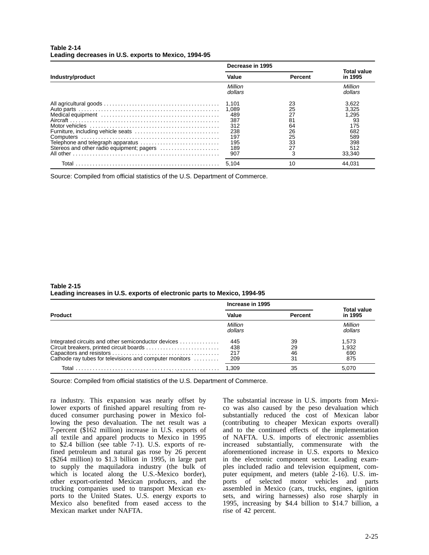### **Table 2-14 Leading decreases in U.S. exports to Mexico, 1994-95**

|                                                                                | Decrease in 1995                                                       |                                                         |                                                                            |
|--------------------------------------------------------------------------------|------------------------------------------------------------------------|---------------------------------------------------------|----------------------------------------------------------------------------|
| Industry/product                                                               | Value                                                                  | <b>Percent</b>                                          | Total value<br>in 1995                                                     |
|                                                                                | Million<br>dollars                                                     |                                                         | Million<br>dollars                                                         |
| Telephone and telegraph apparatus<br>Stereos and other radio equipment; pagers | 1.101<br>1.089<br>489<br>387<br>312<br>238<br>197<br>195<br>189<br>907 | 23<br>25<br>27<br>81<br>64<br>26<br>25<br>33<br>27<br>3 | 3,622<br>3.325<br>1,295<br>93<br>175<br>682<br>589<br>398<br>512<br>33.340 |
|                                                                                | 5.104                                                                  | 10                                                      | 44.031                                                                     |

Source: Compiled from official statistics of the U.S. Department of Commerce.

### **Table 2-15 Leading increases in U.S. exports of electronic parts to Mexico, 1994-95**

|                                                                                                                                                            | Increase in 1995         |                      |                               |
|------------------------------------------------------------------------------------------------------------------------------------------------------------|--------------------------|----------------------|-------------------------------|
| <b>Product</b>                                                                                                                                             | Value                    | <b>Percent</b>       | <b>Total value</b><br>in 1995 |
|                                                                                                                                                            | Million<br>dollars       |                      | Million<br>dollars            |
| Integrated circuits and other semiconductor devices<br>Circuit breakers, printed circuit boards<br>Cathode ray tubes for televisions and computer monitors | 445<br>438<br>217<br>209 | 39<br>29<br>46<br>31 | 1,573<br>1,932<br>690<br>875  |
|                                                                                                                                                            | 1.309                    | 35                   | 5.070                         |

Source: Compiled from official statistics of the U.S. Department of Commerce.

ra industry. This expansion was nearly offset by lower exports of finished apparel resulting from reduced consumer purchasing power in Mexico following the peso devaluation. The net result was a 7-percent (\$162 million) increase in U.S. exports of all textile and apparel products to Mexico in 1995 to \$2.4 billion (see table 7-1). U.S. exports of refined petroleum and natural gas rose by 26 percent (\$264 million) to \$1.3 billion in 1995, in large part to supply the maquiladora industry (the bulk of which is located along the U.S.-Mexico border), other export-oriented Mexican producers, and the trucking companies used to transport Mexican exports to the United States. U.S. energy exports to Mexico also benefited from eased access to the Mexican market under NAFTA.

The substantial increase in U.S. imports from Mexico was also caused by the peso devaluation which substantially reduced the cost of Mexican labor (contributing to cheaper Mexican exports overall) and to the continued effects of the implementation of NAFTA. U.S. imports of electronic assemblies increased substantially, commensurate with the aforementioned increase in U.S. exports to Mexico in the electronic component sector. Leading examples included radio and television equipment, computer equipment, and meters (table 2-16). U.S. imports of selected motor vehicles and parts assembled in Mexico (cars, trucks, engines, ignition sets, and wiring harnesses) also rose sharply in 1995, increasing by \$4.4 billion to \$14.7 billion, a rise of 42 percent.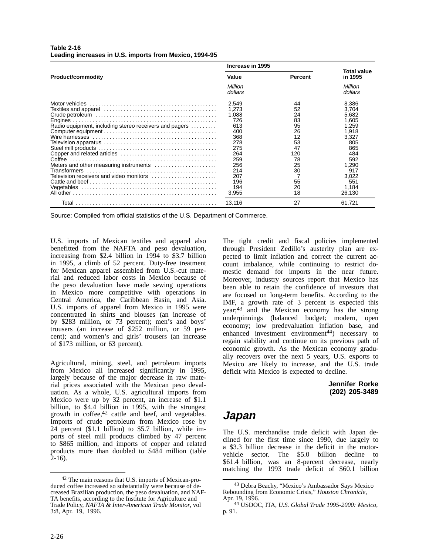|                                                                                                                                             | Increase in 1995                                                                                                            |                                                                                               |                                                                                                                                            |
|---------------------------------------------------------------------------------------------------------------------------------------------|-----------------------------------------------------------------------------------------------------------------------------|-----------------------------------------------------------------------------------------------|--------------------------------------------------------------------------------------------------------------------------------------------|
| <b>Product/commodity</b>                                                                                                                    | Value                                                                                                                       | <b>Percent</b>                                                                                | <b>Total value</b><br>in 1995                                                                                                              |
|                                                                                                                                             | Million<br>dollars                                                                                                          |                                                                                               | Million<br>dollars                                                                                                                         |
| Radio equipment, including stereo receivers and pagers<br>Meters and other measuring instruments<br>Television receivers and video monitors | 2,549<br>1,273<br>1,088<br>726<br>613<br>400<br>368<br>278<br>275<br>264<br>259<br>256<br>214<br>207<br>196<br>194<br>3,955 | 44<br>52<br>24<br>83<br>95<br>26<br>12<br>53<br>47<br>120<br>78<br>25<br>30<br>55<br>20<br>18 | 8,386<br>3.704<br>5,682<br>1.605<br>1,259<br>1,918<br>3,327<br>805<br>865<br>484<br>592<br>1,290<br>917<br>3,022<br>551<br>1.184<br>26,130 |
|                                                                                                                                             | 13,116                                                                                                                      | 27                                                                                            | 61,721                                                                                                                                     |

#### **Table 2-16 Leading increases in U.S. imports from Mexico, 1994-95**

Source: Compiled from official statistics of the U.S. Department of Commerce.

U.S. imports of Mexican textiles and apparel also benefitted from the NAFTA and peso devaluation, increasing from \$2.4 billion in 1994 to \$3.7 billion in 1995, a climb of 52 percent. Duty-free treatment for Mexican apparel assembled from U.S.-cut material and reduced labor costs in Mexico because of the peso devaluation have made sewing operations in Mexico more competitive with operations in Central America, the Caribbean Basin, and Asia. U.S. imports of apparel from Mexico in 1995 were concentrated in shirts and blouses (an increase of by \$283 million, or 73 percent); men's and boys' trousers (an increase of \$252 million, or 59 percent); and women's and girls' trousers (an increase of \$173 million, or 63 percent).

Agricultural, mining, steel, and petroleum imports from Mexico all increased significantly in 1995, largely because of the major decrease in raw material prices associated with the Mexican peso devaluation. As a whole, U.S. agricultural imports from Mexico were up by 32 percent, an increase of \$1.1 billion, to \$4.4 billion in 1995, with the strongest growth in coffee, $42$  cattle and beef, and vegetables. Imports of crude petroleum from Mexico rose by 24 percent (\$1.1 billion) to \$5.7 billion, while imports of steel mill products climbed by 47 percent to \$865 million, and imports of copper and related products more than doubled to \$484 million (table  $2-16$ ).

The tight credit and fiscal policies implemented through President Zedillo's austerity plan are expected to limit inflation and correct the current account imbalance, while continuing to restrict domestic demand for imports in the near future. Moreover, industry sources report that Mexico has been able to retain the confidence of investors that are focused on long-term benefits. According to the IMF, a growth rate of 3 percent is expected this year;43 and the Mexican economy has the strong underpinnings (balanced budget; modern, open economy; low predevaluation inflation base, and enhanced investment environment<sup>44</sup>) necessary to regain stability and continue on its previous path of economic growth. As the Mexican economy gradually recovers over the next 5 years, U.S. exports to Mexico are likely to increase, and the U.S. trade deficit with Mexico is expected to decline.

> **Jennifer Rorke (202) 205-3489**

### **Japan**

The U.S. merchandise trade deficit with Japan declined for the first time since 1990, due largely to a \$3.3 billion decrease in the deficit in the motorvehicle sector. The \$5.0 billion decline to \$61.4 billion, was an 8-percent decrease, nearly matching the 1993 trade deficit of \$60.1 billion

<sup>42</sup> The main reasons that U.S. imports of Mexican-produced coffee increased so substantially were because of decreased Brazilian production, the peso devaluation, and NAF-TA benefits, according to the Institute for Agriculture and Trade Policy, *NAFTA & Inter-American Trade Monitor*, vol 3:8, Apr. 19, 1996.

<sup>43</sup> Debra Beachy, "Mexico's Ambassador Says Mexico Rebounding from Economic Crisis," *Houston Chronicle*, Apr. 19, 1996.

<sup>44</sup> USDOC, ITA, *U.S. Global Trade 1995-2000: Mexico*, p. 91.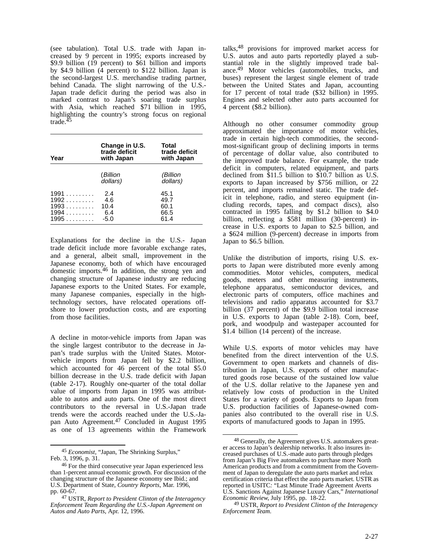(see tabulation). Total U.S. trade with Japan increased by 9 percent in 1995; exports increased by \$9.9 billion (19 percent) to \$61 billion and imports by \$4.9 billion (4 percent) to \$122 billion. Japan is the second-largest U.S. merchandise trading partner, behind Canada. The slight narrowing of the U.S.- Japan trade deficit during the period was also in marked contrast to Japan's soaring trade surplus with Asia, which reached \$71 billion in 1995, highlighting the country's strong focus on regional trade.<sup>45</sup>

| Year                                       | Change in U.S.<br>trade deficit<br>with Japan | Total<br>trade deficit<br>with Japan |
|--------------------------------------------|-----------------------------------------------|--------------------------------------|
|                                            | (Billion<br>dollars)                          | (Billion<br>dollars)                 |
| 1991<br>$1992$<br>$1993$<br>$1994$<br>1995 | 2.4<br>4.6<br>10.4<br>6.4<br>-5.0             | 45.1<br>49.7<br>60.1<br>66.5<br>61.4 |

Explanations for the decline in the U.S.- Japan trade deficit include more favorable exchange rates, and a general, albeit small, improvement in the Japanese economy, both of which have encouraged domestic imports.46 In addition, the strong yen and changing structure of Japanese industry are reducing Japanese exports to the United States. For example, many Japanese companies, especially in the hightechnology sectors, have relocated operations offshore to lower production costs, and are exporting from those facilities.

A decline in motor-vehicle imports from Japan was the single largest contributor to the decrease in Japan's trade surplus with the United States. Motorvehicle imports from Japan fell by \$2.2 billion, which accounted for 46 percent of the total \$5.0 billion decrease in the U.S. trade deficit with Japan (table 2-17). Roughly one-quarter of the total dollar value of imports from Japan in 1995 was attributable to autos and auto parts. One of the most direct contributors to the reversal in U.S.-Japan trade trends were the accords reached under the U.S.-Japan Auto Agreement.<sup>47</sup> Concluded in August 1995 as one of 13 agreements within the Framework

<sup>45</sup> *Economist*, "Japan, The Shrinking Surplus," Feb. 3, 1996, p. 31.

talks,48 provisions for improved market access for U.S. autos and auto parts reportedly played a substantial role in the slightly improved trade balance.49 Motor vehicles (automobiles, trucks, and buses) represent the largest single element of trade between the United States and Japan, accounting for 17 percent of total trade (\$32 billion) in 1995. Engines and selected other auto parts accounted for 4 percent (\$8.2 billion).

Although no other consumer commodity group approximated the importance of motor vehicles, trade in certain high-tech commodities, the secondmost-significant group of declining imports in terms of percentage of dollar value, also contributed to the improved trade balance. For example, the trade deficit in computers, related equipment, and parts declined from \$11.5 billion to \$10.7 billion as U.S. exports to Japan increased by \$756 million, or 22 percent, and imports remained static. The trade deficit in telephone, radio, and stereo equipment (including records, tapes, and compact discs), also contracted in 1995 falling by \$1.2 billion to \$4.0 billion, reflecting a \$581 million (30-percent) increase in U.S. exports to Japan to \$2.5 billion, and a \$624 million (9-percent) decrease in imports from Japan to \$6.5 billion.

Unlike the distribution of imports, rising U.S. exports to Japan were distributed more evenly among commodities. Motor vehicles, computers, medical goods, meters and other measuring instruments, telephone apparatus, semiconductor devices, and electronic parts of computers, office machines and televisions and radio apparatus accounted for \$3.7 billion (37 percent) of the \$9.9 billion total increase in U.S. exports to Japan (table 2-18). Corn, beef, pork, and woodpulp and wastepaper accounted for \$1.4 billion (14 percent) of the increase.

While U.S. exports of motor vehicles may have benefited from the direct intervention of the U.S. Government to open markets and channels of distribution in Japan, U.S. exports of other manufactured goods rose because of the sustained low value of the U.S. dollar relative to the Japanese yen and relatively low costs of production in the United States for a variety of goods. Exports to Japan from U.S. production facilities of Japanese-owned companies also contributed to the overall rise in U.S. exports of manufactured goods to Japan in 1995.

<sup>46</sup> For the third consecutive year Japan experienced less than 1-percent annual economic growth. For discussion of the changing structure of the Japanese economy see Ibid.; and U.S. Department of State, *Country Reports*, Mar. 1996, pp. 60-67.

<sup>47</sup> USTR, *Report to President Clinton of the Interagency Enforcement Team Regarding the U.S.-Japan Agreement on Autos and Auto Parts*, Apr. 12, 1996.

<sup>&</sup>lt;sup>48</sup> Generally, the Agreement gives U.S. automakers greater access to Japan's dealership networks. It also insures increased purchases of U.S.-made auto parts through pledges from Japan's Big Five automakers to purchase more North American products and from a commitment from the Government of Japan to deregulate the auto parts market and relax certification criteria that effect the auto parts market. USTR as reported in USITC*:* "Last Minute Trade Agreement Averts U.S. Sanctions Against Japanese Luxury Cars," *International Economic Review*, July 1995, pp. 18-22.

<sup>49</sup> USTR, *Report to President Clinton of the Interagency Enforcement Team.*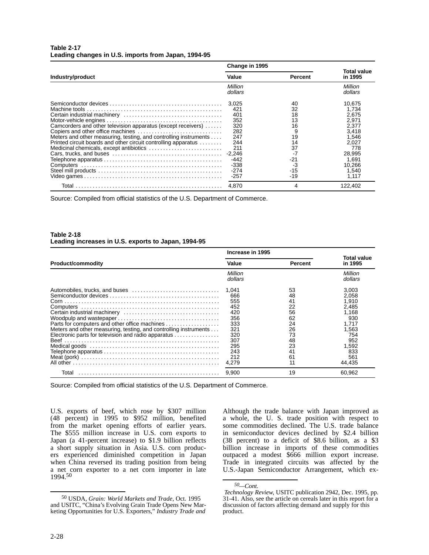### **Table 2-17 Leading changes in U.S. imports from Japan, 1994-95**

|                                                                  | Change in 1995     |         |                        |
|------------------------------------------------------------------|--------------------|---------|------------------------|
| Industry/product                                                 | Value              | Percent | Total value<br>in 1995 |
|                                                                  | Million<br>dollars |         | Million<br>dollars     |
|                                                                  | 3.025              | 40      | 10.675                 |
|                                                                  | 421                | 32      | 1.734                  |
|                                                                  | 401                | 18      | 2.675                  |
|                                                                  | 352                | 13      | 2.971                  |
| Camcorders and other television apparatus (except receivers)     | 320                | 16      | 2,377                  |
|                                                                  | 282                | 9       | 3.418                  |
| Meters and other measuring, testing, and controlling instruments | 247                | 19      | 1.546                  |
| Printed circuit boards and other circuit controlling apparatus   | 244                | 14      | 2,027                  |
|                                                                  | 211                | 37      | 778                    |
|                                                                  |                    | $-7$    | 28,995                 |
|                                                                  | $-442$             | $-21$   | 1.691                  |
|                                                                  | $-338$             | -3      | 10,266                 |
|                                                                  | $-274$             | $-15$   | 1.540                  |
|                                                                  | $-257$             | $-19$   | 1,117                  |
|                                                                  | 4.870              | 4       | 122,402                |

Source: Compiled from official statistics of the U.S. Department of Commerce.

### **Table 2-18 Leading increases in U.S. exports to Japan, 1994-95**

|                                                                                                                         | Increase in 1995                                                                                   |                                                                                  |                                                                                                                   |
|-------------------------------------------------------------------------------------------------------------------------|----------------------------------------------------------------------------------------------------|----------------------------------------------------------------------------------|-------------------------------------------------------------------------------------------------------------------|
| <b>Product/commodity</b>                                                                                                | Value                                                                                              | <b>Percent</b>                                                                   | Total value<br>in 1995                                                                                            |
|                                                                                                                         | Million<br>dollars                                                                                 |                                                                                  | Million<br>dollars                                                                                                |
| Meters and other measuring, testing, and controlling instruments<br>Electronic parts for television and radio apparatus | 1.041<br>666<br>555<br>452<br>420<br>356<br>333<br>321<br>320<br>307<br>295<br>243<br>212<br>4.279 | 53<br>48<br>41<br>22<br>56<br>62<br>24<br>26<br>73<br>48<br>23<br>41<br>61<br>11 | 3,003<br>2.058<br>1.910<br>2.485<br>1,168<br>930<br>1.717<br>1,563<br>754<br>952<br>1,592<br>833<br>561<br>44,435 |
| Total                                                                                                                   | 9.900                                                                                              | 19                                                                               | 60.962                                                                                                            |

Source: Compiled from official statistics of the U.S. Department of Commerce.

U.S. exports of beef, which rose by \$307 million (48 percent) in 1995 to \$952 million, benefited from the market opening efforts of earlier years. The \$555 million increase in U.S. corn exports to Japan (a 41-percent increase) to \$1.9 billion reflects a short supply situation in Asia. U.S. corn producers experienced diminished competition in Japan when China reversed its trading position from being a net corn exporter to a net corn importer in late 1994.50

Although the trade balance with Japan improved as a whole, the U. S. trade position with respect to some commodities declined. The U.S. trade balance in semiconductor devices declined by \$2.4 billion (38 percent) to a deficit of \$8.6 billion, as a \$3 billion increase in imports of these commodities outpaced a modest \$666 million export increase. Trade in integrated circuits was affected by the U.S.-Japan Semiconductor Arrangement, which ex-

<sup>50</sup> USDA, *Grain: World Markets and Trade*, Oct. 1995 and USITC, "China's Evolving Grain Trade Opens New Marketing Opportunities for U.S. Exporters," *Industry Trade and*

*<sup>50—</sup>Cont.*

*Technology Review*, USITC publication 2942, Dec. 1995, pp. 31-41. Also, see the article on cereals later in this report for a discussion of factors affecting demand and supply for this product.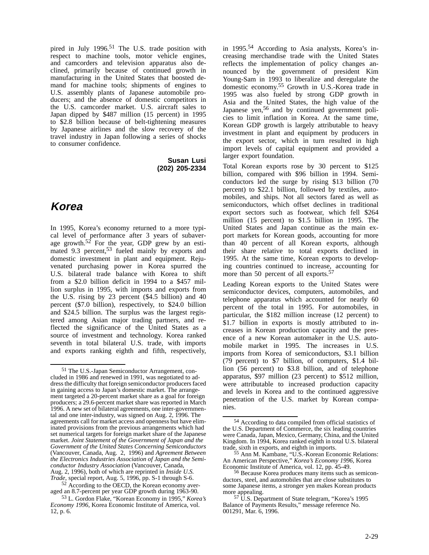pired in July 1996.<sup>51</sup> The U.S. trade position with respect to machine tools, motor vehicle engines, and camcorders and television apparatus also declined, primarily because of continued growth in manufacturing in the United States that boosted demand for machine tools; shipments of engines to U.S. assembly plants of Japanese automobile producers; and the absence of domestic competitors in the U.S. camcorder market. U.S. aircraft sales to Japan dipped by \$487 million (15 percent) in 1995 to \$2.8 billion because of belt-tightening measures by Japanese airlines and the slow recovery of the travel industry in Japan following a series of shocks to consumer confidence.

> **Susan Lusi (202) 205-2334**

## **Korea**

In 1995, Korea's economy returned to a more typical level of performance after 3 years of subaverage growth.<sup>52</sup> For the year, GDP grew by an estimated 9.3 percent,<sup>53</sup> fueled mainly by exports and domestic investment in plant and equipment. Rejuvenated purchasing power in Korea spurred the U.S. bilateral trade balance with Korea to shift from a \$2.0 billion deficit in 1994 to a \$457 million surplus in 1995, with imports and exports from the U.S. rising by 23 percent (\$4.5 billion) and 40 percent (\$7.0 billion), respectively, to \$24.0 billion and \$24.5 billion. The surplus was the largest registered among Asian major trading partners, and reflected the significance of the United States as a source of investment and technology. Korea ranked seventh in total bilateral U.S. trade, with imports and exports ranking eighth and fifth, respectively,

in 1995.54 According to Asia analysts, Korea's increasing merchandise trade with the United States reflects the implementation of policy changes announced by the government of president Kim Young-Sam in 1993 to liberalize and deregulate the domestic economy.55 Growth in U.S.-Korea trade in 1995 was also fueled by strong GDP growth in Asia and the United States, the high value of the Japanese yen,<sup>56</sup> and by continued government policies to limit inflation in Korea. At the same time, Korean GDP growth is largely attributable to heavy investment in plant and equipment by producers in the export sector, which in turn resulted in high import levels of capital equipment and provided a larger export foundation.

Total Korean exports rose by 30 percent to \$125 billion, compared with \$96 billion in 1994. Semiconductors led the surge by rising \$13 billion (70 percent) to \$22.1 billion, followed by textiles, automobiles, and ships. Not all sectors fared as well as semiconductors, which offset declines in traditional export sectors such as footwear, which fell \$264 million (15 percent) to \$1.5 billion in 1995. The United States and Japan continue as the main export markets for Korean goods, accounting for more than 40 percent of all Korean exports, although their share relative to total exports declined in 1995. At the same time, Korean exports to developing countries continued to increase, accounting for more than 50 percent of all exports.<sup>5</sup>

Leading Korean exports to the United States were semiconductor devices, computers, automobiles, and telephone apparatus which accounted for nearly 60 percent of the total in 1995. For automobiles, in particular, the \$182 million increase (12 percent) to \$1.7 billion in exports is mostly attributed to increases in Korean production capacity and the presence of a new Korean automaker in the U.S. automobile market in 1995. The increases in U.S. imports from Korea of semiconductors, \$3.1 billion (79 percent) to \$7 billion, of computers, \$1.4 billion (56 percent) to \$3.8 billion, and of telephone apparatus, \$97 million (23 percent) to \$512 million, were attributable to increased production capacity and levels in Korea and to the continued aggressive penetration of the U.S. market by Korean companies.

<sup>51</sup> The U.S.-Japan Semiconductor Arrangement, concluded in 1986 and renewed in 1991, was negotiated to address the difficulty that foreign semiconductor producers faced in gaining access to Japan's domestic market. The arrangement targeted a 20-percent market share as a goal for foreign producers; a 29.6-percent market share was reported in March 1996. A new set of bilateral agreements, one inter-governmental and one inter-industry, was signed on Aug. 2, 1996. The agreements call for market access and openness but have eliminated provisions from the previous arrangements which had set numerical targets for foreign market share of the Japanese market. *Joint Statement of the Government of Japan and the Government of the United States Concerning Semiconductors* (Vancouver, Canada, Aug. 2, 1996) and *Agreement Between the Electronics Industries Association of Japan and the Semiconductor Industry Association* (Vancouver, Canada, Aug. 2, 1996), both of which are reprinted in *Inside U.S. Trade*, special report, Aug. 5, 1996, pp. S-1 through S-6.

<sup>52</sup> According to the OECD, the Korean economy averaged an 8.7-percent per year GDP growth during 1963-90.

<sup>53</sup> L. Gordon Flake, "Korean Economy in 1995," *Korea's Economy 1996*, Korea Economic Institute of America, vol. 12, p. 6.

<sup>54</sup> According to data compiled from official statistics of the U.S. Department of Commerce, the six leading countries were Canada, Japan, Mexico, Germany, China, and the United Kingdom. In 1994, Korea ranked eighth in total U.S. bilateral

trade, sixth in exports, and eighth in imports. 55 Ann M. Kambane, "U.S.-Korean Economic Relations: An American Perspective," *Korea's Economy 1996*, Korea Economic Institute of America, vol. 12, pp. 45-49.<br><sup>56</sup> Because Korea produces many items such as semicon-

ductors, steel, and automobiles that are close substitutes to some Japanese items, a stronger yen makes Korean products more appealing.<br>
<sup>57</sup> U.S. Department of State telegram, "Korea's 1995

Balance of Payments Results," message reference No. 001291, Mar. 6, 1996.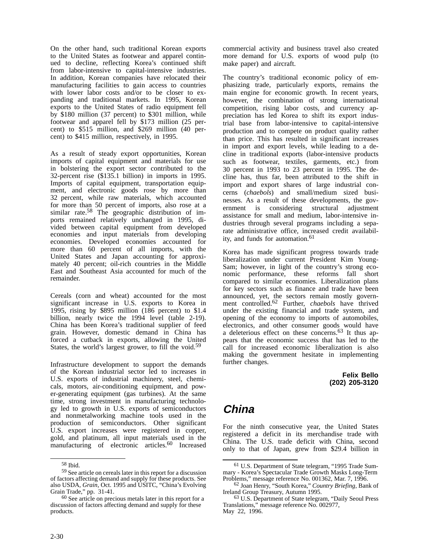On the other hand, such traditional Korean exports to the United States as footwear and apparel continued to decline, reflecting Korea's continued shift from labor-intensive to capital-intensive industries. In addition, Korean companies have relocated their manufacturing facilities to gain access to countries with lower labor costs and/or to be closer to expanding and traditional markets. In 1995, Korean exports to the United States of radio equipment fell by \$180 million (37 percent) to \$301 million, while footwear and apparel fell by \$173 million (25 percent) to \$515 million, and \$269 million (40 percent) to \$415 million, respectively, in 1995.

As a result of steady export opportunities, Korean imports of capital equipment and materials for use in bolstering the export sector contributed to the 32-percent rise (\$135.1 billion) in imports in 1995. Imports of capital equipment, transportation equipment, and electronic goods rose by more than 32 percent, while raw materials, which accounted for more than 50 percent of imports, also rose at a similar rate.<sup>58</sup> The geographic distribution of imports remained relatively unchanged in 1995, divided between capital equipment from developed economies and input materials from developing economies. Developed economies accounted for more than 60 percent of all imports, with the United States and Japan accounting for approximately 40 percent; oil-rich countries in the Middle East and Southeast Asia accounted for much of the remainder.

Cereals (corn and wheat) accounted for the most significant increase in U.S. exports to Korea in 1995, rising by \$895 million (186 percent) to \$1.4 billion, nearly twice the 1994 level (table 2-19). China has been Korea's traditional supplier of feed grain. However, domestic demand in China has forced a cutback in exports, allowing the United States, the world's largest grower, to fill the void.<sup>59</sup>

Infrastructure development to support the demands of the Korean industrial sector led to increases in U.S. exports of industrial machinery, steel, chemicals, motors, air-conditioning equipment, and power-generating equipment (gas turbines). At the same time, strong investment in manufacturing technology led to growth in U.S. exports of semiconductors and nonmetalworking machine tools used in the production of semiconductors. Other significant U.S. export increases were registered in copper, gold, and platinum, all input materials used in the manufacturing of electronic articles.<sup>60</sup> Increased commercial activity and business travel also created more demand for U.S. exports of wood pulp (to make paper) and aircraft.

The country's traditional economic policy of emphasizing trade, particularly exports, remains the main engine for economic growth. In recent years, however, the combination of strong international competition, rising labor costs, and currency appreciation has led Korea to shift its export industrial base from labor-intensive to capital-intensive production and to compete on product quality rather than price. This has resulted in significant increases in import and export levels, while leading to a decline in traditional exports (labor-intensive products such as footwear, textiles, garments, etc.) from 30 percent in 1993 to 23 percent in 1995. The decline has, thus far, been attributed to the shift in import and export shares of large industrial concerns (*chaebols*) and small/medium sized businesses. As a result of these developments, the government is considering structural adjustment assistance for small and medium, labor-intensive industries through several programs including a separate administrative office, increased credit availability, and funds for automation.<sup>61</sup>

Korea has made significant progress towards trade liberalization under current President Kim Young-Sam; however, in light of the country's strong economic performance, these reforms fall short compared to similar economies. Liberalization plans for key sectors such as finance and trade have been announced, yet, the sectors remain mostly government controlled.62 Further, *chaebols* have thrived under the existing financial and trade system, and opening of the economy to imports of automobiles, electronics, and other consumer goods would have a deleterious effect on these concerns.63 It thus appears that the economic success that has led to the call for increased economic liberalization is also making the government hesitate in implementing further changes.

> **Felix Bello (202) 205-3120**

## **China**

For the ninth consecutive year, the United States registered a deficit in its merchandise trade with China. The U.S. trade deficit with China, second only to that of Japan, grew from \$29.4 billion in

<sup>58</sup> Ibid.

<sup>59</sup> See article on cereals later in this report for a discussion of factors affecting demand and supply for these products. See also USDA, *Grain*, Oct. 1995 and USITC, "China's Evolving Grain Trade," pp. 31-41.

<sup>60</sup> See article on precious metals later in this report for a discussion of factors affecting demand and supply for these products.

<sup>61</sup> U.S. Department of State telegram, "1995 Trade Summary - Korea's Spectacular Trade Growth Masks Long-Term Problems," message reference No. 001362, Mar. 7, 1996.

<sup>62</sup> Joan Henry, "South Korea," *Country Briefing*, Bank of Ireland Group Treasury, Autumn 1995.

<sup>63</sup> U.S. Department of State telegram, "Daily Seoul Press Translations," message reference No. 002977, May 22, 1996.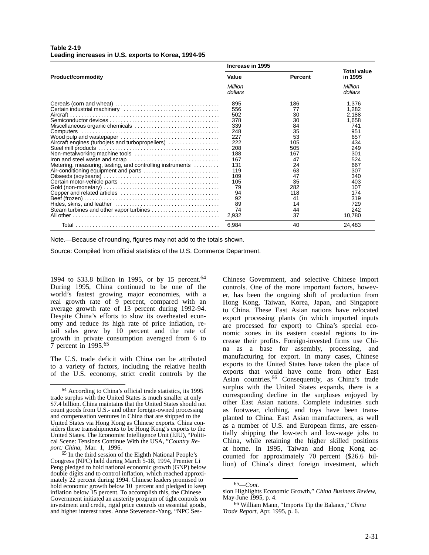| <b>Table 2-19</b>                                   |  |  |
|-----------------------------------------------------|--|--|
| Leading increases in U.S. exports to Korea, 1994-95 |  |  |

|                                                           | Increase in 1995 |                |                               |
|-----------------------------------------------------------|------------------|----------------|-------------------------------|
| <b>Product/commodity</b>                                  | Value            | <b>Percent</b> | <b>Total value</b><br>in 1995 |
|                                                           | Million          |                | Million                       |
|                                                           | dollars          |                | dollars                       |
|                                                           | 895              | 186            | 1,376                         |
|                                                           | 556              | 77             | 1.282                         |
|                                                           | 502              | 30             | 2,188                         |
|                                                           | 378              | 30             | 1,658                         |
| Miscellaneous organic chemicals                           | 339              | 84             | 741                           |
|                                                           | 248              | 35             | 951                           |
|                                                           | 227              | 53             | 657                           |
| Aircraft engines (turbojets and turbopropellers)          | 222              | 105            | 434                           |
|                                                           | 208              | 505            | 249                           |
| Non-metalworking machine tools                            | 188              | 167            | 301                           |
|                                                           | 167              | 47             | 524                           |
| Metering, measuring, testing, and controlling instruments | 131              | 24             | 667                           |
|                                                           | 119              | 63             | 307                           |
|                                                           | 109              | 47             | 340                           |
|                                                           | 105              | 35             | 403                           |
|                                                           | 79               | 282            | 107                           |
|                                                           | 94               | 118            | 174                           |
|                                                           | 92               | 41             | 319                           |
|                                                           | 89               | 14             | 729                           |
| Steam turbines and other vapor turbines                   | 74               | 44             | 242                           |
|                                                           | 2,932            | 37             | 10,780                        |
|                                                           | 6,984            | 40             | 24,483                        |

Note.—Because of rounding, figures may not add to the totals shown.

Source: Compiled from official statistics of the U.S. Commerce Department.

1994 to \$33.8 billion in 1995, or by 15 percent.<sup>64</sup> During 1995, China continued to be one of the world's fastest growing major economies, with a real growth rate of 9 percent, compared with an average growth rate of 13 percent during 1992-94. Despite China's efforts to slow its overheated economy and reduce its high rate of price inflation, retail sales grew by 10 percent and the rate of growth in private consumption averaged from 6 to 7 percent in 1995.65

The U.S. trade deficit with China can be attributed to a variety of factors, including the relative health of the U.S. economy, strict credit controls by the Chinese Government, and selective Chinese import controls. One of the more important factors, however, has been the ongoing shift of production from Hong Kong, Taiwan, Korea, Japan, and Singapore to China. These East Asian nations have relocated export processing plants (in which imported inputs are processed for export) to China's special economic zones in its eastern coastal regions to increase their profits. Foreign-invested firms use China as a base for assembly, processing, and manufacturing for export. In many cases, Chinese exports to the United States have taken the place of exports that would have come from other East Asian countries.<sup>66</sup> Consequently, as China's trade surplus with the United States expands, there is a corresponding decline in the surpluses enjoyed by other East Asian nations. Complete industries such as footwear, clothing, and toys have been transplanted to China. East Asian manufacturers, as well as a number of U.S. and European firms, are essentially shipping the low-tech and low-wage jobs to China, while retaining the higher skilled positions at home. In 1995, Taiwan and Hong Kong accounted for approximately 70 percent (\$26.6 billion) of China's direct foreign investment, which

<sup>64</sup> According to China's official trade statistics, its 1995 trade surplus with the United States is much smaller at only \$7.4 billion. China maintains that the United States should not count goods from U.S.- and other foreign-owned processing and compensation ventures in China that are shipped to the United States via Hong Kong as Chinese exports. China considers these transshipments to be Hong Kong's exports to the United States. The Economist Intelligence Unit (EIU), "Political Scene: Tensions Continue With the USA, "*Country Report: China*, Mar. 1, 1996.

<sup>65</sup> In the third session of the Eighth National People's Congress (NPC) held during March 5-18, 1994, Premier Li Peng pledged to hold national economic growth (GNP) below double digits and to control inflation, which reached approximately 22 percent during 1994. Chinese leaders promised to hold economic growth below 10 percent and pledged to keep inflation below 15 percent. To accomplish this, the Chinese Government initiated an austerity program of tight controls on investment and credit, rigid price controls on essential goods, and higher interest rates. Anne Stevenson-Yang, "NPC Ses-

<sup>65—</sup>*Cont.*

sion Highlights Economic Growth," *China Business Review*, May-June 1995, p. 4.

<sup>66</sup> William Mann, "Imports Tip the Balance," *China Trade Report*, Apr. 1995, p. 6.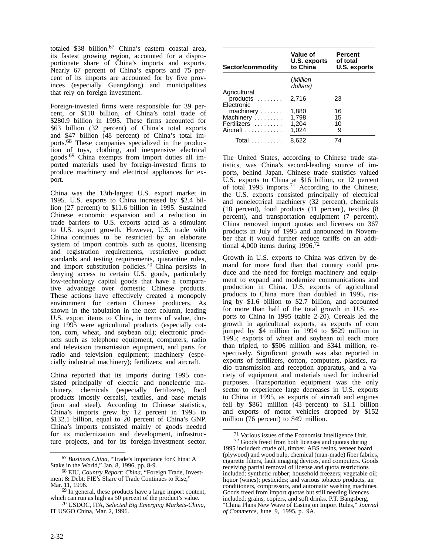totaled \$38 billion.<sup>67</sup> China's eastern coastal area, its fastest growing region, accounted for a disproportionate share of China's imports and exports. Nearly 67 percent of China's exports and 75 percent of its imports are accounted for by five provinces (especially Guangdong) and municipalities that rely on foreign investment.

Foreign-invested firms were responsible for 39 percent. or \$110 billion, of China's total trade of \$280.9 billion in 1995. These firms accounted for \$63 billion (32 percent) of China's total exports and \$47 billion (48 percent) of China's total imports.68 These companies specialized in the production of toys, clothing, and inexpensive electrical goods.69 China exempts from import duties all imported materials used by foreign-invested firms to produce machinery and electrical appliances for export.

China was the 13th-largest U.S. export market in 1995. U.S. exports to China increased by \$2.4 billion (27 percent) to \$11.6 billion in 1995. Sustained Chinese economic expansion and a reduction in trade barriers to U.S. exports acted as a stimulant to U.S. export growth. However, U.S. trade with China continues to be restricted by an elaborate system of import controls such as quotas, licensing and registration requirements, restrictive product standards and testing requirements, quarantine rules, and import substitution policies.70 China persists in denying access to certain U.S. goods, particularly low-technology capital goods that have a comparative advantage over domestic Chinese products. These actions have effectively created a monopoly environment for certain Chinese producers. As shown in the tabulation in the next column, leading U.S. export items to China, in terms of value, during 1995 were agricultural products (especially cotton, corn, wheat, and soybean oil); electronic products such as telephone equipment, computers, radio and television transmission equipment, and parts for radio and television equipment; machinery (especially industrial machinery); fertilizers; and aircraft.

China reported that its imports during 1995 consisted principally of electric and nonelectric machinery, chemicals (especially fertilizers), food products (mostly cereals), textiles, and base metals (iron and steel). According to Chinese statistics, China's imports grew by 12 percent in 1995 to \$132.1 billion, equal to 20 percent of China's GNP. China's imports consisted mainly of goods needed for its modernization and development, infrastructure projects, and for its foreign-investment sector.

| Sector/commodity                                  | Value of<br>U.S. exports<br>to China | <b>Percent</b><br>of total<br><b>U.S. exports</b> |
|---------------------------------------------------|--------------------------------------|---------------------------------------------------|
|                                                   | (Million<br>dollars)                 |                                                   |
| Agricultural<br>products<br>Electronic            | 2.716                                | 23                                                |
| machinery<br>Machinery<br>Fertilizers<br>Aircraft | 1,880<br>1,798<br>1,204<br>1,024     | 16<br>15<br>10<br>9                               |
| Total                                             | 8.622                                | 74                                                |

The United States, according to Chinese trade statistics, was China's second-leading source of imports, behind Japan. Chinese trade statistics valued U.S. exports to China at \$16 billion, or 12 percent of total 1995 imports.<sup>71</sup> According to the Chinese, the U.S. exports consisted principally of electrical and nonelectrical machinery (32 percent), chemicals (18 percent), food products (11 percent), textiles (8 percent), and transportation equipment (7 percent). China removed import quotas and licenses on 367 products in July of 1995 and announced in November that it would further reduce tariffs on an additional 4,000 items during  $1996.<sup>72</sup>$ 

Growth in U.S. exports to China was driven by demand for more food than that country could produce and the need for foreign machinery and equipment to expand and modernize communications and production in China. U.S. exports of agricultural products to China more than doubled in 1995, rising by \$1.6 billion to \$2.7 billion, and accounted for more than half of the total growth in U.S. exports to China in 1995 (table 2-20). Cereals led the growth in agricultural exports, as exports of corn jumped by \$4 million in 1994 to \$629 million in 1995; exports of wheat and soybean oil each more than tripled, to \$506 million and \$341 million, respectively. Significant growth was also reported in exports of fertilizers, cotton, computers, plastics, radio transmission and reception apparatus, and a variety of equipment and materials used for industrial purposes. Transportation equipment was the only sector to experience large decreases in U.S. exports to China in 1995, as exports of aircraft and engines fell by \$861 million (43 percent) to \$1.1 billion and exports of motor vehicles dropped by \$152 million (76 percent) to \$49 million.

<sup>67</sup> *Business China*, "Trade's Importance for China: A Stake in the World," Jan. 8, 1996, pp. 8-9.

<sup>68</sup> EIU, *Country Report: China*, "Foreign Trade, Investment & Debt: FIE's Share of Trade Continues to Rise," Mar. 11, 1996.

<sup>&</sup>lt;sup>69</sup> In general, these products have a large import content, which can run as high as 50 percent of the product's value.

<sup>70</sup> USDOC, ITA, *Selected Big Emerging Markets-China,* IT USGO China, Mar. 2, 1996.

<sup>71</sup> Various issues of the Economist Intelligence Unit.  $72$  Goods freed from both licenses and quotas during

<sup>1995</sup> included: crude oil, timber, ABS resins, veneer board (plywood) and wood pulp, chemical (man-made) fiber fabrics, cigarette filters, fault imaging devices, and computers. Goods receiving partial removal of license and quota restrictions included: synthetic rubber; household freezers; vegetable oil; liquor (wines); pesticides; and various tobacco products, air conditioners, compressors, and automatic washing machines. Goods freed from import quotas but still needing licences included: grains, copiers, and soft drinks. P.T. Bangsberg, "China Plans New Wave of Easing on Import Rules," *Journal of Commerce*, June 9, 1995, p. 9A.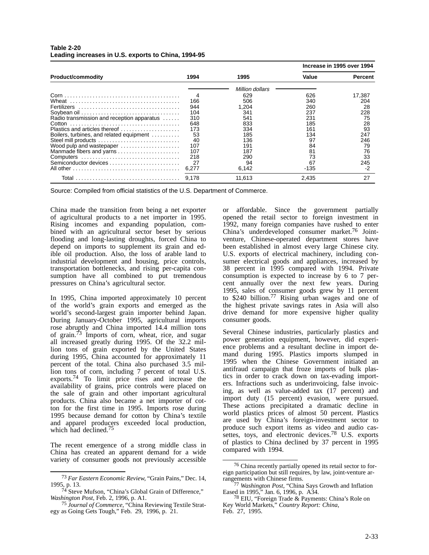|                                            |       |                 | Increase in 1995 over 1994 |         |
|--------------------------------------------|-------|-----------------|----------------------------|---------|
| <b>Product/commodity</b>                   | 1994  | 1995            | Value                      | Percent |
|                                            |       | Million dollars |                            |         |
|                                            |       | 629             | 626                        | 17.387  |
|                                            | 166   | 506             | 340                        | 204     |
|                                            | 944   | 1.204           | 260                        | 28      |
|                                            | 104   | 341             | 237                        | 228     |
| Radio transmission and reception apparatus | 310   | 541             | 231                        | 75      |
|                                            | 648   | 833             | 185                        | 28      |
| Plastics and articles thereof              | 173   | 334             | 161                        | 93      |
| Boilers, turbines, and related equipment   | 53    | 185             | 134                        | 247     |
| Steel mill products                        | 40    | 136             | 97                         | 246     |
| Wood pulp and wastepaper                   | 107   | 191             | 84                         | 79      |
| Manmade fibers and yarns                   | 107   | 187             | 81                         | 76      |
| Computers                                  | 218   | 290             | 73                         | 33      |
|                                            | 27    | 94              | 67                         | 245     |
|                                            | 6,277 | 6,142           | -135                       | -2      |
|                                            | 9.178 | 11.613          | 2.435                      | 27      |

### **Table 2-20 Leading increases in U.S. exports to China, 1994-95**

Source: Compiled from official statistics of the U.S. Department of Commerce.

China made the transition from being a net exporter of agricultural products to a net importer in 1995. Rising incomes and expanding population, combined with an agricultural sector beset by serious flooding and long-lasting droughts, forced China to depend on imports to supplement its grain and edible oil production. Also, the loss of arable land to industrial development and housing, price controls, transportation bottlenecks, and rising per-capita consumption have all combined to put tremendous pressures on China's agricultural sector.

In 1995, China imported approximately 10 percent of the world's grain exports and emerged as the world's second-largest grain importer behind Japan. During January-October 1995, agricultural imports rose abruptly and China imported 14.4 million tons of grain.<sup>73</sup> Imports of corn, wheat, rice, and sugar all increased greatly during 1995. Of the 32.2 million tons of grain exported by the United States during 1995, China accounted for approximately 11 percent of the total. China also purchased 3.5 million tons of corn, including 7 percent of total U.S. exports.<sup>74</sup> To limit price rises and increase the availability of grains, price controls were placed on the sale of grain and other important agricultural products. China also became a net importer of cotton for the first time in 1995. Imports rose during 1995 because demand for cotton by China's textile and apparel producers exceeded local production, which had declined.<sup>75</sup>

The recent emergence of a strong middle class in China has created an apparent demand for a wide variety of consumer goods not previously accessible

or affordable. Since the government partially opened the retail sector to foreign investment in 1992, many foreign companies have rushed to enter China's underdeveloped consumer market.76 Jointventure, Chinese-operated department stores have been established in almost every large Chinese city. U.S. exports of electrical machinery, including consumer electrical goods and appliances, increased by 38 percent in 1995 compared with 1994. Private consumption is expected to increase by 6 to 7 percent annually over the next few years. During 1995, sales of consumer goods grew by 11 percent to \$240 billion.<sup>77</sup> Rising urban wages and one of the highest private savings rates in Asia will also drive demand for more expensive higher quality consumer goods.

Several Chinese industries, particularly plastics and power generation equipment, however, did experience problems and a resultant decline in import demand during 1995. Plastics imports slumped in 1995 when the Chinese Government initiated an antifraud campaign that froze imports of bulk plastics in order to crack down on tax-evading importers. Infractions such as underinvoicing, false invoicing, as well as value-added tax (17 percent) and import duty (15 percent) evasion, were pursued. These actions precipitated a dramatic decline in world plastics prices of almost 50 percent. Plastics are used by China's foreign-investment sector to produce such export items as video and audio cassettes, toys, and electronic devices.<sup>78</sup> U.S. exports of plastics to China declined by 37 percent in 1995 compared with 1994.

<sup>73</sup> *Far Eastern Economic Review*, "Grain Pains," Dec. 14, 1995, p. 13.

<sup>&</sup>lt;sup>74</sup> Steve Mufson, "China's Global Grain of Difference," *Washington Post*, Feb. 2, 1996, p. A1.

<sup>75</sup> *Journal of Commerce*, "China Reviewing Textile Strategy as Going Gets Tough," Feb. 29, 1996, p. 21.

<sup>76</sup> China recently partially opened its retail sector to foreign participation but still requires, by law, joint-venture arrangements with Chinese firms.

<sup>77</sup> *Washington Post*, "China Says Growth and Inflation Eased in 1995," Jan. 6, 1996, p. A34.

<sup>78</sup> EIU, "Foreign Trade & Payments: China's Role on Key World Markets," *Country Report: China*,

Feb. 27, 1995.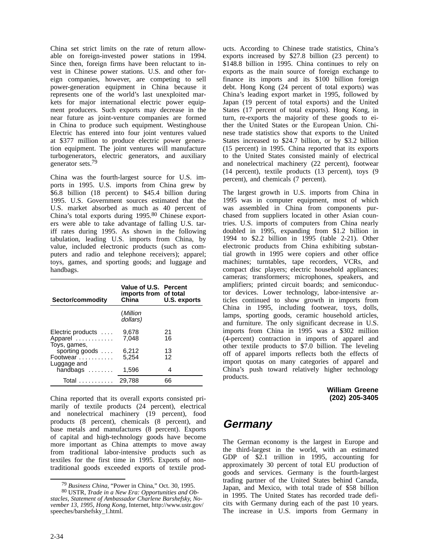China set strict limits on the rate of return allowable on foreign-invested power stations in 1994. Since then, foreign firms have been reluctant to invest in Chinese power stations. U.S. and other foreign companies, however, are competing to sell power-generation equipment in China because it represents one of the world's last unexploited markets for major international electric power equipment producers. Such exports may decrease in the near future as joint-venture companies are formed in China to produce such equipment. Westinghouse Electric has entered into four joint ventures valued at \$377 million to produce electric power generation equipment. The joint ventures will manufacture turbogenerators, electric generators, and auxiliary generator sets.79

China was the fourth-largest source for U.S. imports in 1995. U.S. imports from China grew by \$6.8 billion (18 percent) to \$45.4 billion during 1995. U.S. Government sources estimated that the U.S. market absorbed as much as 40 percent of China's total exports during 1995.80 Chinese exporters were able to take advantage of falling U.S. tariff rates during 1995. As shown in the following tabulation, leading U.S. imports from China, by value, included electronic products (such as computers and radio and telephone receivers); apparel; toys, games, and sporting goods; and luggage and handbags.

| Sector/commodity                                     | Value of U.S. Percent<br>imports from of total<br>China | U.S. exports |
|------------------------------------------------------|---------------------------------------------------------|--------------|
|                                                      | (Million<br>dollars)                                    |              |
| Electric products $\dots$<br>Apparel<br>Toys, games, | 9.678<br>7.048                                          | 21<br>16     |
| sporting goods<br>Footwear<br>Luggage and            | 6.212<br>5.254                                          | 13<br>12     |
| handbags                                             | 1,596                                                   | 4            |
| Total                                                | 29.788                                                  | 66           |

China reported that its overall exports consisted primarily of textile products (24 percent), electrical and nonelectrical machinery (19 percent), food products (8 percent), chemicals (8 percent), and base metals and manufactures (8 percent). Exports of capital and high-technology goods have become more important as China attempts to move away from traditional labor-intensive products such as textiles for the first time in 1995. Exports of nontraditional goods exceeded exports of textile prod-

ucts. According to Chinese trade statistics, China's exports increased by \$27.8 billion (23 percent) to \$148.8 billion in 1995. China continues to rely on exports as the main source of foreign exchange to finance its imports and its \$100 billion foreign debt. Hong Kong (24 percent of total exports) was China's leading export market in 1995, followed by Japan (19 percent of total exports) and the United States (17 percent of total exports). Hong Kong, in turn, re-exports the majority of these goods to either the United States or the European Union. Chinese trade statistics show that exports to the United States increased to \$24.7 billion, or by \$3.2 billion (15 percent) in 1995. China reported that its exports to the United States consisted mainly of electrical and nonelectrical machinery (22 percent), footwear (14 percent), textile products (13 percent), toys (9 percent), and chemicals (7 percent).

The largest growth in U.S. imports from China in 1995 was in computer equipment, most of which was assembled in China from components purchased from suppliers located in other Asian countries. U.S. imports of computers from China nearly doubled in 1995, expanding from \$1.2 billion in 1994 to \$2.2 billion in 1995 (table 2-21). Other electronic products from China exhibiting substantial growth in 1995 were copiers and other office machines; turntables, tape recorders, VCRs, and compact disc players; electric household appliances; cameras; transformers; microphones, speakers, and amplifiers; printed circuit boards; and semiconductor devices. Lower technology, labor-intensive articles continued to show growth in imports from China in 1995, including footwear, toys, dolls, lamps, sporting goods, ceramic household articles, and furniture. The only significant decrease in U.S. imports from China in 1995 was a \$302 million (4-percent) contraction in imports of apparel and other textile products to \$7.0 billion. The leveling off of apparel imports reflects both the effects of import quotas on many categories of apparel and China's push toward relatively higher technology products.

> **William Greene (202) 205-3405**

# **Germany**

The German economy is the largest in Europe and the third-largest in the world, with an estimated GDP of \$2.1 trillion in 1995, accounting for approximately 30 percent of total EU production of goods and services. Germany is the fourth-largest trading partner of the United States behind Canada, Japan, and Mexico, with total trade of \$58 billion in 1995. The United States has recorded trade deficits with Germany during each of the past 10 years. The increase in U.S. imports from Germany in

<sup>79</sup> *Business China*, "Power in China," Oct. 30, 1995.

<sup>80</sup> USTR, *Trade in a New Era: Opportunities and Obstacles, Statement of Ambassador Charlene Barshefsky, November 13, 1995, Hong Kong,* Internet, http://www.ustr.gov/ speeches/barshefsky\_1.html.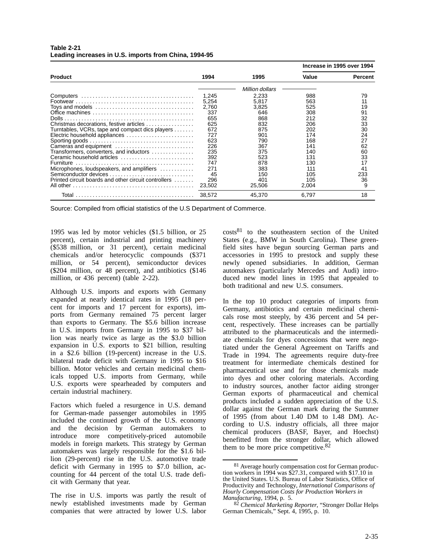|                                                      |        |                 |       | Increase in 1995 over 1994 |
|------------------------------------------------------|--------|-----------------|-------|----------------------------|
| <b>Product</b>                                       | 1994   | 1995            | Value | Percent                    |
|                                                      |        | Million dollars |       |                            |
|                                                      | 1,245  | 2,233           | 988   | 79                         |
|                                                      | 5,254  | 5,817           | 563   | 11                         |
|                                                      | 2,760  | 3,825           | 525   | 19                         |
|                                                      | 337    | 646             | 308   | 91                         |
|                                                      | 655    | 868             | 212   | 32                         |
| Christmas decorations, festive articles              | 625    | 832             | 206   | 33                         |
| Turntables, VCRs, tape and compact dics players      | 672    | 875             | 202   | 30                         |
| Electric household appliances                        | 727    | 901             | 174   | 24                         |
|                                                      | 623    | 790             | 168   | 27                         |
| Cameras and equipment                                | 226    | 367             | 141   | 62                         |
| Transformers, converters, and inductors              | 235    | 375             | 140   | 60                         |
| Ceramic household articles                           | 392    | 523             | 131   | 33                         |
|                                                      | 747    | 878             | 130   | 17                         |
| Microphones, loudspeakers, and amplifiers            | 271    | 383             | 111   | 41                         |
|                                                      | 45     | 150             | 105   | 233                        |
| Printed circuit boards and other circuit controllers | 296    | 401             | 105   | 36                         |
|                                                      | 23,502 | 25,506          | 2,004 | 9                          |
|                                                      | 38,572 | 45,370          | 6,797 | 18                         |

### **Table 2-21 Leading increases in U.S. imports from China, 1994-95**

Source: Compiled from official statistics of the U.S Department of Commerce.

1995 was led by motor vehicles (\$1.5 billion, or 25 percent), certain industrial and printing machinery (\$538 million, or 31 percent), certain medicinal chemicals and/or heterocyclic compounds (\$371 million, or 54 percent), semiconductor devices (\$204 million, or 48 percent), and antibiotics (\$146 million, or 436 percent) (table 2-22).

Although U.S. imports and exports with Germany expanded at nearly identical rates in 1995 (18 percent for imports and 17 percent for exports), imports from Germany remained 75 percent larger than exports to Germany. The \$5.6 billion increase in U.S. imports from Germany in 1995 to \$37 billion was nearly twice as large as the \$3.0 billion expansion in U.S. exports to \$21 billion, resulting in a \$2.6 billion (19-percent) increase in the U.S. bilateral trade deficit with Germany in 1995 to \$16 billion. Motor vehicles and certain medicinal chemicals topped U.S. imports from Germany, while U.S. exports were spearheaded by computers and certain industrial machinery.

Factors which fueled a resurgence in U.S. demand for German-made passenger automobiles in 1995 included the continued growth of the U.S. economy and the decision by German automakers to introduce more competitively-priced automobile models in foreign markets. This strategy by German automakers was largely responsible for the \$1.6 billion (29-percent) rise in the U.S. automotive trade deficit with Germany in 1995 to \$7.0 billion, accounting for 44 percent of the total U.S. trade deficit with Germany that year.

The rise in U.S. imports was partly the result of newly established investments made by German companies that were attracted by lower U.S. labor

costs81 to the southeastern section of the United States (e.g., BMW in South Carolina). These greenfield sites have begun sourcing German parts and accessories in 1995 to prestock and supply these newly opened subsidiaries. In addition, German automakers (particularly Mercedes and Audi) introduced new model lines in 1995 that appealed to both traditional and new U.S. consumers.

In the top 10 product categories of imports from Germany, antibiotics and certain medicinal chemicals rose most steeply, by 436 percent and 54 percent, respectively. These increases can be partially attributed to the pharmaceuticals and the intermediate chemicals for dyes concessions that were negotiated under the General Agreement on Tariffs and Trade in 1994. The agreements require duty-free treatment for intermediate chemicals destined for pharmaceutical use and for those chemicals made into dyes and other coloring materials. According to industry sources, another factor aiding stronger German exports of pharmaceutical and chemical products included a sudden appreciation of the U.S. dollar against the German mark during the Summer of 1995 (from about 1.40 DM to 1.48 DM). According to U.S. industry officials, all three major chemical producers (BASF, Bayer, and Hoechst) benefitted from the stronger dollar, which allowed them to be more price competitive.<sup>82</sup>

<sup>81</sup> Average hourly compensation cost for German production workers in 1994 was \$27.31, compared with \$17.10 in the United States. U.S. Bureau of Labor Statistics, Office of Productivity and Technology, *International Comparisons of Hourly Compensation Costs for Production Workers in Manufacturing*, 1994, p. 5.

<sup>82</sup> *Chemical Marketing Reporter*, "Stronger Dollar Helps German Chemicals," Sept. 4, 1995, p. 10.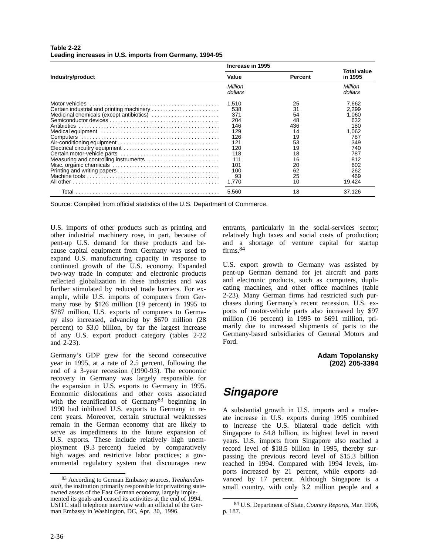|                                                                                                                                               | Increase in 1995                                                                                |                                                                                   |                                                                                                        |
|-----------------------------------------------------------------------------------------------------------------------------------------------|-------------------------------------------------------------------------------------------------|-----------------------------------------------------------------------------------|--------------------------------------------------------------------------------------------------------|
| Industry/product                                                                                                                              | Value                                                                                           | <b>Percent</b>                                                                    | Total value<br>in 1995                                                                                 |
|                                                                                                                                               | Million<br>dollars                                                                              |                                                                                   | Million<br>dollars                                                                                     |
| Certain industrial and printing machinery<br>Medicinal chemicals (except antibiotics)<br>Antibiotics<br>Measuring and controlling instruments | 1.510<br>538<br>371<br>204<br>146<br>129<br>126<br>121<br>120<br>118<br>111<br>101<br>100<br>93 | 25<br>31<br>54<br>48<br>436<br>14<br>19<br>53<br>19<br>18<br>16<br>20<br>62<br>25 | 7,662<br>2.299<br>1,060<br>632<br>180<br>1,062<br>787<br>349<br>740<br>787<br>812<br>602<br>262<br>469 |
|                                                                                                                                               | 1.770<br>5,560                                                                                  | 10<br>18                                                                          | 19,424<br>37,126                                                                                       |

**Table 2-22 Leading increases in U.S. imports from Germany, 1994-95**

Source: Compiled from official statistics of the U.S. Department of Commerce.

U.S. imports of other products such as printing and other industrial machinery rose, in part, because of pent-up U.S. demand for these products and because capital equipment from Germany was used to expand U.S. manufacturing capacity in response to continued growth of the U.S. economy. Expanded two-way trade in computer and electronic products reflected globalization in these industries and was further stimulated by reduced trade barriers. For example, while U.S. imports of computers from Germany rose by \$126 million (19 percent) in 1995 to \$787 million, U.S. exports of computers to Germany also increased, advancing by \$670 million (28 percent) to \$3.0 billion, by far the largest increase of any U.S. export product category (tables 2-22 and 2-23).

Germany's GDP grew for the second consecutive year in 1995, at a rate of 2.5 percent, following the end of a 3-year recession (1990-93). The economic recovery in Germany was largely responsible for the expansion in U.S. exports to Germany in 1995. Economic dislocations and other costs associated with the reunification of Germany<sup>83</sup> beginning in 1990 had inhibited U.S. exports to Germany in recent years. Moreover, certain structural weaknesses remain in the German economy that are likely to serve as impediments to the future expansion of U.S. exports. These include relatively high unemployment (9.3 percent) fueled by comparatively high wages and restrictive labor practices; a governmental regulatory system that discourages new

entrants, particularly in the social-services sector; relatively high taxes and social costs of production; and a shortage of venture capital for startup firms.<sup>84</sup>

U.S. export growth to Germany was assisted by pent-up German demand for jet aircraft and parts and electronic products, such as computers, duplicating machines, and other office machines (table 2-23). Many German firms had restricted such purchases during Germany's recent recession. U.S. exports of motor-vehicle parts also increased by \$97 million (16 percent) in 1995 to \$691 million, primarily due to increased shipments of parts to the Germany-based subsidiaries of General Motors and Ford.

> **Adam Topolansky (202) 205-3394**

# **Singapore**

A substantial growth in U.S. imports and a moderate increase in U.S. exports during 1995 combined to increase the U.S. bilateral trade deficit with Singapore to \$4.8 billion, its highest level in recent years. U.S. imports from Singapore also reached a record level of \$18.5 billion in 1995, thereby surpassing the previous record level of \$15.3 billion reached in 1994. Compared with 1994 levels, imports increased by 21 percent, while exports advanced by 17 percent. Although Singapore is a small country, with only 3.2 million people and a

<sup>83</sup> According to German Embassy sources, *Treuhandanstalt*, the institution primarily responsible for privatizing stateowned assets of the East German economy, largely implemented its goals and ceased its activities at the end of 1994. USITC staff telephone interview with an official of the German Embassy in Washington, DC, Apr. 30, 1996.

<sup>84</sup> U.S. Department of State, *Country Reports*, Mar. 1996, p. 187.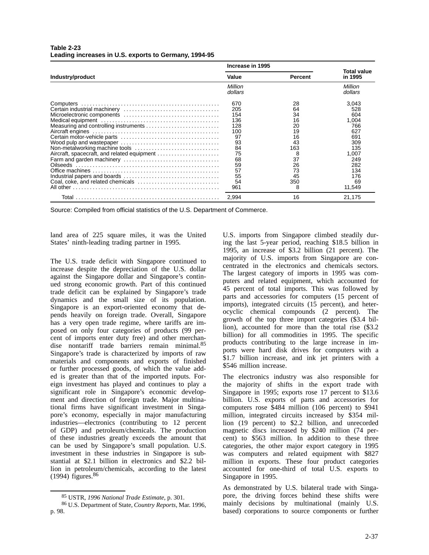|                                                                                                                        | Increase in 1995                                                                             |                                                                                         |                                                                                                            |
|------------------------------------------------------------------------------------------------------------------------|----------------------------------------------------------------------------------------------|-----------------------------------------------------------------------------------------|------------------------------------------------------------------------------------------------------------|
| Industry/product                                                                                                       | Value                                                                                        | <b>Percent</b>                                                                          | Total value<br>in 1995                                                                                     |
|                                                                                                                        | Million<br>dollars                                                                           |                                                                                         | Million<br>dollars                                                                                         |
| Measuring and controlling instruments<br>Non-metalworking machine tools<br>Aircraft, spacecraft, and related equipment | 670<br>205<br>154<br>136<br>128<br>100<br>97<br>93<br>84<br>75<br>68<br>59<br>57<br>55<br>54 | 28<br>64<br>34<br>16<br>20<br>19<br>16<br>43<br>163<br>8<br>37<br>26<br>73<br>45<br>350 | 3,043<br>528<br>604<br>1,004<br>766<br>627<br>691<br>309<br>135<br>1,007<br>249<br>282<br>134<br>176<br>69 |
| Coal, coke, and related chemicals                                                                                      | 961<br>2.994                                                                                 | 8<br>16                                                                                 | 11,549<br>21.175                                                                                           |

### **Table 2-23 Leading increases in U.S. exports to Germany, 1994-95**

Source: Compiled from official statistics of the U.S. Department of Commerce.

land area of 225 square miles, it was the United States' ninth-leading trading partner in 1995.

The U.S. trade deficit with Singapore continued to increase despite the depreciation of the U.S. dollar against the Singapore dollar and Singapore's continued strong economic growth. Part of this continued trade deficit can be explained by Singapore's trade dynamics and the small size of its population. Singapore is an export-oriented economy that depends heavily on foreign trade. Overall, Singapore has a very open trade regime, where tariffs are imposed on only four categories of products (99 percent of imports enter duty free) and other merchandise nontariff trade barriers remain minimal.<sup>85</sup> Singapore's trade is characterized by imports of raw materials and components and exports of finished or further processed goods, of which the value added is greater than that of the imported inputs. Foreign investment has played and continues to play a significant role in Singapore's economic development and direction of foreign trade. Major multinational firms have significant investment in Singapore's economy, especially in major manufacturing industries—electronics (contributing to 12 percent of GDP) and petroleum/chemicals. The production of these industries greatly exceeds the amount that can be used by Singapore's small population. U.S. investment in these industries in Singapore is substantial at \$2.1 billion in electronics and \$2.2 billion in petroleum/chemicals, according to the latest  $(1994)$  figures.<sup>86</sup>

U.S. imports from Singapore climbed steadily during the last 5-year period, reaching \$18.5 billion in 1995, an increase of \$3.2 billion (21 percent). The majority of U.S. imports from Singapore are concentrated in the electronics and chemicals sectors. The largest category of imports in 1995 was computers and related equipment, which accounted for 45 percent of total imports. This was followed by parts and accessories for computers (15 percent of imports), integrated circuits (15 percent), and heterocyclic chemical compounds (2 percent). The growth of the top three import categories (\$3.4 billion), accounted for more than the total rise (\$3.2 billion) for all commodities in 1995. The specific products contributing to the large increase in imports were hard disk drives for computers with a \$1.7 billion increase, and ink jet printers with a \$546 million increase.

The electronics industry was also responsible for the majority of shifts in the export trade with Singapore in 1995; exports rose 17 percent to \$13.6 billion. U.S. exports of parts and accessories for computers rose \$484 million (106 percent) to \$941 million, integrated circuits increased by \$354 million (19 percent) to \$2.2 billion, and unrecorded magnetic discs increased by \$240 million (74 percent) to \$563 million. In addition to these three categories, the other major export category in 1995 was computers and related equipment with \$827 million in exports. These four product categories accounted for one-third of total U.S. exports to Singapore in 1995.

As demonstrated by U.S. bilateral trade with Singapore, the driving forces behind these shifts were mainly decisions by multinational (mainly U.S. based) corporations to source components or further

<sup>85</sup> USTR, *1996 National Trade Estimate*, p. 301.

<sup>86</sup> U.S. Department of State, *Country Reports*, Mar. 1996, p. 98.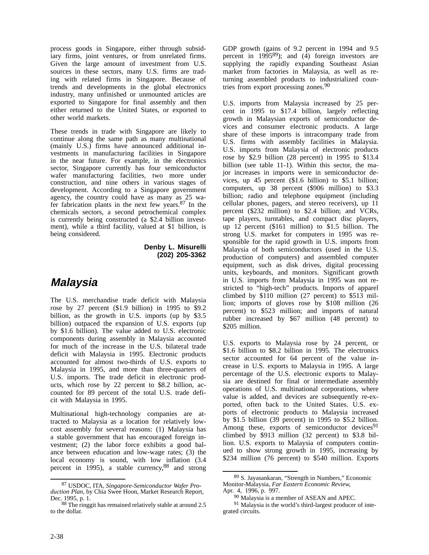process goods in Singapore, either through subsidiary firms, joint ventures, or from unrelated firms. Given the large amount of investment from U.S. sources in these sectors, many U.S. firms are trading with related firms in Singapore. Because of trends and developments in the global electronics industry, many unfinished or unmounted articles are exported to Singapore for final assembly and then either returned to the United States, or exported to other world markets.

These trends in trade with Singapore are likely to continue along the same path as many multinational (mainly U.S.) firms have announced additional investments in manufacturing facilities in Singapore in the near future. For example, in the electronics sector, Singapore currently has four semiconductor wafer manufacturing facilities, two more under construction, and nine others in various stages of development. According to a Singapore government agency, the country could have as many as 25 wafer fabrication plants in the next few years.87 In the chemicals sectors, a second petrochemical complex is currently being constructed (a \$2.4 billion investment), while a third facility, valued at \$1 billion, is being considered.

> **Denby L. Misurelli (202) 205-3362**

## **Malaysia**

The U.S. merchandise trade deficit with Malaysia rose by 27 percent (\$1.9 billion) in 1995 to \$9.2 billion, as the growth in U.S. imports (up by \$3.5 billion) outpaced the expansion of U.S. exports (up by \$1.6 billion). The value added to U.S. electronic components during assembly in Malaysia accounted for much of the increase in the U.S. bilateral trade deficit with Malaysia in 1995. Electronic products accounted for almost two-thirds of U.S. exports to Malaysia in 1995, and more than three-quarters of U.S. imports. The trade deficit in electronic products, which rose by 22 percent to \$8.2 billion, accounted for 89 percent of the total U.S. trade deficit with Malaysia in 1995.

Multinational high-technology companies are attracted to Malaysia as a location for relatively lowcost assembly for several reasons: (1) Malaysia has a stable government that has encouraged foreign investment; (2) the labor force exhibits a good balance between education and low-wage rates; (3) the local economy is sound, with low inflation (3.4 percent in 1995), a stable currency,88 and strong GDP growth (gains of 9.2 percent in 1994 and 9.5 percent in 1995<sup>89</sup>); and  $(4)$  foreign investors are supplying the rapidly expanding Southeast Asian market from factories in Malaysia, as well as returning assembled products to industrialized countries from export processing zones.<sup>90</sup>

U.S. imports from Malaysia increased by 25 percent in 1995 to \$17.4 billion, largely reflecting growth in Malaysian exports of semiconductor devices and consumer electronic products. A large share of these imports is intracompany trade from U.S. firms with assembly facilities in Malaysia. U.S. imports from Malaysia of electronic products rose by \$2.9 billion (28 percent) in 1995 to \$13.4 billion (see table 11-1). Within this sector, the major increases in imports were in semiconductor devices, up 45 percent (\$1.6 billion) to \$5.1 billion; computers, up 38 percent (\$906 million) to \$3.3 billion; radio and telephone equipment (including cellular phones, pagers, and stereo receivers), up 11 percent (\$232 million) to \$2.4 billion; and VCRs, tape players, turntables, and compact disc players, up 12 percent (\$161 million) to \$1.5 billion. The strong U.S. market for computers in 1995 was responsible for the rapid growth in U.S. imports from Malaysia of both semiconductors (used in the U.S. production of computers) and assembled computer equipment, such as disk drives, digital processing units, keyboards, and monitors. Significant growth in U.S. imports from Malaysia in 1995 was not restricted to "high-tech" products. Imports of apparel climbed by \$110 million (27 percent) to \$513 million; imports of gloves rose by \$108 million (26 percent) to \$523 million; and imports of natural rubber increased by \$67 million (48 percent) to \$205 million.

U.S. exports to Malaysia rose by 24 percent, or \$1.6 billion to \$8.2 billion in 1995. The electronics sector accounted for 64 percent of the value increase in U.S. exports to Malaysia in 1995. A large percentage of the U.S. electronic exports to Malaysia are destined for final or intermediate assembly operations of U.S. multinational corporations, where value is added, and devices are subsequently re-exported, often back to the United States. U.S. exports of electronic products to Malaysia increased by \$1.5 billion (39 percent) in 1995 to \$5.2 billion. Among these, exports of semiconductor devices<sup>91</sup> climbed by \$913 million (32 percent) to \$3.8 billion. U.S. exports to Malaysia of computers continued to show strong growth in 1995, increasing by \$234 million (76 percent) to \$540 million. Exports

<sup>87</sup> USDOC, ITA, *Singapore-Semiconductor Wafer Production Plan*, by Chia Swee Hoon, Market Research Report, Dec. 1995, p. 1.

<sup>88</sup> The ringgit has remained relatively stable at around 2.5 to the dollar.

<sup>89</sup> S. Jayasankaran, "Strength in Numbers," Economic Monitor-Malaysia, *Far Eastern Economic Review*, Apr. 4, 1996, p. 997.

<sup>90</sup> Malaysia is a member of ASEAN and APEC.

<sup>91</sup> Malaysia is the world's third-largest producer of integrated circuits.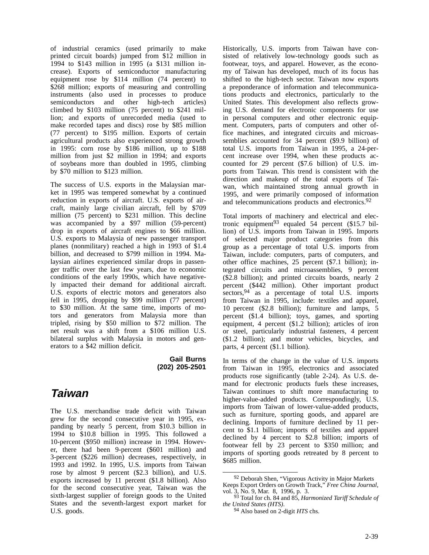of industrial ceramics (used primarily to make printed circuit boards) jumped from \$12 million in 1994 to \$143 million in 1995 (a \$131 million increase). Exports of semiconductor manufacturing equipment rose by \$114 million (74 percent) to \$268 million; exports of measuring and controlling instruments (also used in processes to produce semiconductors and other high-tech articles) climbed by \$103 million (75 percent) to \$241 million; and exports of unrecorded media (used to make recorded tapes and discs) rose by \$85 million (77 percent) to \$195 million. Exports of certain agricultural products also experienced strong growth in 1995: corn rose by \$186 million, up to \$188 million from just \$2 million in 1994; and exports of soybeans more than doubled in 1995, climbing by \$70 million to \$123 million.

The success of U.S. exports in the Malaysian market in 1995 was tempered somewhat by a continued reduction in exports of aircraft. U.S. exports of aircraft, mainly large civilian aircraft, fell by \$709 million (75 percent) to \$231 million. This decline was accompanied by a \$97 million (59-percent) drop in exports of aircraft engines to \$66 million. U.S. exports to Malaysia of new passenger transport planes (nonmilitary) reached a high in 1993 of \$1.4 billion, and decreased to \$799 million in 1994. Malaysian airlines experienced similar drops in passenger traffic over the last few years, due to economic conditions of the early 1990s, which have negatively impacted their demand for additional aircraft. U.S. exports of electric motors and generators also fell in 1995, dropping by \$99 million (77 percent) to \$30 million. At the same time, imports of motors and generators from Malaysia more than tripled, rising by \$50 million to \$72 million. The net result was a shift from a \$106 million U.S. bilateral surplus with Malaysia in motors and generators to a \$42 million deficit.

> **Gail Burns (202) 205-2501**

# **Taiwan**

The U.S. merchandise trade deficit with Taiwan grew for the second consecutive year in 1995, expanding by nearly 5 percent, from \$10.3 billion in 1994 to \$10.8 billion in 1995. This followed a 10-percent (\$950 million) increase in 1994. However, there had been 9-percent (\$601 million) and 3-percent (\$226 million) decreases, respectively, in 1993 and 1992. In 1995, U.S. imports from Taiwan rose by almost 9 percent (\$2.3 billion), and U.S. exports increased by 11 percent (\$1.8 billion). Also for the second consecutive year, Taiwan was the sixth-largest supplier of foreign goods to the United States and the seventh-largest export market for U.S. goods.

Historically, U.S. imports from Taiwan have consisted of relatively low-technology goods such as footwear, toys, and apparel. However, as the economy of Taiwan has developed, much of its focus has shifted to the high-tech sector. Taiwan now exports a preponderance of information and telecommunications products and electronics, particularly to the United States. This development also reflects growing U.S. demand for electronic components for use in personal computers and other electronic equipment. Computers, parts of computers and other office machines, and integrated circuits and microassemblies accounted for 34 percent (\$9.9 billion) of total U.S. imports from Taiwan in 1995, a 24-percent increase over 1994, when these products accounted for 29 percent (\$7.6 billion) of U.S. imports from Taiwan. This trend is consistent with the direction and makeup of the total exports of Taiwan, which maintained strong annual growth in 1995, and were primarily composed of information and telecommunications products and electronics.92

Total imports of machinery and electrical and electronic equipment<sup>93</sup> equaled 54 percent  $(\$15.7$  billion) of U.S. imports from Taiwan in 1995. Imports of selected major product categories from this group as a percentage of total U.S. imports from Taiwan, include: computers, parts of computers, and other office machines, 25 percent (\$7.1 billion); integrated circuits and microassemblies, 9 percent (\$2.8 billion); and printed circuits boards, nearly 2 percent (\$442 million). Other important product sectors, <sup>94</sup> as a percentage of total U.S. imports from Taiwan in 1995, include: textiles and apparel, 10 percent (\$2.8 billion); furniture and lamps, 5 percent (\$1.4 billion); toys, games, and sporting equipment, 4 percent (\$1.2 billion); articles of iron or steel, particularly industrial fasteners, 4 percent (\$1.2 billion); and motor vehicles, bicycles, and parts, 4 percent (\$1.1 billion).

In terms of the change in the value of U.S. imports from Taiwan in 1995, electronics and associated products rose significantly (table 2-24). As U.S. demand for electronic products fuels these increases, Taiwan continues to shift more manufacturing to higher-value-added products. Correspondingly, U.S. imports from Taiwan of lower-value-added products, such as furniture, sporting goods, and apparel are declining. Imports of furniture declined by 11 percent to \$1.1 billion; imports of textiles and apparel declined by 4 percent to \$2.8 billion; imports of footwear fell by 23 percent to \$350 million; and imports of sporting goods retreated by 8 percent to \$685 million.

<sup>&</sup>lt;sup>92</sup> Deborah Shen, "Vigorous Activity in Major Markets Keeps Export Orders on Growth Track," *Free China Journal*, vol. 3, No. 9, Mar. 8, 1996, p. 3.

<sup>93</sup> Total for ch. 84 and 85, *Harmonized Tariff Schedule of*

*the United States (HTS)*. 94 Also based on 2-digit *HTS* chs.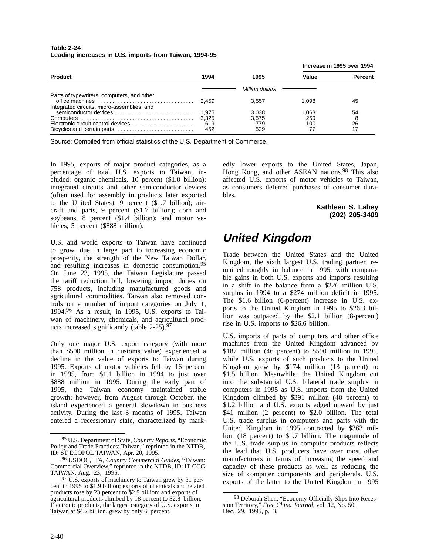| Table 2-24                                             |  |
|--------------------------------------------------------|--|
| Leading increases in U.S. imports from Taiwan, 1994-95 |  |

|                                                                                          |       |                 | Increase in 1995 over 1994 |                |  |
|------------------------------------------------------------------------------------------|-------|-----------------|----------------------------|----------------|--|
| <b>Product</b>                                                                           | 1994  | 1995            | Value                      | <b>Percent</b> |  |
|                                                                                          |       | Million dollars |                            |                |  |
| Parts of typewriters, computers, and other<br>Integrated circuits, micro-assemblies, and | 2.459 | 3.557           | 1.098                      | 45             |  |
| semiconductor devices                                                                    | 1.975 | 3,038           | 1.063                      | 54             |  |
|                                                                                          | 3.325 | 3.575           | 250                        | 8              |  |
| Electronic circuit control devices                                                       | 619   | 779             | 100                        | 26             |  |
| Bicycles and certain parts                                                               | 452   | 529             | 77                         | 17             |  |

Source: Compiled from official statistics of the U.S. Department of Commerce.

In 1995, exports of major product categories, as a percentage of total U.S. exports to Taiwan, included: organic chemicals, 10 percent (\$1.8 billion); integrated circuits and other semiconductor devices (often used for assembly in products later exported to the United States), 9 percent (\$1.7 billion); aircraft and parts, 9 percent (\$1.7 billion); corn and soybeans, 8 percent (\$1.4 billion); and motor vehicles, 5 percent (\$888 million).

U.S. and world exports to Taiwan have continued to grow, due in large part to increasing economic prosperity, the strength of the New Taiwan Dollar, and resulting increases in domestic consumption.95 On June 23, 1995, the Taiwan Legislature passed the tariff reduction bill, lowering import duties on 758 products, including manufactured goods and agricultural commodities. Taiwan also removed controls on a number of import categories on July 1, 1994.96 As a result, in 1995, U.S. exports to Taiwan of machinery, chemicals, and agricultural products increased significantly (table  $2-25$ ).<sup>97</sup>

Only one major U.S. export category (with more than \$500 million in customs value) experienced a decline in the value of exports to Taiwan during 1995. Exports of motor vehicles fell by 16 percent in 1995, from \$1.1 billion in 1994 to just over \$888 million in 1995. During the early part of 1995, the Taiwan economy maintained stable growth; however, from August through October, the island experienced a general slowdown in business activity. During the last 3 months of 1995, Taiwan entered a recessionary state, characterized by mark-

edly lower exports to the United States, Japan, Hong Kong, and other ASEAN nations.<sup>98</sup> This also affected U.S. exports of motor vehicles to Taiwan, as consumers deferred purchases of consumer durables.

> **Kathleen S. Lahey (202) 205-3409**

# **United Kingdom**

Trade between the United States and the United Kingdom, the sixth largest U.S. trading partner, remained roughly in balance in 1995, with comparable gains in both U.S. exports and imports resulting in a shift in the balance from a \$226 million U.S. surplus in 1994 to a \$274 million deficit in 1995. The \$1.6 billion (6-percent) increase in U.S. exports to the United Kingdom in 1995 to \$26.3 billion was outpaced by the \$2.1 billion (8-percent) rise in U.S. imports to \$26.6 billion.

U.S. imports of parts of computers and other office machines from the United Kingdom advanced by \$187 million (46 percent) to \$590 million in 1995, while U.S. exports of such products to the United Kingdom grew by \$174 million (13 percent) to \$1.5 billion. Meanwhile, the United Kingdom cut into the substantial U.S. bilateral trade surplus in computers in 1995 as U.S. imports from the United Kingdom climbed by \$391 million (48 percent) to \$1.2 billion and U.S. exports edged upward by just \$41 million (2 percent) to \$2.0 billion. The total U.S. trade surplus in computers and parts with the United Kingdom in 1995 contracted by \$363 million (18 percent) to \$1.7 billion. The magnitude of the U.S. trade surplus in computer products reflects the lead that U.S. producers have over most other manufacturers in terms of increasing the speed and capacity of these products as well as reducing the size of computer components and peripherals. U.S. exports of the latter to the United Kingdom in 1995

<sup>95</sup> U.S. Department of State, *Country Reports*, "Economic Policy and Trade Practices: Taiwan," reprinted in the NTDB, ID: ST ECOPOL TAIWAN, Apr. 20, 1995.

<sup>96</sup> USDOC, ITA, *Country Commercial Guides*, "Taiwan: Commercial Overview," reprinted in the NTDB, ID: IT CCG TAIWAN, Aug. 23, 1995.

<sup>97</sup> U.S. exports of machinery to Taiwan grew by 31 percent in 1995 to \$1.9 billion; exports of chemicals and related products rose by 23 percent to \$2.9 billion; and exports of agricultural products climbed by 18 percent to \$2.8 billion. Electronic products, the largest category of U.S. exports to Taiwan at \$4.2 billion, grew by only 6 percent.

<sup>98</sup> Deborah Shen, "Economy Officially Slips Into Recession Territory," *Free China Journal*, vol. 12, No. 50, Dec. 29, 1995, p. 3.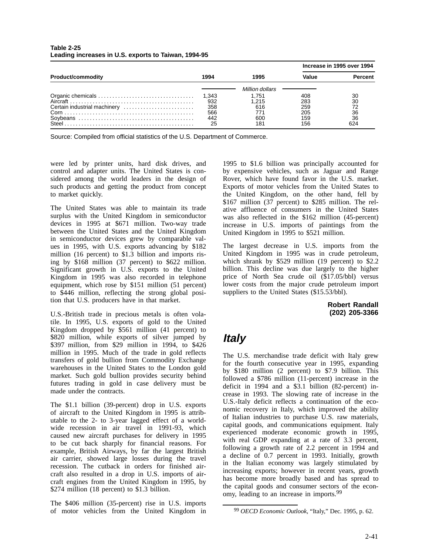|                              |       |                 |       | Increase in 1995 over 1994 |
|------------------------------|-------|-----------------|-------|----------------------------|
| <b>Product/commodity</b>     | 1994  | 1995            | Value | <b>Percent</b>             |
|                              |       | Million dollars |       |                            |
|                              | 1,343 | 1.751           | 408   | 30                         |
|                              | 932   | 1.215           | 283   | 30                         |
| Certain industrial machinery | 358   | 616             | 259   | 72                         |
|                              | 566   | 771             | 205   | 36                         |
|                              | 442   | 600             | 159   | 36                         |
|                              | 25    | 181             | 156   | 624                        |

### **Table 2-25 Leading increases in U.S. exports to Taiwan, 1994-95**

Source: Compiled from official statistics of the U.S. Department of Commerce.

were led by printer units, hard disk drives, and control and adapter units. The United States is considered among the world leaders in the design of such products and getting the product from concept to market quickly.

The United States was able to maintain its trade surplus with the United Kingdom in semiconductor devices in 1995 at \$671 million. Two-way trade between the United States and the United Kingdom in semiconductor devices grew by comparable values in 1995, with U.S. exports advancing by \$182 million (16 percent) to \$1.3 billion and imports rising by \$168 million (37 percent) to \$622 million. Significant growth in U.S. exports to the United Kingdom in 1995 was also recorded in telephone equipment, which rose by \$151 million (51 percent) to \$446 million, reflecting the strong global position that U.S. producers have in that market.

U.S.-British trade in precious metals is often volatile. In 1995, U.S. exports of gold to the United Kingdom dropped by \$561 million (41 percent) to \$820 million, while exports of silver jumped by \$397 million, from \$29 million in 1994, to \$426 million in 1995. Much of the trade in gold reflects transfers of gold bullion from Commodity Exchange warehouses in the United States to the London gold market. Such gold bullion provides security behind futures trading in gold in case delivery must be made under the contracts.

The \$1.1 billion (39-percent) drop in U.S. exports of aircraft to the United Kingdom in 1995 is attributable to the 2- to 3-year lagged effect of a worldwide recession in air travel in 1991-93, which caused new aircraft purchases for delivery in 1995 to be cut back sharply for financial reasons. For example, British Airways, by far the largest British air carrier, showed large losses during the travel recession. The cutback in orders for finished aircraft also resulted in a drop in U.S. imports of aircraft engines from the United Kingdom in 1995, by \$274 million (18 percent) to \$1.3 billion.

The \$406 million (35-percent) rise in U.S. imports of motor vehicles from the United Kingdom in 1995 to \$1.6 billion was principally accounted for by expensive vehicles, such as Jaguar and Range Rover, which have found favor in the U.S. market. Exports of motor vehicles from the United States to the United Kingdom, on the other hand, fell by \$167 million (37 percent) to \$285 million. The relative affluence of consumers in the United States was also reflected in the \$162 million (45-percent) increase in U.S. imports of paintings from the United Kingdom in 1995 to \$521 million.

The largest decrease in U.S. imports from the United Kingdom in 1995 was in crude petroleum, which shrank by \$529 million (19 percent) to \$2.2 billion. This decline was due largely to the higher price of North Sea crude oil (\$17.05/bbl) versus lower costs from the major crude petroleum import suppliers to the United States (\$15.53/bbl).

> **Robert Randall (202) 205-3366**

# **Italy**

The U.S. merchandise trade deficit with Italy grew for the fourth consecutive year in 1995, expanding by \$180 million (2 percent) to \$7.9 billion. This followed a \$786 million (11-percent) increase in the deficit in 1994 and a \$3.1 billion (82-percent) increase in 1993. The slowing rate of increase in the U.S.-Italy deficit reflects a continuation of the economic recovery in Italy, which improved the ability of Italian industries to purchase U.S. raw materials, capital goods, and communications equipment. Italy experienced moderate economic growth in 1995, with real GDP expanding at a rate of 3.3 percent, following a growth rate of 2.2 percent in 1994 and a decline of 0.7 percent in 1993. Initially, growth in the Italian economy was largely stimulated by increasing exports; however in recent years, growth has become more broadly based and has spread to the capital goods and consumer sectors of the economy, leading to an increase in imports.<sup>99</sup>

<sup>99</sup> *OECD Economic Outlook*, "Italy," Dec. 1995, p. 62.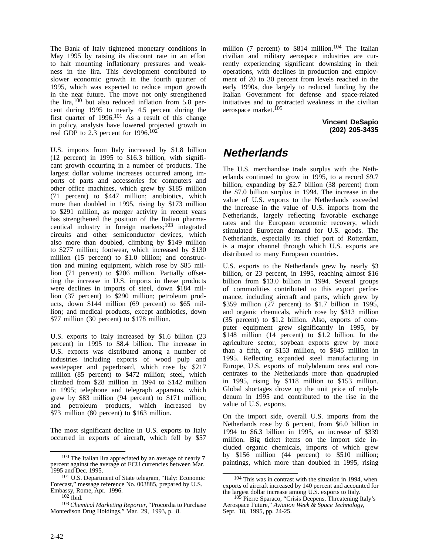The Bank of Italy tightened monetary conditions in May 1995 by raising its discount rate in an effort to halt mounting inflationary pressures and weakness in the lira. This development contributed to slower economic growth in the fourth quarter of 1995, which was expected to reduce import growth in the near future. The move not only strengthened the lira, $100$  but also reduced inflation from 5.8 percent during 1995 to nearly 4.5 percent during the first quarter of 1996.101 As a result of this change in policy, analysts have lowered projected growth in real GDP to 2.3 percent for 1996.<sup>102</sup>

U.S. imports from Italy increased by \$1.8 billion (12 percent) in 1995 to \$16.3 billion, with significant growth occurring in a number of products. The largest dollar volume increases occurred among imports of parts and accessories for computers and other office machines, which grew by \$185 million (71 percent) to \$447 million; antibiotics, which more than doubled in 1995, rising by \$173 million to \$291 million, as merger activity in recent years has strengthened the position of the Italian pharmaceutical industry in foreign markets;103 integrated circuits and other semiconductor devices, which also more than doubled, climbing by \$149 million to \$277 million; footwear, which increased by \$130 million (15 percent) to \$1.0 billion; and construction and mining equipment, which rose by \$85 million (71 percent) to \$206 million. Partially offsetting the increase in U.S. imports in these products were declines in imports of steel, down \$184 million (37 percent) to \$290 million; petroleum products, down \$144 million (69 percent) to \$65 million; and medical products, except antibiotics, down \$77 million (30 percent) to \$178 million.

U.S. exports to Italy increased by \$1.6 billion (23 percent) in 1995 to \$8.4 billion. The increase in U.S. exports was distributed among a number of industries including exports of wood pulp and wastepaper and paperboard, which rose by \$217 million (85 percent) to \$472 million; steel, which climbed from \$28 million in 1994 to \$142 million in 1995; telephone and telegraph apparatus, which grew by \$83 million (94 percent) to \$171 million; and petroleum products, which increased by \$73 million (80 percent) to \$163 million.

The most significant decline in U.S. exports to Italy occurred in exports of aircraft, which fell by \$57 million (7 percent) to  $$814$  million.<sup>104</sup> The Italian civilian and military aerospace industries are currently experiencing significant downsizing in their operations, with declines in production and employment of 20 to 30 percent from levels reached in the early 1990s, due largely to reduced funding by the Italian Government for defense and space-related initiatives and to protracted weakness in the civilian aerospace market.<sup>105</sup>

> **Vincent DeSapio (202) 205-3435**

# **Netherlands**

The U.S. merchandise trade surplus with the Netherlands continued to grow in 1995, to a record \$9.7 billion, expanding by \$2.7 billion (38 percent) from the \$7.0 billion surplus in 1994. The increase in the value of U.S. exports to the Netherlands exceeded the increase in the value of U.S. imports from the Netherlands, largely reflecting favorable exchange rates and the European economic recovery, which stimulated European demand for U.S. goods. The Netherlands, especially its chief port of Rotterdam, is a major channel through which U.S. exports are distributed to many European countries.

U.S. exports to the Netherlands grew by nearly \$3 billion, or 23 percent, in 1995, reaching almost \$16 billion from \$13.0 billion in 1994. Several groups of commodities contributed to this export performance, including aircraft and parts, which grew by \$359 million (27 percent) to \$1.7 billion in 1995, and organic chemicals, which rose by \$313 million (35 percent) to \$1.2 billion. Also, exports of computer equipment grew significantly in 1995, by \$148 million (14 percent) to \$1.2 billion. In the agriculture sector, soybean exports grew by more than a fifth, or \$153 million, to \$845 million in 1995. Reflecting expanded steel manufacturing in Europe, U.S. exports of molybdenum ores and concentrates to the Netherlands more than quadrupled in 1995, rising by \$118 million to \$153 million. Global shortages drove up the unit price of molybdenum in 1995 and contributed to the rise in the value of U.S. exports.

On the import side, overall U.S. imports from the Netherlands rose by 6 percent, from \$6.0 billion in 1994 to \$6.3 billion in 1995, an increase of \$339 million. Big ticket items on the import side included organic chemicals, imports of which grew by \$156 million (44 percent) to \$510 million; paintings, which more than doubled in 1995, rising

<sup>100</sup> The Italian lira appreciated by an average of nearly 7 percent against the average of ECU currencies between Mar. 1995 and Dec. 1995.

<sup>101</sup> U.S. Department of State telegram, "Italy: Economic Forecast," message reference No. 003885, prepared by U.S. Embassy, Rome, Apr. 1996.

<sup>102</sup> Ibid.

<sup>103</sup> *Chemical Marketing Reporter*, "Procordia to Purchase Montedison Drug Holdings," Mar. 29, 1993, p. 8.

<sup>&</sup>lt;sup>104</sup> This was in contrast with the situation in 1994, when exports of aircraft increased by 140 percent and accounted for the largest dollar increase among U.S. exports to Italy.

<sup>105</sup> Pierre Sparaco, "Crisis Deepens, Threatening Italy's Aerospace Future," *Aviation Week & Space Technology*, Sept. 18, 1995, pp. 24-25.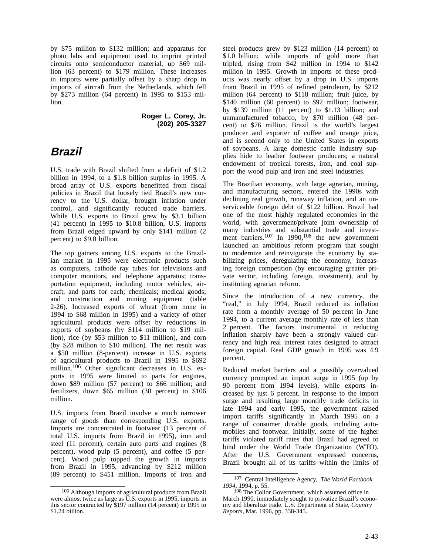by \$75 million to \$132 million; and apparatus for photo labs and equipment used to imprint printed circuits onto semiconductor material, up \$69 million (63 percent) to \$179 million. These increases in imports were partially offset by a sharp drop in imports of aircraft from the Netherlands, which fell by \$273 million (64 percent) in 1995 to \$153 million.

> **Roger L. Corey, Jr. (202) 205-3327**

## **Brazil**

U.S. trade with Brazil shifted from a deficit of \$1.2 billion in 1994, to a \$1.8 billion surplus in 1995. A broad array of U.S. exports benefitted from fiscal policies in Brazil that loosely tied Brazil's new currency to the U.S. dollar, brought inflation under control, and significantly reduced trade barriers. While U.S. exports to Brazil grew by \$3.1 billion (41 percent) in 1995 to \$10.8 billion, U.S. imports from Brazil edged upward by only \$141 million (2 percent) to \$9.0 billion.

The top gainers among U.S. exports to the Brazilian market in 1995 were electronic products such as computers, cathode ray tubes for televisions and computer monitors, and telephone apparatus; transportation equipment, including motor vehicles, aircraft, and parts for each; chemicals; medical goods; and construction and mining equipment (table 2-26). Increased exports of wheat (from none in 1994 to \$68 million in 1995) and a variety of other agricultural products were offset by reductions in exports of soybeans (by \$114 million to \$19 million), rice (by \$53 million to \$11 million), and corn (by \$28 million to \$10 million). The net result was a \$50 million (8-percent) increase in U.S. exports of agricultural products to Brazil in 1995 to \$692 million.<sup>106</sup> Other significant decreases in U.S. exports in 1995 were limited to parts for engines, down \$89 million (57 percent) to \$66 million; and fertilizers, down \$65 million (38 percent) to \$106 million.

U.S. imports from Brazil involve a much narrower range of goods than corresponding U.S. exports. Imports are concentrated in footwear (13 percent of total U.S. imports from Brazil in 1995), iron and steel (11 percent), certain auto parts and engines (8 percent), wood pulp (5 percent), and coffee (5 percent). Wood pulp topped the growth in imports from Brazil in 1995, advancing by \$212 million (89 percent) to \$451 million. Imports of iron and steel products grew by \$123 million (14 percent) to \$1.0 billion; while imports of gold more than tripled, rising from \$42 million in 1994 to \$142 million in 1995. Growth in imports of these products was nearly offset by a drop in U.S. imports from Brazil in 1995 of refined petroleum, by \$212 million (64 percent) to \$118 million; fruit juice, by \$140 million (60 percent) to \$92 million; footwear, by \$139 million (11 percent) to \$1.13 billion; and unmanufactured tobacco, by \$70 million (48 percent) to \$76 million. Brazil is the world's largest producer and exporter of coffee and orange juice, and is second only to the United States in exports of soybeans. A large domestic cattle industry supplies hide to leather footwear producers; a natural endowment of tropical forests, iron, and coal support the wood pulp and iron and steel industries.

The Brazilian economy, with large agrarian, mining, and manufacturing sectors, entered the 1990s with declining real growth, runaway inflation, and an unserviceable foreign debt of \$122 billion. Brazil had one of the most highly regulated economies in the world, with government/private joint ownership of many industries and substantial trade and investment barriers.<sup>107</sup> In 1990,<sup>108</sup> the new government launched an ambitious reform program that sought to modernize and reinvigorate the economy by stabilizing prices, deregulating the economy, increasing foreign competition (by encouraging greater private sector, including foreign, investment), and by instituting agrarian reform.

Since the introduction of a new currency, the "real," in July 1994, Brazil reduced its inflation rate from a monthly average of 50 percent in June 1994, to a current average monthly rate of less than 2 percent. The factors instrumental in reducing inflation sharply have been a strongly valued currency and high real interest rates designed to attract foreign capital. Real GDP growth in 1995 was 4.9 percent.

Reduced market barriers and a possibly overvalued currency prompted an import surge in 1995 (up by 90 percent from 1994 levels), while exports increased by just 6 percent. In response to the import surge and resulting large monthly trade deficits in late 1994 and early 1995, the government raised import tariffs significantly in March 1995 on a range of consumer durable goods, including automobiles and footwear. Initially, some of the higher tariffs violated tariff rates that Brazil had agreed to bind under the World Trade Organization (WTO). After the U.S. Government expressed concerns, Brazil brought all of its tariffs within the limits of

<sup>106</sup> Although imports of agricultural products from Brazil were almost twice as large as U.S. exports in 1995, imports in this sector contracted by \$197 million (14 percent) in 1995 to \$1.24 billion.

<sup>107</sup> Central Intelligence Agency, *The World Factbook 1994,* 1994, p. 55.

<sup>108</sup> The Collor Government, which assumed office in March 1990, immediately sought to privatize Brazil's economy and liberalize trade. U.S. Department of State, *Country Reports*, Mar. 1996, pp. 338-345.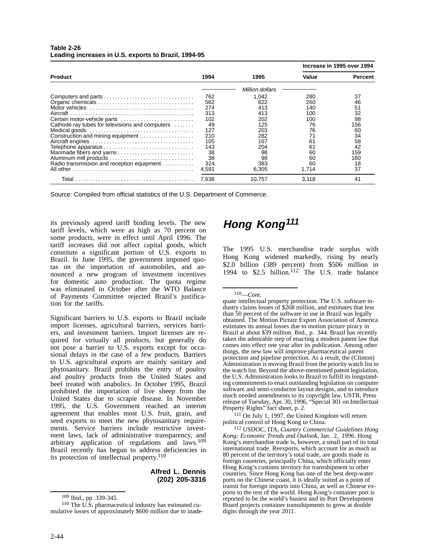| Table 2-26                                           |  |  |
|------------------------------------------------------|--|--|
| Leading increases in U.S. exports to Brazil, 1994-95 |  |  |

|                                                 |       |                 | Increase in 1995 over 1994 |                |  |
|-------------------------------------------------|-------|-----------------|----------------------------|----------------|--|
| <b>Product</b>                                  | 1994  | 1995            | Value                      | <b>Percent</b> |  |
|                                                 |       | Million dollars |                            |                |  |
|                                                 | 762   | 1,042           | 280                        | 37             |  |
|                                                 | 562   | 822             | 260                        | 46             |  |
|                                                 | 274   | 413             | 140                        | 51             |  |
|                                                 | 313   | 413             | 100                        | 32             |  |
| Certain motor-vehicle parts                     | 102   | 202             | 100                        | 98             |  |
| Cathode ray tubes for televisions and computers | 49    | 125             | 76                         | 156            |  |
|                                                 | 127   | 203             | 76                         | 60             |  |
| Construction and mining equipment               | 210   | 282             | 71                         | 34             |  |
|                                                 | 105   | 167             | 61                         | 58             |  |
|                                                 | 143   | 204             | 61                         | 42             |  |
| Manmade fibers and yarns                        | 38    | 98              | 60                         | 159            |  |
|                                                 | 38    | 98              | 60                         | 160            |  |
| Radio transmission and reception equipment.     | 324   | 383             | 60                         | 18             |  |
|                                                 | 4.591 | 6.305           | 1.714                      | 37             |  |
|                                                 | 7.638 | 10.757          | 3.118                      | 41             |  |

Source: Compiled from official statistics of the U.S. Department of Commerce.

its previously agreed tariff binding levels. The new tariff levels, which were as high as 70 percent on some products, were in effect until April 1996. The tariff increases did not affect capital goods, which constitute a significant portion of U.S. exports to Brazil. In June 1995, the government imposed quotas on the importation of automobiles, and announced a new program of investment incentives for domestic auto production. The quota regime was eliminated in October after the WTO Balance of Payments Committee rejected Brazil's justification for the tariffs.

Significant barriers to U.S. exports to Brazil include import licenses, agricultural barriers, services barriers, and investment barriers. Import licenses are required for virtually all products, but generally do not pose a barrier to U.S. exports except for occasional delays in the case of a few products. Barriers to U.S. agricultural exports are mainly sanitary and phytosanitary. Brazil prohibits the entry of poultry and poultry products from the United States and beef treated with anabolics. In October 1995, Brazil prohibited the importation of live sheep from the United States due to scrapie disease. In November 1995, the U.S. Government reached an interim agreement that enables most U.S. fruit, grain, and seed exports to meet the new phytosanitary requirements. Service barriers include restrictive investment laws, lack of administrative transparency, and arbitrary application of regulations and laws.109 Brazil recently has begun to address deficiencies in its protection of intellectual property.110

### **Alfred L. Dennis (202) 205-3316**

## **Hong Kong<sup>111</sup>**

The 1995 U.S. merchandise trade surplus with Hong Kong widened markedly, rising by nearly \$2.0 billion (389 percent) from \$506 million in 1994 to \$2.5 billion.112 The U.S. trade balance

111 On July 1, 1997, the United Kingdom will return political control of Hong Kong to China.

112 USDOC, ITA, *Country Commercial Guidelines Hong Kong: Economic Trends and Outlook*, Jan. 2, 1996. Hong Kong's merchandise trade is, however, a small part of its total international trade. Reexports, which account for as much as 80 percent of the territory's total trade, are goods made in foreign countries, principally China, which officially enter Hong Kong's customs territory for transshipment to other countries. Since Hong Kong has one of the best deep-water ports on the Chinese coast, it is ideally suited as a point of transit for foreign imports into China, as well as Chinese exports to the rest of the world. Hong Kong's container port is reported to be the world's busiest and its Port Development Board projects container transshipments to grow at double digits through the year 2011.

<sup>109</sup> Ibid., pp. 339-345.

 $110$  The U.S. pharmaceutical industry has estimated cumulative losses of approximately \$600 million due to inade-

<sup>110—</sup>*Cont.*

quate intellectual property protection. The U.S. software industry claims losses of \$268 million, and estimates that less than 50 percent of the software in use in Brazil was legally obtained. The Motion Picture Export Association of America estimates its annual losses due to motion picture piracy in Brazil at about \$39 million. Ibid., p. 344. Brazil has recently taken the admirable step of enacting a modern patent law that comes into effect one year after its publication. Among other things, the new law will improve pharmaceutical patent protection and pipeline protection. As a result, the (Clinton) Administration is moving Brazil from the priority watch list to the watch list. Beyond the above-mentioned patent legislation, the U.S. Administration looks to Brazil to fulfill its longstanding commitments to enact outstanding legislation on computer software and semi-conductor layout designs, and to introduce much needed amendments to its copyright law. USTR, Press release of Tuesday, Apr. 30, 1996, "Special 301 on Intellectual Property Rights" fact sheet, p. 2.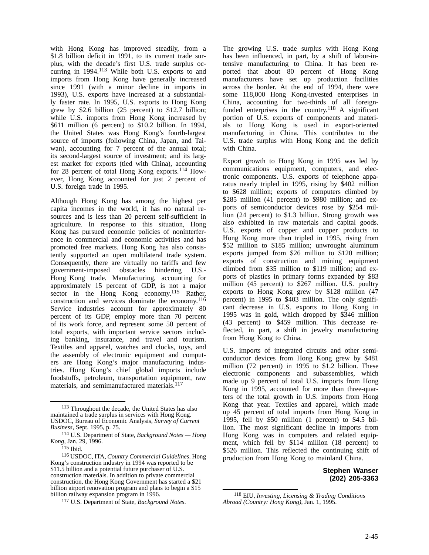with Hong Kong has improved steadily, from a \$1.8 billion deficit in 1991, to its current trade surplus, with the decade's first U.S. trade surplus occurring in 1994.<sup>113</sup> While both U.S. exports to and imports from Hong Kong have generally increased since 1991 (with a minor decline in imports in 1993), U.S. exports have increased at a substantially faster rate. In 1995, U.S. exports to Hong Kong grew by \$2.6 billion (25 percent) to \$12.7 billion; while U.S. imports from Hong Kong increased by \$611 million (6 percent) to \$10.2 billion. In 1994, the United States was Hong Kong's fourth-largest source of imports (following China, Japan, and Taiwan), accounting for 7 percent of the annual total; its second-largest source of investment; and its largest market for exports (tied with China), accounting for 28 percent of total Hong Kong exports.114 However, Hong Kong accounted for just 2 percent of U.S. foreign trade in 1995.

Although Hong Kong has among the highest per capita incomes in the world, it has no natural resources and is less than 20 percent self-sufficient in agriculture. In response to this situation, Hong Kong has pursued economic policies of noninterference in commercial and economic activities and has promoted free markets. Hong Kong has also consistently supported an open multilateral trade system. Consequently, there are virtually no tariffs and few government-imposed obstacles hindering U.S.- Hong Kong trade. Manufacturing, accounting for approximately 15 percent of GDP, is not a major sector in the Hong Kong economy.<sup>115</sup> Rather, construction and services dominate the economy.116 Service industries account for approximately 80 percent of its GDP, employ more than 70 percent of its work force, and represent some 50 percent of total exports, with important service sectors including banking, insurance, and travel and tourism. Textiles and apparel, watches and clocks, toys, and the assembly of electronic equipment and computers are Hong Kong's major manufacturing industries. Hong Kong's chief global imports include foodstuffs, petroleum, transportation equipment, raw materials, and semimanufactured materials.<sup>117</sup>

The growing U.S. trade surplus with Hong Kong has been influenced, in part, by a shift of labor-intensive manufacturing to China. It has been reported that about 80 percent of Hong Kong manufacturers have set up production facilities across the border. At the end of 1994, there were some 118,000 Hong Kong-invested enterprises in China, accounting for two-thirds of all foreignfunded enterprises in the country.<sup>118</sup> A significant portion of U.S. exports of components and materials to Hong Kong is used in export-oriented manufacturing in China. This contributes to the U.S. trade surplus with Hong Kong and the deficit with China.

Export growth to Hong Kong in 1995 was led by communications equipment, computers, and electronic components. U.S. exports of telephone apparatus nearly tripled in 1995, rising by \$402 million to \$628 million; exports of computers climbed by \$285 million (41 percent) to \$980 million; and exports of semiconductor devices rose by \$254 million (24 percent) to \$1.3 billion. Strong growth was also exhibited in raw materials and capital goods. U.S. exports of copper and copper products to Hong Kong more than tripled in 1995, rising from \$52 million to \$185 million; unwrought aluminum exports jumped from \$26 million to \$120 million; exports of construction and mining equipment climbed from \$35 million to \$119 million; and exports of plastics in primary forms expanded by \$83 million (45 percent) to \$267 million. U.S. poultry exports to Hong Kong grew by \$128 million (47 percent) in 1995 to \$403 million. The only significant decrease in U.S. exports to Hong Kong in 1995 was in gold, which dropped by \$346 million (43 percent) to \$459 million. This decrease reflected, in part, a shift in jewelry manufacturing from Hong Kong to China.

U.S. imports of integrated circuits and other semiconductor devices from Hong Kong grew by \$481 million (72 percent) in 1995 to \$1.2 billion. These electronic components and subassemblies, which made up 9 percent of total U.S. imports from Hong Kong in 1995, accounted for more than three-quarters of the total growth in U.S. imports from Hong Kong that year. Textiles and apparel, which made up 45 percent of total imports from Hong Kong in 1995, fell by \$50 million (1 percent) to \$4.5 billion. The most significant decline in imports from Hong Kong was in computers and related equipment, which fell by \$114 million (18 percent) to \$526 million. This reflected the continuing shift of production from Hong Kong to mainland China.

### **Stephen Wanser (202) 205-3363**

<sup>113</sup> Throughout the decade, the United States has also maintained a trade surplus in services with Hong Kong. USDOC, Bureau of Economic Analysis, *Survey of Current Business*, Sept. 1995, p. 75.

<sup>114</sup> U.S. Department of State, *Background Notes — Hong Kong*, Jan. 29, 1996.

 $115$  Ibid.

<sup>116</sup> USDOC, ITA, *Country Commercial Guidelines*. Hong Kong's construction industry in 1994 was reported to be \$11.5 billion and a potential future purchaser of U.S. construction materials. In addition to private commercial construction, the Hong Kong Government has started a \$21 billion airport renovation program and plans to begin a \$15 billion railway expansion program in 1996.

<sup>117</sup> U.S. Department of State, *Background Notes*.

<sup>118</sup> EIU, *Investing, Licensing & Trading Conditions Abroad (Country: Hong Kong)*, Jan. 1, 1995.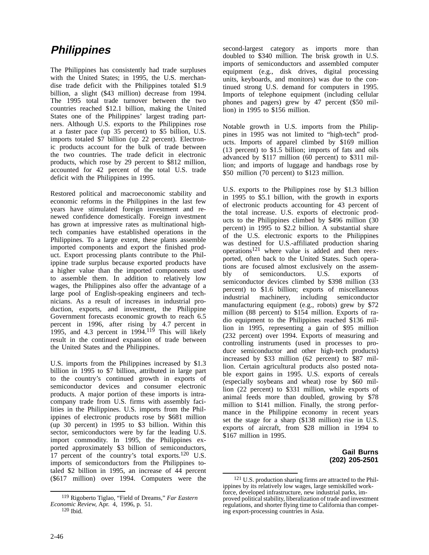## **Philippines**

The Philippines has consistently had trade surpluses with the United States; in 1995, the U.S. merchandise trade deficit with the Philippines totaled \$1.9 billion, a slight (\$43 million) decrease from 1994. The 1995 total trade turnover between the two countries reached \$12.1 billion, making the United States one of the Philippines' largest trading partners. Although U.S. exports to the Philippines rose at a faster pace (up 35 percent) to \$5 billion, U.S. imports totaled \$7 billion (up 22 percent). Electronic products account for the bulk of trade between the two countries. The trade deficit in electronic products, which rose by 29 percent to \$812 million, accounted for 42 percent of the total U.S. trade deficit with the Philippines in 1995.

Restored political and macroeconomic stability and economic reforms in the Philippines in the last few years have stimulated foreign investment and renewed confidence domestically. Foreign investment has grown at impressive rates as multinational hightech companies have established operations in the Philippines. To a large extent, these plants assemble imported components and export the finished product. Export processing plants contribute to the Philippine trade surplus because exported products have a higher value than the imported components used to assemble them. In addition to relatively low wages, the Philippines also offer the advantage of a large pool of English-speaking engineers and technicians. As a result of increases in industrial production, exports, and investment, the Philippine Government forecasts economic growth to reach 6.5 percent in 1996, after rising by 4.7 percent in 1995, and 4.3 percent in  $1994$ <sup>119</sup> This will likely result in the continued expansion of trade between the United States and the Philippines.

U.S. imports from the Philippines increased by \$1.3 billion in 1995 to \$7 billion, attributed in large part to the country's continued growth in exports of semiconductor devices and consumer electronic products. A major portion of these imports is intracompany trade from U.S. firms with assembly facilities in the Philippines. U.S. imports from the Philippines of electronic products rose by \$681 million (up 30 percent) in 1995 to \$3 billion. Within this sector, semiconductors were by far the leading U.S. import commodity. In 1995, the Philippines exported approximately \$3 billion of semiconductors, 17 percent of the country's total exports.<sup>120</sup> U.S. imports of semiconductors from the Philippines totaled \$2 billion in 1995, an increase of 44 percent (\$617 million) over 1994. Computers were the second-largest category as imports more than doubled to \$340 million. The brisk growth in U.S. imports of semiconductors and assembled computer equipment (e.g., disk drives, digital processing units, keyboards, and monitors) was due to the continued strong U.S. demand for computers in 1995. Imports of telephone equipment (including cellular phones and pagers) grew by 47 percent (\$50 million) in 1995 to \$156 million.

Notable growth in U.S. imports from the Philippines in 1995 was not limited to "high-tech" products. Imports of apparel climbed by \$169 million (13 percent) to \$1.5 billion; imports of fats and oils advanced by \$117 million (60 percent) to \$311 million; and imports of luggage and handbags rose by \$50 million (70 percent) to \$123 million.

U.S. exports to the Philippines rose by \$1.3 billion in 1995 to \$5.1 billion, with the growth in exports of electronic products accounting for 43 percent of the total increase. U.S. exports of electronic products to the Philippines climbed by \$496 million (30 percent) in 1995 to \$2.2 billion. A substantial share of the U.S. electronic exports to the Philippines was destined for U.S.-affiliated production sharing operations121 where value is added and then reexported, often back to the United States. Such operations are focused almost exclusively on the assembly of semiconductors. U.S. exports of semiconductor devices climbed by \$398 million (33 percent) to \$1.6 billion; exports of miscellaneous industrial machinery, including semiconductor manufacturing equipment (e.g., robots) grew by \$72 million (88 percent) to \$154 million. Exports of radio equipment to the Philippines reached \$136 million in 1995, representing a gain of \$95 million (232 percent) over 1994. Exports of measuring and controlling instruments (used in processes to produce semiconductor and other high-tech products) increased by \$33 million (62 percent) to \$87 million. Certain agricultural products also posted notable export gains in 1995. U.S. exports of cereals (especially soybeans and wheat) rose by \$60 million (22 percent) to \$331 million, while exports of animal feeds more than doubled, growing by \$78 million to \$141 million. Finally, the strong performance in the Philippine economy in recent years set the stage for a sharp (\$138 million) rise in U.S. exports of aircraft, from \$28 million in 1994 to \$167 million in 1995.

> **Gail Burns (202) 205-2501**

<sup>119</sup> Rigoberto Tiglao, "Field of Dreams," *Far Eastern Economic Review*, Apr. 4, 1996, p. 51.

<sup>120</sup> Ibid.

<sup>&</sup>lt;sup>121</sup> U.S. production sharing firms are attracted to the Philippines by its relatively low wages, large semiskilled workforce, developed infrastructure, new industrial parks, improved political stability, liberalization of trade and investment regulations, and shorter flying time to California than competing export-processing countries in Asia.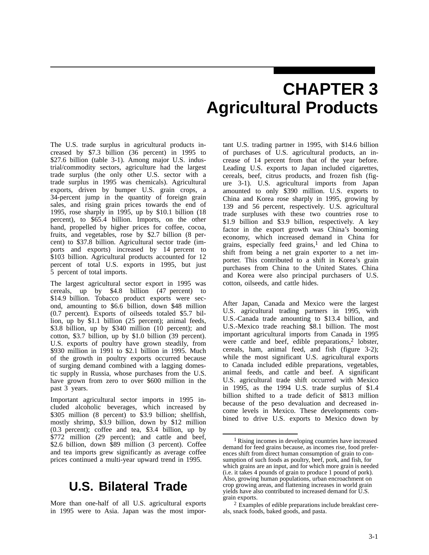# **CHAPTER 3 Agricultural Products**

The U.S. trade surplus in agricultural products increased by \$7.3 billion (36 percent) in 1995 to \$27.6 billion (table 3-1). Among major U.S. industrial/commodity sectors, agriculture had the largest trade surplus (the only other U.S. sector with a trade surplus in 1995 was chemicals). Agricultural exports, driven by bumper U.S. grain crops, a 34-percent jump in the quantity of foreign grain sales, and rising grain prices towards the end of 1995, rose sharply in 1995, up by \$10.1 billion (18 percent), to \$65.4 billion. Imports, on the other hand, propelled by higher prices for coffee, cocoa, fruits, and vegetables, rose by \$2.7 billion (8 percent) to \$37.8 billion. Agricultural sector trade (imports and exports) increased by 14 percent to \$103 billion. Agricultural products accounted for 12 percent of total U.S. exports in 1995, but just 5 percent of total imports.

The largest agricultural sector export in 1995 was cereals, up by \$4.8 billion (47 percent) to \$14.9 billion. Tobacco product exports were second, amounting to \$6.6 billion, down \$48 million (0.7 percent). Exports of oilseeds totaled \$5.7 billion, up by \$1.1 billion (25 percent); animal feeds, \$3.8 billion, up by \$340 million (10 percent); and cotton, \$3.7 billion, up by \$1.0 billion (39 percent). U.S. exports of poultry have grown steadily, from \$930 million in 1991 to \$2.1 billion in 1995. Much of the growth in poultry exports occurred because of surging demand combined with a lagging domestic supply in Russia, whose purchases from the U.S. have grown from zero to over \$600 million in the past 3 years.

Important agricultural sector imports in 1995 included alcoholic beverages, which increased by \$305 million (8 percent) to \$3.9 billion; shellfish, mostly shrimp, \$3.9 billion, down by \$12 million (0.3 percent); coffee and tea, \$3.4 billion, up by \$772 million (29 percent); and cattle and beef, \$2.6 billion, down \$89 million (3 percent). Coffee and tea imports grew significantly as average coffee prices continued a multi-year upward trend in 1995.

## **U.S. Bilateral Trade**

More than one-half of all U.S. agricultural exports in 1995 were to Asia. Japan was the most important U.S. trading partner in 1995, with \$14.6 billion of purchases of U.S. agricultural products, an increase of 14 percent from that of the year before. Leading U.S. exports to Japan included cigarettes, cereals, beef, citrus products, and frozen fish (figure 3-1). U.S. agricultural imports from Japan amounted to only \$390 million. U.S. exports to China and Korea rose sharply in 1995, growing by 139 and 56 percent, respectively. U.S. agricultural trade surpluses with these two countries rose to \$1.9 billion and \$3.9 billion, respectively. A key factor in the export growth was China's booming economy, which increased demand in China for grains, especially feed grains,<sup>1</sup> and led China to shift from being a net grain exporter to a net importer. This contributed to a shift in Korea's grain purchases from China to the United States. China and Korea were also principal purchasers of U.S. cotton, oilseeds, and cattle hides.

After Japan, Canada and Mexico were the largest U.S. agricultural trading partners in 1995, with U.S.-Canada trade amounting to \$13.4 billion, and U.S.-Mexico trade reaching \$8.1 billion. The most important agricultural imports from Canada in 1995 were cattle and beef, edible preparations, $2$  lobster, cereals, ham, animal feed, and fish (figure 3-2); while the most significant U.S. agricultural exports to Canada included edible preparations, vegetables, animal feeds, and cattle and beef. A significant U.S. agricultural trade shift occurred with Mexico in 1995, as the 1994 U.S. trade surplus of \$1.4 billion shifted to a trade deficit of \$813 million because of the peso devaluation and decreased income levels in Mexico. These developments combined to drive U.S. exports to Mexico down by

<sup>1</sup> Rising incomes in developing countries have increased demand for feed grains because, as incomes rise, food preferences shift from direct human consumption of grain to consumption of such foods as poultry, beef, pork, and fish, for which grains are an input, and for which more grain is needed (i.e. it takes 4 pounds of grain to produce 1 pound of pork). Also, growing human populations, urban encroachment on crop growing areas, and flattening increases in world grain yields have also contributed to increased demand for U.S. grain exports.

<sup>2</sup> Examples of edible preparations include breakfast cereals, snack foods, baked goods, and pasta.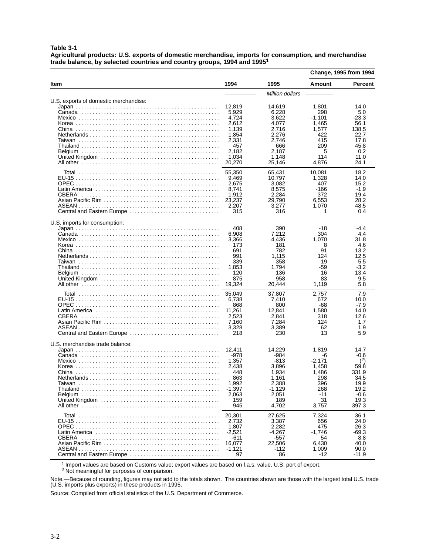**Table 3-1**

**Agricultural products: U.S. exports of domestic merchandise, imports for consumption, and merchandise trade balance, by selected countries and country groups, 1994 and 19951**

|                                       |                                                                                                 |                                                                                                 |                                                                                        | Change, 1995 from 1994                                                                    |
|---------------------------------------|-------------------------------------------------------------------------------------------------|-------------------------------------------------------------------------------------------------|----------------------------------------------------------------------------------------|-------------------------------------------------------------------------------------------|
| Item                                  | 1994                                                                                            | 1995                                                                                            | <b>Amount</b>                                                                          | <b>Percent</b>                                                                            |
|                                       |                                                                                                 | Million dollars                                                                                 |                                                                                        |                                                                                           |
| U.S. exports of domestic merchandise: | 12,819<br>5,929<br>4,724<br>2,612<br>1,139<br>1,854<br>2,331<br>457<br>2,182<br>1.034<br>20,270 | 14.619<br>6,228<br>3.622<br>4.077<br>2,716<br>2,276<br>2.746<br>666<br>2,187<br>1,148<br>25,146 | 1,801<br>298<br>-1,101<br>1,465<br>1,577<br>422<br>415<br>209<br>5<br>114<br>4,876     | 14.0<br>5.0<br>-23.3<br>56.1<br>138.5<br>22.7<br>17.8<br>45.8<br>0.2<br>11.0<br>24.1      |
| CBERA<br>Central and Eastern Europe   | 55,350<br>9,469<br>2,675<br>8,741<br>1,912<br>23,237<br>2,207<br>315                            | 65,431<br>10,797<br>3,082<br>8,575<br>2,284<br>29,790<br>3,277<br>316                           | 10,081<br>1,328<br>407<br>-166<br>372<br>6,553<br>1,070<br>1                           | 18.2<br>14.0<br>15.2<br>$-1.9$<br>19.4<br>28.2<br>48.5<br>0.4                             |
| U.S. imports for consumption:         | 408<br>6,908<br>3,366<br>173<br>691<br>991<br>339<br>1,853<br>120<br>875<br>19,324              | 390<br>7,212<br>4,436<br>181<br>782<br>1,115<br>358<br>1.794<br>136<br>958<br>20,444            | -18<br>304<br>1,070<br>8<br>91<br>124<br>19<br>-59<br>16<br>83<br>1,119                | $-4.4$<br>4.4<br>31.8<br>4.6<br>13.2<br>12.5<br>5.5<br>$-3.2$<br>13.4<br>9.5<br>5.8       |
| CBERA<br>Central and Eastern Europe   | 35,049<br>6,738<br>868<br>11,261<br>2,523<br>7,160<br>3,328<br>218                              | 37,807<br>7,410<br>800<br>12,841<br>2,841<br>7,284<br>3,389<br>230                              | 2,757<br>672<br>-68<br>1,580<br>318<br>124<br>62<br>13                                 | 7.9<br>10.0<br>$-7.9$<br>14.0<br>12.6<br>1.7<br>1.9<br>5.9                                |
| U.S. merchandise trade balance:       | 12.411<br>-978<br>1,357<br>2,438<br>448<br>863<br>1,992<br>$-1,397$<br>2,063<br>159<br>945      | 14,229<br>-984<br>-813<br>3,896<br>1,934<br>1,161<br>2,388<br>-1,129<br>2,051<br>189<br>4,702   | 1,819<br>-6<br>$-2,171$<br>1,458<br>1,486<br>298<br>396<br>268<br>$-11$<br>31<br>3,757 | 14.7<br>$-0.6$<br>(2)<br>59.8<br>331.9<br>34.5<br>19.9<br>19.2<br>$-0.6$<br>19.3<br>397.3 |
| Central and Eastern Europe            | 20,301<br>2,732<br>1,807<br>$-2,521$<br>-611<br>16,077<br>-1,121<br>97                          | 27,625<br>3,387<br>2.282<br>$-4,267$<br>$-557$<br>22,506<br>-112<br>86                          | 7,324<br>656<br>475<br>$-1,746$<br>54<br>6,430<br>1,009<br>-12                         | 36.1<br>24.0<br>26.3<br>$-69.3$<br>8.8<br>40.0<br>90.0<br>$-11.9$                         |

1 Import values are based on Customs value; export values are based on f.a.s. value, U.S. port of export.

<sup>2</sup> Not meaningful for purposes of comparison.

Note.—Because of rounding, figures may not add to the totals shown. The countries shown are those with the largest total U.S. trade (U.S. imports plus exports) in these products in 1995.

Source: Compiled from official statistics of the U.S. Department of Commerce.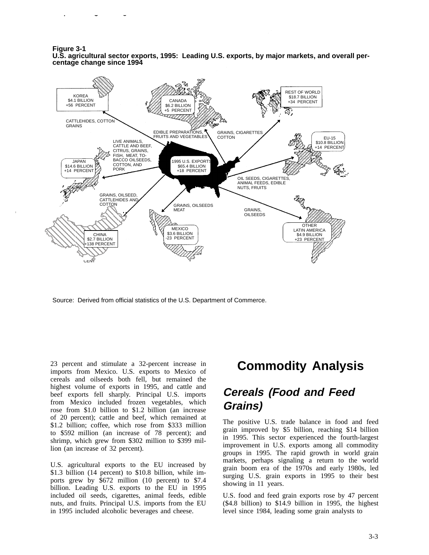**Figure 3-1 U.S. agricultural sector exports, 1995: Leading U.S. exports, by major markets, and overall percentage change since 1994**



Source: Derived from official statistics of the U.S. Department of Commerce.

23 percent and stimulate a 32-percent increase in imports from Mexico. U.S. exports to Mexico of cereals and oilseeds both fell, but remained the highest volume of exports in 1995, and cattle and beef exports fell sharply. Principal U.S. imports from Mexico included frozen vegetables, which rose from \$1.0 billion to \$1.2 billion (an increase of 20 percent); cattle and beef, which remained at \$1.2 billion; coffee, which rose from \$333 million to \$592 million (an increase of 78 percent); and shrimp, which grew from \$302 million to \$399 million (an increase of 32 percent).

U.S. agricultural exports to the EU increased by \$1.3 billion (14 percent) to \$10.8 billion, while imports grew by \$672 million (10 percent) to \$7.4 billion. Leading U.S. exports to the EU in 1995 included oil seeds, cigarettes, animal feeds, edible nuts, and fruits. Principal U.S. imports from the EU in 1995 included alcoholic beverages and cheese.

# **Commodity Analysis**

## **Cereals (Food and Feed Grains)**

The positive U.S. trade balance in food and feed grain improved by \$5 billion, reaching \$14 billion in 1995. This sector experienced the fourth-largest improvement in U.S. exports among all commodity groups in 1995. The rapid growth in world grain markets, perhaps signaling a return to the world grain boom era of the 1970s and early 1980s, led surging U.S. grain exports in 1995 to their best showing in 11 years.

U.S. food and feed grain exports rose by 47 percent (\$4.8 billion) to \$14.9 billion in 1995, the highest level since 1984, leading some grain analysts to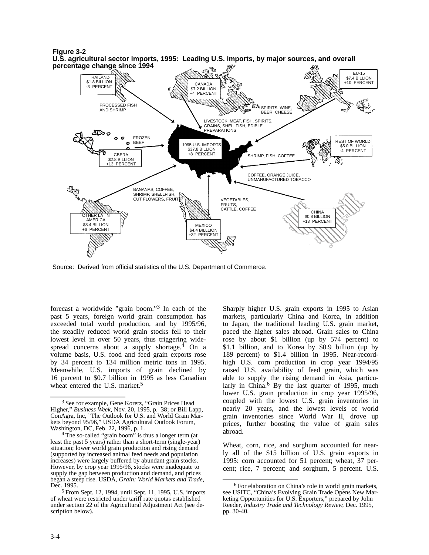

Source: Derived from official statistics of the U.S. Department of Commerce.

forecast a worldwide "grain boom."3 In each of the past 5 years, foreign world grain consumption has exceeded total world production, and by 1995/96, the steadily reduced world grain stocks fell to their lowest level in over 50 years, thus triggering widespread concerns about a supply shortage.<sup>4</sup> On a volume basis, U.S. food and feed grain exports rose by 34 percent to 134 million metric tons in 1995. Meanwhile, U.S. imports of grain declined by 16 percent to \$0.7 billion in 1995 as less Canadian wheat entered the U.S. market.<sup>5</sup>

Sharply higher U.S. grain exports in 1995 to Asian markets, particularly China and Korea, in addition to Japan, the traditional leading U.S. grain market, paced the higher sales abroad. Grain sales to China rose by about \$1 billion (up by 574 percent) to \$1.1 billion, and to Korea by \$0.9 billion (up by 189 percent) to \$1.4 billion in 1995. Near-recordhigh U.S. corn production in crop year 1994/95 raised U.S. availability of feed grain, which was able to supply the rising demand in Asia, particularly in China.<sup>6</sup> By the last quarter of 1995, much lower U.S. grain production in crop year 1995/96, coupled with the lowest U.S. grain inventories in nearly 20 years, and the lowest levels of world grain inventories since World War II, drove up prices, further boosting the value of grain sales abroad.

Wheat, corn, rice, and sorghum accounted for nearly all of the \$15 billion of U.S. grain exports in 1995: corn accounted for 51 percent; wheat, 37 percent; rice, 7 percent; and sorghum, 5 percent. U.S.

<sup>&</sup>lt;sup>3</sup> See for example, Gene Koretz, "Grain Prices Head Higher," *Business Week*, Nov. 20, 1995, p. 38; or Bill Lapp, ConAgra, Inc, "The Outlook for U.S. and World Grain Markets beyond 95/96," USDA Agricultural Outlook Forum, Washington, DC, Feb. 22, 1996, p. 1.

<sup>&</sup>lt;sup>4</sup> The so-called "grain boom" is thus a longer term (at least the past 5 years) rather than a short-term (single-year) situation; lower world grain production and rising demand (supported by increased animal feed needs and population increases) were largely buffered by abundant grain stocks. However, by crop year 1995/96, stocks were inadequate to supply the gap between production and demand, and prices began a steep rise. USDA, *Grain: World Markets and Trade*, Dec. 1995.

<sup>5</sup> From Sept. 12, 1994, until Sept. 11, 1995, U.S. imports of wheat were restricted under tariff rate quotas established under section 22 of the Agricultural Adjustment Act (see description below).

<sup>6</sup> For elaboration on China's role in world grain markets, see USITC, "China's Evolving Grain Trade Opens New Marketing Opportunities for U.S. Exporters," prepared by John Reeder, *Industry Trade and Technology Review*, Dec. 1995, pp. 30-40.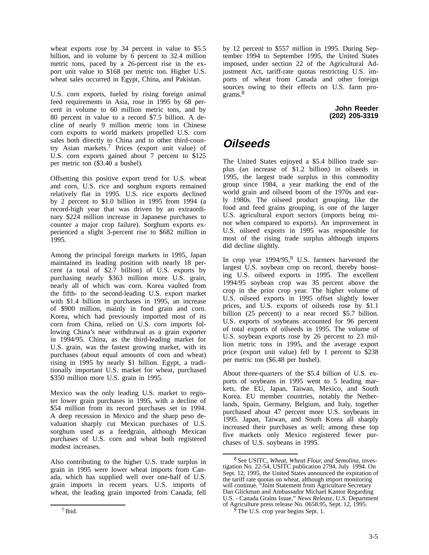wheat exports rose by 34 percent in value to \$5.5 billion, and in volume by 6 percent to 32.4 million metric tons, paced by a 26-percent rise in the export unit value to \$168 per metric ton. Higher U.S. wheat sales occurred in Egypt, China, and Pakistan.

U.S. corn exports, fueled by rising foreign animal feed requirements in Asia, rose in 1995 by 68 percent in volume to 60 million metric tons, and by 80 percent in value to a record \$7.5 billion. A decline of nearly 9 million metric tons in Chinese corn exports to world markets propelled U.S. corn sales both directly to China and to other third-country Asian markets.7 Prices (export unit value) of U.S. corn exports gained about 7 percent to \$125 per metric ton (\$3.40 a bushel).

Offsetting this positive export trend for U.S. wheat and corn, U.S. rice and sorghum exports remained relatively flat in 1995. U.S. rice exports declined by 2 percent to \$1.0 billion in 1995 from 1994 (a record-high year that was driven by an extraordinary \$224 million increase in Japanese purchases to counter a major crop failure). Sorghum exports experienced a slight 3-percent rise to \$682 million in 1995.

Among the principal foreign markets in 1995, Japan maintained its leading position with nearly 18 percent (a total of \$2.7 billion) of U.S. exports by purchasing nearly \$363 million more U.S. grain, nearly all of which was corn. Korea vaulted from the fifth- to the second-leading U.S. export market with \$1.4 billion in purchases in 1995, an increase of \$900 million, mainly in food grain and corn. Korea, which had previously imported most of its corn from China, relied on U.S. corn imports following China's near withdrawal as a grain exporter in 1994/95. China, as the third-leading market for U.S. grain, was the fastest growing market, with its purchases (about equal amounts of corn and wheat) rising in 1995 by nearly \$1 billion. Egypt, a traditionally important U.S. market for wheat, purchased \$350 million more U.S. grain in 1995.

Mexico was the only leading U.S. market to register lower grain purchases in 1995, with a decline of \$54 million from its record purchases set in 1994. A deep recession in Mexico and the sharp peso devaluation sharply cut Mexican purchases of U.S. sorghum used as a feedgrain, although Mexican purchases of U.S. corn and wheat both registered modest increases.

Also contributing to the higher U.S. trade surplus in grain in 1995 were lower wheat imports from Canada, which has supplied well over one-half of U.S. grain imports in recent years. U.S. imports of wheat, the leading grain imported from Canada, fell

by 12 percent to \$557 million in 1995. During September 1994 to September 1995, the United States imposed, under section 22 of the Agricultural Adjustment Act, tariff-rate quotas restricting U.S. imports of wheat from Canada and other foreign sources owing to their effects on U.S. farm programs.8

> **John Reeder (202) 205-3319**

# **Oilseeds**

The United States enjoyed a \$5.4 billion trade surplus (an increase of \$1.2 billion) in oilseeds in 1995, the largest trade surplus in this commodity group since 1984, a year marking the end of the world grain and oilseed boom of the 1970s and early 1980s. The oilseed product grouping, like the food and feed grains grouping, is one of the larger U.S. agricultural export sectors (imports being minor when compared to exports). An improvement in U.S. oilseed exports in 1995 was responsible for most of the rising trade surplus although imports did decline slightly.

In crop year 1994/95,<sup>9</sup> U.S. farmers harvested the largest U.S. soybean crop on record, thereby boosting U.S. oilseed exports in 1995. The excellent 1994/95 soybean crop was 35 percent above the crop in the prior crop year. The higher volume of U.S. oilseed exports in 1995 offset slightly lower prices, and U.S. exports of oilseeds rose by \$1.1 billion (25 percent) to a near record \$5.7 billion. U.S. exports of soybeans accounted for 96 percent of total exports of oilseeds in 1995. The volume of U.S. soybean exports rose by 26 percent to 23 million metric tons in 1995, and the average export price (export unit value) fell by 1 percent to \$238 per metric ton (\$6.48 per bushel).

About three-quarters of the \$5.4 billion of U.S. exports of soybeans in 1995 went to 5 leading markets, the EU, Japan, Taiwan, Mexico, and South Korea. EU member countries, notably the Netherlands, Spain, Germany, Belgium, and Italy, together purchased about 47 percent more U.S. soybeans in 1995. Japan, Taiwan, and South Korea all sharply increased their purchases as well; among these top five markets only Mexico registered fewer purchases of U.S. soybeans in 1995.

<sup>8</sup> See USITC, *Wheat, Wheat Flour, and Semolina*, investigation No. 22-54, USITC publication 2794, July 1994. On Sept. 12, 1995, the United States announced the expiration of the tariff rate quotas on wheat, although import monitoring will continue. "Joint Statement from Agriculture Secretary Dan Glickman and Ambassador Michael Kantor Regarding U.S. - Canada Grains Issue," *News Release*, U.S. Department of Agriculture press release No. 0658.95, Sept. 12, 1995.

The U.S. crop year begins Sept. 1.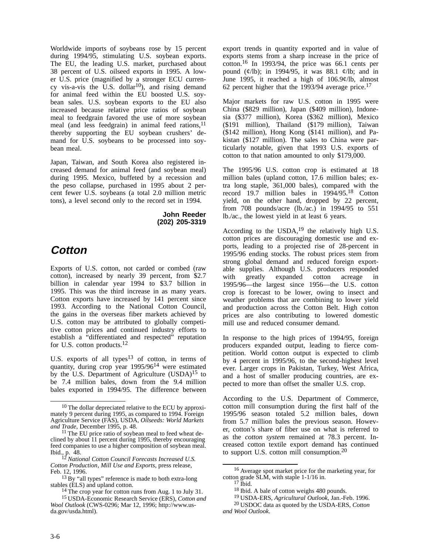Worldwide imports of soybeans rose by 15 percent during 1994/95, stimulating U.S. soybean exports. The EU, the leading U.S. market, purchased about 38 percent of U.S. oilseed exports in 1995. A lower U.S. price (magnified by a stronger ECU currency vis-a-vis the U.S. dollar<sup>10</sup>), and rising demand for animal feed within the EU boosted U.S. soybean sales. U.S. soybean exports to the EU also increased because relative price ratios of soybean meal to feedgrain favored the use of more soybean meal (and less feedgrain) in animal feed rations,  $11$ thereby supporting the EU soybean crushers' demand for U.S. soybeans to be processed into soybean meal.

Japan, Taiwan, and South Korea also registered increased demand for animal feed (and soybean meal) during 1995. Mexico, buffeted by a recession and the peso collapse, purchased in 1995 about 2 percent fewer U.S. soybeans (a total 2.0 million metric tons), a level second only to the record set in 1994.

> **John Reeder (202) 205-3319**

## **Cotton**

Exports of U.S. cotton, not carded or combed (raw cotton), increased by nearly 39 percent, from \$2.7 billion in calendar year 1994 to \$3.7 billion in 1995. This was the third increase in as many years. Cotton exports have increased by 141 percent since 1993. According to the National Cotton Council, the gains in the overseas fiber markets achieved by U.S. cotton may be attributed to globally competitive cotton prices and continued industry efforts to establish a "differentiated and respected" reputation for U.S. cotton products.<sup>12</sup>

U.S. exports of all types $13$  of cotton, in terms of quantity, during crop year 1995/9614 were estimated by the U.S. Department of Agriculture (USDA)<sup>15</sup> to be 7.4 million bales, down from the 9.4 million bales exported in 1994/95. The difference between

*Cotton Production*, *Mill Use and Exports*, press release, Feb. 12, 1996.

export trends in quantity exported and in value of exports stems from a sharp increase in the price of cotton.16 In 1993/94, the price was 66.1 cents per pound  $(\frac{\varphi}{lb})$ ; in 1994/95, it was 88.1  $\frac{\varphi}{lb}$ ; and in June 1995, it reached a high of 106.9¢/lb, almost 62 percent higher that the 1993/94 average price.<sup>17</sup>

Major markets for raw U.S. cotton in 1995 were China (\$829 million), Japan (\$409 million), Indonesia (\$377 million), Korea (\$362 million), Mexico (\$191 million), Thailand (\$179 million), Taiwan (\$142 million), Hong Kong (\$141 million), and Pakistan (\$127 million). The sales to China were particularly notable, given that 1993 U.S. exports of cotton to that nation amounted to only \$179,000.

The 1995/96 U.S. cotton crop is estimated at 18 million bales (upland cotton, 17.6 million bales; extra long staple, 361,000 bales), compared with the record 19.7 million bales in 1994/95.18 Cotton yield, on the other hand, dropped by 22 percent, from 708 pounds/acre (lb./ac.) in 1994/95 to 551 lb./ac., the lowest yield in at least 6 years.

According to the USDA, $19$  the relatively high U.S. cotton prices are discouraging domestic use and exports, leading to a projected rise of 28-percent in 1995/96 ending stocks. The robust prices stem from strong global demand and reduced foreign exportable supplies. Although U.S. producers responded with greatly expanded cotton acreage in 1995/96—the largest since 1956—the U.S. cotton crop is forecast to be lower, owing to insect and weather problems that are combining to lower yield and production across the Cotton Belt. High cotton prices are also contributing to lowered domestic mill use and reduced consumer demand.

In response to the high prices of 1994/95, foreign producers expanded output, leading to fierce competition. World cotton output is expected to climb by 4 percent in 1995/96, to the second-highest level ever. Larger crops in Pakistan, Turkey, West Africa, and a host of smaller producing countries, are expected to more than offset the smaller U.S. crop.

According to the U.S. Department of Commerce, cotton mill consumption during the first half of the 1995/96 season totaled 5.2 million bales, down from 5.7 million bales the previous season. However, cotton's share of fiber use on what is referred to as the *cotton system* remained at 78.3 percent. Increased cotton textile export demand has continued to support U.S. cotton mill consumption.20

<sup>10</sup> The dollar depreciated relative to the ECU by approximately 9 percent during 1995, as compared to 1994. Foreign Agriculture Service (FAS), USDA, *Oilseeds: World Markets and Trade*, December 1995, p. 48.

<sup>&</sup>lt;sup>11</sup> The EU price ratio of soybean meal to feed wheat declined by about 11 percent during 1995, thereby encouraging feed companies to use a higher composition of soybean meal. Ibid., p.  $\frac{38}{12}$ 

<sup>12</sup> *National Cotton Council Forecasts Increased U.S.*

<sup>13</sup> By "all types" reference is made to both extra-long stables (ELS) and upland cotton.

<sup>14</sup> The crop year for cotton runs from Aug. 1 to July 31.

<sup>15</sup> USDA-Economic Research Service (ERS), *Cotton and Wool Outlook* (CWS-0296; Mar 12, 1996; http://www.usda.gov/usda.html).

<sup>16</sup> Average spot market price for the marketing year, for cotton grade  $SLM$ , with staple 1-1/16 in.

 $17$  Ibid.

<sup>&</sup>lt;sup>18</sup> Ibid. A bale of cotton weighs 480 pounds.

<sup>19</sup> USDA-ERS, *Agricultural Outlook*, Jan.-Feb. 1996.

<sup>20</sup> USDOC data as quoted by the USDA-ERS, *Cotton and Wool Outlook*.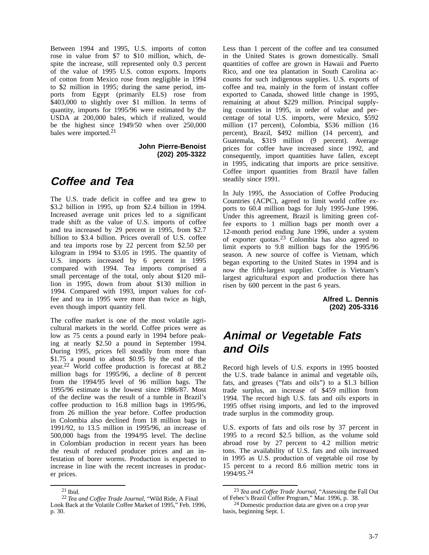Between 1994 and 1995, U.S. imports of cotton rose in value from \$7 to \$10 million, which, despite the increase, still represented only 0.3 percent of the value of 1995 U.S. cotton exports. Imports of cotton from Mexico rose from negligible in 1994 to \$2 million in 1995; during the same period, imports from Egypt (primarily ELS) rose from \$403,000 to slightly over \$1 million. In terms of quantity, imports for 1995/96 were estimated by the USDA at 200,000 bales, which if realized, would be the highest since 1949/50 when over 250,000 bales were imported.21

> **John Pierre-Benoist (202) 205-3322**

## **Coffee and Tea**

The U.S. trade deficit in coffee and tea grew to \$3.2 billion in 1995, up from \$2.4 billion in 1994. Increased average unit prices led to a significant trade shift as the value of U.S. imports of coffee and tea increased by 29 percent in 1995, from \$2.7 billion to \$3.4 billion. Prices overall of U.S. coffee and tea imports rose by 22 percent from \$2.50 per kilogram in 1994 to \$3.05 in 1995. The quantity of U.S. imports increased by 6 percent in 1995 compared with 1994. Tea imports comprised a small percentage of the total, only about \$120 million in 1995, down from about \$130 million in 1994. Compared with 1993, import values for coffee and tea in 1995 were more than twice as high, even though import quantity fell.

The coffee market is one of the most volatile agricultural markets in the world. Coffee prices were as low as 75 cents a pound early in 1994 before peaking at nearly \$2.50 a pound in September 1994. During 1995, prices fell steadily from more than \$1.75 a pound to about \$0.95 by the end of the year.22 World coffee production is forecast at 88.2 million bags for 1995/96, a decline of 8 percent from the 1994/95 level of 96 million bags. The 1995/96 estimate is the lowest since 1986/87. Most of the decline was the result of a tumble in Brazil's coffee production to 16.8 million bags in 1995/96, from 26 million the year before. Coffee production in Colombia also declined from 18 million bags in 1991/92, to 13.5 million in 1995/96, an increase of 500,000 bags from the 1994/95 level. The decline in Colombian production in recent years has been the result of reduced producer prices and an infestation of borer worms. Production is expected to increase in line with the recent increases in producer prices.

Less than 1 percent of the coffee and tea consumed in the United States is grown domestically. Small quantities of coffee are grown in Hawaii and Puerto Rico, and one tea plantation in South Carolina accounts for such indigenous supplies. U.S. exports of coffee and tea, mainly in the form of instant coffee exported to Canada, showed little change in 1995, remaining at about \$229 million. Principal supplying countries in 1995, in order of value and percentage of total U.S. imports, were Mexico, \$592 million (17 percent), Colombia, \$536 million (16 percent), Brazil, \$492 million (14 percent), and Guatemala, \$319 million (9 percent). Average prices for coffee have increased since 1992, and consequently, import quantities have fallen, except in 1995, indicating that imports are price sensitive. Coffee import quantities from Brazil have fallen steadily since 1991.

In July 1995, the Association of Coffee Producing Countries (ACPC), agreed to limit world coffee exports to 60.4 million bags for July 1995-June 1996. Under this agreement, Brazil is limiting green coffee exports to 1 million bags per month over a 12-month period ending June 1996, under a system of exporter quotas.23 Colombia has also agreed to limit exports to 9.8 million bags for the 1995/96 season. A new source of coffee is Vietnam, which began exporting to the United States in 1994 and is now the fifth-largest supplier. Coffee is Vietnam's largest agricultural export and production there has risen by 600 percent in the past 6 years.

> **Alfred L. Dennis (202) 205-3316**

# **Animal or Vegetable Fats and Oils**

Record high levels of U.S. exports in 1995 boosted the U.S. trade balance in animal and vegetable oils, fats, and greases ("fats and oils") to a \$1.3 billion trade surplus, an increase of \$459 million from 1994. The record high U.S. fats and oils exports in 1995 offset rising imports, and led to the improved trade surplus in the commodity group.

U.S. exports of fats and oils rose by 37 percent in 1995 to a record \$2.5 billion, as the volume sold abroad rose by 27 percent to 4.2 million metric tons. The availability of U.S. fats and oils increased in 1995 as U.S. production of vegetable oil rose by 15 percent to a record 8.6 million metric tons in 1994/95.24

<sup>21</sup> Ibid.

<sup>22</sup> *Tea and Coffee Trade Journal*, "Wild Ride, A Final Look Back at the Volatile Coffee Market of 1995," Feb. 1996, p. 30.

<sup>23</sup> *Tea and Coffee Trade Journal*, "Assessing the Fall Out of Febec's Brazil Coffee Program," Mar. 1996, p. 38.

<sup>24</sup> Domestic production data are given on a crop year basis, beginning Sept. 1.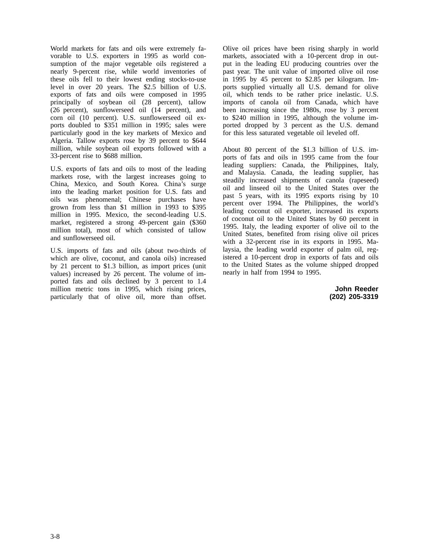World markets for fats and oils were extremely favorable to U.S. exporters in 1995 as world consumption of the major vegetable oils registered a nearly 9-percent rise, while world inventories of these oils fell to their lowest ending stocks-to-use level in over 20 years. The \$2.5 billion of U.S. exports of fats and oils were composed in 1995 principally of soybean oil (28 percent), tallow (26 percent), sunflowerseed oil (14 percent), and corn oil (10 percent). U.S. sunflowerseed oil exports doubled to \$351 million in 1995; sales were particularly good in the key markets of Mexico and Algeria. Tallow exports rose by 39 percent to \$644 million, while soybean oil exports followed with a 33-percent rise to \$688 million.

U.S. exports of fats and oils to most of the leading markets rose, with the largest increases going to China, Mexico, and South Korea. China's surge into the leading market position for U.S. fats and oils was phenomenal; Chinese purchases have grown from less than \$1 million in 1993 to \$395 million in 1995. Mexico, the second-leading U.S. market, registered a strong 49-percent gain (\$360 million total), most of which consisted of tallow and sunflowerseed oil.

U.S. imports of fats and oils (about two-thirds of which are olive, coconut, and canola oils) increased by 21 percent to \$1.3 billion, as import prices (unit values) increased by 26 percent. The volume of imported fats and oils declined by 3 percent to 1.4 million metric tons in 1995, which rising prices, particularly that of olive oil, more than offset.

Olive oil prices have been rising sharply in world markets, associated with a 10-percent drop in output in the leading EU producing countries over the past year. The unit value of imported olive oil rose in 1995 by 45 percent to \$2.85 per kilogram. Imports supplied virtually all U.S. demand for olive oil, which tends to be rather price inelastic. U.S. imports of canola oil from Canada, which have been increasing since the 1980s, rose by 3 percent to \$240 million in 1995, although the volume imported dropped by 3 percent as the U.S. demand for this less saturated vegetable oil leveled off.

About 80 percent of the \$1.3 billion of U.S. imports of fats and oils in 1995 came from the four leading suppliers: Canada, the Philippines, Italy, and Malaysia. Canada, the leading supplier, has steadily increased shipments of canola (rapeseed) oil and linseed oil to the United States over the past 5 years, with its 1995 exports rising by 10 percent over 1994. The Philippines, the world's leading coconut oil exporter, increased its exports of coconut oil to the United States by 60 percent in 1995. Italy, the leading exporter of olive oil to the United States, benefited from rising olive oil prices with a 32-percent rise in its exports in 1995. Malaysia, the leading world exporter of palm oil, registered a 10-percent drop in exports of fats and oils to the United States as the volume shipped dropped nearly in half from 1994 to 1995.

> **John Reeder (202) 205-3319**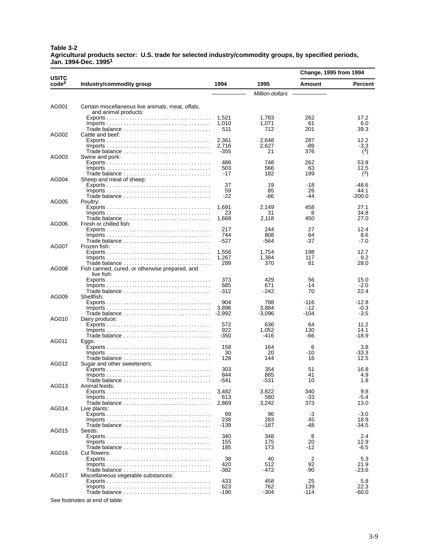### **Table 3-2 Agricultural products sector: U.S. trade for selected industry/commodity groups, by specified periods, Jan. 1994-Dec. 19951**

|                                   |                                                                                        |              |                 | Change, 1995 from 1994 |                |
|-----------------------------------|----------------------------------------------------------------------------------------|--------------|-----------------|------------------------|----------------|
| <b>USITC</b><br>code <sup>2</sup> | Industry/commodity group                                                               | 1994         | 1995            | <b>Amount</b>          | <b>Percent</b> |
|                                   |                                                                                        |              | Million dollars |                        |                |
| AG001                             | Certain miscellaneous live animals, meat, offals,                                      |              |                 |                        |                |
|                                   | and animal products:                                                                   |              |                 |                        |                |
|                                   |                                                                                        | 1,521        | 1,783           | 262                    | 17.2           |
|                                   |                                                                                        | 1,010        | 1,071           | 61                     | 6.0            |
|                                   | Trade balance                                                                          | 511          | 712             | 201                    | 39.3           |
| AG002                             | Cattle and beef:                                                                       | 2,361        | 2.648           | 287                    | 12.2           |
|                                   |                                                                                        | 2.716        | 2,627           | -89                    | $-3.3$         |
|                                   | Trade balance                                                                          | -355         | 21              | 376                    | (3)            |
| AG003                             | Swine and pork:                                                                        |              |                 |                        |                |
|                                   |                                                                                        | 486<br>503   | 748<br>566      | 262<br>63              | 53.9<br>12.5   |
|                                   | Trade balance                                                                          | -17          | 182             | 199                    | (3)            |
| AG004                             | Sheep and meat of sheep:                                                               |              |                 |                        |                |
|                                   |                                                                                        | 37           | 19              | -18                    | $-48.6$        |
|                                   |                                                                                        | 59           | 85              | 26                     | 44.1           |
| AG005                             | Trade balance<br>Poultry:                                                              | -22          | -66             | -44                    | $-200.0$       |
|                                   |                                                                                        | 1,691        | 2,149           | 458                    | 27.1           |
|                                   |                                                                                        | 23           | 31              | 8                      | 34.8           |
|                                   | Trade balance                                                                          | 1,668        | 2,118           | 450                    | 27.0           |
| AG006                             | Fresh or chilled fish:                                                                 | 217          | 244             | 27                     | 12.4           |
|                                   |                                                                                        | 744          | 808             | 64                     | 8.6            |
|                                   | Trade balance $\ldots, \ldots, \ldots, \ldots, \ldots, \ldots, \ldots, \ldots$         | -527         | -564            | -37                    | $-7.0$         |
| AG007                             | Frozen fish:                                                                           |              |                 |                        |                |
|                                   |                                                                                        | 1.556        | 1,754           | 198                    | 12.7           |
|                                   | Trade balance                                                                          | 1,267<br>289 | 1,384<br>370    | 117<br>81              | 9.2<br>28.0    |
| AG008                             | Fish canned, cured, or otherwise prepared, and                                         |              |                 |                        |                |
|                                   | live fish:                                                                             |              |                 |                        |                |
|                                   |                                                                                        | 373          | 429             | 56                     | 15.0           |
|                                   |                                                                                        | 685          | 671<br>$-242$   | -14<br>70              | $-2.0$<br>22.4 |
| AG009                             | Trade balance<br>Shellfish:                                                            | -312         |                 |                        |                |
|                                   |                                                                                        | 904          | 788             | -116                   | $-12.8$        |
|                                   | $Imports \ldots \ldots \ldots \ldots \ldots \ldots \ldots \ldots \ldots \ldots \ldots$ | 3.896        | 3,884           | -12                    | $-0.3$         |
| AG010                             | Trade balance $\ldots \ldots \ldots \ldots \ldots \ldots \ldots \ldots \ldots$ -2,992  |              | -3,096          | $-104$                 | $-3.5$         |
|                                   | Dairy produce:                                                                         | 572          | 636             | 64                     | 11.2           |
|                                   |                                                                                        | 922          | 1,052           | 130                    | 14.1           |
|                                   | Trade balance                                                                          | -350         | -416            | -66                    | $-18.9$        |
| AG011                             | Eggs:                                                                                  |              |                 |                        |                |
|                                   |                                                                                        | 158<br>30    | 164<br>20       | 6<br>-10               | 3.8<br>-33.3   |
|                                   | Trade balance                                                                          | 128          | 144             | 16                     | 12.5           |
| AG012                             | Sugar and other sweeteners:                                                            |              |                 |                        |                |
|                                   |                                                                                        | 303          | 354             | 51                     | 16.8           |
|                                   | Trade balance                                                                          | 844<br>-541  | 885<br>-531     | 41<br>10               | 4.9<br>1.8     |
| AG013                             | Animal feeds:                                                                          |              |                 |                        |                |
|                                   |                                                                                        | 3,482        | 3,822           | 340                    | 9.8            |
|                                   |                                                                                        | 613          | 580             | -33                    | $-5.4$         |
| AG014                             |                                                                                        | 2,869        | 3,242           | 373                    | 13.0           |
|                                   | Live plants:                                                                           | 99           | 96              | -3                     | $-3.0$         |
|                                   |                                                                                        | 238          | 283             | 45                     | 18.9           |
|                                   | Trade balance                                                                          | -139         | -187            | -48                    | -34.5          |
| AG015                             | Seeds:                                                                                 |              |                 |                        |                |
|                                   |                                                                                        | 340<br>155   | 348<br>175      | 8<br>20                | 2.4<br>12.9    |
|                                   |                                                                                        | 185          | 173             | -12                    | $-6.5$         |
| AG016                             | Cut flowers:                                                                           |              |                 |                        |                |
|                                   |                                                                                        | 38           | 40              | 2                      | 5.3            |
|                                   |                                                                                        | 420<br>-382  | 512<br>-472     | 92<br>-90              | 21.9<br>-23.6  |
| AG017                             | Miscellaneous vegetable substances:                                                    |              |                 |                        |                |
|                                   |                                                                                        | 433          | 458             | 25                     | 5.8            |
|                                   |                                                                                        | 623          | 762             | 139                    | 22.3           |
|                                   | Trade balance                                                                          | -190         | -304            | -114                   | -60.0          |

See footnotes at end of table.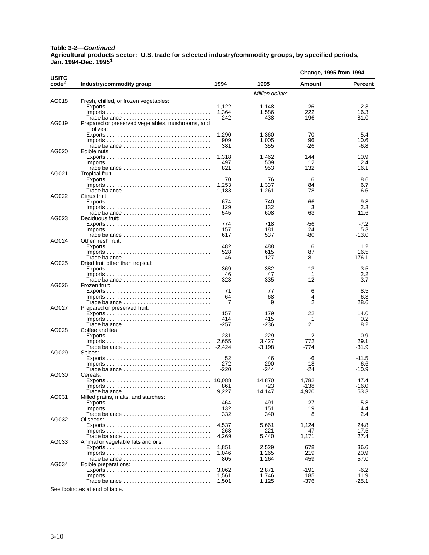### **Table 3-2—Continued Agricultural products sector: U.S. trade for selected industry/commodity groups, by specified periods, Jan. 1994-Dec. 19951**

|                                   |                                                                                        |                |                 | Change, 1995 from 1994 |                |
|-----------------------------------|----------------------------------------------------------------------------------------|----------------|-----------------|------------------------|----------------|
| <b>USITC</b><br>code <sup>2</sup> | Industry/commodity group                                                               | 1994           | 1995            | Amount                 | <b>Percent</b> |
|                                   |                                                                                        |                | Million dollars |                        |                |
| AG018                             | Fresh, chilled, or frozen vegetables:                                                  |                |                 |                        |                |
|                                   |                                                                                        | 1,122          | 1,148           | 26                     | 2.3            |
|                                   |                                                                                        | 1,364          | 1,586           | 222                    | 16.3           |
| AG019                             | Prepared or preserved vegetables, mushrooms, and                                       | $-242$         | -438            | -196                   | -81.0          |
|                                   | olives:                                                                                |                |                 |                        |                |
|                                   |                                                                                        | 1,290          | 1,360           | 70                     | 5.4            |
|                                   |                                                                                        | 909            | 1,005           | 96                     | 10.6           |
|                                   | Trade balance                                                                          | 381            | 355             | -26                    | $-6.8$         |
| AG020                             | Edible nuts:                                                                           |                |                 |                        |                |
|                                   |                                                                                        | 1,318<br>497   | 1,462<br>509    | 144<br>12              | 10.9<br>2.4    |
|                                   |                                                                                        | 821            | 953             | 132                    | 16.1           |
| AG021                             | Tropical fruit:                                                                        |                |                 |                        |                |
|                                   |                                                                                        | 70             | 76              | 6                      | 8.6            |
|                                   |                                                                                        | 1,253          | 1,337           | 84                     | 6.7            |
|                                   |                                                                                        | -1,183         | $-1,261$        | -78                    | -6.6           |
| AG022                             | Citrus fruit:                                                                          |                |                 |                        |                |
|                                   |                                                                                        | 674<br>129     | 740<br>132      | 66<br>3                | 9.8<br>2.3     |
|                                   |                                                                                        | 545            | 608             | 63                     | 11.6           |
| AG023                             | Deciduous fruit:                                                                       |                |                 |                        |                |
|                                   |                                                                                        | 774            | 718             | -56                    | $-7.2$         |
|                                   |                                                                                        | 157            | 181             | 24                     | 15.3           |
|                                   | Trade balance                                                                          | 617            | 537             | -80                    | -13.0          |
| AG024                             | Other fresh fruit:                                                                     | 482            | 488             | 6                      | 1.2            |
|                                   | $Imports \ldots \ldots \ldots \ldots \ldots \ldots \ldots \ldots \ldots \ldots \ldots$ | 528            | 615             | 87                     | 16.5           |
|                                   | Trade balance                                                                          | -46            | -127            | -81                    | $-176.1$       |
| AG025                             | Dried fruit other than tropical:                                                       |                |                 |                        |                |
|                                   |                                                                                        | 369            | 382             | 13                     | 3.5            |
|                                   |                                                                                        | 46             | 47              | 1                      | 2.2            |
| AG026                             | Trade balance<br>Frozen fruit:                                                         | 323            | 335             | 12                     | 3.7            |
|                                   |                                                                                        | 71             | 77              | 6                      | 8.5            |
|                                   |                                                                                        | 64             | 68              | 4                      | 6.3            |
|                                   | Trade balance                                                                          | 7              | 9               | 2                      | 28.6           |
| AG027                             | Prepared or preserved fruit:                                                           |                |                 |                        |                |
|                                   |                                                                                        | 157            | 179             | 22                     | 14.0           |
|                                   | Trade balance                                                                          | 414<br>$-257$  | 415<br>$-236$   | 1<br>21                | 0.2<br>8.2     |
| AG028                             | Coffee and tea:                                                                        |                |                 |                        |                |
|                                   |                                                                                        | 231            | 229             | $-2$                   | $-0.9$         |
|                                   |                                                                                        | 2,655          | 3,427           | 772                    | 29.1           |
|                                   | Trade balance $\ldots \ldots \ldots \ldots \ldots \ldots \ldots \ldots \ldots$ -2,424  |                | $-3,198$        | -774                   | -31.9          |
| AG029                             | Spices:                                                                                |                |                 |                        |                |
|                                   | $Imports \ldots \ldots \ldots \ldots \ldots \ldots \ldots \ldots \ldots \ldots \ldots$ | 52<br>272      | 46<br>290       | -6<br>18               | $-11.5$<br>6.6 |
|                                   |                                                                                        | -220           | -244            | -24                    | -10.9          |
| AG030                             | Cereals:                                                                               |                |                 |                        |                |
|                                   |                                                                                        |                | 14,870          | 4,782                  | 47.4           |
|                                   |                                                                                        | 861            | 723             | $-138$                 | -16.0          |
|                                   | Trade balance                                                                          | 9,227          | 14,147          | 4,920                  | 53.3           |
| AG031                             | Milled grains, malts, and starches:                                                    | 464            | 491             | 27                     | 5.8            |
|                                   | $Imports \ldots \ldots \ldots \ldots \ldots \ldots \ldots \ldots \ldots \ldots \ldots$ | 132            | 151             | 19                     | 14.4           |
|                                   | Trade balance                                                                          | 332            | 340             | 8                      | 2.4            |
| AG032                             | Oilseeds:                                                                              |                |                 |                        |                |
|                                   |                                                                                        | 4,537          | 5,661           | 1,124                  | 24.8           |
|                                   |                                                                                        | 268            | 221             | -47                    | -17.5          |
| AG033                             | Animal or vegetable fats and oils:                                                     | 4,269          | 5,440           | 1,171                  | 27.4           |
|                                   |                                                                                        | 1,851          | 2,529           | 678                    | 36.6           |
|                                   |                                                                                        | 1,046          | 1,265           | 219                    | 20.9           |
|                                   | Trade balance                                                                          | 805            | 1,264           | 459                    | 57.0           |
| AG034                             | Edible preparations:                                                                   |                |                 |                        |                |
|                                   |                                                                                        | 3,062          | 2,871           | $-191$                 | $-6.2$<br>11.9 |
|                                   | Trade balance                                                                          | 1,561<br>1,501 | 1,746<br>1,125  | 185<br>-376            | -25.1          |
|                                   |                                                                                        |                |                 |                        |                |

See footnotes at end of table.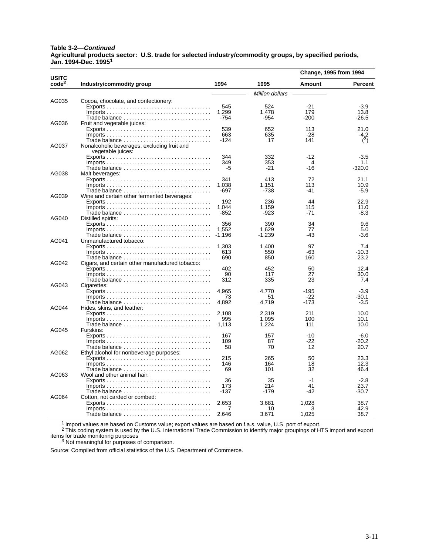### **Table 3-2—Continued Agricultural products sector: U.S. trade for selected industry/commodity groups, by specified periods, Jan. 1994-Dec. 19951**

| <b>USITC</b><br>code <sup>2</sup> | Industry/commodity group                                                               | 1994   | 1995            | Change, 1995 from 1994 |          |
|-----------------------------------|----------------------------------------------------------------------------------------|--------|-----------------|------------------------|----------|
|                                   |                                                                                        |        |                 | Amount                 | Percent  |
|                                   |                                                                                        |        | Million dollars |                        |          |
| AG035                             | Cocoa, chocolate, and confectionery:                                                   |        |                 |                        |          |
|                                   |                                                                                        | 545    | 524             | $-21$                  | $-3.9$   |
|                                   | $Imports \ldots \ldots \ldots \ldots \ldots \ldots \ldots \ldots \ldots \ldots \ldots$ | 1,299  | 1,478           | 179                    | 13.8     |
|                                   | Trade balance                                                                          | $-754$ | -954            | -200                   | $-26.5$  |
| AG036                             | Fruit and vegetable juices:                                                            |        |                 |                        |          |
|                                   |                                                                                        | 539    | 652             | 113                    | 21.0     |
|                                   | $Imports \ldots \ldots \ldots \ldots \ldots \ldots \ldots \ldots \ldots \ldots \ldots$ | 663    | 635             | -28                    | -4.2     |
|                                   | Trade balance                                                                          | $-124$ | 17              | 141                    | (3)      |
| AG037                             | Nonalcoholic beverages, excluding fruit and<br>vegetable juices:                       |        |                 |                        |          |
|                                   |                                                                                        | 344    | 332             | $-12$                  | $-3.5$   |
|                                   |                                                                                        | 349    | 353             | 4                      | 1.1      |
|                                   | Trade balance                                                                          | -5     | -21             | $-16$                  | $-320.0$ |
| AG038                             | Malt beverages:                                                                        |        |                 |                        |          |
|                                   |                                                                                        | 341    | 413             | 72                     | 21.1     |
|                                   | $Imports \ldots \ldots \ldots \ldots \ldots \ldots \ldots \ldots \ldots \ldots \ldots$ | 1,038  | 1,151           | 113                    | 10.9     |
|                                   | Trade balance                                                                          | $-697$ | $-738$          | -41                    | $-5.9$   |
| AG039                             | Wine and certain other fermented beverages:                                            |        |                 |                        |          |
|                                   |                                                                                        | 192    | 236             | 44                     | 22.9     |
|                                   |                                                                                        | 1,044  | 1,159           | 115                    | 11.0     |
|                                   | Trade balance                                                                          | $-852$ | -923            | -71                    | -8.3     |
| AG040                             | Distilled spirits:                                                                     |        |                 |                        |          |
|                                   |                                                                                        | 356    | 390             | 34                     | 9.6      |
|                                   | $Imports \ldots \ldots \ldots \ldots \ldots \ldots \ldots \ldots \ldots \ldots \ldots$ | 1,552  | 1.629           | 77                     | 5.0      |
|                                   | Trade balance                                                                          | -1,196 | $-1,239$        | -43                    | -3.6     |
| AG041<br>AG042                    | Unmanufactured tobacco:                                                                |        |                 |                        |          |
|                                   |                                                                                        | 1,303  | 1.400           | 97                     | 7.4      |
|                                   | $Imports \ldots \ldots \ldots \ldots \ldots \ldots \ldots \ldots \ldots \ldots \ldots$ | 613    | 550             | $-63$                  | $-10.3$  |
|                                   |                                                                                        | 690    | 850             | 160                    | 23.2     |
|                                   | Cigars, and certain other manufactured tobacco:                                        | 402    | 452             | 50                     | 12.4     |
|                                   | $Imports \ldots \ldots \ldots \ldots \ldots \ldots \ldots \ldots \ldots \ldots \ldots$ | 90     | 117             | 27                     | 30.0     |
|                                   | Trade balance                                                                          | 312    | 335             | 23                     | 7.4      |
| AG043                             | Cigarettes:                                                                            |        |                 |                        |          |
| AG044                             |                                                                                        | 4.965  | 4.770           | $-195$                 | $-3.9$   |
|                                   | $Imports \ldots \ldots \ldots \ldots \ldots \ldots \ldots \ldots \ldots \ldots \ldots$ | 73     | 51              | $-22$                  | -30.1    |
|                                   |                                                                                        | 4,892  | 4,719           | -173                   | $-3.5$   |
|                                   | Hides, skins, and leather:                                                             |        |                 |                        |          |
|                                   |                                                                                        | 2.108  | 2,319           | 211                    | 10.0     |
|                                   |                                                                                        | 995    | 1.095           | 100                    | 10.1     |
|                                   | Trade balance                                                                          | 1,113  | 1,224           | 111                    | 10.0     |
| AG045                             | Furskins:                                                                              |        |                 |                        |          |
|                                   |                                                                                        | 167    | 157             | $-10$                  | -6.0     |
|                                   |                                                                                        | 109    | 87              | -22                    | $-20.2$  |
|                                   | Trade balance                                                                          | 58     | 70              | 12                     | 20.7     |
| AG062                             | Ethyl alcohol for nonbeverage purposes:                                                |        |                 |                        |          |
|                                   |                                                                                        | 215    | 265             | 50                     | 23.3     |
|                                   |                                                                                        | 146    | 164             | 18                     | 12.3     |
|                                   | Trade balance                                                                          | 69     | 101             | 32                     | 46.4     |
| AG063                             | Wool and other animal hair:                                                            |        |                 |                        |          |
|                                   |                                                                                        | 36     | 35              | $-1$                   | $-2.8$   |
|                                   |                                                                                        | 173    | 214             | 41                     | 23.7     |
|                                   | Trade balance                                                                          | $-137$ | -179            | -42                    | -30.7    |
| AG064                             | Cotton, not carded or combed:                                                          |        |                 |                        |          |
|                                   |                                                                                        | 2,653  | 3,681           | 1,028                  | 38.7     |
|                                   | $Imports \ldots \ldots \ldots \ldots \ldots \ldots \ldots \ldots \ldots \ldots \ldots$ | 7      | 10              | 3<br>1,025             | 42.9     |
|                                   |                                                                                        | 2.646  | 3,671           |                        | 38.7     |

1 Import values are based on Customs value; export values are based on f.a.s. value, U.S. port of export.

 $^2$  This coding system is used by the U.S. International Trade Commission to identify major groupings of HTS import and export items for trade monitoring purposes<br><sup>3</sup> Not meaningful for purposes of comparison.

Source: Compiled from official statistics of the U.S. Department of Commerce.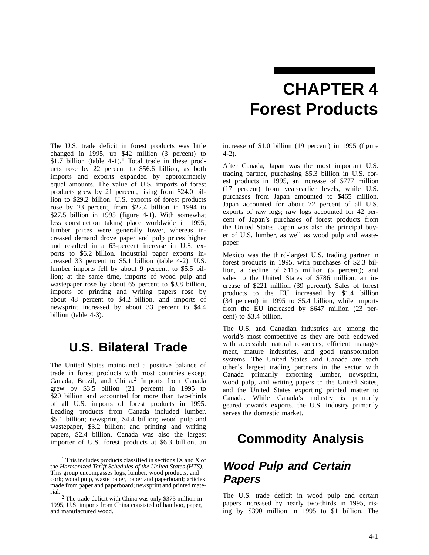# **CHAPTER 4 Forest Products**

The U.S. trade deficit in forest products was little changed in 1995, up \$42 million (3 percent) to \$1.7 billion (table  $4-1$ ).<sup>1</sup> Total trade in these products rose by 22 percent to \$56.6 billion, as both imports and exports expanded by approximately equal amounts. The value of U.S. imports of forest products grew by 21 percent, rising from \$24.0 billion to \$29.2 billion. U.S. exports of forest products rose by 23 percent, from \$22.4 billion in 1994 to \$27.5 billion in 1995 (figure 4-1). With somewhat less construction taking place worldwide in 1995, lumber prices were generally lower, whereas increased demand drove paper and pulp prices higher and resulted in a 63-percent increase in U.S. exports to \$6.2 billion. Industrial paper exports increased 33 percent to \$5.1 billion (table 4-2). U.S. lumber imports fell by about 9 percent, to \$5.5 billion; at the same time, imports of wood pulp and wastepaper rose by about 65 percent to \$3.8 billion, imports of printing and writing papers rose by about 48 percent to \$4.2 billion, and imports of newsprint increased by about 33 percent to \$4.4 billion (table 4-3).

## **U.S. Bilateral Trade**

The United States maintained a positive balance of trade in forest products with most countries except Canada, Brazil, and China.2 Imports from Canada grew by \$3.5 billion (21 percent) in 1995 to \$20 billion and accounted for more than two-thirds of all U.S. imports of forest products in 1995. Leading products from Canada included lumber, \$5.1 billion; newsprint, \$4.4 billion; wood pulp and wastepaper, \$3.2 billion; and printing and writing papers, \$2.4 billion. Canada was also the largest importer of U.S. forest products at \$6.3 billion, an increase of \$1.0 billion (19 percent) in 1995 (figure 4-2).

After Canada, Japan was the most important U.S. trading partner, purchasing \$5.3 billion in U.S. forest products in 1995, an increase of \$777 million (17 percent) from year-earlier levels, while U.S. purchases from Japan amounted to \$465 million. Japan accounted for about 72 percent of all U.S. exports of raw logs; raw logs accounted for 42 percent of Japan's purchases of forest products from the United States. Japan was also the principal buyer of U.S. lumber, as well as wood pulp and wastepaper.

Mexico was the third-largest U.S. trading partner in forest products in 1995, with purchases of \$2.3 billion, a decline of \$115 million (5 percent); and sales to the United States of \$786 million, an increase of \$221 million (39 percent). Sales of forest products to the EU increased by \$1.4 billion (34 percent) in 1995 to \$5.4 billion, while imports from the EU increased by \$647 million (23 percent) to \$3.4 billion.

The U.S. and Canadian industries are among the world's most competitive as they are both endowed with accessible natural resources, efficient management, mature industries, and good transportation systems. The United States and Canada are each other's largest trading partners in the sector with Canada primarily exporting lumber, newsprint, wood pulp, and writing papers to the United States, and the United States exporting printed matter to Canada. While Canada's industry is primarily geared towards exports, the U.S. industry primarily serves the domestic market.

## **Commodity Analysis**

## **Wood Pulp and Certain Papers**

The U.S. trade deficit in wood pulp and certain papers increased by nearly two-thirds in 1995, rising by \$390 million in 1995 to \$1 billion. The

<sup>1</sup> This includes products classified in sections IX and X of the *Harmonized Tariff Schedules of the United States (HTS).* This group encompasses logs, lumber, wood products, and cork; wood pulp, waste paper, paper and paperboard; articles made from paper and paperboard; newsprint and printed material.

<sup>2</sup> The trade deficit with China was only \$373 million in 1995; U.S. imports from China consisted of bamboo, paper, and manufactured wood.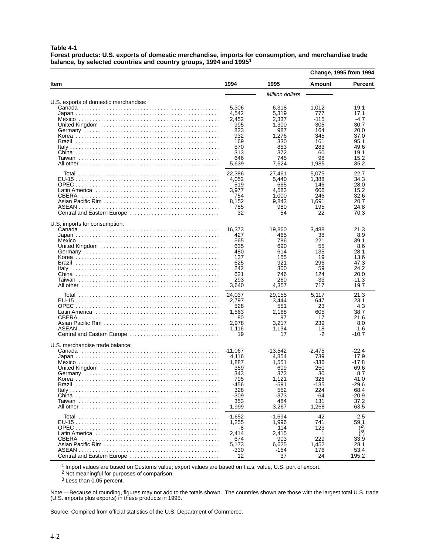**Table 4-1**

**Forest products: U.S. exports of domestic merchandise, imports for consumption, and merchandise trade balance, by selected countries and country groups, 1994 and 19951**

|                                            |                                                                                         |                                                                                           | <b>Change, 1995 from 1994</b>                                                     |                                                                                               |
|--------------------------------------------|-----------------------------------------------------------------------------------------|-------------------------------------------------------------------------------------------|-----------------------------------------------------------------------------------|-----------------------------------------------------------------------------------------------|
| Item                                       | 1994                                                                                    | 1995                                                                                      | Amount                                                                            | <b>Percent</b>                                                                                |
|                                            |                                                                                         | Million dollars                                                                           |                                                                                   |                                                                                               |
| U.S. exports of domestic merchandise:      | 5,306<br>4,542<br>2,452<br>995<br>823<br>932<br>169<br>570<br>313<br>646<br>5,639       | 6,318<br>5.319<br>2,337<br>1,300<br>987<br>1,276<br>330<br>853<br>372<br>745<br>7,624     | 1,012<br>777<br>-115<br>305<br>164<br>345<br>161<br>283<br>60<br>98<br>1,985      | 19.1<br>17.1<br>$-4.7$<br>30.7<br>20.0<br>37.0<br>95.1<br>49.6<br>19.1<br>15.2<br>35.2        |
| CBERA<br>Central and Eastern Europe        | 22,386<br>4,052<br>519<br>3,977<br>754<br>8,152<br>785<br>32                            | 27,461<br>5,440<br>665<br>4,583<br>1,000<br>9,843<br>980<br>54                            | 5,075<br>1,388<br>146<br>606<br>246<br>1,691<br>195<br>22                         | 22.7<br>34.3<br>28.0<br>15.2<br>32.6<br>20.7<br>24.8<br>70.3                                  |
| U.S. imports for consumption:              | 16,373<br>427<br>565<br>635<br>480<br>137<br>625<br>242<br>621<br>293<br>3,640          | 19,860<br>465<br>786<br>690<br>614<br>155<br>921<br>300<br>746<br>260<br>4,357            | 3.488<br>38<br>221<br>55<br>135<br>19<br>296<br>59<br>124<br>-33<br>717           | 21.3<br>8.9<br>39.1<br>8.6<br>28.1<br>13.6<br>47.3<br>24.2<br>20.0<br>$-11.3$<br>19.7         |
| <b>CBERA</b><br>Central and Eastern Europe | 24,037<br>2.797<br>528<br>1,563<br>80<br>2,978<br>1,116<br>19                           | 29,155<br>3,444<br>551<br>2,168<br>97<br>3,217<br>1,134<br>17                             | 5,117<br>647<br>23<br>605<br>17<br>239<br>18<br>$-2$                              | 21.3<br>23.1<br>4.3<br>38.7<br>21.6<br>8.0<br>1.6<br>$-10.7$                                  |
| U.S. merchandise trade balance:            | $-11,067$<br>4,116<br>1,887<br>359<br>343<br>795<br>-456<br>328<br>-309<br>353<br>1,999 | $-13,542$<br>4,854<br>1,551<br>609<br>373<br>1,121<br>-591<br>552<br>-373<br>484<br>3,267 | $-2,475$<br>739<br>-336<br>250<br>30<br>326<br>-135<br>224<br>-64<br>131<br>1,268 | $-22.4$<br>17.9<br>-17.8<br>69.6<br>8.7<br>41.0<br>$-29.6$<br>68.4<br>$-20.9$<br>37.2<br>63.5 |
| Central and Eastern Europe                 | $-1,652$<br>1,255<br>-8<br>2,414<br>674<br>5,173<br>$-330$<br>12                        | $-1,694$<br>1,996<br>114<br>2,415<br>903<br>6,625<br>-154<br>37                           | -42<br>741<br>123<br>1<br>229<br>1,452<br>176<br>24                               | $-2.5$<br>59.1<br>(2)<br>$\lambda$ 3)<br>33.9<br>28.1<br>53.4<br>195.2                        |

1 Import values are based on Customs value; export values are based on f.a.s. value, U.S. port of export.

2 Not meaningful for purposes of comparison.

3 Less than 0.05 percent.

Note.—Because of rounding, figures may not add to the totals shown. The countries shown are those with the largest total U.S. trade (U.S. imports plus exports) in these products in 1995.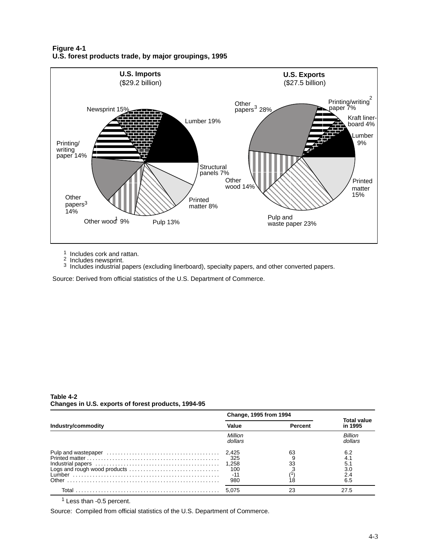**Figure 4-1 U.S. forest products trade, by major groupings, 1995**



<sup>1</sup> Includes cork and rattan.<br><sup>2</sup> Includes newsprint.

 $3$  Includes industrial papers (excluding linerboard), specialty papers, and other converted papers.

Source: Derived from official statistics of the U.S. Department of Commerce.

|                              | Change, 1995 from 1994                       |                |                                        |
|------------------------------|----------------------------------------------|----------------|----------------------------------------|
| Industry/commodity           | Value                                        | <b>Percent</b> | <b>Total value</b><br>in 1995          |
|                              | Million<br>dollars                           |                | <b>Billion</b><br>dollars              |
| Logs and rough wood products | 2.425<br>- 325<br>1,258<br>100<br>-11<br>980 | 63<br>33       | 6.2<br>4.1<br>5.1<br>3.0<br>2.4<br>6.5 |
| Total                        | 5.075                                        | 23             | 27.5                                   |

#### **Table 4-2 Changes in U.S. exports of forest products, 1994-95**

1 Less than -0.5 percent.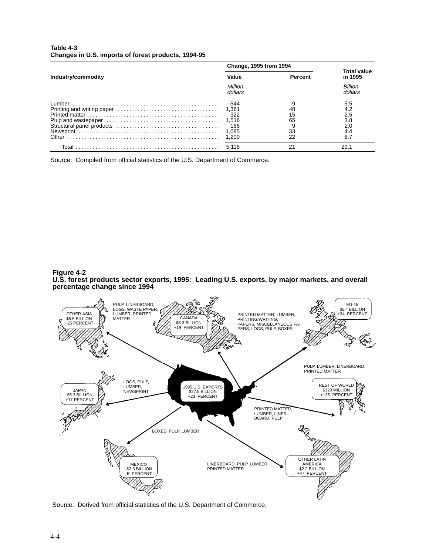| Table 4-3                                           |  |  |
|-----------------------------------------------------|--|--|
| Changes in U.S. imports of forest products, 1994-95 |  |  |

|                    | <b>Change, 1995 from 1994</b>                          |                            |                                               |  |
|--------------------|--------------------------------------------------------|----------------------------|-----------------------------------------------|--|
| Industry/commodity | Value                                                  | Percent                    | <b>Total value</b><br>in 1995                 |  |
|                    | Million<br>dollars                                     |                            | <b>Billion</b><br>dollars                     |  |
|                    | -544<br>1,361<br>322<br>1,516<br>166<br>1,085<br>1.209 | 48<br>15<br>65<br>33<br>22 | 5.5<br>4.2<br>2.5<br>3.8<br>2.0<br>4.4<br>6.7 |  |
| Total              | 5.118                                                  | 21                         | 29.1                                          |  |

Source: Compiled from official statistics of the U.S. Department of Commerce.

#### **Figure 4-2 U.S. forest products sector exports, 1995: Leading U.S. exports, by major markets, and overall percentage change since 1994**

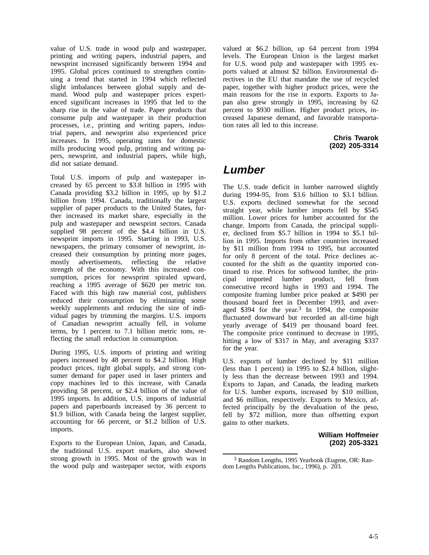value of U.S. trade in wood pulp and wastepaper, printing and writing papers, industrial papers, and newsprint increased significantly between 1994 and 1995. Global prices continued to strengthen continuing a trend that started in 1994 which reflected slight imbalances between global supply and demand. Wood pulp and wastepaper prices experienced significant increases in 1995 that led to the sharp rise in the value of trade. Paper products that consume pulp and wastepaper in their production processes, i.e., printing and writing papers, industrial papers, and newsprint also experienced price increases. In 1995, operating rates for domestic mills producing wood pulp, printing and writing papers, newsprint, and industrial papers, while high, did not satiate demand.

Total U.S. imports of pulp and wastepaper increased by 65 percent to \$3.8 billion in 1995 with Canada providing \$3.2 billion in 1995, up by \$1.2 billion from 1994. Canada, traditionally the largest supplier of paper products to the United States, further increased its market share, especially in the pulp and wastepaper and newsprint sectors. Canada supplied 98 percent of the \$4.4 billion in U.S. newsprint imports in 1995. Starting in 1993, U.S. newspapers, the primary consumer of newsprint, increased their consumption by printing more pages, mostly advertisements, reflecting the relative strength of the economy. With this increased consumption, prices for newsprint spiraled upward, reaching a 1995 average of \$620 per metric ton. Faced with this high raw material cost, publishers reduced their consumption by eliminating some weekly supplements and reducing the size of individual pages by trimming the margins. U.S. imports of Canadian newsprint actually fell, in volume terms, by 1 percent to 7.1 billion metric tons, reflecting the small reduction in consumption.

During 1995, U.S. imports of printing and writing papers increased by 48 percent to \$4.2 billion. High product prices, tight global supply, and strong consumer demand for paper used in laser printers and copy machines led to this increase, with Canada providing 58 percent, or \$2.4 billion of the value of 1995 imports. In addition, U.S. imports of industrial papers and paperboards increased by 36 percent to \$1.9 billion, with Canada being the largest supplier, accounting for 66 percent, or \$1.2 billion of U.S. imports.

Exports to the European Union, Japan, and Canada, the traditional U.S. export markets, also showed strong growth in 1995. Most of the growth was in the wood pulp and wastepaper sector, with exports

valued at \$6.2 billion, up 64 percent from 1994 levels. The European Union is the largest market for U.S. wood pulp and wastepaper with 1995 exports valued at almost \$2 billion. Environmental directives in the EU that mandate the use of recycled paper, together with higher product prices, were the main reasons for the rise in exports. Exports to Japan also grew strongly in 1995, increasing by 62 percent to \$930 million. Higher product prices, increased Japanese demand, and favorable transportation rates all led to this increase.

> **Chris Twarok (202) 205-3314**

## **Lumber**

The U.S. trade deficit in lumber narrowed slightly during 1994-95, from \$3.6 billion to \$3.1 billion. U.S. exports declined somewhat for the second straight year, while lumber imports fell by \$545 million. Lower prices for lumber accounted for the change. Imports from Canada, the principal supplier, declined from \$5.7 billion in 1994 to \$5.1 billion in 1995. Imports from other countries increased by \$11 million from 1994 to 1995, but accounted for only 8 percent of the total. Price declines accounted for the shift as the quantity imported continued to rise. Prices for softwood lumber, the principal imported lumber product, fell from consecutive record highs in 1993 and 1994. The composite framing lumber price peaked at \$490 per thousand board feet in December 1993, and averaged \$394 for the year.3 In 1994, the composite fluctuated downward but recorded an all-time high yearly average of \$419 per thousand board feet. The composite price continued to decrease in 1995, hitting a low of \$317 in May, and averaging \$337 for the year.

U.S. exports of lumber declined by \$11 million (less than 1 percent) in 1995 to \$2.4 billion, slightly less than the decrease between 1993 and 1994. Exports to Japan, and Canada, the leading markets for U.S. lumber exports, increased by \$10 million, and \$6 million, respectively. Exports to Mexico, affected principally by the devaluation of the peso, fell by \$72 million, more than offsetting export gains to other markets.

#### **William Hoffmeier (202) 205-3321**

<sup>3</sup> Random Lengths, 1995 Yearbook (Eugene, OR: Random Lengths Publications, Inc., 1996), p. 203.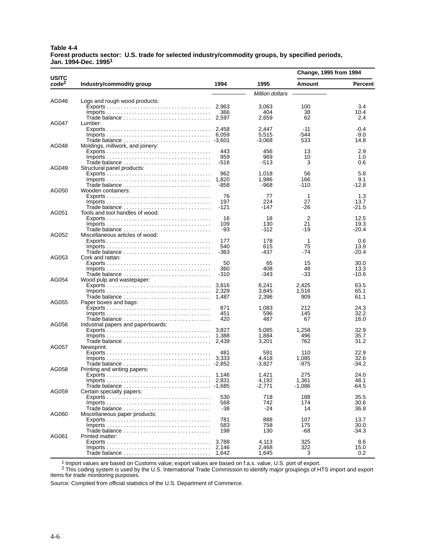#### **Table 4-4 Forest products sector: U.S. trade for selected industry/commodity groups, by specified periods, Jan. 1994-Dec. 19951**

| code <sup>2</sup><br>1994<br>1995<br>Industry/commodity group<br>Amount<br>Million dollars<br>AG046<br>Logs and rough wood products:<br>3,063<br>100<br>3.4<br>10.4<br>$Imports \ldots \ldots \ldots \ldots \ldots \ldots \ldots \ldots \ldots \ldots \ldots$<br>366<br>404<br>38<br>2,597<br>2.659<br>62<br>2.4<br>AG047<br>Lumber:<br>2.447<br>$-11$<br>$-0.4$<br>5.515<br>$-9.0$<br>-544<br>$-3,068$<br>533<br>14.8<br>AG048<br>Moldings, millwork, and joinery:<br>443<br>456<br>2.9<br>13<br>959<br>969<br>10<br>1.0<br>$-516$<br>-513<br>3<br>0.6<br>AG049<br>Structural panel products:<br>962<br>5.8<br>1,018<br>56<br>1,820<br>1,986<br>9.1<br>166<br>-858<br>-968<br>-110<br>-12.8<br>AG050<br>Wooden containers:<br>76<br>1<br>1.3<br>77<br>27<br>13.7<br>197<br>224<br>$-121$<br>-147<br>-26<br>-21.5<br>AG051<br>Tools and tool handles of wood:<br>2<br>16<br>12.5<br>18<br>109<br>130<br>21<br>$Imports \ldots \ldots \ldots \ldots \ldots \ldots \ldots \ldots \ldots \ldots \ldots$<br>19.3<br>Trade balance<br>-93<br>-112<br>-19<br>$-20.4$<br>AG052<br>Miscellaneous articles of wood:<br>178<br>0.6<br>177<br>1<br>540<br>615<br>75<br>13.9<br>-437<br>$-20.4$<br>-363<br>-74<br>AG053<br>Cork and rattan:<br>50<br>65<br>15<br>30.0<br>360<br>408<br>48<br>13.3<br>-33<br>-310<br>-343<br>-10.6<br>Trade balance<br>AG054<br>Wood pulp and wastepaper:<br>2,425<br>63.5<br>6,241<br>3,845<br>1,516<br>65.1<br>2,396<br>909<br>61.1<br>AG055<br>Paper boxes and bags:<br>871<br>212<br>24.3<br>1,083<br>451<br>596<br>32.2<br>145<br>487<br>16.0<br>420<br>67<br>AG056<br>Industrial papers and paperboards:<br>1,258<br>32.9<br>5,085<br>1.884<br>35.7<br>496<br>3,201<br>762<br>31.2<br>AG057<br>Newsprint:<br>481<br>591<br>110<br>22.9<br>4,418<br>1,085<br>32.6<br>-34.2<br>$-3,827$<br>-975<br>AG058<br>Printing and writing papers:<br>275<br>24.0<br>1,146<br>1,421<br>4,192<br>48.1<br>1,361<br>$-2,771$<br>-1,086<br>-64.5<br>AG059<br>Certain specialty papers:<br>718<br>35.5<br>530<br>188<br>742<br>174<br>30.6<br>568<br>Trade balance<br>14<br>36.8<br>-38<br>-24<br>AG060<br>Miscellaneous paper products:<br>781<br>888<br>107<br>13.7<br>583<br>758<br>175<br>30.0<br>-34.3<br>Trade balance<br>198<br>130<br>-68<br>AG061<br>Printed matter:<br>3,788<br>325<br>8.6<br>4,113<br>2.146<br>2,468<br>322<br>15.0<br>Trade balance<br>1.645<br>3<br>0.2<br>1,642 |              |  | Change, 1995 from 1994 |                |
|-------------------------------------------------------------------------------------------------------------------------------------------------------------------------------------------------------------------------------------------------------------------------------------------------------------------------------------------------------------------------------------------------------------------------------------------------------------------------------------------------------------------------------------------------------------------------------------------------------------------------------------------------------------------------------------------------------------------------------------------------------------------------------------------------------------------------------------------------------------------------------------------------------------------------------------------------------------------------------------------------------------------------------------------------------------------------------------------------------------------------------------------------------------------------------------------------------------------------------------------------------------------------------------------------------------------------------------------------------------------------------------------------------------------------------------------------------------------------------------------------------------------------------------------------------------------------------------------------------------------------------------------------------------------------------------------------------------------------------------------------------------------------------------------------------------------------------------------------------------------------------------------------------------------------------------------------------------------------------------------------------------------------------------------------------------------------------------------------------------------------------------------------------------------------------------------------------------------------------------------------------------------------------------------------------------------------------------------------------------------------------------------------------|--------------|--|------------------------|----------------|
|                                                                                                                                                                                                                                                                                                                                                                                                                                                                                                                                                                                                                                                                                                                                                                                                                                                                                                                                                                                                                                                                                                                                                                                                                                                                                                                                                                                                                                                                                                                                                                                                                                                                                                                                                                                                                                                                                                                                                                                                                                                                                                                                                                                                                                                                                                                                                                                                       | <b>USITC</b> |  |                        | <b>Percent</b> |
|                                                                                                                                                                                                                                                                                                                                                                                                                                                                                                                                                                                                                                                                                                                                                                                                                                                                                                                                                                                                                                                                                                                                                                                                                                                                                                                                                                                                                                                                                                                                                                                                                                                                                                                                                                                                                                                                                                                                                                                                                                                                                                                                                                                                                                                                                                                                                                                                       |              |  |                        |                |
|                                                                                                                                                                                                                                                                                                                                                                                                                                                                                                                                                                                                                                                                                                                                                                                                                                                                                                                                                                                                                                                                                                                                                                                                                                                                                                                                                                                                                                                                                                                                                                                                                                                                                                                                                                                                                                                                                                                                                                                                                                                                                                                                                                                                                                                                                                                                                                                                       |              |  |                        |                |
|                                                                                                                                                                                                                                                                                                                                                                                                                                                                                                                                                                                                                                                                                                                                                                                                                                                                                                                                                                                                                                                                                                                                                                                                                                                                                                                                                                                                                                                                                                                                                                                                                                                                                                                                                                                                                                                                                                                                                                                                                                                                                                                                                                                                                                                                                                                                                                                                       |              |  |                        |                |
|                                                                                                                                                                                                                                                                                                                                                                                                                                                                                                                                                                                                                                                                                                                                                                                                                                                                                                                                                                                                                                                                                                                                                                                                                                                                                                                                                                                                                                                                                                                                                                                                                                                                                                                                                                                                                                                                                                                                                                                                                                                                                                                                                                                                                                                                                                                                                                                                       |              |  |                        |                |
|                                                                                                                                                                                                                                                                                                                                                                                                                                                                                                                                                                                                                                                                                                                                                                                                                                                                                                                                                                                                                                                                                                                                                                                                                                                                                                                                                                                                                                                                                                                                                                                                                                                                                                                                                                                                                                                                                                                                                                                                                                                                                                                                                                                                                                                                                                                                                                                                       |              |  |                        |                |
|                                                                                                                                                                                                                                                                                                                                                                                                                                                                                                                                                                                                                                                                                                                                                                                                                                                                                                                                                                                                                                                                                                                                                                                                                                                                                                                                                                                                                                                                                                                                                                                                                                                                                                                                                                                                                                                                                                                                                                                                                                                                                                                                                                                                                                                                                                                                                                                                       |              |  |                        |                |
|                                                                                                                                                                                                                                                                                                                                                                                                                                                                                                                                                                                                                                                                                                                                                                                                                                                                                                                                                                                                                                                                                                                                                                                                                                                                                                                                                                                                                                                                                                                                                                                                                                                                                                                                                                                                                                                                                                                                                                                                                                                                                                                                                                                                                                                                                                                                                                                                       |              |  |                        |                |
|                                                                                                                                                                                                                                                                                                                                                                                                                                                                                                                                                                                                                                                                                                                                                                                                                                                                                                                                                                                                                                                                                                                                                                                                                                                                                                                                                                                                                                                                                                                                                                                                                                                                                                                                                                                                                                                                                                                                                                                                                                                                                                                                                                                                                                                                                                                                                                                                       |              |  |                        |                |
|                                                                                                                                                                                                                                                                                                                                                                                                                                                                                                                                                                                                                                                                                                                                                                                                                                                                                                                                                                                                                                                                                                                                                                                                                                                                                                                                                                                                                                                                                                                                                                                                                                                                                                                                                                                                                                                                                                                                                                                                                                                                                                                                                                                                                                                                                                                                                                                                       |              |  |                        |                |
|                                                                                                                                                                                                                                                                                                                                                                                                                                                                                                                                                                                                                                                                                                                                                                                                                                                                                                                                                                                                                                                                                                                                                                                                                                                                                                                                                                                                                                                                                                                                                                                                                                                                                                                                                                                                                                                                                                                                                                                                                                                                                                                                                                                                                                                                                                                                                                                                       |              |  |                        |                |
|                                                                                                                                                                                                                                                                                                                                                                                                                                                                                                                                                                                                                                                                                                                                                                                                                                                                                                                                                                                                                                                                                                                                                                                                                                                                                                                                                                                                                                                                                                                                                                                                                                                                                                                                                                                                                                                                                                                                                                                                                                                                                                                                                                                                                                                                                                                                                                                                       |              |  |                        |                |
|                                                                                                                                                                                                                                                                                                                                                                                                                                                                                                                                                                                                                                                                                                                                                                                                                                                                                                                                                                                                                                                                                                                                                                                                                                                                                                                                                                                                                                                                                                                                                                                                                                                                                                                                                                                                                                                                                                                                                                                                                                                                                                                                                                                                                                                                                                                                                                                                       |              |  |                        |                |
|                                                                                                                                                                                                                                                                                                                                                                                                                                                                                                                                                                                                                                                                                                                                                                                                                                                                                                                                                                                                                                                                                                                                                                                                                                                                                                                                                                                                                                                                                                                                                                                                                                                                                                                                                                                                                                                                                                                                                                                                                                                                                                                                                                                                                                                                                                                                                                                                       |              |  |                        |                |
|                                                                                                                                                                                                                                                                                                                                                                                                                                                                                                                                                                                                                                                                                                                                                                                                                                                                                                                                                                                                                                                                                                                                                                                                                                                                                                                                                                                                                                                                                                                                                                                                                                                                                                                                                                                                                                                                                                                                                                                                                                                                                                                                                                                                                                                                                                                                                                                                       |              |  |                        |                |
|                                                                                                                                                                                                                                                                                                                                                                                                                                                                                                                                                                                                                                                                                                                                                                                                                                                                                                                                                                                                                                                                                                                                                                                                                                                                                                                                                                                                                                                                                                                                                                                                                                                                                                                                                                                                                                                                                                                                                                                                                                                                                                                                                                                                                                                                                                                                                                                                       |              |  |                        |                |
|                                                                                                                                                                                                                                                                                                                                                                                                                                                                                                                                                                                                                                                                                                                                                                                                                                                                                                                                                                                                                                                                                                                                                                                                                                                                                                                                                                                                                                                                                                                                                                                                                                                                                                                                                                                                                                                                                                                                                                                                                                                                                                                                                                                                                                                                                                                                                                                                       |              |  |                        |                |
|                                                                                                                                                                                                                                                                                                                                                                                                                                                                                                                                                                                                                                                                                                                                                                                                                                                                                                                                                                                                                                                                                                                                                                                                                                                                                                                                                                                                                                                                                                                                                                                                                                                                                                                                                                                                                                                                                                                                                                                                                                                                                                                                                                                                                                                                                                                                                                                                       |              |  |                        |                |
|                                                                                                                                                                                                                                                                                                                                                                                                                                                                                                                                                                                                                                                                                                                                                                                                                                                                                                                                                                                                                                                                                                                                                                                                                                                                                                                                                                                                                                                                                                                                                                                                                                                                                                                                                                                                                                                                                                                                                                                                                                                                                                                                                                                                                                                                                                                                                                                                       |              |  |                        |                |
|                                                                                                                                                                                                                                                                                                                                                                                                                                                                                                                                                                                                                                                                                                                                                                                                                                                                                                                                                                                                                                                                                                                                                                                                                                                                                                                                                                                                                                                                                                                                                                                                                                                                                                                                                                                                                                                                                                                                                                                                                                                                                                                                                                                                                                                                                                                                                                                                       |              |  |                        |                |
|                                                                                                                                                                                                                                                                                                                                                                                                                                                                                                                                                                                                                                                                                                                                                                                                                                                                                                                                                                                                                                                                                                                                                                                                                                                                                                                                                                                                                                                                                                                                                                                                                                                                                                                                                                                                                                                                                                                                                                                                                                                                                                                                                                                                                                                                                                                                                                                                       |              |  |                        |                |
|                                                                                                                                                                                                                                                                                                                                                                                                                                                                                                                                                                                                                                                                                                                                                                                                                                                                                                                                                                                                                                                                                                                                                                                                                                                                                                                                                                                                                                                                                                                                                                                                                                                                                                                                                                                                                                                                                                                                                                                                                                                                                                                                                                                                                                                                                                                                                                                                       |              |  |                        |                |
|                                                                                                                                                                                                                                                                                                                                                                                                                                                                                                                                                                                                                                                                                                                                                                                                                                                                                                                                                                                                                                                                                                                                                                                                                                                                                                                                                                                                                                                                                                                                                                                                                                                                                                                                                                                                                                                                                                                                                                                                                                                                                                                                                                                                                                                                                                                                                                                                       |              |  |                        |                |
|                                                                                                                                                                                                                                                                                                                                                                                                                                                                                                                                                                                                                                                                                                                                                                                                                                                                                                                                                                                                                                                                                                                                                                                                                                                                                                                                                                                                                                                                                                                                                                                                                                                                                                                                                                                                                                                                                                                                                                                                                                                                                                                                                                                                                                                                                                                                                                                                       |              |  |                        |                |
|                                                                                                                                                                                                                                                                                                                                                                                                                                                                                                                                                                                                                                                                                                                                                                                                                                                                                                                                                                                                                                                                                                                                                                                                                                                                                                                                                                                                                                                                                                                                                                                                                                                                                                                                                                                                                                                                                                                                                                                                                                                                                                                                                                                                                                                                                                                                                                                                       |              |  |                        |                |
|                                                                                                                                                                                                                                                                                                                                                                                                                                                                                                                                                                                                                                                                                                                                                                                                                                                                                                                                                                                                                                                                                                                                                                                                                                                                                                                                                                                                                                                                                                                                                                                                                                                                                                                                                                                                                                                                                                                                                                                                                                                                                                                                                                                                                                                                                                                                                                                                       |              |  |                        |                |
|                                                                                                                                                                                                                                                                                                                                                                                                                                                                                                                                                                                                                                                                                                                                                                                                                                                                                                                                                                                                                                                                                                                                                                                                                                                                                                                                                                                                                                                                                                                                                                                                                                                                                                                                                                                                                                                                                                                                                                                                                                                                                                                                                                                                                                                                                                                                                                                                       |              |  |                        |                |
|                                                                                                                                                                                                                                                                                                                                                                                                                                                                                                                                                                                                                                                                                                                                                                                                                                                                                                                                                                                                                                                                                                                                                                                                                                                                                                                                                                                                                                                                                                                                                                                                                                                                                                                                                                                                                                                                                                                                                                                                                                                                                                                                                                                                                                                                                                                                                                                                       |              |  |                        |                |
|                                                                                                                                                                                                                                                                                                                                                                                                                                                                                                                                                                                                                                                                                                                                                                                                                                                                                                                                                                                                                                                                                                                                                                                                                                                                                                                                                                                                                                                                                                                                                                                                                                                                                                                                                                                                                                                                                                                                                                                                                                                                                                                                                                                                                                                                                                                                                                                                       |              |  |                        |                |
|                                                                                                                                                                                                                                                                                                                                                                                                                                                                                                                                                                                                                                                                                                                                                                                                                                                                                                                                                                                                                                                                                                                                                                                                                                                                                                                                                                                                                                                                                                                                                                                                                                                                                                                                                                                                                                                                                                                                                                                                                                                                                                                                                                                                                                                                                                                                                                                                       |              |  |                        |                |
|                                                                                                                                                                                                                                                                                                                                                                                                                                                                                                                                                                                                                                                                                                                                                                                                                                                                                                                                                                                                                                                                                                                                                                                                                                                                                                                                                                                                                                                                                                                                                                                                                                                                                                                                                                                                                                                                                                                                                                                                                                                                                                                                                                                                                                                                                                                                                                                                       |              |  |                        |                |
|                                                                                                                                                                                                                                                                                                                                                                                                                                                                                                                                                                                                                                                                                                                                                                                                                                                                                                                                                                                                                                                                                                                                                                                                                                                                                                                                                                                                                                                                                                                                                                                                                                                                                                                                                                                                                                                                                                                                                                                                                                                                                                                                                                                                                                                                                                                                                                                                       |              |  |                        |                |
|                                                                                                                                                                                                                                                                                                                                                                                                                                                                                                                                                                                                                                                                                                                                                                                                                                                                                                                                                                                                                                                                                                                                                                                                                                                                                                                                                                                                                                                                                                                                                                                                                                                                                                                                                                                                                                                                                                                                                                                                                                                                                                                                                                                                                                                                                                                                                                                                       |              |  |                        |                |
|                                                                                                                                                                                                                                                                                                                                                                                                                                                                                                                                                                                                                                                                                                                                                                                                                                                                                                                                                                                                                                                                                                                                                                                                                                                                                                                                                                                                                                                                                                                                                                                                                                                                                                                                                                                                                                                                                                                                                                                                                                                                                                                                                                                                                                                                                                                                                                                                       |              |  |                        |                |
|                                                                                                                                                                                                                                                                                                                                                                                                                                                                                                                                                                                                                                                                                                                                                                                                                                                                                                                                                                                                                                                                                                                                                                                                                                                                                                                                                                                                                                                                                                                                                                                                                                                                                                                                                                                                                                                                                                                                                                                                                                                                                                                                                                                                                                                                                                                                                                                                       |              |  |                        |                |
|                                                                                                                                                                                                                                                                                                                                                                                                                                                                                                                                                                                                                                                                                                                                                                                                                                                                                                                                                                                                                                                                                                                                                                                                                                                                                                                                                                                                                                                                                                                                                                                                                                                                                                                                                                                                                                                                                                                                                                                                                                                                                                                                                                                                                                                                                                                                                                                                       |              |  |                        |                |
|                                                                                                                                                                                                                                                                                                                                                                                                                                                                                                                                                                                                                                                                                                                                                                                                                                                                                                                                                                                                                                                                                                                                                                                                                                                                                                                                                                                                                                                                                                                                                                                                                                                                                                                                                                                                                                                                                                                                                                                                                                                                                                                                                                                                                                                                                                                                                                                                       |              |  |                        |                |
|                                                                                                                                                                                                                                                                                                                                                                                                                                                                                                                                                                                                                                                                                                                                                                                                                                                                                                                                                                                                                                                                                                                                                                                                                                                                                                                                                                                                                                                                                                                                                                                                                                                                                                                                                                                                                                                                                                                                                                                                                                                                                                                                                                                                                                                                                                                                                                                                       |              |  |                        |                |
|                                                                                                                                                                                                                                                                                                                                                                                                                                                                                                                                                                                                                                                                                                                                                                                                                                                                                                                                                                                                                                                                                                                                                                                                                                                                                                                                                                                                                                                                                                                                                                                                                                                                                                                                                                                                                                                                                                                                                                                                                                                                                                                                                                                                                                                                                                                                                                                                       |              |  |                        |                |
|                                                                                                                                                                                                                                                                                                                                                                                                                                                                                                                                                                                                                                                                                                                                                                                                                                                                                                                                                                                                                                                                                                                                                                                                                                                                                                                                                                                                                                                                                                                                                                                                                                                                                                                                                                                                                                                                                                                                                                                                                                                                                                                                                                                                                                                                                                                                                                                                       |              |  |                        |                |
|                                                                                                                                                                                                                                                                                                                                                                                                                                                                                                                                                                                                                                                                                                                                                                                                                                                                                                                                                                                                                                                                                                                                                                                                                                                                                                                                                                                                                                                                                                                                                                                                                                                                                                                                                                                                                                                                                                                                                                                                                                                                                                                                                                                                                                                                                                                                                                                                       |              |  |                        |                |
|                                                                                                                                                                                                                                                                                                                                                                                                                                                                                                                                                                                                                                                                                                                                                                                                                                                                                                                                                                                                                                                                                                                                                                                                                                                                                                                                                                                                                                                                                                                                                                                                                                                                                                                                                                                                                                                                                                                                                                                                                                                                                                                                                                                                                                                                                                                                                                                                       |              |  |                        |                |
|                                                                                                                                                                                                                                                                                                                                                                                                                                                                                                                                                                                                                                                                                                                                                                                                                                                                                                                                                                                                                                                                                                                                                                                                                                                                                                                                                                                                                                                                                                                                                                                                                                                                                                                                                                                                                                                                                                                                                                                                                                                                                                                                                                                                                                                                                                                                                                                                       |              |  |                        |                |
|                                                                                                                                                                                                                                                                                                                                                                                                                                                                                                                                                                                                                                                                                                                                                                                                                                                                                                                                                                                                                                                                                                                                                                                                                                                                                                                                                                                                                                                                                                                                                                                                                                                                                                                                                                                                                                                                                                                                                                                                                                                                                                                                                                                                                                                                                                                                                                                                       |              |  |                        |                |
|                                                                                                                                                                                                                                                                                                                                                                                                                                                                                                                                                                                                                                                                                                                                                                                                                                                                                                                                                                                                                                                                                                                                                                                                                                                                                                                                                                                                                                                                                                                                                                                                                                                                                                                                                                                                                                                                                                                                                                                                                                                                                                                                                                                                                                                                                                                                                                                                       |              |  |                        |                |
|                                                                                                                                                                                                                                                                                                                                                                                                                                                                                                                                                                                                                                                                                                                                                                                                                                                                                                                                                                                                                                                                                                                                                                                                                                                                                                                                                                                                                                                                                                                                                                                                                                                                                                                                                                                                                                                                                                                                                                                                                                                                                                                                                                                                                                                                                                                                                                                                       |              |  |                        |                |
|                                                                                                                                                                                                                                                                                                                                                                                                                                                                                                                                                                                                                                                                                                                                                                                                                                                                                                                                                                                                                                                                                                                                                                                                                                                                                                                                                                                                                                                                                                                                                                                                                                                                                                                                                                                                                                                                                                                                                                                                                                                                                                                                                                                                                                                                                                                                                                                                       |              |  |                        |                |
|                                                                                                                                                                                                                                                                                                                                                                                                                                                                                                                                                                                                                                                                                                                                                                                                                                                                                                                                                                                                                                                                                                                                                                                                                                                                                                                                                                                                                                                                                                                                                                                                                                                                                                                                                                                                                                                                                                                                                                                                                                                                                                                                                                                                                                                                                                                                                                                                       |              |  |                        |                |
|                                                                                                                                                                                                                                                                                                                                                                                                                                                                                                                                                                                                                                                                                                                                                                                                                                                                                                                                                                                                                                                                                                                                                                                                                                                                                                                                                                                                                                                                                                                                                                                                                                                                                                                                                                                                                                                                                                                                                                                                                                                                                                                                                                                                                                                                                                                                                                                                       |              |  |                        |                |
|                                                                                                                                                                                                                                                                                                                                                                                                                                                                                                                                                                                                                                                                                                                                                                                                                                                                                                                                                                                                                                                                                                                                                                                                                                                                                                                                                                                                                                                                                                                                                                                                                                                                                                                                                                                                                                                                                                                                                                                                                                                                                                                                                                                                                                                                                                                                                                                                       |              |  |                        |                |
|                                                                                                                                                                                                                                                                                                                                                                                                                                                                                                                                                                                                                                                                                                                                                                                                                                                                                                                                                                                                                                                                                                                                                                                                                                                                                                                                                                                                                                                                                                                                                                                                                                                                                                                                                                                                                                                                                                                                                                                                                                                                                                                                                                                                                                                                                                                                                                                                       |              |  |                        |                |
|                                                                                                                                                                                                                                                                                                                                                                                                                                                                                                                                                                                                                                                                                                                                                                                                                                                                                                                                                                                                                                                                                                                                                                                                                                                                                                                                                                                                                                                                                                                                                                                                                                                                                                                                                                                                                                                                                                                                                                                                                                                                                                                                                                                                                                                                                                                                                                                                       |              |  |                        |                |
|                                                                                                                                                                                                                                                                                                                                                                                                                                                                                                                                                                                                                                                                                                                                                                                                                                                                                                                                                                                                                                                                                                                                                                                                                                                                                                                                                                                                                                                                                                                                                                                                                                                                                                                                                                                                                                                                                                                                                                                                                                                                                                                                                                                                                                                                                                                                                                                                       |              |  |                        |                |
|                                                                                                                                                                                                                                                                                                                                                                                                                                                                                                                                                                                                                                                                                                                                                                                                                                                                                                                                                                                                                                                                                                                                                                                                                                                                                                                                                                                                                                                                                                                                                                                                                                                                                                                                                                                                                                                                                                                                                                                                                                                                                                                                                                                                                                                                                                                                                                                                       |              |  |                        |                |
|                                                                                                                                                                                                                                                                                                                                                                                                                                                                                                                                                                                                                                                                                                                                                                                                                                                                                                                                                                                                                                                                                                                                                                                                                                                                                                                                                                                                                                                                                                                                                                                                                                                                                                                                                                                                                                                                                                                                                                                                                                                                                                                                                                                                                                                                                                                                                                                                       |              |  |                        |                |
|                                                                                                                                                                                                                                                                                                                                                                                                                                                                                                                                                                                                                                                                                                                                                                                                                                                                                                                                                                                                                                                                                                                                                                                                                                                                                                                                                                                                                                                                                                                                                                                                                                                                                                                                                                                                                                                                                                                                                                                                                                                                                                                                                                                                                                                                                                                                                                                                       |              |  |                        |                |
|                                                                                                                                                                                                                                                                                                                                                                                                                                                                                                                                                                                                                                                                                                                                                                                                                                                                                                                                                                                                                                                                                                                                                                                                                                                                                                                                                                                                                                                                                                                                                                                                                                                                                                                                                                                                                                                                                                                                                                                                                                                                                                                                                                                                                                                                                                                                                                                                       |              |  |                        |                |
|                                                                                                                                                                                                                                                                                                                                                                                                                                                                                                                                                                                                                                                                                                                                                                                                                                                                                                                                                                                                                                                                                                                                                                                                                                                                                                                                                                                                                                                                                                                                                                                                                                                                                                                                                                                                                                                                                                                                                                                                                                                                                                                                                                                                                                                                                                                                                                                                       |              |  |                        |                |
|                                                                                                                                                                                                                                                                                                                                                                                                                                                                                                                                                                                                                                                                                                                                                                                                                                                                                                                                                                                                                                                                                                                                                                                                                                                                                                                                                                                                                                                                                                                                                                                                                                                                                                                                                                                                                                                                                                                                                                                                                                                                                                                                                                                                                                                                                                                                                                                                       |              |  |                        |                |
|                                                                                                                                                                                                                                                                                                                                                                                                                                                                                                                                                                                                                                                                                                                                                                                                                                                                                                                                                                                                                                                                                                                                                                                                                                                                                                                                                                                                                                                                                                                                                                                                                                                                                                                                                                                                                                                                                                                                                                                                                                                                                                                                                                                                                                                                                                                                                                                                       |              |  |                        |                |
|                                                                                                                                                                                                                                                                                                                                                                                                                                                                                                                                                                                                                                                                                                                                                                                                                                                                                                                                                                                                                                                                                                                                                                                                                                                                                                                                                                                                                                                                                                                                                                                                                                                                                                                                                                                                                                                                                                                                                                                                                                                                                                                                                                                                                                                                                                                                                                                                       |              |  |                        |                |

1 Import values are based on Customs value; export values are based on f.a.s. value, U.S. port of export.

<sup>2</sup> This coding system is used by the U.S. International Trade Commission to identify major groupings of HTS import and export items for trade monitoring purposes.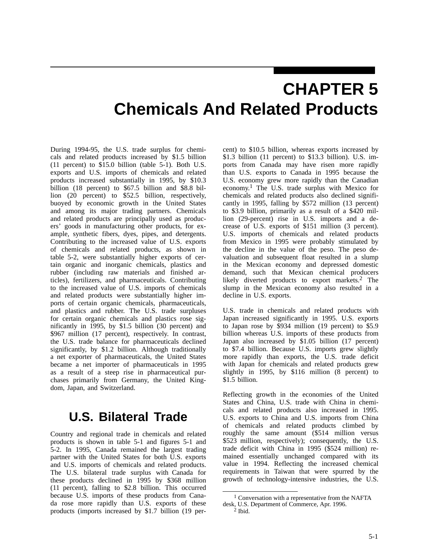# **CHAPTER 5 Chemicals And Related Products**

During 1994-95, the U.S. trade surplus for chemicals and related products increased by \$1.5 billion (11 percent) to \$15.0 billion (table 5-1). Both U.S. exports and U.S. imports of chemicals and related products increased substantially in 1995, by \$10.3 billion (18 percent) to \$67.5 billion and \$8.8 billion (20 percent) to \$52.5 billion, respectively, buoyed by economic growth in the United States and among its major trading partners. Chemicals and related products are principally used as producers' goods in manufacturing other products, for example, synthetic fibers, dyes, pipes, and detergents. Contributing to the increased value of U.S. exports of chemicals and related products, as shown in table 5-2, were substantially higher exports of certain organic and inorganic chemicals, plastics and rubber (including raw materials and finished articles), fertilizers, and pharmaceuticals. Contributing to the increased value of U.S. imports of chemicals and related products were substantially higher imports of certain organic chemicals, pharmaceuticals, and plastics and rubber. The U.S. trade surpluses for certain organic chemicals and plastics rose significantly in 1995, by \$1.5 billion (30 percent) and \$967 million (17 percent), respectively. In contrast, the U.S. trade balance for pharmaceuticals declined significantly, by \$1.2 billion. Although traditionally a net exporter of pharmaceuticals, the United States became a net importer of pharmaceuticals in 1995 as a result of a steep rise in pharmaceutical purchases primarily from Germany, the United Kingdom, Japan, and Switzerland.

## **U.S. Bilateral Trade**

Country and regional trade in chemicals and related products is shown in table 5-1 and figures 5-1 and 5-2. In 1995, Canada remained the largest trading partner with the United States for both U.S. exports and U.S. imports of chemicals and related products. The U.S. bilateral trade surplus with Canada for these products declined in 1995 by \$368 million (11 percent), falling to \$2.8 billion. This occurred because U.S. imports of these products from Canada rose more rapidly than U.S. exports of these products (imports increased by \$1.7 billion (19 per-

cent) to \$10.5 billion, whereas exports increased by \$1.3 billion (11 percent) to \$13.3 billion). U.S. imports from Canada may have risen more rapidly than U.S. exports to Canada in 1995 because the U.S. economy grew more rapidly than the Canadian economy.1 The U.S. trade surplus with Mexico for chemicals and related products also declined significantly in 1995, falling by \$572 million (13 percent) to \$3.9 billion, primarily as a result of a \$420 million (29-percent) rise in U.S. imports and a decrease of U.S. exports of \$151 million (3 percent). U.S. imports of chemicals and related products from Mexico in 1995 were probably stimulated by the decline in the value of the peso. The peso devaluation and subsequent float resulted in a slump in the Mexican economy and depressed domestic demand, such that Mexican chemical producers likely diverted products to export markets.<sup>2</sup> The slump in the Mexican economy also resulted in a decline in U.S. exports.

U.S. trade in chemicals and related products with Japan increased significantly in 1995. U.S. exports to Japan rose by \$934 million (19 percent) to \$5.9 billion whereas U.S. imports of these products from Japan also increased by \$1.05 billion (17 percent) to \$7.4 billion. Because U.S. imports grew slightly more rapidly than exports, the U.S. trade deficit with Japan for chemicals and related products grew slightly in 1995, by \$116 million (8 percent) to \$1.5 billion.

Reflecting growth in the economies of the United States and China, U.S. trade with China in chemicals and related products also increased in 1995. U.S. exports to China and U.S. imports from China of chemicals and related products climbed by roughly the same amount (\$514 million versus \$523 million, respectively); consequently, the U.S. trade deficit with China in 1995 (\$524 million) remained essentially unchanged compared with its value in 1994. Reflecting the increased chemical requirements in Taiwan that were spurred by the growth of technology-intensive industries, the U.S.

<sup>1</sup> Conversation with a representative from the NAFTA desk, U.S. Department of Commerce, Apr. 1996.

 $2$  Ibid.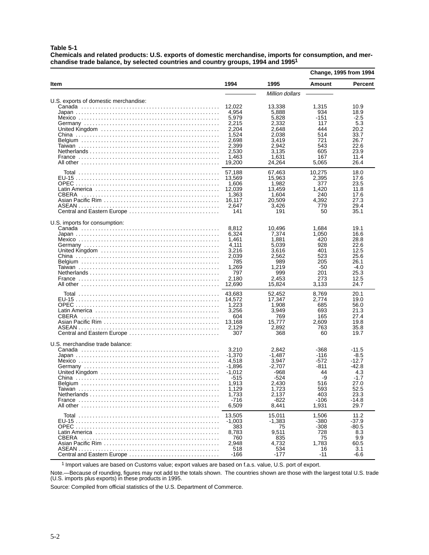**Table 5-1**

**Chemicals and related products: U.S. exports of domestic merchandise, imports for consumption, and merchandise trade balance, by selected countries and country groups, 1994 and 19951**

|                                       |                                                                                                        |                                                                                                      | <b>Change, 1995 from 1994</b>                                                   |                                                                                             |
|---------------------------------------|--------------------------------------------------------------------------------------------------------|------------------------------------------------------------------------------------------------------|---------------------------------------------------------------------------------|---------------------------------------------------------------------------------------------|
| ltem                                  | 1994                                                                                                   | 1995                                                                                                 | <b>Amount</b>                                                                   | <b>Percent</b>                                                                              |
|                                       |                                                                                                        | Million dollars                                                                                      |                                                                                 |                                                                                             |
| U.S. exports of domestic merchandise: | 12,022<br>4.954<br>5,979<br>2,215<br>2,204<br>1,524<br>2,698<br>2,399<br>2,530<br>1,463<br>19,200      | 13,338<br>5,888<br>5.828<br>2,332<br>2,648<br>2,038<br>3,419<br>2,942<br>3,135<br>1.631<br>24,264    | 1,315<br>934<br>-151<br>117<br>444<br>514<br>721<br>543<br>605<br>167<br>5,065  | 10.9<br>18.9<br>$-2.5$<br>5.3<br>20.2<br>33.7<br>26.7<br>22.6<br>23.9<br>11.4<br>26.4       |
| CBERA<br>Central and Eastern Europe   | 57,188<br>13,569<br>1,606<br>12,039<br>1,363<br>16,117<br>2,647<br>141                                 | 67,463<br>15,963<br>1,982<br>13,459<br>1,604<br>20,509<br>3,426<br>191                               | 10,275<br>2,395<br>377<br>1,420<br>240<br>4,392<br>779<br>50                    | 18.0<br>17.6<br>23.5<br>11.8<br>17.6<br>27.3<br>29.4<br>35.1                                |
| U.S. imports for consumption:         | 8,812<br>6,324<br>1,461<br>4,111<br>3,216<br>2.039<br>785<br>1,269<br>797<br>2,180<br>12,690           | 10,496<br>7,374<br>1,881<br>5,039<br>3,616<br>2,562<br>989<br>1,219<br>999<br>2,453<br>15,824        | 1.684<br>1,050<br>420<br>928<br>401<br>523<br>205<br>-50<br>201<br>273<br>3.133 | 19.1<br>16.6<br>28.8<br>22.6<br>12.5<br>25.6<br>26.1<br>$-4.0$<br>25.3<br>12.5<br>24.7      |
| CBERA<br>Central and Eastern Europe   | 43,683<br>14,572<br>1,223<br>3,256<br>604<br>13,168<br>2,129<br>307                                    | 52,452<br>17,347<br>1,908<br>3,949<br>769<br>15,777<br>2,892<br>368                                  | 8,769<br>2,774<br>685<br>693<br>165<br>2,609<br>763<br>60                       | 20.1<br>19.0<br>56.0<br>21.3<br>27.4<br>19.8<br>35.8<br>19.7                                |
| U.S. merchandise trade balance:       | 3,210<br>-1,370<br>4,518<br>-1,896<br>$-1,012$<br>$-515$<br>1,913<br>1,129<br>1,733<br>$-716$<br>6,509 | 2.842<br>$-1.487$<br>3,947<br>$-2,707$<br>-968<br>$-524$<br>2,430<br>1,723<br>2,137<br>-822<br>8,441 | -368<br>-116<br>-572<br>-811<br>44<br>-9<br>516<br>593<br>403<br>-106<br>1,931  | $-11.5$<br>-8.5<br>-12.7<br>-42.8<br>4.3<br>$-1.7$<br>27.0<br>52.5<br>23.3<br>-14.8<br>29.7 |
| Central and Eastern Europe            | 13,505<br>$-1,003$<br>383<br>8,783<br>760<br>2,948<br>518<br>$-166$                                    | 15,011<br>$-1,383$<br>75<br>9,511<br>835<br>4,732<br>534<br>-177                                     | 1,506<br>-380<br>-308<br>728<br>75<br>1,783<br>16<br>-11                        | 11.2<br>-37.9<br>-80.5<br>8.3<br>9.9<br>60.5<br>3.1<br>$-6.6$                               |

1 Import values are based on Customs value; export values are based on f.a.s. value, U.S. port of export.

Note.—Because of rounding, figures may not add to the totals shown. The countries shown are those with the largest total U.S. trade (U.S. imports plus exports) in these products in 1995.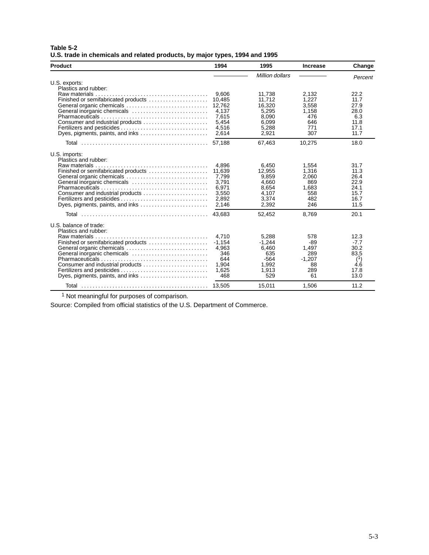| Table 5-2                                                                   |  |  |
|-----------------------------------------------------------------------------|--|--|
| U.S. trade in chemicals and related products, by major types, 1994 and 1995 |  |  |

| <b>Product</b>                                           | 1994            | 1995             | <b>Increase</b> | Change       |
|----------------------------------------------------------|-----------------|------------------|-----------------|--------------|
|                                                          |                 | Million dollars  |                 | Percent      |
| U.S. exports:<br>Plastics and rubber:                    |                 |                  |                 |              |
| Finished or semifabricated products                      | 9,606<br>10.485 | 11,738<br>11.712 | 2,132<br>1.227  | 22.2<br>11.7 |
| General organic chemicals                                | 12,762          | 16,320           | 3,558           | 27.9         |
| General inorganic chemicals                              | 4,137           | 5,295            | 1,158           | 28.0         |
|                                                          | 7.615           | 8.090            | 476             | 6.3          |
|                                                          | 5,454           | 6.099            | 646             | 11.8         |
| Fertilizers and pesticides                               | 4,516           | 5,288            | 771             | 17.1         |
| Dyes, pigments, paints, and inks                         | 2,614           | 2,921            | 307             | 11.7         |
|                                                          |                 | 67,463           | 10,275          | 18.0         |
| U.S. imports:                                            |                 |                  |                 |              |
| Plastics and rubber:                                     |                 |                  |                 |              |
|                                                          | 4.896           | 6,450            | 1,554           | 31.7         |
| Finished or semifabricated products                      | 11,639<br>7,799 | 12,955<br>9.859  | 1,316<br>2,060  | 11.3<br>26.4 |
| General organic chemicals<br>General inorganic chemicals | 3,791           | 4,660            | 869             | 22.9         |
|                                                          | 6,971           | 8,654            | 1,683           | 24.1         |
| Consumer and industrial products                         | 3.550           | 4,107            | 558             | 15.7         |
| Fertilizers and pesticides                               | 2,892           | 3,374            | 482             | 16.7         |
| Dyes, pigments, paints, and inks                         | 2,146           | 2,392            | 246             | 11.5         |
|                                                          | 43.683          | 52,452           | 8,769           | 20.1         |
| U.S. balance of trade:                                   |                 |                  |                 |              |
| Plastics and rubber:                                     |                 |                  |                 |              |
| Raw materials                                            | 4.710           | 5,288            | 578             | 12.3         |
| Finished or semifabricated products                      | $-1,154$        | $-1,244$         | -89             | $-7.7$       |
| General organic chemicals<br>General inorganic chemicals | 4.963<br>346    | 6.460<br>635     | 1.497<br>289    | 30.2<br>83.5 |
|                                                          | 644             | $-564$           | $-1.207$        | (1)          |
| Consumer and industrial products                         | 1,904           | 1,992            | 88              | 4.6          |
| Fertilizers and pesticides                               | 1,625           | 1,913            | 289             | 17.8         |
| Dyes, pigments, paints, and inks                         | 468             | 529              | 61              | 13.0         |
|                                                          |                 | 15,011           | 1,506           | 11.2         |

<sup>1</sup> Not meaningful for purposes of comparison.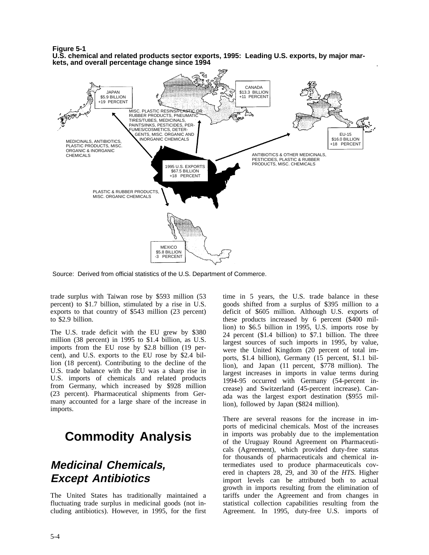**Figure 5-1**

**U.S. chemical and related products sector exports, 1995: Leading U.S. exports, by major markets, and overall percentage change since 1994**



Source: Derived from official statistics of the U.S. Department of Commerce.

trade surplus with Taiwan rose by \$593 million (53 percent) to \$1.7 billion, stimulated by a rise in U.S. exports to that country of \$543 million (23 percent) to \$2.9 billion.

The U.S. trade deficit with the EU grew by \$380 million (38 percent) in 1995 to \$1.4 billion, as U.S. imports from the EU rose by \$2.8 billion (19 percent), and U.S. exports to the EU rose by \$2.4 billion (18 percent). Contributing to the decline of the U.S. trade balance with the EU was a sharp rise in U.S. imports of chemicals and related products from Germany, which increased by \$928 million (23 percent). Pharmaceutical shipments from Germany accounted for a large share of the increase in imports.

## **Commodity Analysis**

## **Medicinal Chemicals, Except Antibiotics**

The United States has traditionally maintained a fluctuating trade surplus in medicinal goods (not including antibiotics). However, in 1995, for the first time in 5 years, the U.S. trade balance in these goods shifted from a surplus of \$395 million to a deficit of \$605 million. Although U.S. exports of these products increased by 6 percent (\$400 million) to \$6.5 billion in 1995, U.S. imports rose by 24 percent (\$1.4 billion) to \$7.1 billion. The three largest sources of such imports in 1995, by value, were the United Kingdom (20 percent of total imports, \$1.4 billion), Germany (15 percent, \$1.1 billion), and Japan (11 percent, \$778 million). The largest increases in imports in value terms during 1994-95 occurred with Germany (54-percent increase) and Switzerland (45-percent increase). Canada was the largest export destination (\$955 million), followed by Japan (\$824 million).

There are several reasons for the increase in imports of medicinal chemicals. Most of the increases in imports was probably due to the implementation of the Uruguay Round Agreement on Pharmaceuticals (Agreement), which provided duty-free status for thousands of pharmaceuticals and chemical intermediates used to produce pharmaceuticals covered in chapters 28, 29, and 30 of the *HTS*. Higher import levels can be attributed both to actual growth in imports resulting from the elimination of tariffs under the Agreement and from changes in statistical collection capabilities resulting from the Agreement. In 1995, duty-free U.S. imports of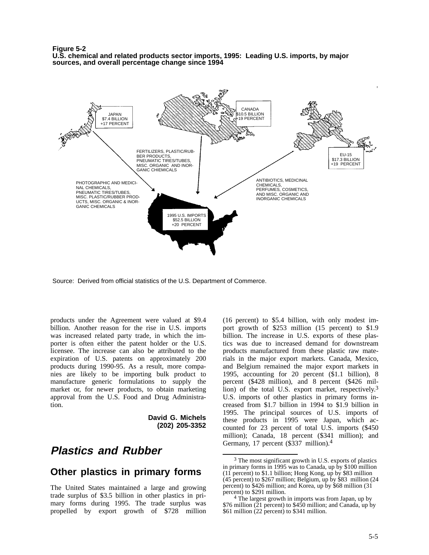**Figure 5-2 U.S. chemical and related products sector imports, 1995: Leading U.S. imports, by major sources, and overall percentage change since 1994**



Source: Derived from official statistics of the U.S. Department of Commerce.

products under the Agreement were valued at \$9.4 billion. Another reason for the rise in U.S. imports was increased related party trade, in which the importer is often either the patent holder or the U.S. licensee. The increase can also be attributed to the expiration of U.S. patents on approximately 200 products during 1990-95. As a result, more companies are likely to be importing bulk product to manufacture generic formulations to supply the market or, for newer products, to obtain marketing approval from the U.S. Food and Drug Administration.

> **David G. Michels (202) 205-3352**

### **Plastics and Rubber**

#### **Other plastics in primary forms**

The United States maintained a large and growing trade surplus of \$3.5 billion in other plastics in primary forms during 1995. The trade surplus was propelled by export growth of \$728 million

(16 percent) to \$5.4 billion, with only modest import growth of \$253 million (15 percent) to \$1.9 billion. The increase in U.S. exports of these plastics was due to increased demand for downstream products manufactured from these plastic raw materials in the major export markets. Canada, Mexico, and Belgium remained the major export markets in 1995, accounting for 20 percent (\$1.1 billion), 8 percent (\$428 million), and 8 percent (\$426 million) of the total U.S. export market, respectively.3 U.S. imports of other plastics in primary forms increased from \$1.7 billion in 1994 to \$1.9 billion in 1995. The principal sources of U.S. imports of these products in 1995 were Japan, which accounted for 23 percent of total U.S. imports (\$450 million); Canada, 18 percent (\$341 million); and Germany, 17 percent (\$337 million).<sup>4</sup>

<sup>&</sup>lt;sup>3</sup> The most significant growth in U.S. exports of plastics in primary forms in 1995 was to Canada, up by \$100 million (11 percent) to \$1.1 billion; Hong Kong, up by \$83 million  $(45$  percent) to \$267 million; Belgium, up by \$83 million  $(24)$ percent) to \$426 million; and Korea, up by \$68 million (31 percent) to \$291 million.

<sup>4</sup> The largest growth in imports was from Japan, up by \$76 million ( $\overline{2}1$  percent) to \$450 million; and Canada, up by \$61 million (22 percent) to \$341 million.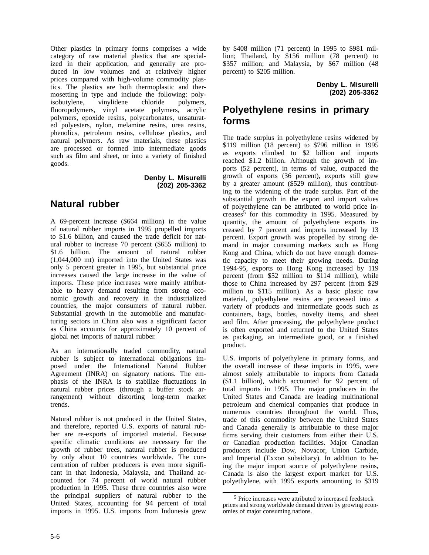Other plastics in primary forms comprises a wide category of raw material plastics that are specialized in their application, and generally are produced in low volumes and at relatively higher prices compared with high-volume commodity plastics. The plastics are both thermoplastic and thermosetting in type and include the following: poly-<br>isobutylene, vinylidene chloride polymers, isobutylene, vinylidene chloride fluoropolymers, vinyl acetate polymers, acrylic polymers, epoxide resins, polycarbonates, unsaturated polyesters, nylon, melamine resins, urea resins, phenolics, petroleum resins, cellulose plastics, and natural polymers. As raw materials, these plastics are processed or formed into intermediate goods such as film and sheet, or into a variety of finished goods.

> **Denby L. Misurelli (202) 205-3362**

### **Natural rubber**

A 69-percent increase (\$664 million) in the value of natural rubber imports in 1995 propelled imports to \$1.6 billion, and caused the trade deficit for natural rubber to increase 70 percent (\$655 million) to \$1.6 billion. The amount of natural rubber (1,044,000 mt) imported into the United States was only 5 percent greater in 1995, but substantial price increases caused the large increase in the value of imports. These price increases were mainly attributable to heavy demand resulting from strong economic growth and recovery in the industrialized countries, the major consumers of natural rubber. Substantial growth in the automobile and manufacturing sectors in China also was a significant factor as China accounts for approximately 10 percent of global net imports of natural rubber.

As an internationally traded commodity, natural rubber is subject to international obligations imposed under the International Natural Rubber Agreement (INRA) on signatory nations. The emphasis of the INRA is to stabilize fluctuations in natural rubber prices (through a buffer stock arrangement) without distorting long-term market trends.

Natural rubber is not produced in the United States, and therefore, reported U.S. exports of natural rubber are re-exports of imported material. Because specific climatic conditions are necessary for the growth of rubber trees, natural rubber is produced by only about 10 countries worldwide. The concentration of rubber producers is even more significant in that Indonesia, Malaysia, and Thailand accounted for 74 percent of world natural rubber production in 1995. These three countries also were the principal suppliers of natural rubber to the United States, accounting for 94 percent of total imports in 1995. U.S. imports from Indonesia grew

by \$408 million (71 percent) in 1995 to \$981 million; Thailand, by \$156 million (78 percent) to \$357 million; and Malaysia, by \$67 million (48 percent) to \$205 million.

> **Denby L. Misurelli (202) 205-3362**

## **Polyethylene resins in primary forms**

The trade surplus in polyethylene resins widened by \$119 million (18 percent) to \$796 million in 1995 as exports climbed to \$2 billion and imports reached \$1.2 billion. Although the growth of imports (52 percent), in terms of value, outpaced the growth of exports (36 percent), exports still grew by a greater amount (\$529 million), thus contributing to the widening of the trade surplus. Part of the substantial growth in the export and import values of polyethylene can be attributed to world price increases<sup>5</sup> for this commodity in 1995. Measured by quantity, the amount of polyethylene exports increased by 7 percent and imports increased by 13 percent. Export growth was propelled by strong demand in major consuming markets such as Hong Kong and China, which do not have enough domestic capacity to meet their growing needs. During 1994-95, exports to Hong Kong increased by 119 percent (from \$52 million to \$114 million), while those to China increased by 297 percent (from \$29 million to \$115 million). As a basic plastic raw material, polyethylene resins are processed into a variety of products and intermediate goods such as containers, bags, bottles, novelty items, and sheet and film. After processing, the polyethylene product is often exported and returned to the United States as packaging, an intermediate good, or a finished product.

U.S. imports of polyethylene in primary forms, and the overall increase of these imports in 1995, were almost solely attributable to imports from Canada (\$1.1 billion), which accounted for 92 percent of total imports in 1995. The major producers in the United States and Canada are leading multinational petroleum and chemical companies that produce in numerous countries throughout the world. Thus, trade of this commodity between the United States and Canada generally is attributable to these major firms serving their customers from either their U.S. or Canadian production facilities. Major Canadian producers include Dow, Novacor, Union Carbide, and Imperial (Exxon subsidiary). In addition to being the major import source of polyethylene resins, Canada is also the largest export market for U.S. polyethylene, with 1995 exports amounting to \$319

<sup>5</sup> Price increases were attributed to increased feedstock prices and strong worldwide demand driven by growing economies of major consuming nations.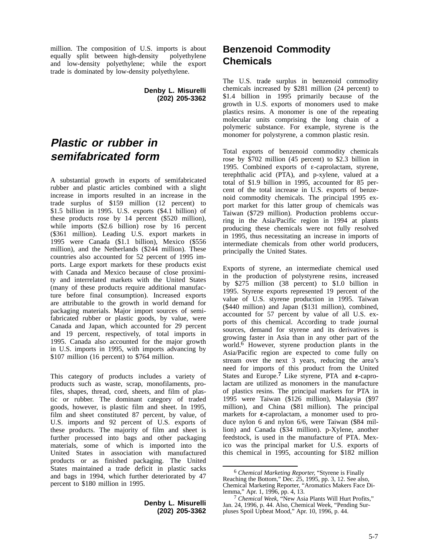million. The composition of U.S. imports is about equally split between high-density polyethylene equally split between high-density and low-density polyethylene; while the export trade is dominated by low-density polyethylene.

> **Denby L. Misurelli (202) 205-3362**

## **Plastic or rubber in semifabricated form**

A substantial growth in exports of semifabricated rubber and plastic articles combined with a slight increase in imports resulted in an increase in the trade surplus of \$159 million (12 percent) to \$1.5 billion in 1995. U.S. exports (\$4.1 billion) of these products rose by 14 percent (\$520 million), while imports (\$2.6 billion) rose by 16 percent (\$361 million). Leading U.S. export markets in 1995 were Canada (\$1.1 billion), Mexico (\$556 million), and the Netherlands (\$244 million). These countries also accounted for 52 percent of 1995 imports. Large export markets for these products exist with Canada and Mexico because of close proximity and interrelated markets with the United States (many of these products require additional manufacture before final consumption). Increased exports are attributable to the growth in world demand for packaging materials. Major import sources of semifabricated rubber or plastic goods, by value, were Canada and Japan, which accounted for 29 percent and 19 percent, respectively, of total imports in 1995. Canada also accounted for the major growth in U.S. imports in 1995, with imports advancing by \$107 million (16 percent) to \$764 million.

This category of products includes a variety of products such as waste, scrap, monofilaments, profiles, shapes, thread, cord, sheets, and film of plastic or rubber. The dominant category of traded goods, however, is plastic film and sheet. In 1995, film and sheet constituted 87 percent, by value, of U.S. imports and 92 percent of U.S. exports of these products. The majority of film and sheet is further processed into bags and other packaging materials, some of which is imported into the United States in association with manufactured products or as finished packaging. The United States maintained a trade deficit in plastic sacks and bags in 1994, which further deteriorated by 47 percent to \$180 million in 1995.

> **Denby L. Misurelli (202) 205-3362**

## **Benzenoid Commodity Chemicals**

The U.S. trade surplus in benzenoid commodity chemicals increased by \$281 million (24 percent) to \$1.4 billion in 1995 primarily because of the growth in U.S. exports of monomers used to make plastics resins. A monomer is one of the repeating molecular units comprising the long chain of a polymeric substance. For example, styrene is the monomer for polystyrene, a common plastic resin.

Total exports of benzenoid commodity chemicals rose by \$702 million (45 percent) to \$2.3 billion in 1995. Combined exports of  $\varepsilon$ -caprolactam, styrene, terephthalic acid (PTA), and p-xylene, valued at a total of \$1.9 billion in 1995, accounted for 85 percent of the total increase in U.S. exports of benzenoid commodity chemicals. The principal 1995 export market for this latter group of chemicals was Taiwan (\$729 million). Production problems occurring in the Asia/Pacific region in 1994 at plants producing these chemicals were not fully resolved in 1995, thus necessitating an increase in imports of intermediate chemicals from other world producers, principally the United States.

Exports of styrene, an intermediate chemical used in the production of polystyrene resins, increased by \$275 million (38 percent) to \$1.0 billion in 1995. Styrene exports represented 19 percent of the value of U.S. styrene production in 1995. Taiwan (\$440 million) and Japan (\$131 million), combined, accounted for 57 percent by value of all U.S. exports of this chemical. According to trade journal sources, demand for styrene and its derivatives is growing faster in Asia than in any other part of the world.<sup>6</sup> However, styrene production plants in the Asia/Pacific region are expected to come fully on stream over the next 3 years, reducing the area's need for imports of this product from the United States and Europe.<sup>7</sup> Like styrene, PTA and  $\varepsilon$ -caprolactam are utilized as monomers in the manufacture of plastics resins. The principal markets for PTA in 1995 were Taiwan (\$126 million), Malaysia (\$97 million), and China (\$81 million). The principal markets for  $\varepsilon$ -caprolactam, a monomer used to produce nylon 6 and nylon 6/6, were Taiwan (\$84 million) and Canada (\$34 million). p-Xylene, another feedstock, is used in the manufacture of PTA. Mexico was the principal market for U.S. exports of this chemical in 1995, accounting for \$182 million

<sup>6</sup> *Chemical Marketing Reporter,* "Styrene is Finally Reaching the Bottom," Dec. 25, 1995, pp. 3, 12. See also, Chemical Marketing Reporter, "Aromatics Makers Face Dilemma," Apr. 1, 1996, pp. 4, 13.

<sup>7</sup> *Chemical Week,* "New Asia Plants Will Hurt Profits," Jan. 24, 1996, p. 44. Also, Chemical Week, "Pending Surpluses Spoil Upbeat Mood," Apr. 10, 1996, p. 44.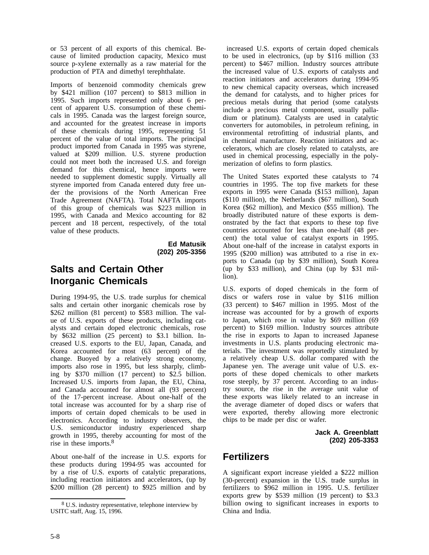or 53 percent of all exports of this chemical. Because of limited production capacity, Mexico must source p-xylene externally as a raw material for the production of PTA and dimethyl terephthalate.

Imports of benzenoid commodity chemicals grew by \$421 million (107 percent) to \$813 million in 1995. Such imports represented only about 6 percent of apparent U.S. consumption of these chemicals in 1995. Canada was the largest foreign source, and accounted for the greatest increase in imports of these chemicals during 1995, representing 51 percent of the value of total imports. The principal product imported from Canada in 1995 was styrene, valued at \$209 million. U.S. styrene production could not meet both the increased U.S. and foreign demand for this chemical, hence imports were needed to supplement domestic supply. Virtually all styrene imported from Canada entered duty free under the provisions of the North American Free Trade Agreement (NAFTA). Total NAFTA imports of this group of chemicals was \$223 million in 1995, with Canada and Mexico accounting for 82 percent and 18 percent, respectively, of the total value of these products.

> **Ed Matusik (202) 205-3356**

## **Salts and Certain Other Inorganic Chemicals**

During 1994-95, the U.S. trade surplus for chemical salts and certain other inorganic chemicals rose by \$262 million (81 percent) to \$583 million. The value of U.S. exports of these products, including catalysts and certain doped electronic chemicals, rose by \$632 million (25 percent) to \$3.1 billion. Increased U.S. exports to the EU, Japan, Canada, and Korea accounted for most (63 percent) of the change. Buoyed by a relatively strong economy, imports also rose in 1995, but less sharply, climbing by \$370 million (17 percent) to \$2.5 billion. Increased U.S. imports from Japan, the EU, China, and Canada accounted for almost all (93 percent) of the 17-percent increase. About one-half of the total increase was accounted for by a sharp rise of imports of certain doped chemicals to be used in electronics. According to industry observers, the U.S. semiconductor industry experienced sharp growth in 1995, thereby accounting for most of the rise in these imports.8

About one-half of the increase in U.S. exports for these products during 1994-95 was accounted for by a rise of U.S. exports of catalytic preparations, including reaction initiators and accelerators, (up by \$200 million (28 percent) to \$925 million and by

 increased U.S. exports of certain doped chemicals to be used in electronics, (up by \$116 million (33 percent) to \$467 million. Industry sources attribute the increased value of U.S. exports of catalysts and reaction initiators and accelerators during 1994-95 to new chemical capacity overseas, which increased the demand for catalysts, and to higher prices for precious metals during that period (some catalysts include a precious metal component, usually palladium or platinum). Catalysts are used in catalytic converters for automobiles, in petroleum refining, in environmental retrofitting of industrial plants, and in chemical manufacture. Reaction initiators and accelerators, which are closely related to catalysts, are used in chemical processing, especially in the polymerization of olefins to form plastics.

The United States exported these catalysts to 74 countries in 1995. The top five markets for these exports in 1995 were Canada (\$153 million), Japan (\$110 million), the Netherlands (\$67 million), South Korea (\$62 million), and Mexico (\$55 million). The broadly distributed nature of these exports is demonstrated by the fact that exports to these top five countries accounted for less than one-half (48 percent) the total value of catalyst exports in 1995. About one-half of the increase in catalyst exports in 1995 (\$200 million) was attributed to a rise in exports to Canada (up by \$39 million), South Korea (up by \$33 million), and China (up by \$31 million).

U.S. exports of doped chemicals in the form of discs or wafers rose in value by \$116 million (33 percent) to \$467 million in 1995. Most of the increase was accounted for by a growth of exports to Japan, which rose in value by \$69 million (69 percent) to \$169 million. Industry sources attribute the rise in exports to Japan to increased Japanese investments in U.S. plants producing electronic materials. The investment was reportedly stimulated by a relatively cheap U.S. dollar compared with the Japanese yen. The average unit value of U.S. exports of these doped chemicals to other markets rose steeply, by 37 percent. According to an industry source, the rise in the average unit value of these exports was likely related to an increase in the average diameter of doped discs or wafers that were exported, thereby allowing more electronic chips to be made per disc or wafer.

> **Jack A. Greenblatt (202) 205-3353**

### **Fertilizers**

A significant export increase yielded a \$222 million (30-percent) expansion in the U.S. trade surplus in fertilizers to \$962 million in 1995. U.S. fertilizer exports grew by \$539 million (19 percent) to \$3.3 billion owing to significant increases in exports to China and India.

<sup>8</sup> U.S. industry representative, telephone interview by USITC staff, Aug. 15, 1996.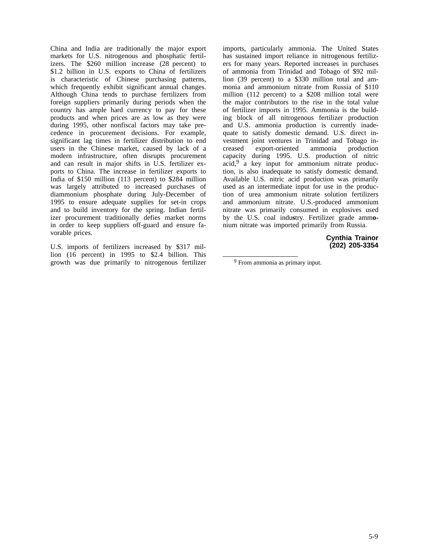China and India are traditionally the major export markets for U.S. nitrogenous and phosphatic fertilizers. The \$260 million increase (28 percent) to \$1.2 billion in U.S. exports to China of fertilizers is characteristic of Chinese purchasing patterns, which frequently exhibit significant annual changes. Although China tends to purchase fertilizers from foreign suppliers primarily during periods when the country has ample hard currency to pay for these products and when prices are as low as they were during 1995, other nonfiscal factors may take precedence in procurement decisions. For example, significant lag times in fertilizer distribution to end users in the Chinese market, caused by lack of a modern infrastructure, often disrupts procurement and can result in major shifts in U.S. fertilizer exports to China. The increase in fertilizer exports to India of \$150 million (113 percent) to \$284 million was largely attributed to increased purchases of diammonium phosphate during July-December of 1995 to ensure adequate supplies for set-in crops and to build inventory for the spring. Indian fertilizer procurement traditionally defies market norms in order to keep suppliers off-guard and ensure favorable prices.

U.S. imports of fertilizers increased by \$317 million (16 percent) in 1995 to \$2.4 billion. This growth was due primarily to nitrogenous fertilizer imports, particularly ammonia. The United States has sustained import reliance in nitrogenous fertilizers for many years. Reported increases in purchases of ammonia from Trinidad and Tobago of \$92 million (39 percent) to a \$330 million total and ammonia and ammonium nitrate from Russia of \$110 million (112 percent) to a \$208 million total were the major contributors to the rise in the total value of fertilizer imports in 1995. Ammonia is the building block of all nitrogenous fertilizer production and U.S. ammonia production is currently inadequate to satisfy domestic demand. U.S. direct investment joint ventures in Trinidad and Tobago increased export-oriented ammonia production capacity during 1995. U.S. production of nitric acid,9 a key input for ammonium nitrate production, is also inadequate to satisfy domestic demand. Available U.S. nitric acid production was primarily used as an intermediate input for use in the production of urea ammonium nitrate solution fertilizers and ammonium nitrate. U.S.-produced ammonium nitrate was primarily consumed in explosives used by the U.S. coal indu**s**try. Fertilizer grade amm**o**nium nitrate was imported primarily from Russia.

> **Cynthia Trainor (202) 205-3354**

<sup>9</sup> From ammonia as primary input.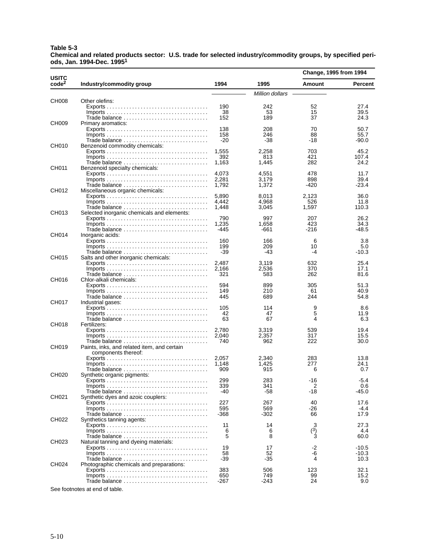#### **Table 5-3 Chemical and related products sector: U.S. trade for selected industry/commodity groups, by specified periods, Jan. 1994-Dec. 19951**

|                            |                                                                                        |                |                 | Change, 1995 from 1994 |                    |
|----------------------------|----------------------------------------------------------------------------------------|----------------|-----------------|------------------------|--------------------|
| USITC<br>code <sup>2</sup> | Industry/commodity group                                                               | 1994           | 1995            | Amount                 | <b>Percent</b>     |
|                            |                                                                                        |                | Million dollars |                        |                    |
| CH008                      | Other olefins:                                                                         |                |                 |                        |                    |
|                            |                                                                                        | 190            | 242             | 52                     | 27.4               |
|                            |                                                                                        | 38<br>152      | 53<br>189       | 15<br>37               | 39.5<br>24.3       |
| CH009                      | Primary aromatics:                                                                     |                |                 |                        |                    |
|                            |                                                                                        | 138            | 208             | 70                     | 50.7               |
|                            |                                                                                        | 158            | 246             | 88                     | 55.7               |
|                            |                                                                                        | -20            | -38             | -18                    | $-90.0$            |
| CH010                      | Benzenoid commodity chemicals:                                                         |                |                 |                        |                    |
|                            |                                                                                        | 1,555<br>392   | 2,258<br>813    | 703<br>421             | 45.2<br>107.4      |
|                            |                                                                                        | 1,163          | 1,445           | 282                    | 24.2               |
| CH011                      | Benzenoid specialty chemicals:                                                         |                |                 |                        |                    |
|                            |                                                                                        | 4,073          | 4,551           | 478                    | 11.7               |
|                            |                                                                                        | 2,281          | 3,179           | 898                    | 39.4               |
| CH012                      | Miscellaneous organic chemicals:                                                       | 1,792          | 1,372           | -420                   | $-23.4$            |
|                            |                                                                                        | 5,890          | 8.013           | 2,123                  | 36.0               |
|                            |                                                                                        | 4.442          | 4,968           | 526                    | 11.8               |
|                            |                                                                                        | 1,448          | 3,045           | 1,597                  | 110.3              |
| CH013                      | Selected inorganic chemicals and elements:                                             |                |                 |                        |                    |
|                            |                                                                                        | 790            | 997             | 207                    | 26.2               |
|                            |                                                                                        | 1,235<br>-445  | 1,658<br>-661   | 423<br>-216            | 34.3<br>$-48.5$    |
| CH014                      | Inorganic acids:                                                                       |                |                 |                        |                    |
|                            |                                                                                        | 160            | 166             | 6                      | 3.8                |
|                            | $Imports \ldots \ldots \ldots \ldots \ldots \ldots \ldots \ldots \ldots \ldots \ldots$ | 199            | 209             | 10                     | 5.0                |
|                            |                                                                                        | -39            | -43             | -4                     | $-10.3$            |
| CH015                      | Salts and other inorganic chemicals:                                                   |                |                 |                        |                    |
|                            |                                                                                        | 2,487<br>2,166 | 3.119<br>2,536  | 632<br>370             | 25.4<br>17.1       |
|                            |                                                                                        | 321            | 583             | 262                    | 81.6               |
| CH016                      | Chlor-alkali chemicals:                                                                |                |                 |                        |                    |
|                            |                                                                                        | 594            | 899             | 305                    | 51.3               |
|                            |                                                                                        | 149            | 210             | 61                     | 40.9               |
|                            | Trade balance                                                                          | 445            | 689             | 244                    | 54.8               |
| CH017                      | Industrial gases:                                                                      | 105            | 114             | 9                      | 8.6                |
|                            |                                                                                        | 42             | 47              | 5                      | 11.9               |
|                            |                                                                                        | 63             | 67              | 4                      | 6.3                |
| CH018                      | Fertilizers:                                                                           |                |                 |                        |                    |
|                            |                                                                                        | 2,780          | 3,319           | 539                    | 19.4               |
|                            |                                                                                        | 2,040<br>740   | 2,357<br>962    | 317<br>222             | 15.5<br>30.0       |
| CH019                      | Paints, inks, and related item, and certain                                            |                |                 |                        |                    |
|                            | components thereof:                                                                    |                |                 |                        |                    |
|                            |                                                                                        | 2,057          | 2,340           | 283                    | 13.8               |
|                            | $Imports \ldots \ldots \ldots \ldots \ldots \ldots \ldots \ldots \ldots \ldots \ldots$ | 1,148          | 1,425           | 277                    | 24.1               |
| CH020                      |                                                                                        | 909            | 915             | 6                      | 0.7                |
|                            | Synthetic organic pigments:                                                            | 299            | 283             | -16                    | -5.4               |
|                            |                                                                                        | 339            | 341             | 2                      | 0.6                |
|                            |                                                                                        | -40            | -58             | -18                    | $-45.0$            |
| CH021                      | Synthetic dyes and azoic couplers:                                                     |                |                 |                        |                    |
|                            |                                                                                        | 227            | 267             | 40                     | 17.6               |
|                            |                                                                                        | 595<br>-368    | 569<br>-302     | -26<br>66              | $-4.4$<br>17.9     |
| CH022                      | Synthetics tanning agents:                                                             |                |                 |                        |                    |
|                            |                                                                                        | 11             | 14              | 3                      | 27.3               |
|                            |                                                                                        | 6              | 6               | $\binom{3}{3}$         | 4.4                |
|                            |                                                                                        | 5              | 8               |                        | 60.0               |
| CH023                      | Natural tanning and dyeing materials:                                                  |                |                 |                        |                    |
|                            |                                                                                        | 19<br>58       | 17<br>52        | -2<br>-6               | $-10.5$<br>$-10.3$ |
|                            |                                                                                        | -39            | -35             | 4                      | 10.3               |
| CH024                      | Photographic chemicals and preparations:                                               |                |                 |                        |                    |
|                            |                                                                                        | 383            | 506             | 123                    | 32.1               |
|                            |                                                                                        | 650            | 749             | 99                     | 15.2               |
|                            |                                                                                        | -267           | -243            | 24                     | 9.0                |

See footnotes at end of table.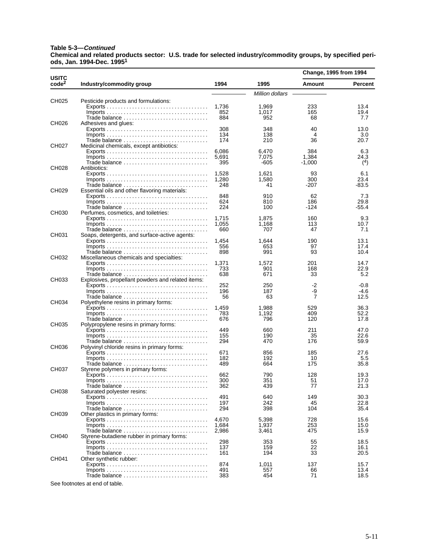#### **Table 5-3—Continued**

**Chemical and related products sector: U.S. trade for selected industry/commodity groups, by specified periods, Jan. 1994-Dec. 19951**

|                                   |                                                                                 |                |                 | Change, 1995 from 1994 |              |
|-----------------------------------|---------------------------------------------------------------------------------|----------------|-----------------|------------------------|--------------|
| <b>USITC</b><br>code <sup>2</sup> | Industry/commodity group                                                        | 1994           | 1995            | Amount                 | Percent      |
|                                   |                                                                                 |                | Million dollars |                        |              |
| CH025                             | Pesticide products and formulations:                                            |                |                 |                        |              |
|                                   |                                                                                 | 1,736<br>852   | 1,969           | 233                    | 13.4<br>19.4 |
|                                   | Trade balance                                                                   | 884            | 1,017<br>952    | 165<br>68              | 7.7          |
| CH026                             | Adhesives and glues:                                                            |                |                 |                        |              |
|                                   |                                                                                 | 308            | 348             | 40                     | 13.0         |
|                                   |                                                                                 | 134<br>174     | 138<br>210      | 4<br>36                | 3.0<br>20.7  |
| CH027                             | Medicinal chemicals, except antibiotics:                                        |                |                 |                        |              |
|                                   |                                                                                 | 6,086          | 6,470           | 384                    | 6.3          |
|                                   |                                                                                 | 5,691          | 7,075           | 1,384                  | 24.3         |
| CH028                             | Antibiotics:                                                                    | 395            | -605            | $-1,000$               | (4)          |
|                                   |                                                                                 | 1,528          | 1,621           | 93                     | 6.1          |
|                                   |                                                                                 | 1,280          | 1,580           | 300                    | 23.4         |
|                                   |                                                                                 | 248            | 41              | $-207$                 | $-83.5$      |
| CH029                             | Essential oils and other flavoring materials:                                   | 848            | 910             | 62                     | 7.3          |
|                                   |                                                                                 | 624            | 810             | 186                    | 29.8         |
|                                   | Trade balance                                                                   | 224            | 100             | -124                   | $-55.4$      |
| CH030                             | Perfumes, cosmetics, and toiletries:                                            |                |                 |                        |              |
|                                   |                                                                                 | 1,715<br>1,055 | 1,875<br>1,168  | 160<br>113             | 9.3<br>10.7  |
|                                   | Trade balance                                                                   | 660            | 707             | 47                     | 7.1          |
| CH031                             | Soaps, detergents, and surface-active agents:                                   |                |                 |                        |              |
|                                   |                                                                                 | 1,454          | 1,644           | 190                    | 13.1         |
|                                   |                                                                                 | 556<br>898     | 653<br>991      | 97<br>93               | 17.4<br>10.4 |
| CH032                             | Miscellaneous chemicals and specialties:                                        |                |                 |                        |              |
|                                   |                                                                                 | 1,371          | 1,572           | 201                    | 14.7         |
|                                   |                                                                                 | 733            | 901             | 168                    | 22.9         |
| CH033                             | Explosives, propellant powders and related items:                               | 638            | 671             | 33                     | 5.2          |
|                                   |                                                                                 | 252            | 250             | -2                     | $-0.8$       |
|                                   |                                                                                 | 196            | 187             | -9                     | -4.6         |
|                                   | Trade balance                                                                   | 56             | 63              | 7                      | 12.5         |
| CH034                             | Polyethylene resins in primary forms:                                           | 1,459          | 1,988           | 529                    | 36.3         |
|                                   |                                                                                 | 783            | 1,192           | 409                    | 52.2         |
|                                   |                                                                                 | 676            | 796             | 120                    | 17.8         |
| CH035                             | Polypropylene resins in primary forms:                                          | 449            | 660             | 211                    | 47.0         |
|                                   |                                                                                 | 155            | 190             | 35                     | 22.6         |
|                                   |                                                                                 | 294            | 470             | 176                    | 59.9         |
| CH036                             | Polyvinyl chloride resins in primary forms:                                     |                |                 |                        |              |
|                                   | $Imports \ldots \ldots \ldots \ldots \ldots \ldots \ldots \ldots \ldots \ldots$ | 671<br>182     | 856<br>192      | 185<br>10              | 27.6<br>5.5  |
|                                   | Trade balance                                                                   | 489            | 664             | 175                    | 35.8         |
| CH037                             | Styrene polymers in primary forms:                                              |                |                 |                        |              |
|                                   |                                                                                 | 662            | 790             | 128                    | 19.3         |
|                                   | <i>Imports</i><br>Trade balance                                                 | 300<br>362     | 351<br>439      | 51<br>77               | 17.0<br>21.3 |
| CH038                             | Saturated polyester resins:                                                     |                |                 |                        |              |
|                                   |                                                                                 | 491            | 640             | 149                    | 30.3         |
|                                   |                                                                                 | 197            | 242             | 45                     | 22.8         |
| CH039                             | Other plastics in primary forms:                                                | 294            | 398             | 104                    | 35.4         |
|                                   |                                                                                 | 4,670          | 5,398           | 728                    | 15.6         |
|                                   |                                                                                 | 1,684          | 1,937           | 253                    | 15.0         |
|                                   | Trade balance                                                                   | 2,986          | 3,461           | 475                    | 15.9         |
| CH040                             | Styrene-butadiene rubber in primary forms:                                      | 298            | 353             | 55                     | 18.5         |
|                                   |                                                                                 | 137            | 159             | 22                     | 16.1         |
|                                   | Trade balance                                                                   | 161            | 194             | 33                     | 20.5         |
| CH041                             | Other synthetic rubber:                                                         | 874            |                 | 137                    | 15.7         |
|                                   |                                                                                 | 491            | 1,011<br>557    | 66                     | 13.4         |
|                                   | Trade balance                                                                   | 383            | 454             | 71                     | 18.5         |

See footnotes at end of table.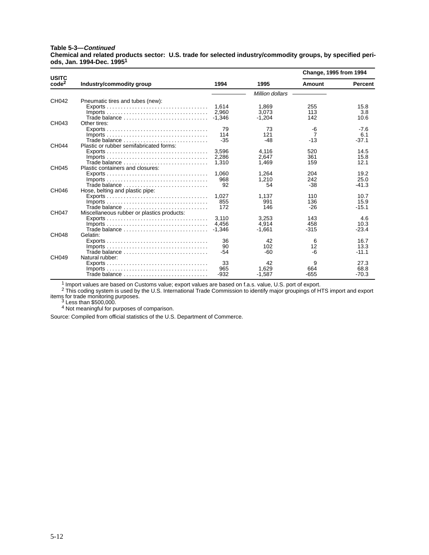#### **Table 5-3—Continued**

**Chemical and related products sector: U.S. trade for selected industry/commodity groups, by specified periods, Jan. 1994-Dec. 19951**

|                                   |                                                                                        |          |                 | Change, 1995 from 1994 |                |
|-----------------------------------|----------------------------------------------------------------------------------------|----------|-----------------|------------------------|----------------|
| <b>USITC</b><br>code <sup>2</sup> | Industry/commodity group                                                               | 1994     | 1995            | Amount                 | <b>Percent</b> |
|                                   |                                                                                        |          | Million dollars |                        |                |
| CH042                             | Pneumatic tires and tubes (new):                                                       |          |                 |                        |                |
|                                   |                                                                                        | 1,614    | 1,869           | 255                    | 15.8           |
|                                   |                                                                                        | 2.960    | 3.073           | 113                    | 3.8            |
|                                   | Trade balance                                                                          | $-1.346$ | $-1.204$        | 142                    | 10.6           |
| CH043                             | Other tires:                                                                           |          |                 |                        |                |
|                                   |                                                                                        | 79       | 73              | -6                     | $-7.6$         |
|                                   |                                                                                        | 114      | 121             |                        | 6.1            |
|                                   | Trade balance                                                                          | $-35$    | $-48$           | $-13$                  | $-37.1$        |
| CH044                             | Plastic or rubber semifabricated forms:                                                |          |                 |                        |                |
|                                   |                                                                                        | 3.596    | 4.116           | 520                    | 14.5           |
|                                   |                                                                                        | 2.286    | 2.647           | 361                    | 15.8           |
|                                   | Trade balance $\ldots, \ldots, \ldots, \ldots, \ldots, \ldots, \ldots, \ldots$         | 1,310    | 1,469           | 159                    | 12.1           |
| <b>CH045</b>                      | Plastic containers and closures:                                                       |          |                 |                        |                |
|                                   |                                                                                        | 1.060    | 1.264           | 204                    | 19.2           |
|                                   |                                                                                        | 968      | 1,210           | 242                    | 25.0           |
|                                   | Trade balance                                                                          | 92       | 54              | $-38$                  | $-41.3$        |
| CH046                             | Hose, belting and plastic pipe:                                                        |          |                 |                        |                |
|                                   |                                                                                        | 1.027    | 1,137           | 110                    | 10.7           |
|                                   |                                                                                        | 855      | 991             | 136                    | 15.9           |
|                                   | Trade balance                                                                          | 172      | 146             | $-26$                  | $-15.1$        |
| CH047                             | Miscellaneous rubber or plastics products:                                             |          |                 |                        |                |
|                                   |                                                                                        | 3.110    | 3.253           | 143                    | 4.6            |
|                                   |                                                                                        | 4.456    | 4.914           | 458                    | 10.3           |
|                                   | Trade balance                                                                          | $-1.346$ | $-1.661$        | $-315$                 | $-23.4$        |
| <b>CH048</b>                      | Gelatin:                                                                               |          |                 |                        |                |
|                                   |                                                                                        | 36       | 42              | 6                      | 16.7           |
|                                   |                                                                                        | 90       | 102             | 12                     | 13.3           |
|                                   | Trade balance                                                                          | $-54$    | $-60$           | -6                     | $-11.1$        |
| CH049                             | Natural rubber:                                                                        |          |                 |                        |                |
|                                   |                                                                                        | 33       | 42              | 9                      | 27.3           |
|                                   | $Imports \ldots \ldots \ldots \ldots \ldots \ldots \ldots \ldots \ldots \ldots \ldots$ | 965      | 1.629           | 664                    | 68.8           |
|                                   |                                                                                        | $-932$   | $-1,587$        | $-655$                 | $-70.3$        |

1 Import values are based on Customs value; export values are based on f.a.s. value, U.S. port of export.

 $^2$  This coding system is used by the U.S. International Trade Commission to identify major groupings of HTS import and export items for trade monitoring purposes.<br> $3$  Less than \$500,000.

<sup>4</sup> Not meaningful for purposes of comparison.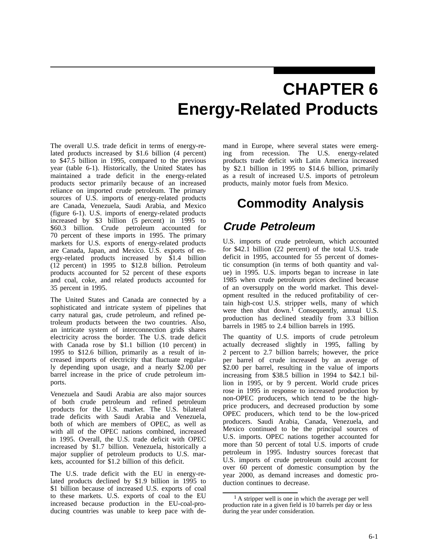# **CHAPTER 6 Energy-Related Products**

The overall U.S. trade deficit in terms of energy-related products increased by \$1.6 billion (4 percent) to \$47.5 billion in 1995, compared to the previous year (table 6-1). Historically, the United States has maintained a trade deficit in the energy-related products sector primarily because of an increased reliance on imported crude petroleum. The primary sources of U.S. imports of energy-related products are Canada, Venezuela, Saudi Arabia, and Mexico (figure 6-1). U.S. imports of energy-related products increased by \$3 billion (5 percent) in 1995 to \$60.3 billion. Crude petroleum accounted for 70 percent of these imports in 1995. The primary markets for U.S. exports of energy-related products are Canada, Japan, and Mexico. U.S. exports of energy-related products increased by \$1.4 billion (12 percent) in 1995 to \$12.8 billion. Petroleum products accounted for 52 percent of these exports and coal, coke, and related products accounted for 35 percent in 1995.

The United States and Canada are connected by a sophisticated and intricate system of pipelines that carry natural gas, crude petroleum, and refined petroleum products between the two countries. Also, an intricate system of interconnection grids shares electricity across the border. The U.S. trade deficit with Canada rose by \$1.1 billion (10 percent) in 1995 to \$12.6 billion, primarily as a result of increased imports of electricity that fluctuate regularly depending upon usage, and a nearly \$2.00 per barrel increase in the price of crude petroleum imports.

Venezuela and Saudi Arabia are also major sources of both crude petroleum and refined petroleum products for the U.S. market. The U.S. bilateral trade deficits with Saudi Arabia and Venezuela, both of which are members of OPEC, as well as with all of the OPEC nations combined, increased in 1995. Overall, the U.S. trade deficit with OPEC increased by \$1.7 billion. Venezuela, historically a major supplier of petroleum products to U.S. markets, accounted for \$1.2 billion of this deficit.

The U.S. trade deficit with the EU in energy-related products declined by \$1.9 billion in 1995 to \$1 billion because of increased U.S. exports of coal to these markets. U.S. exports of coal to the EU increased because production in the EU-coal-producing countries was unable to keep pace with de-

mand in Europe, where several states were emerging from recession. The U.S. energy-related products trade deficit with Latin America increased by \$2.1 billion in 1995 to \$14.6 billion, primarily as a result of increased U.S. imports of petroleum products, mainly motor fuels from Mexico.

# **Commodity Analysis**

## **Crude Petroleum**

U.S. imports of crude petroleum, which accounted for \$42.1 billion (22 percent) of the total U.S. trade deficit in 1995, accounted for 55 percent of domestic consumption (in terms of both quantity and value) in 1995. U.S. imports began to increase in late 1985 when crude petroleum prices declined because of an oversupply on the world market. This development resulted in the reduced profitability of certain high-cost U.S. stripper wells, many of which were then shut down.<sup>1</sup> Consequently, annual U.S. production has declined steadily from 3.3 billion barrels in 1985 to 2.4 billion barrels in 1995.

The quantity of U.S. imports of crude petroleum actually decreased slightly in 1995, falling by 2 percent to 2.7 billion barrels; however, the price per barrel of crude increased by an average of \$2.00 per barrel, resulting in the value of imports increasing from \$38.5 billion in 1994 to \$42.1 billion in 1995, or by 9 percent. World crude prices rose in 1995 in response to increased production by non-OPEC producers, which tend to be the highprice producers, and decreased production by some OPEC producers, which tend to be the low-priced producers. Saudi Arabia, Canada, Venezuela, and Mexico continued to be the principal sources of U.S. imports. OPEC nations together accounted for more than 50 percent of total U.S. imports of crude petroleum in 1995. Industry sources forecast that U.S. imports of crude petroleum could account for over 60 percent of domestic consumption by the year 2000, as demand increases and domestic production continues to decrease.

<sup>&</sup>lt;sup>1</sup> A stripper well is one in which the average per well production rate in a given field is 10 barrels per day or less during the year under consideration.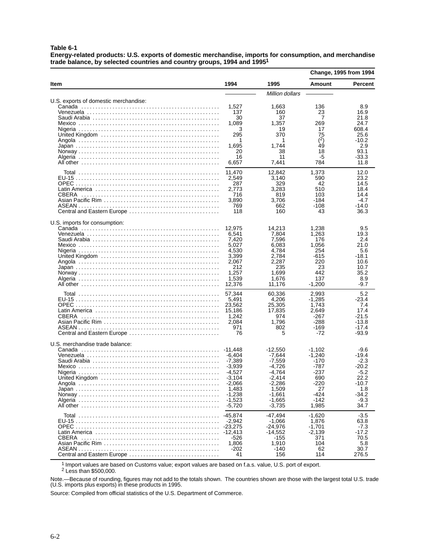**Table 6-1**

**Energy-related products: U.S. exports of domestic merchandise, imports for consumption, and merchandise trade balance, by selected countries and country groups, 1994 and 19951**

|                                       |                                                                                                                      |                                                                                                                        | <b>Change, 1995 from 1994</b>                                                            |                                                                                                   |
|---------------------------------------|----------------------------------------------------------------------------------------------------------------------|------------------------------------------------------------------------------------------------------------------------|------------------------------------------------------------------------------------------|---------------------------------------------------------------------------------------------------|
| ltem                                  | 1994                                                                                                                 | 1995                                                                                                                   | <b>Amount</b>                                                                            | <b>Percent</b>                                                                                    |
|                                       |                                                                                                                      | Million dollars                                                                                                        |                                                                                          |                                                                                                   |
| U.S. exports of domestic merchandise: | 1,527<br>137<br>30<br>1,089<br>3<br>295<br>1<br>1,695<br>20<br>16<br>6,657                                           | 1,663<br>160<br>37<br>1,357<br>19<br>370<br>1<br>1,744<br>38<br>11<br>7,441                                            | 136<br>23<br>7<br>269<br>17<br>75<br>(2)<br>49<br>18<br>-5<br>784                        | 8.9<br>16.9<br>21.8<br>24.7<br>608.4<br>25.6<br>-10.2<br>2.9<br>93.1<br>$-33.3$<br>11.8           |
| CBERA<br>Central and Eastern Europe   | 11,470<br>2,549<br>287<br>2,773<br>716<br>3,890<br>769<br>118                                                        | 12,842<br>3,140<br>329<br>3,283<br>819<br>3,706<br>662<br>160                                                          | 1,373<br>590<br>42<br>510<br>103<br>-184<br>$-108$<br>43                                 | 12.0<br>23.2<br>14.5<br>18.4<br>14.4<br>$-4.7$<br>$-14.0$<br>36.3                                 |
| U.S. imports for consumption:         | 12,975<br>6,541<br>7,420<br>5,027<br>4.530<br>3,399<br>2,067<br>212<br>1,257<br>1,539<br>12,376                      | 14,213<br>7,804<br>7,596<br>6,083<br>4,784<br>2,784<br>2,287<br>235<br>1.699<br>1,676<br>11,176                        | 1,238<br>1,263<br>176<br>1,056<br>254<br>-615<br>220<br>23<br>442<br>137<br>$-1,200$     | 9.5<br>19.3<br>2.4<br>21.0<br>5.6<br>-18.1<br>10.6<br>10.7<br>35.2<br>8.9<br>-9.7                 |
| CBERA<br>Central and Eastern Europe   | 57,344<br>5,491<br>23,562<br>15,186<br>1,242<br>2,084<br>971<br>76                                                   | 60,336<br>4,206<br>25,305<br>17,835<br>974<br>1,796<br>802<br>5                                                        | 2,993<br>-1.285<br>1,743<br>2,649<br>-267<br>-288<br>-169<br>$-72$                       | 5.2<br>-23.4<br>7.4<br>17.4<br>$-21.5$<br>$-13.8$<br>-17.4<br>$-93.9$                             |
| U.S. merchandise trade balance:       | -11.448<br>-6,404<br>-7,389<br>$-3,939$<br>-4,527<br>$-3,104$<br>-2,066<br>1,483<br>$-1,238$<br>$-1,523$<br>$-5,720$ | $-12,550$<br>-7.644<br>$-7,559$<br>-4.726<br>-4,764<br>$-2,414$<br>-2,286<br>1,509<br>$-1,661$<br>$-1,665$<br>$-3,735$ | -1,102<br>-1,240<br>-170<br>-787<br>-237<br>690<br>-220<br>27<br>-424<br>$-142$<br>1,985 | -9.6<br>-19.4<br>$-2.3$<br>-20.2<br>$-5.2$<br>22.2<br>$-10.7$<br>1.8<br>$-34.2$<br>$-9.3$<br>34.7 |
| Central and Eastern Europe            | $-45.874$<br>$-2,942$<br>-23,275<br>-12,413<br>$-526$<br>1,806<br>-202<br>41                                         | -47,494<br>$-1,066$<br>$-24,976$<br>$-14,552$<br>-155<br>1,910<br>-140<br>156                                          | $-1,620$<br>1,876<br>$-1,701$<br>$-2,139$<br>371<br>104<br>62<br>114                     | $-3.5$<br>63.8<br>$-7.3$<br>$-17.2$<br>70.5<br>5.8<br>30.7<br>276.5                               |

 $1 \over 1$  Import values are based on Customs value; export values are based on f.a.s. value, U.S. port of export.

2 Less than \$500,000.

Note.—Because of rounding, figures may not add to the totals shown. The countries shown are those with the largest total U.S. trade (U.S. imports plus exports) in these products in 1995.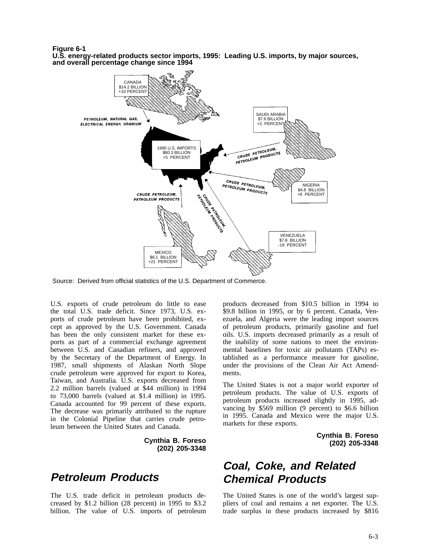**Figure 6-1**

**U.S. energy-related products sector imports, 1995: Leading U.S. imports, by major sources, and overall percentage change since 1994**



Source: Derived from official statistics of the U.S. Department of Commerce.

U.S. exports of crude petroleum do little to ease the total U.S. trade deficit. Since 1973, U.S. exports of crude petroleum have been prohibited, except as approved by the U.S. Government. Canada has been the only consistent market for these exports as part of a commercial exchange agreement between U.S. and Canadian refiners, and approved by the Secretary of the Department of Energy. In 1987, small shipments of Alaskan North Slope crude petroleum were approved for export to Korea, Taiwan, and Australia. U.S. exports decreased from 2.2 million barrels (valued at \$44 million) in 1994 to 73,000 barrels (valued at \$1.4 million) in 1995. Canada accounted for 99 percent of these exports. The decrease was primarily attributed to the rupture in the Colonial Pipeline that carries crude petroleum between the United States and Canada.

> **Cynthia B. Foreso (202) 205-3348**

### **Petroleum Products**

The U.S. trade deficit in petroleum products decreased by \$1.2 billion (28 percent) in 1995 to \$3.2 billion. The value of U.S. imports of petroleum products decreased from \$10.5 billion in 1994 to \$9.8 billion in 1995, or by 6 percent. Canada, Venezuela, and Algeria were the leading import sources of petroleum products, primarily gasoline and fuel oils. U.S. imports decreased primarily as a result of the inability of some nations to meet the environmental baselines for toxic air pollutants (TAPs) established as a performance measure for gasoline, under the provisions of the Clean Air Act Amendments.

The United States is not a major world exporter of petroleum products. The value of U.S. exports of petroleum products increased slightly in 1995, advancing by \$569 million (9 percent) to \$6.6 billion in 1995. Canada and Mexico were the major U.S. markets for these exports.

> **Cynthia B. Foreso (202) 205-3348**

## **Coal, Coke, and Related Chemical Products**

The United States is one of the world's largest suppliers of coal and remains a net exporter. The U.S. trade surplus in these products increased by \$816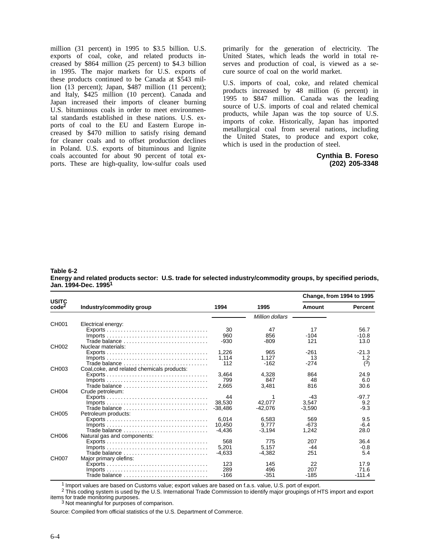million (31 percent) in 1995 to \$3.5 billion. U.S. exports of coal, coke, and related products increased by \$864 million (25 percent) to \$4.3 billion in 1995. The major markets for U.S. exports of these products continued to be Canada at \$543 million (13 percent); Japan, \$487 million (11 percent); and Italy, \$425 million (10 percent). Canada and Japan increased their imports of cleaner burning U.S. bituminous coals in order to meet environmental standards established in these nations. U.S. exports of coal to the EU and Eastern Europe increased by \$470 million to satisfy rising demand for cleaner coals and to offset production declines in Poland. U.S. exports of bituminous and lignite coals accounted for about 90 percent of total exports. These are high-quality, low-sulfur coals used primarily for the generation of electricity. The United States, which leads the world in total reserves and production of coal, is viewed as a secure source of coal on the world market.

U.S. imports of coal, coke, and related chemical products increased by 48 million (6 percent) in 1995 to \$847 million. Canada was the leading source of U.S. imports of coal and related chemical products, while Japan was the top source of U.S. imports of coke. Historically, Japan has imported metallurgical coal from several nations, including the United States, to produce and export coke, which is used in the production of steel.

#### **Cynthia B. Foreso (202) 205-3348**

#### **Table 6-2 Energy and related products sector: U.S. trade for selected industry/commodity groups, by specified periods, Jan. 1994-Dec. 19951**

|                                   | Industry/commodity group                                                               | 1994      | 1995            | Change, from 1994 to 1995 |                |
|-----------------------------------|----------------------------------------------------------------------------------------|-----------|-----------------|---------------------------|----------------|
| <b>USITC</b><br>code <sup>2</sup> |                                                                                        |           |                 | Amount                    | <b>Percent</b> |
|                                   |                                                                                        |           | Million dollars |                           |                |
| CH001                             | Electrical energy:                                                                     |           |                 |                           |                |
|                                   | $Exports \ldots \ldots \ldots \ldots \ldots \ldots \ldots \ldots \ldots \ldots \ldots$ | 30        | 47              | 17                        | 56.7           |
|                                   |                                                                                        | 960       | 856             | $-104$                    | $-10.8$        |
|                                   | Trade balance $\ldots \ldots \ldots \ldots \ldots \ldots \ldots \ldots \ldots \ldots$  | $-930$    | $-809$          | 121                       | 13.0           |
| CH002                             | Nuclear materials:                                                                     |           |                 |                           |                |
|                                   |                                                                                        | 1.226     | 965             | $-261$                    | $-21.3$        |
|                                   |                                                                                        | 1.114     | 1.127           | 13                        | 1.2            |
|                                   | Trade balance                                                                          | 112       | $-162$          | $-274$                    | (3)            |
| CH003                             | Coal, coke, and related chemicals products:                                            |           |                 |                           |                |
|                                   |                                                                                        | 3.464     | 4.328           | 864                       | 24.9           |
|                                   |                                                                                        | 799       | 847             | 48                        | 6.0            |
|                                   | Trade balance                                                                          | 2,665     | 3,481           | 816                       | 30.6           |
| CH004                             | Crude petroleum:                                                                       |           |                 |                           |                |
|                                   | $Exports \ldots \ldots \ldots \ldots \ldots \ldots \ldots \ldots \ldots \ldots$        | 44        |                 | $-43$                     | $-97.7$        |
|                                   |                                                                                        | 38.530    | 42.077          | 3.547                     | 9.2            |
|                                   | Trade balance $\ldots, \ldots, \ldots, \ldots, \ldots, \ldots, \ldots, \ldots$         | $-38.486$ | -42.076         | $-3.590$                  | $-9.3$         |
| <b>CH005</b>                      | Petroleum products:                                                                    |           |                 |                           |                |
|                                   |                                                                                        | 6.014     | 6.583           | 569                       | 9.5            |
|                                   |                                                                                        | 10.450    | 9.777           | $-673$                    | $-6.4$         |
|                                   | Trade balance                                                                          | -4.436    | $-3.194$        | 1.242                     | 28.0           |
| CH006                             | Natural gas and components:                                                            |           |                 |                           |                |
|                                   |                                                                                        | 568       | 775             | 207                       | 36.4           |
|                                   | $Imports \ldots \ldots \ldots \ldots \ldots \ldots \ldots \ldots \ldots \ldots \ldots$ | 5,201     | 5.157           | -44                       | $-0.8$         |
|                                   | Trade balance                                                                          | $-4.633$  | $-4.382$        | 251                       | 5.4            |
| CH007                             | Major primary olefins:                                                                 |           |                 |                           |                |
|                                   |                                                                                        | 123       | 145             | 22                        | 17.9           |
|                                   |                                                                                        | 289       | 496             | 207                       | 71.6           |
|                                   | Trade balance                                                                          | -166      | $-351$          | $-185$                    | $-111.4$       |

1 Import values are based on Customs value; export values are based on f.a.s. value, U.S. port of export.

<sup>2</sup> This coding system is used by the U.S. International Trade Commission to identify major groupings of HTS import and export items for trade monitoring purposes.

 $3$  Not meaningful for purposes of comparison.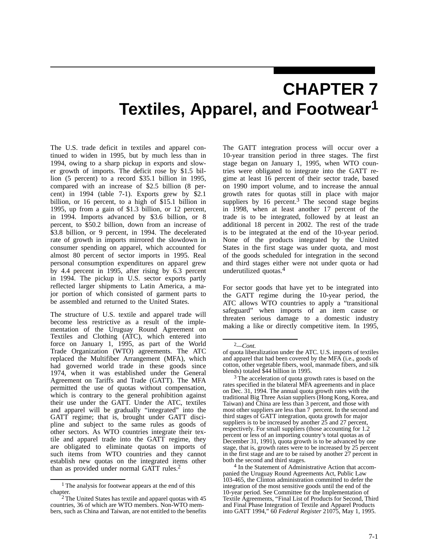# **CHAPTER 7 Textiles, Apparel, and Footwear1**

The U.S. trade deficit in textiles and apparel continued to widen in 1995, but by much less than in 1994, owing to a sharp pickup in exports and slower growth of imports. The deficit rose by \$1.5 billion (5 percent) to a record \$35.1 billion in 1995, compared with an increase of \$2.5 billion (8 percent) in 1994 (table 7-1). Exports grew by \$2.1 billion, or 16 percent, to a high of \$15.1 billion in 1995, up from a gain of \$1.3 billion, or 12 percent, in 1994. Imports advanced by \$3.6 billion, or 8 percent, to \$50.2 billion, down from an increase of \$3.8 billion, or 9 percent, in 1994. The decelerated rate of growth in imports mirrored the slowdown in consumer spending on apparel, which accounted for almost 80 percent of sector imports in 1995. Real personal consumption expenditures on apparel grew by 4.4 percent in 1995, after rising by 6.3 percent in 1994. The pickup in U.S. sector exports partly reflected larger shipments to Latin America, a major portion of which consisted of garment parts to be assembled and returned to the United States.

The structure of U.S. textile and apparel trade will become less restrictive as a result of the implementation of the Uruguay Round Agreement on Textiles and Clothing (ATC), which entered into force on January 1, 1995, as part of the World Trade Organization (WTO) agreements. The ATC replaced the Multifiber Arrangement (MFA), which had governed world trade in these goods since 1974, when it was established under the General Agreement on Tariffs and Trade (GATT). The MFA permitted the use of quotas without compensation, which is contrary to the general prohibition against their use under the GATT. Under the ATC, textiles and apparel will be gradually "integrated" into the GATT regime; that is, brought under GATT discipline and subject to the same rules as goods of other sectors. As WTO countries integrate their textile and apparel trade into the GATT regime, they are obligated to eliminate quotas on imports of such items from WTO countries and they cannot establish new quotas on the integrated items other than as provided under normal GATT rules.2

The GATT integration process will occur over a 10-year transition period in three stages. The first stage began on January 1, 1995, when WTO countries were obligated to integrate into the GATT regime at least 16 percent of their sector trade, based on 1990 import volume, and to increase the annual growth rates for quotas still in place with major suppliers by  $16$  percent.<sup>3</sup> The second stage begins in 1998, when at least another 17 percent of the trade is to be integrated, followed by at least an additional 18 percent in 2002. The rest of the trade is to be integrated at the end of the 10-year period. None of the products integrated by the United States in the first stage was under quota, and most of the goods scheduled for integration in the second and third stages either were not under quota or had underutilized quotas.4

For sector goods that have yet to be integrated into the GATT regime during the 10-year period, the ATC allows WTO countries to apply a "transitional safeguard" when imports of an item cause or threaten serious damage to a domestic industry making a like or directly competitive item. In 1995,

<sup>1</sup> The analysis for footwear appears at the end of this chapter.

<sup>&</sup>lt;sup>2</sup> The United States has textile and apparel quotas with 45 countries, 36 of which are WTO members. Non-WTO members, such as China and Taiwan, are not entitled to the benefits

<sup>2</sup>*—Cont.*

of quota liberalization under the ATC. U.S. imports of textiles and apparel that had been covered by the MFA (i.e., goods of cotton, other vegetable fibers, wool, manmade fibers, and silk blends) totaled \$44 billion in 1995.

<sup>3</sup> The acceleration of quota growth rates is based on the rates specified in the bilateral MFA agreements and in place on Dec. 31, 1994. The annual quota growth rates with the traditional Big Three Asian suppliers (Hong Kong, Korea, and Taiwan) and China are less than 3 percent, and those with most other suppliers are less than  $7$  percent. In the second and third stages of GATT integration, quota growth for major suppliers is to be increased by another 25 and 27 percent, respectively. For small suppliers (those accounting for 1.2 percent or less of an importing country's total quotas as of December 31, 1991), quota growth is to be advanced by one stage, that is, growth rates were to be increased by 25 percent in the first stage and are to be raised by another 27 percent in both the second and third stages.

<sup>4</sup> In the Statement of Administrative Action that accompanied the Uruguay Round Agreements Act, Public Law 103-465, the Clinton administration committed to defer the integration of the most sensitive goods until the end of the 10-year period. See Committee for the Implementation of Textile Agreements, "Final List of Products for Second, Third and Final Phase Integration of Textile and Apparel Products into GATT 1994," 60 *Federal Register* 21075, May 1, 1995.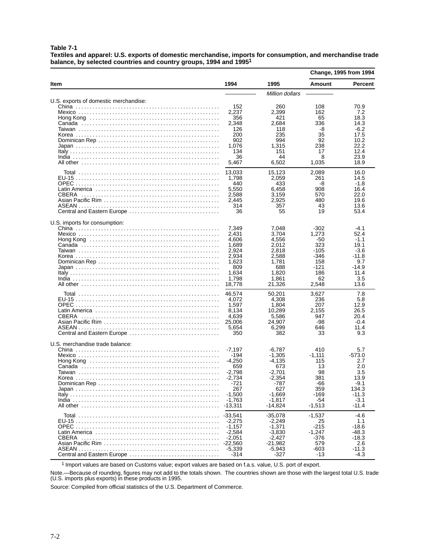**Table 7-1**

**Textiles and apparel: U.S. exports of domestic merchandise, imports for consumption, and merchandise trade balance, by selected countries and country groups, 1994 and 19951**

|                                                               |                                                                                                                                                                                                               |                                                                                                                                                                                                                 | <b>Change, 1995 from 1994</b>                                                                                                                            |                                                                                                                                                                           |
|---------------------------------------------------------------|---------------------------------------------------------------------------------------------------------------------------------------------------------------------------------------------------------------|-----------------------------------------------------------------------------------------------------------------------------------------------------------------------------------------------------------------|----------------------------------------------------------------------------------------------------------------------------------------------------------|---------------------------------------------------------------------------------------------------------------------------------------------------------------------------|
| ltem                                                          | 1994                                                                                                                                                                                                          | 1995                                                                                                                                                                                                            | Amount                                                                                                                                                   | <b>Percent</b>                                                                                                                                                            |
|                                                               |                                                                                                                                                                                                               | Million dollars                                                                                                                                                                                                 |                                                                                                                                                          |                                                                                                                                                                           |
| U.S. exports of domestic merchandise:                         | 152<br>2,237<br>356<br>2,348<br>126<br>200<br>902<br>1,076<br>134<br>36<br>5,467                                                                                                                              | 260<br>2,399<br>421<br>2,684<br>118<br>235<br>994<br>1,315<br>151<br>44<br>6,502                                                                                                                                | 108<br>162<br>65<br>336<br>-8<br>35<br>92<br>238<br>17<br>8<br>1,035                                                                                     | 70.9<br>7.2<br>18.3<br>14.3<br>$-6.2$<br>17.5<br>10.2<br>22.2<br>12.4<br>23.9<br>18.9                                                                                     |
| Central and Eastern Europe                                    | 13,033<br>1,798<br>440<br>5,550<br>2,588<br>2,445<br>314<br>36                                                                                                                                                | 15,123<br>2,059<br>433<br>6,458<br>3,159<br>2,925<br>357<br>55                                                                                                                                                  | 2,089<br>261<br>-8<br>908<br>570<br>480<br>43<br>19                                                                                                      | 16.0<br>14.5<br>-1.8<br>16.4<br>22.0<br>19.6<br>13.6<br>53.4                                                                                                              |
| U.S. imports for consumption:                                 | 7,349<br>2,431<br>4,606<br>1,689<br>2,924<br>2,934<br>1,623<br>809<br>1,634<br>1,798<br>18,778                                                                                                                | 7.048<br>3,704<br>4,556<br>2.012<br>2,818<br>2,588<br>1,781<br>688<br>1.820<br>1,861<br>21,326                                                                                                                  | -302<br>1,273<br>-50<br>323<br>-105<br>-346<br>158<br>-121<br>186<br>62<br>2,548                                                                         | -4.1<br>52.4<br>$-1.1$<br>19.1<br>-3.6<br>-11.8<br>9.7<br>-14.9<br>11.4<br>3.5<br>13.6                                                                                    |
| CBERA<br>Central and Eastern Europe                           | 46,574<br>4,072<br>1,597<br>8,134<br>4,639<br>25,006<br>5,654<br>350                                                                                                                                          | 50,201<br>4,308<br>1,804<br>10,289<br>5,586<br>24,907<br>6,299<br>382                                                                                                                                           | 3,627<br>236<br>207<br>2,155<br>947<br>-98<br>646<br>33                                                                                                  | 7.8<br>5.8<br>12.9<br>26.5<br>20.4<br>$-0.4$<br>11.4<br>9.3                                                                                                               |
| U.S. merchandise trade balance:<br>Central and Eastern Europe | $-7.197$<br>-194<br>-4,250<br>659<br>$-2,798$<br>$-2,734$<br>-721<br>267<br>$-1,500$<br>$-1.763$<br>$-13,311$<br>$-33,541$<br>$-2,275$<br>$-1.157$<br>$-2,584$<br>$-2,051$<br>$-22,560$<br>$-5,339$<br>$-314$ | $-6.787$<br>$-1,305$<br>-4,135<br>673<br>-2,701<br>$-2,354$<br>-787<br>627<br>$-1,669$<br>$-1,817$<br>$-14,824$<br>$-35,078$<br>$-2,249$<br>$-1,371$<br>$-3,830$<br>$-2,427$<br>$-21,982$<br>$-5,943$<br>$-327$ | 410<br>$-1.111$<br>115<br>13<br>98<br>381<br>-66<br>359<br>-169<br>-54<br>$-1,513$<br>$-1,537$<br>25<br>$-215$<br>$-1,247$<br>-376<br>579<br>-603<br>-13 | 5.7<br>$-573.0$<br>2.7<br>2.0<br>3.5<br>13.9<br>-9.1<br>134.3<br>$-11.3$<br>$-3.1$<br>$-11.4$<br>$-4.6$<br>1.1<br>$-18.6$<br>$-48.3$<br>$-18.3$<br>2.6<br>-11.3<br>$-4.3$ |

1 Import values are based on Customs value; export values are based on f.a.s. value, U.S. port of export.

Note.—Because of rounding, figures may not add to the totals shown. The countries shown are those with the largest total U.S. trade (U.S. imports plus exports) in these products in 1995.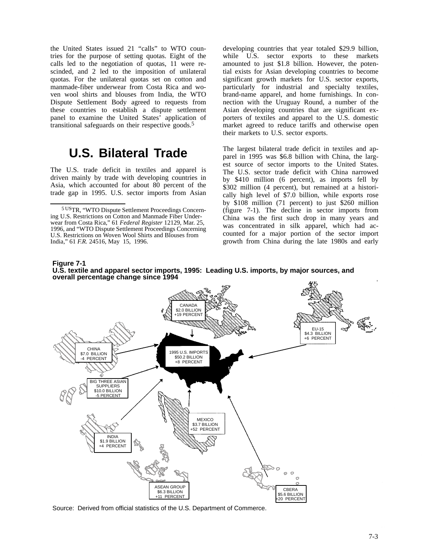the United States issued 21 "calls" to WTO countries for the purpose of setting quotas. Eight of the calls led to the negotiation of quotas, 11 were rescinded, and 2 led to the imposition of unilateral quotas. For the unilateral quotas set on cotton and manmade-fiber underwear from Costa Rica and woven wool shirts and blouses from India, the WTO Dispute Settlement Body agreed to requests from these countries to establish a dispute settlement panel to examine the United States' application of transitional safeguards on their respective goods.<sup>5</sup>

## **U.S. Bilateral Trade**

The U.S. trade deficit in textiles and apparel is driven mainly by trade with developing countries in Asia, which accounted for about 80 percent of the trade gap in 1995. U.S. sector imports from Asian

developing countries that year totaled \$29.9 billion, while U.S. sector exports to these markets amounted to just \$1.8 billion. However, the potential exists for Asian developing countries to become significant growth markets for U.S. sector exports, particularly for industrial and specialty textiles, brand-name apparel, and home furnishings. In connection with the Uruguay Round, a number of the Asian developing countries that are significant exporters of textiles and apparel to the U.S. domestic market agreed to reduce tariffs and otherwise open their markets to U.S. sector exports.

The largest bilateral trade deficit in textiles and apparel in 1995 was \$6.8 billion with China, the largest source of sector imports to the United States. The U.S. sector trade deficit with China narrowed by \$410 million (6 percent), as imports fell by \$302 million (4 percent), but remained at a historically high level of \$7.0 billion, while exports rose by \$108 million (71 percent) to just \$260 million (figure 7-1). The decline in sector imports from China was the first such drop in many years and was concentrated in silk apparel, which had accounted for a major portion of the sector import growth from China during the late 1980s and early





Source: Derived from official statistics of the U.S. Department of Commerce.

<sup>5</sup> USTR, "WTO Dispute Settlement Proceedings Concerning U.S. Restrictions on Cotton and Manmade Fiber Underwear from Costa Rica," 61 *Federal Register* 12129, Mar. 25, 1996, and "WTO Dispute Settlement Proceedings Concerning U.S. Restrictions on Woven Wool Shirts and Blouses from India," 61 *F.R.* 24516, May 15, 1996.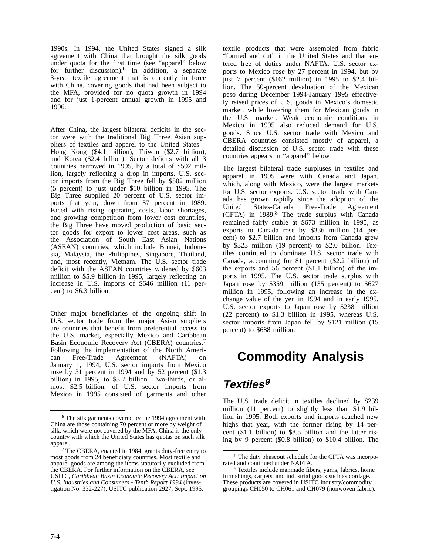1990s. In 1994, the United States signed a silk agreement with China that brought the silk goods under quota for the first time (see "apparel" below for further discussion).6 In addition, a separate 3-year textile agreement that is currently in force with China, covering goods that had been subject to the MFA, provided for no quota growth in 1994 and for just 1-percent annual growth in 1995 and 1996.

After China, the largest bilateral deficits in the sector were with the traditional Big Three Asian suppliers of textiles and apparel to the United States— Hong Kong (\$4.1 billion), Taiwan (\$2.7 billion), and Korea (\$2.4 billion). Sector deficits with all 3 countries narrowed in 1995, by a total of \$592 million, largely reflecting a drop in imports. U.S. sector imports from the Big Three fell by \$502 million (5 percent) to just under \$10 billion in 1995. The Big Three supplied 20 percent of U.S. sector imports that year, down from 37 percent in 1989. Faced with rising operating costs, labor shortages, and growing competition from lower cost countries, the Big Three have moved production of basic sector goods for export to lower cost areas, such as the Association of South East Asian Nations (ASEAN) countries, which include Brunei, Indonesia, Malaysia, the Philippines, Singapore, Thailand, and, most recently, Vietnam. The U.S. sector trade deficit with the ASEAN countries widened by \$603 million to \$5.9 billion in 1995, largely reflecting an increase in U.S. imports of \$646 million (11 percent) to \$6.3 billion.

Other major beneficiaries of the ongoing shift in U.S. sector trade from the major Asian suppliers are countries that benefit from preferential access to the U.S. market, especially Mexico and Caribbean Basin Economic Recovery Act (CBERA) countries.7 Following the implementation of the North Ameri-<br>can Free-Trade Agreement (NAFTA) on can Free-Trade Agreement (NAFTA) on January 1, 1994, U.S. sector imports from Mexico rose by 31 percent in 1994 and by 52 percent (\$1.3 billion) in 1995, to \$3.7 billion. Two-thirds, or almost \$2.5 billion, of U.S. sector imports from Mexico in 1995 consisted of garments and other

textile products that were assembled from fabric "formed and cut" in the United States and that entered free of duties under NAFTA. U.S. sector exports to Mexico rose by 27 percent in 1994, but by just 7 percent (\$162 million) in 1995 to \$2.4 billion. The 50-percent devaluation of the Mexican peso during December 1994-January 1995 effectively raised prices of U.S. goods in Mexico's domestic market, while lowering them for Mexican goods in the U.S. market. Weak economic conditions in Mexico in 1995 also reduced demand for U.S. goods. Since U.S. sector trade with Mexico and CBERA countries consisted mostly of apparel, a detailed discussion of U.S. sector trade with these countries appears in "apparel" below.

The largest bilateral trade surpluses in textiles and apparel in 1995 were with Canada and Japan, which, along with Mexico, were the largest markets for U.S. sector exports. U.S. sector trade with Canada has grown rapidly since the adoption of the United States-Canada Free-Trade Agreement (CFTA) in 1989.8 The trade surplus with Canada remained fairly stable at \$673 million in 1995, as exports to Canada rose by \$336 million (14 percent) to \$2.7 billion and imports from Canada grew by \$323 million (19 percent) to \$2.0 billion. Textiles continued to dominate U.S. sector trade with Canada, accounting for 81 percent (\$2.2 billion) of the exports and 56 percent (\$1.1 billion) of the imports in 1995. The U.S. sector trade surplus with Japan rose by \$359 million (135 percent) to \$627 million in 1995, following an increase in the exchange value of the yen in 1994 and in early 1995. U.S. sector exports to Japan rose by \$238 million (22 percent) to \$1.3 billion in 1995, whereas U.S. sector imports from Japan fell by \$121 million (15) percent) to \$688 million.

# **Commodity Analysis**

## **Textiles<sup>9</sup>**

The U.S. trade deficit in textiles declined by \$239 million (11 percent) to slightly less than \$1.9 billion in 1995. Both exports and imports reached new highs that year, with the former rising by 14 percent (\$1.1 billion) to \$8.5 billion and the latter rising by 9 percent (\$0.8 billion) to \$10.4 billion. The

<sup>&</sup>lt;sup>6</sup> The silk garments covered by the 1994 agreement with China are those containing 70 percent or more by weight of silk, which were not covered by the MFA. China is the only country with which the United States has quotas on such silk apparel.

<sup>7</sup> The CBERA, enacted in 1984, grants duty-free entry to most goods from 24 beneficiary countries. Most textile and apparel goods are among the items statutorily excluded from the CBERA. For further information on the CBERA, see USITC, *Caribbean Basin Economic Recovery Act: Impact on U.S. Industries and Consumers - Tenth Report 1994* (investigation No. 332-227), USITC publication 2927, Sept. 1995.

<sup>8</sup> The duty phaseout schedule for the CFTA was incorporated and continued under NAFTA.

Textiles include manmade fibers, yarns, fabrics, home furnishings, carpets, and industrial goods such as cordage. These products are covered in USITC industry/commodity groupings CH050 to CH061 and CH079 (nonwoven fabric).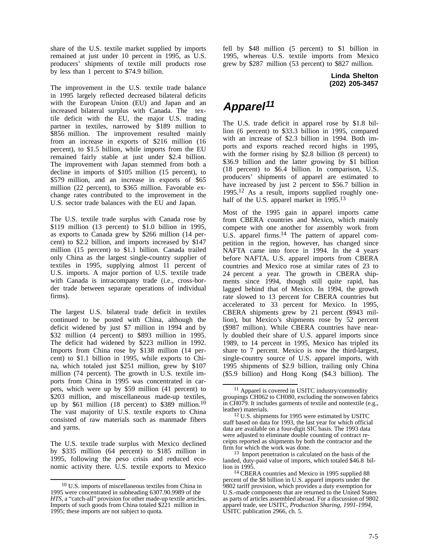share of the U.S. textile market supplied by imports remained at just under 10 percent in 1995, as U.S. producers' shipments of textile mill products rose by less than 1 percent to \$74.9 billion.

The improvement in the U.S. textile trade balance in 1995 largely reflected decreased bilateral deficits with the European Union (EU) and Japan and an increased bilateral surplus with Canada. The textile deficit with the EU, the major U.S. trading partner in textiles, narrowed by \$189 million to \$856 million. The improvement resulted mainly from an increase in exports of \$216 million (16 percent), to \$1.5 billion, while imports from the EU remained fairly stable at just under \$2.4 billion. The improvement with Japan stemmed from both a decline in imports of \$105 million (15 percent), to \$579 million, and an increase in exports of \$65 million (22 percent), to \$365 million. Favorable exchange rates contributed to the improvement in the U.S. sector trade balances with the EU and Japan.

The U.S. textile trade surplus with Canada rose by \$119 million (13 percent) to \$1.0 billion in 1995, as exports to Canada grew by \$266 million (14 percent) to \$2.2 billion, and imports increased by \$147 million (15 percent) to \$1.1 billion. Canada trailed only China as the largest single-country supplier of textiles in 1995, supplying almost 11 percent of U.S. imports. A major portion of U.S. textile trade with Canada is intracompany trade (i.e., cross-border trade between separate operations of individual firms).

The largest U.S. bilateral trade deficit in textiles continued to be posted with China, although the deficit widened by just \$7 million in 1994 and by \$32 million (4 percent) to \$893 million in 1995. The deficit had widened by \$223 million in 1992. Imports from China rose by \$138 million (14 percent) to \$1.1 billion in 1995, while exports to China, which totaled just \$251 million, grew by \$107 million (74 percent). The growth in U.S. textile imports from China in 1995 was concentrated in carpets, which were up by \$59 million (41 percent) to \$203 million, and miscellaneous made-up textiles, up by \$61 million (18 percent) to \$389 million.<sup>10</sup> The vast majority of U.S. textile exports to China consisted of raw materials such as manmade fibers and yarns.

The U.S. textile trade surplus with Mexico declined by \$335 million (64 percent) to \$185 million in 1995, following the peso crisis and reduced economic activity there. U.S. textile exports to Mexico

fell by \$48 million (5 percent) to \$1 billion in 1995, whereas U.S. textile imports from Mexico grew by \$287 million (53 percent) to \$827 million.

> **Linda Shelton (202) 205-3457**

## **Apparel<sup>11</sup>**

The U.S. trade deficit in apparel rose by \$1.8 billion (6 percent) to \$33.3 billion in 1995, compared with an increase of \$2.3 billion in 1994. Both imports and exports reached record highs in 1995, with the former rising by \$2.8 billion (8 percent) to \$36.9 billion and the latter growing by \$1 billion (18 percent) to \$6.4 billion. In comparison, U.S. producers' shipments of apparel are estimated to have increased by just 2 percent to \$56.7 billion in 1995.12 As a result, imports supplied roughly onehalf of the U.S. apparel market in 1995.<sup>13</sup>

Most of the 1995 gain in apparel imports came from CBERA countries and Mexico, which mainly compete with one another for assembly work from U.S. apparel firms.<sup>14</sup> The pattern of apparel competition in the region, however, has changed since NAFTA came into force in 1994. In the 4 years before NAFTA, U.S. apparel imports from CBERA countries and Mexico rose at similar rates of 23 to 24 percent a year. The growth in CBERA shipments since 1994, though still quite rapid, has lagged behind that of Mexico. In 1994, the growth rate slowed to 13 percent for CBERA countries but accelerated to 33 percent for Mexico. In 1995, CBERA shipments grew by 21 percent (\$943 million), but Mexico's shipments rose by 52 percent (\$987 million). While CBERA countries have nearly doubled their share of U.S. apparel imports since 1989, to 14 percent in 1995, Mexico has tripled its share to 7 percent. Mexico is now the third-largest, single-country source of U.S. apparel imports, with 1995 shipments of \$2.9 billion, trailing only China (\$5.9 billion) and Hong Kong (\$4.3 billion). The

<sup>10</sup> U.S. imports of miscellaneous textiles from China in 1995 were concentrated in subheading 6307.90.9989 of the *HTS*, a "catch-all" provision for other made-up textile articles. Imports of such goods from China totaled \$221 million in 1995; these imports are not subject to quota.

<sup>11</sup> Apparel is covered in USITC industry/commodity groupings CH062 to CH080, excluding the nonwoven fabrics in CH079. It includes garments of textile and nontextile (e.g., leather) materials.

<sup>&</sup>lt;sup>12</sup> U.S. shipments for 1995 were estimated by USITC staff based on data for 1993, the last year for which official data are available on a four-digit SIC basis. The 1993 data were adjusted to eliminate double counting of contract receipts reported as shipments by both the contractor and the firm for which the work was done.

<sup>13</sup> Import penetration is calculated on the basis of the landed, duty-paid value of imports, which totaled \$46.8 billion in 1995.

<sup>14</sup> CBERA countries and Mexico in 1995 supplied 88 percent of the \$8 billion in U.S. apparel imports under the 9802 tariff provision, which provides a duty exemption for U.S.-made components that are returned to the United States as parts of articles assembled abroad. For a discussion of 9802 apparel trade, see USITC, *Production Sharing, 1991-1994*, USITC publication 2966, ch. 5.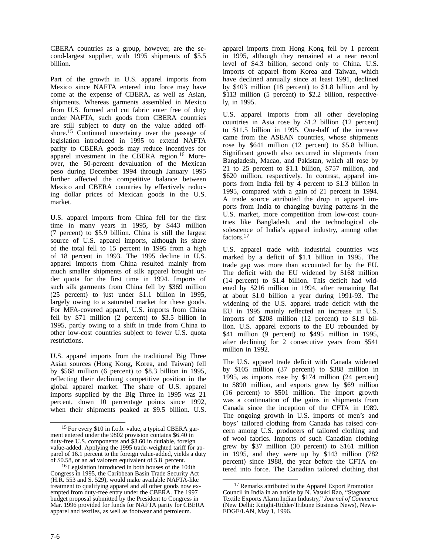CBERA countries as a group, however, are the second-largest supplier, with 1995 shipments of \$5.5 billion.

Part of the growth in U.S. apparel imports from Mexico since NAFTA entered into force may have come at the expense of CBERA, as well as Asian, shipments. Whereas garments assembled in Mexico from U.S. formed and cut fabric enter free of duty under NAFTA, such goods from CBERA countries are still subject to duty on the value added offshore.15 Continued uncertainty over the passage of legislation introduced in 1995 to extend NAFTA parity to CBERA goods may reduce incentives for apparel investment in the CBERA region.<sup>16</sup> Moreover, the 50-percent devaluation of the Mexican peso during December 1994 through January 1995 further affected the competitive balance between Mexico and CBERA countries by effectively reducing dollar prices of Mexican goods in the U.S. market.

U.S. apparel imports from China fell for the first time in many years in 1995, by \$443 million (7 percent) to \$5.9 billion. China is still the largest source of U.S. apparel imports, although its share of the total fell to 15 percent in 1995 from a high of 18 percent in 1993. The 1995 decline in U.S. apparel imports from China resulted mainly from much smaller shipments of silk apparel brought under quota for the first time in 1994. Imports of such silk garments from China fell by \$369 million (25 percent) to just under \$1.1 billion in 1995, largely owing to a saturated market for these goods. For MFA-covered apparel, U.S. imports from China fell by \$71 million (2 percent) to \$3.5 billion in 1995, partly owing to a shift in trade from China to other low-cost countries subject to fewer U.S. quota restrictions.

U.S. apparel imports from the traditional Big Three Asian sources (Hong Kong, Korea, and Taiwan) fell by \$568 million (6 percent) to \$8.3 billion in 1995, reflecting their declining competitive position in the global apparel market. The share of U.S. apparel imports supplied by the Big Three in 1995 was 21 percent, down 10 percentage points since 1992, when their shipments peaked at \$9.5 billion. U.S.

apparel imports from Hong Kong fell by 1 percent in 1995, although they remained at a near record level of \$4.3 billion, second only to China. U.S. imports of apparel from Korea and Taiwan, which have declined annually since at least 1991, declined by \$403 million (18 percent) to \$1.8 billion and by \$113 million (5 percent) to \$2.2 billion, respectively, in 1995.

U.S. apparel imports from all other developing countries in Asia rose by \$1.2 billion (12 percent) to \$11.5 billion in 1995. One-half of the increase came from the ASEAN countries, whose shipments rose by \$641 million (12 percent) to \$5.8 billion. Significant growth also occurred in shipments from Bangladesh, Macao, and Pakistan, which all rose by 21 to 25 percent to \$1.1 billion, \$757 million, and \$620 million, respectively. In contrast, apparel imports from India fell by 4 percent to \$1.3 billion in 1995, compared with a gain of 21 percent in 1994. A trade source attributed the drop in apparel imports from India to changing buying patterns in the U.S. market, more competition from low-cost countries like Bangladesh, and the technological obsolescence of India's apparel industry, among other factors.<sup>17</sup>

U.S. apparel trade with industrial countries was marked by a deficit of \$1.1 billion in 1995. The trade gap was more than accounted for by the EU. The deficit with the EU widened by \$168 million (14 percent) to \$1.4 billion. This deficit had widened by \$216 million in 1994, after remaining flat at about \$1.0 billion a year during 1991-93. The widening of the U.S. apparel trade deficit with the EU in 1995 mainly reflected an increase in U.S. imports of \$208 million (12 percent) to \$1.9 billion. U.S. apparel exports to the EU rebounded by \$41 million (9 percent) to \$495 million in 1995, after declining for 2 consecutive years from \$541 million in 1992.

The U.S. apparel trade deficit with Canada widened by \$105 million (37 percent) to \$388 million in 1995, as imports rose by \$174 million (24 percent) to \$890 million, and exports grew by \$69 million (16 percent) to \$501 million. The import growth was a continuation of the gains in shipments from Canada since the inception of the CFTA in 1989. The ongoing growth in U.S. imports of men's and boys' tailored clothing from Canada has raised concern among U.S. producers of tailored clothing and of wool fabrics. Imports of such Canadian clothing grew by \$37 million (30 percent) to \$161 million in 1995, and they were up by \$143 million (782 percent) since 1988, the year before the CFTA entered into force. The Canadian tailored clothing that

<sup>15</sup> For every \$10 in f.o.b. value, a typical CBERA garment entered under the 9802 provision contains \$6.40 in duty-free U.S. components and \$3.60 in dutiable, foreign value-added. Applying the 1995 trade-weighted tariff for apparel of 16.1 percent to the foreign value-added, yields a duty of \$0.58, or an ad valorem equivalent of 5.8 percent.

<sup>16</sup> Legislation introduced in both houses of the 104th Congress in 1995, the Caribbean Basin Trade Security Act (H.R. 553 and S. 529), would make available NAFTA-like treatment to qualifying apparel and all other goods now exempted from duty-free entry under the CBERA. The 1997 budget proposal submitted by the President to Congress in Mar. 1996 provided for funds for NAFTA parity for CBERA apparel and textiles, as well as footwear and petroleum.

<sup>17</sup> Remarks attributed to the Apparel Export Promotion Council in India in an article by N. Vasuki Rao, "Stagnant Textile Exports Alarm Indian Industry," *Journal of Commerce* (New Delhi: Knight-Ridder/Tribune Business News), News-EDGE/LAN, May 1, 1996.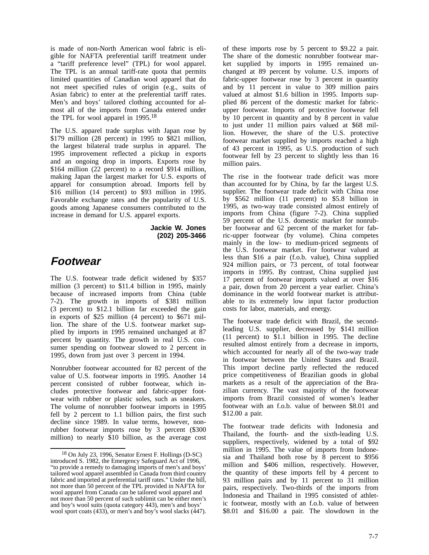is made of non-North American wool fabric is eligible for NAFTA preferential tariff treatment under a "tariff preference level" (TPL) for wool apparel. The TPL is an annual tariff-rate quota that permits limited quantities of Canadian wool apparel that do not meet specified rules of origin (e.g., suits of Asian fabric) to enter at the preferential tariff rates. Men's and boys' tailored clothing accounted for almost all of the imports from Canada entered under the TPL for wool apparel in 1995.18

The U.S. apparel trade surplus with Japan rose by \$179 million (28 percent) in 1995 to \$821 million, the largest bilateral trade surplus in apparel. The 1995 improvement reflected a pickup in exports and an ongoing drop in imports. Exports rose by \$164 million (22 percent) to a record \$914 million, making Japan the largest market for U.S. exports of apparel for consumption abroad. Imports fell by \$16 million (14 percent) to \$93 million in 1995. Favorable exchange rates and the popularity of U.S. goods among Japanese consumers contributed to the increase in demand for U.S. apparel exports.

> **Jackie W. Jones (202) 205-3466**

## **Footwear**

The U.S. footwear trade deficit widened by \$357 million (3 percent) to \$11.4 billion in 1995, mainly because of increased imports from China (table 7-2). The growth in imports of \$381 million (3 percent) to \$12.1 billion far exceeded the gain in exports of \$25 million (4 percent) to \$671 million. The share of the U.S. footwear market supplied by imports in 1995 remained unchanged at 87 percent by quantity. The growth in real U.S. consumer spending on footwear slowed to 2 percent in 1995, down from just over 3 percent in 1994.

Nonrubber footwear accounted for 82 percent of the value of U.S. footwear imports in 1995. Another 14 percent consisted of rubber footwear, which includes protective footwear and fabric-upper footwear with rubber or plastic soles, such as sneakers. The volume of nonrubber footwear imports in 1995 fell by 2 percent to 1.1 billion pairs, the first such decline since 1989. In value terms, however, nonrubber footwear imports rose by 3 percent (\$300 million) to nearly \$10 billion, as the average cost

of these imports rose by 5 percent to \$9.22 a pair. The share of the domestic nonrubber footwear market supplied by imports in 1995 remained unchanged at 89 percent by volume. U.S. imports of fabric-upper footwear rose by 3 percent in quantity and by 11 percent in value to 309 million pairs valued at almost \$1.6 billion in 1995. Imports supplied 86 percent of the domestic market for fabricupper footwear. Imports of protective footwear fell by 10 percent in quantity and by 8 percent in value to just under 11 million pairs valued at \$68 million. However, the share of the U.S. protective footwear market supplied by imports reached a high of 43 percent in 1995, as U.S. production of such footwear fell by 23 percent to slightly less than 16 million pairs.

The rise in the footwear trade deficit was more than accounted for by China, by far the largest U.S. supplier. The footwear trade deficit with China rose by \$562 million (11 percent) to \$5.8 billion in 1995, as two-way trade consisted almost entirely of imports from China (figure 7-2). China supplied 59 percent of the U.S. domestic market for nonrubber footwear and 62 percent of the market for fabric-upper footwear (by volume). China competes mainly in the low- to medium-priced segments of the U.S. footwear market. For footwear valued at less than \$16 a pair (f.o.b. value), China supplied 924 million pairs, or 73 percent, of total footwear imports in 1995. By contrast, China supplied just 17 percent of footwear imports valued at over \$16 a pair, down from 20 percent a year earlier. China's dominance in the world footwear market is attributable to its extremely low input factor production costs for labor, materials, and energy.

The footwear trade deficit with Brazil, the secondleading U.S. supplier, decreased by \$141 million (11 percent) to \$1.1 billion in 1995. The decline resulted almost entirely from a decrease in imports, which accounted for nearly all of the two-way trade in footwear between the United States and Brazil. This import decline partly reflected the reduced price competitiveness of Brazilian goods in global markets as a result of the appreciation of the Brazilian currency. The vast majority of the footwear imports from Brazil consisted of women's leather footwear with an f.o.b. value of between \$8.01 and \$12.00 a pair.

The footwear trade deficits with Indonesia and Thailand, the fourth- and the sixth-leading U.S. suppliers, respectively, widened by a total of \$92 million in 1995. The value of imports from Indonesia and Thailand both rose by 8 percent to \$956 million and \$406 million, respectively. However, the quantity of these imports fell by 4 percent to 93 million pairs and by 11 percent to 31 million pairs, respectively. Two-thirds of the imports from Indonesia and Thailand in 1995 consisted of athletic footwear, mostly with an f.o.b. value of between \$8.01 and \$16.00 a pair. The slowdown in the

<sup>18</sup> On July 23, 1996, Senator Ernest F. Hollings (D-SC) introduced S. 1982, the Emergency Safeguard Act of 1996, "to provide a remedy to damaging imports of men's and boys' tailored wool apparel assembled in Canada from third country fabric and imported at preferential tariff rates." Under the bill, not more than 50 percent of the TPL provided in NAFTA for wool apparel from Canada can be tailored wool apparel and not more than 50 percent of such sublimit can be either men's and boy's wool suits (quota category 443), men's and boys' wool sport coats (433), or men's and boy's wool slacks (447).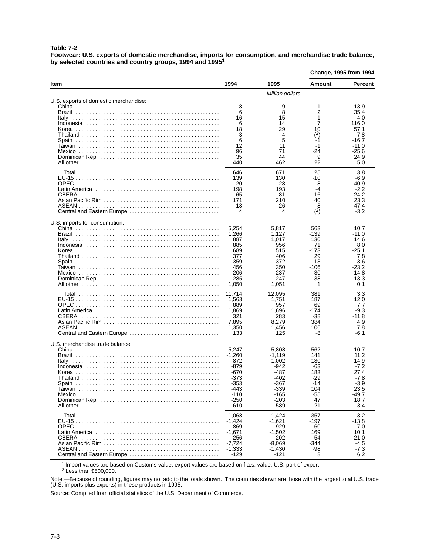**Table 7-2**

**Footwear: U.S. exports of domestic merchandise, imports for consumption, and merchandise trade balance, by selected countries and country groups, 1994 and 19951** L.

|                                            |                                                                                                               |                                                                                                                 | <b>Change, 1995 from 1994</b>                                                     |                                                                                                          |
|--------------------------------------------|---------------------------------------------------------------------------------------------------------------|-----------------------------------------------------------------------------------------------------------------|-----------------------------------------------------------------------------------|----------------------------------------------------------------------------------------------------------|
| Item                                       | 1994                                                                                                          | 1995                                                                                                            | <b>Amount</b>                                                                     | Percent                                                                                                  |
|                                            |                                                                                                               | Million dollars                                                                                                 |                                                                                   |                                                                                                          |
| U.S. exports of domestic merchandise:      | 8<br>6<br>16<br>6<br>18<br>3<br>6<br>12<br>96<br>35<br>440                                                    | 9<br>8<br>15<br>14<br>29<br>4<br>5<br>11<br>71<br>44<br>462                                                     | 1<br>2<br>-1<br>7<br>10<br>(2)<br>-1<br>-1<br>-24<br>9<br>22                      | 13.9<br>35.4<br>$-4.0$<br>116.0<br>57.1<br>7.8<br>-16.7<br>-11.0<br>$-25.6$<br>24.9<br>5.0               |
| <b>CBERA</b><br>Central and Eastern Europe | 646<br>139<br>20<br>198<br>65<br>171<br>18<br>4                                                               | 671<br>130<br>28<br>193<br>81<br>210<br>26<br>4                                                                 | 25<br>-10<br>8<br>-4<br>16<br>40<br>8<br>(2)                                      | 3.8<br>-6.9<br>40.9<br>$-2.2$<br>24.2<br>23.3<br>47.4<br>$-3.2$                                          |
| U.S. imports for consumption:              | 5,254<br>1,266<br>887<br>885<br>689<br>377<br>359<br>456<br>206<br>285<br>1,050                               | 5,817<br>1,127<br>1,017<br>956<br>515<br>406<br>372<br>350<br>237<br>247<br>1,051                               | 563<br>-139<br>130<br>71<br>-173<br>29<br>13<br>-106<br>30<br>-38<br>1            | 10.7<br>-11.0<br>14.6<br>8.0<br>-25.1<br>7.8<br>3.6<br>-23.2<br>14.8<br>-13.3<br>0.1                     |
| <b>CBERA</b><br>Central and Eastern Europe | 11,714<br>1,563<br>889<br>1,869<br>321<br>7,895<br>1,350<br>133                                               | 12,095<br>1,751<br>957<br>1,696<br>283<br>8,279<br>1,456<br>125                                                 | 381<br>187<br>69<br>-174<br>-38<br>384<br>106<br>-8                               | 3.3<br>12.0<br>7.7<br>$-9.3$<br>-11.8<br>4.9<br>7.8<br>$-6.1$                                            |
| U.S. merchandise trade balance:            | $-5.247$<br>-1,260<br>-872<br>-879<br>-670<br>-373<br>-353<br>-443<br>$-110$<br>$-250$<br>$-610$<br>$-11,068$ | $-5.808$<br>$-1,119$<br>$-1,002$<br>-942<br>-487<br>-402<br>-367<br>-339<br>-165<br>$-203$<br>-589<br>$-11,424$ | -562<br>141<br>-130<br>-63<br>183<br>-29<br>-14<br>104<br>-55<br>47<br>21<br>-357 | $-10.7$<br>11.2<br>$-14.9$<br>$-7.2$<br>27.4<br>$-7.8$<br>-3.9<br>23.5<br>-49.7<br>18.7<br>3.4<br>$-3.2$ |
|                                            | $-1,424$<br>-869<br>$-1,671$<br>$-256$<br>$-7,724$<br>$-1,333$<br>$-129$                                      | $-1,621$<br>-929<br>$-1,502$<br>$-202$<br>$-8,069$<br>$-1,430$<br>-121                                          | -197<br>-60<br>169<br>54<br>-344<br>-98<br>8                                      | $-13.8$<br>$-7.0$<br>10.1<br>21.0<br>$-4.5$<br>$-7.3$<br>6.2                                             |

1 Import values are based on Customs value; export values are based on f.a.s. value, U.S. port of export.

<sup>2</sup> Less than \$500,000.

Note.—Because of rounding, figures may not add to the totals shown. The countries shown are those with the largest total U.S. trade (U.S. imports plus exports) in these products in 1995.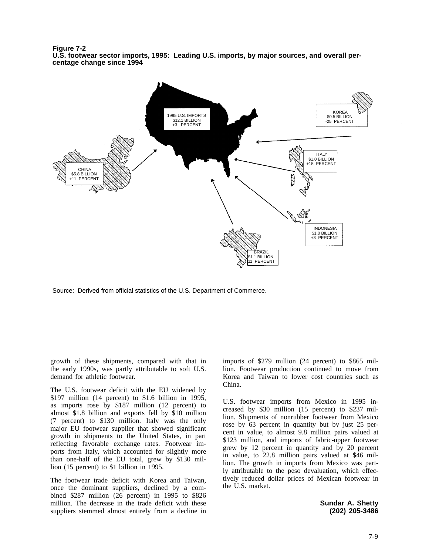**Figure 7-2 U.S. footwear sector imports, 1995: Leading U.S. imports, by major sources, and overall percentage change since 1994**



Source: Derived from official statistics of the U.S. Department of Commerce.

growth of these shipments, compared with that in the early 1990s, was partly attributable to soft U.S. demand for athletic footwear.

The U.S. footwear deficit with the EU widened by \$197 million (14 percent) to \$1.6 billion in 1995, as imports rose by \$187 million (12 percent) to almost \$1.8 billion and exports fell by \$10 million (7 percent) to \$130 million. Italy was the only major EU footwear supplier that showed significant growth in shipments to the United States, in part reflecting favorable exchange rates. Footwear imports from Italy, which accounted for slightly more than one-half of the EU total, grew by \$130 million (15 percent) to \$1 billion in 1995.

The footwear trade deficit with Korea and Taiwan, once the dominant suppliers, declined by a combined \$287 million (26 percent) in 1995 to \$826 million. The decrease in the trade deficit with these suppliers stemmed almost entirely from a decline in

imports of \$279 million (24 percent) to \$865 million. Footwear production continued to move from Korea and Taiwan to lower cost countries such as China.

U.S. footwear imports from Mexico in 1995 increased by \$30 million (15 percent) to \$237 million. Shipments of nonrubber footwear from Mexico rose by 63 percent in quantity but by just 25 percent in value, to almost 9.8 million pairs valued at \$123 million, and imports of fabric-upper footwear grew by 12 percent in quantity and by 20 percent in value, to 22.8 million pairs valued at \$46 million. The growth in imports from Mexico was partly attributable to the peso devaluation, which effectively reduced dollar prices of Mexican footwear in the U.S. market.

> **Sundar A. Shetty (202) 205-3486**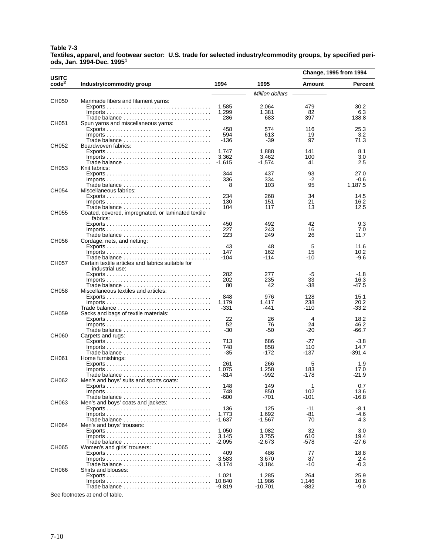#### **Table 7-3**

**Textiles, apparel, and footwear sector: U.S. trade for selected industry/commodity groups, by specified periods, Jan. 1994-Dec. 19951**

| USITC<br>code <sup>2</sup>       | Industry/commodity group                                                               |                   |                 | Change, 1995 from 1994 |              |
|----------------------------------|----------------------------------------------------------------------------------------|-------------------|-----------------|------------------------|--------------|
|                                  |                                                                                        | 1994              | 1995            | Amount                 | Percent      |
|                                  |                                                                                        |                   | Million dollars |                        |              |
| CH050                            | Manmade fibers and filament yarns:                                                     |                   |                 |                        |              |
|                                  |                                                                                        | 1,585             | 2,064           | 479                    | 30.2         |
|                                  |                                                                                        | 1,299             | 1,381           | 82                     | 6.3          |
|                                  |                                                                                        | 286               | 683             | 397                    | 138.8        |
| CH051                            | Spun yarns and miscellaneous yarns:                                                    | 458               | 574             | 116                    | 25.3         |
| CH052<br>CH053<br>CH054<br>CH055 |                                                                                        | 594               | 613             | 19                     | 3.2          |
|                                  |                                                                                        | -136              | -39             | 97                     | 71.3         |
|                                  | Boardwoven fabrics:                                                                    |                   |                 |                        |              |
|                                  |                                                                                        | 1.747             | 1,888           | 141                    | 8.1          |
|                                  |                                                                                        | 3,362             | 3,462           | 100                    | 3.0          |
|                                  |                                                                                        | -1,615            | $-1,574$        | 41                     | 2.5          |
|                                  | Knit fabrics:                                                                          |                   |                 |                        |              |
|                                  |                                                                                        | 344               | 437             | 93                     | 27.0         |
|                                  |                                                                                        | 336               | 334             | -2                     | $-0.6$       |
|                                  | Miscellaneous fabrics:                                                                 | 8                 | 103             | 95                     | 1,187.5      |
|                                  |                                                                                        | 234               | 268             | 34                     | 14.5         |
|                                  |                                                                                        | 130               | 151             | 21                     | 16.2         |
|                                  |                                                                                        | 104               | 117             | 13                     | 12.5         |
|                                  | Coated, covered, impregnated, or laminated textile                                     |                   |                 |                        |              |
|                                  | fabrics:                                                                               |                   |                 |                        |              |
|                                  |                                                                                        | 450               | 492             | 42                     | 9.3          |
|                                  | $Imports \ldots \ldots \ldots \ldots \ldots \ldots \ldots \ldots \ldots \ldots \ldots$ | 227               | 243             | 16                     | 7.0          |
|                                  | Trade balance                                                                          | 223               | 249             | 26                     | 11.7         |
| CH056                            | Cordage, nets, and netting:                                                            |                   |                 |                        |              |
|                                  |                                                                                        | 43<br>147         | 48<br>162       | 5<br>15                | 11.6<br>10.2 |
|                                  |                                                                                        | -104              | -114            | -10                    | $-9.6$       |
| CH057                            | Certain textile articles and fabrics suitable for<br>industrial use:                   |                   |                 |                        |              |
|                                  |                                                                                        | 282               | 277             | -5                     | $-1.8$       |
|                                  |                                                                                        | 202               | 235             | 33                     | 16.3         |
|                                  |                                                                                        | 80                | 42              | -38                    | -47.5        |
| CH058                            | Miscellaneous textiles and articles:                                                   |                   |                 |                        |              |
|                                  |                                                                                        | 848               | 976             | 128                    | 15.1         |
|                                  |                                                                                        | 1,179             | 1,417           | 238                    | 20.2         |
|                                  | Trade balance                                                                          | -331              | -441            | -110                   | $-33.2$      |
| CH059                            | Sacks and bags of textile materials:                                                   | 22                | 26              | 4                      | 18.2         |
|                                  | $Imports \ldots \ldots \ldots \ldots \ldots \ldots \ldots \ldots \ldots \ldots \ldots$ | 52                | 76              | 24                     | 46.2         |
|                                  |                                                                                        | -30               | -50             | -20                    | -66.7        |
| CH060                            | Carpets and rugs:                                                                      |                   |                 |                        |              |
|                                  |                                                                                        | 713               | 686             | -27                    | $-3.8$       |
|                                  | $Imports \ldots \ldots \ldots \ldots \ldots \ldots \ldots \ldots \ldots \ldots \ldots$ | 748               | 858             | 110                    | 14.7         |
|                                  | Trade balance                                                                          | $-35$             | -172            | -137                   | $-391.4$     |
| CH061                            | Home furnishings:                                                                      |                   |                 |                        |              |
|                                  |                                                                                        | 261               | 266             | 5                      | 1.9          |
|                                  |                                                                                        | 1,075             | 1,258           | 183                    | 17.0         |
| CH062                            | Men's and boys' suits and sports coats:                                                | -814              | -992            | -178                   | $-21.9$      |
|                                  |                                                                                        | 148               | 149             | 1                      | 0.7          |
|                                  |                                                                                        | 748               | 850             | 102                    | 13.6         |
|                                  |                                                                                        | -600              | -701            | -101                   | -16.8        |
| CH063                            | Men's and boys' coats and jackets:                                                     |                   |                 |                        |              |
|                                  |                                                                                        | 136               | 125             | -11                    | -8.1         |
|                                  |                                                                                        | 1.773             | 1,692           | -81                    | -4.6         |
|                                  |                                                                                        | $-1,637$          | $-1,567$        | 70                     | 4.3          |
| CH064                            | Men's and boys' trousers:                                                              |                   |                 |                        |              |
|                                  |                                                                                        | 1.050             | 1,082           | 32                     | 3.0          |
|                                  |                                                                                        | 3,145<br>$-2,095$ | 3,755           | 610                    | 19.4         |
|                                  | Women's and girls' trousers:                                                           |                   | $-2,673$        | -578                   | -27.6        |
| CH065                            |                                                                                        | 409               | 486             | 77                     | 18.8         |
|                                  |                                                                                        | 3,583             | 3,670           | 87                     | 2.4          |
|                                  |                                                                                        | $-3,174$          | -3,184          | -10                    | $-0.3$       |
| CH066                            | Shirts and blouses:                                                                    |                   |                 |                        |              |
|                                  |                                                                                        | 1,021             | 1,285           | 264                    | 25.9         |
|                                  |                                                                                        | 10,840            | 11,986          | 1,146                  | 10.6         |
|                                  |                                                                                        | -9,819            | $-10,701$       | -882                   | $-9.0$       |

See footnotes at end of table.